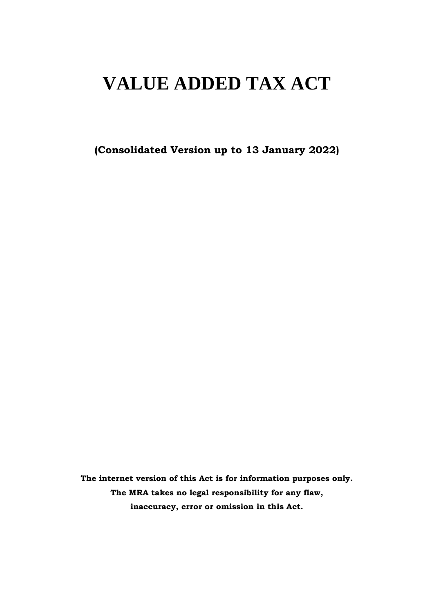# **VALUE ADDED TAX ACT**

**(Consolidated Version up to 13 January 2022)**

**The internet version of this Act is for information purposes only. The MRA takes no legal responsibility for any flaw, inaccuracy, error or omission in this Act.**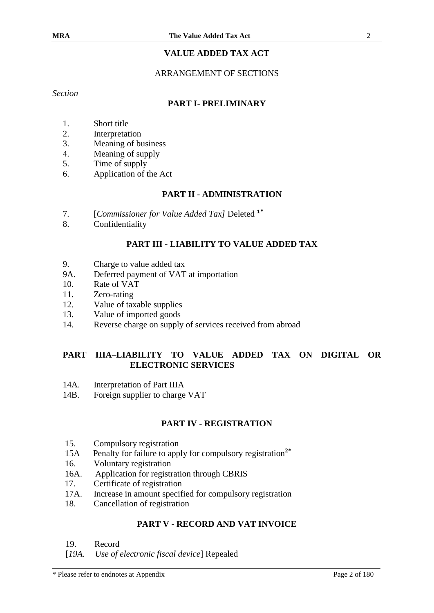# **VALUE ADDED TAX ACT**

#### ARRANGEMENT OF SECTIONS

*Section*

#### **PART I- PRELIMINARY**

- 1. Short title
- 2. Interpretation
- 3. Meaning of business
- 4. Meaning of supply
- 5. Time of supply
- 6. Application of the Act

#### **PART II - ADMINISTRATION**

- 7. [*Commissioner for Value Added Tax]* Deleted **<sup>1</sup>\***
- 8. Confidentiality

#### **PART III - LIABILITY TO VALUE ADDED TAX**

- 9. Charge to value added tax
- 9A. Deferred payment of VAT at importation
- 10. Rate of VAT
- 11. Zero-rating
- 12. Value of taxable supplies
- 13. Value of imported goods
- 14. Reverse charge on supply of services received from abroad

## **PART IIIA–LIABILITY TO VALUE ADDED TAX ON DIGITAL OR ELECTRONIC SERVICES**

- 14A. Interpretation of Part IIIA
- 14B. Foreign supplier to charge VAT

#### **PART IV - REGISTRATION**

- 15. Compulsory registration
- 15A Penalty for failure to apply for compulsory registration**<sup>2</sup>\***
- 16. Voluntary registration
- 16A. Application for registration through CBRIS
- 17. Certificate of registration
- 17A. Increase in amount specified for compulsory registration
- 18. Cancellation of registration

#### **PART V - RECORD AND VAT INVOICE**

- 19. Record
- [*19A. Use of electronic fiscal device*] Repealed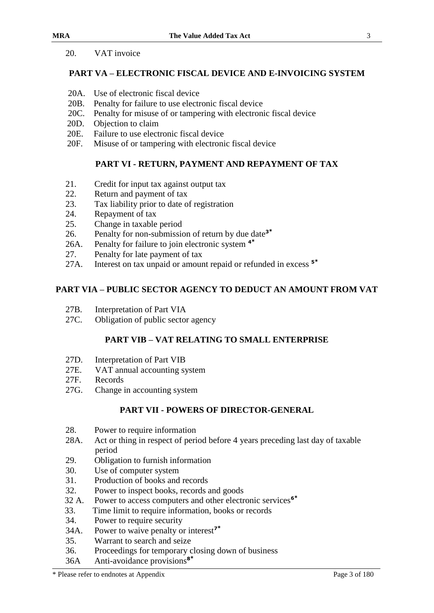#### 20. VAT invoice

# **PART VA – ELECTRONIC FISCAL DEVICE AND E-INVOICING SYSTEM**

- 20A. Use of electronic fiscal device
- 20B. Penalty for failure to use electronic fiscal device
- 20C. Penalty for misuse of or tampering with electronic fiscal device
- 20D. Objection to claim
- 20E. Failure to use electronic fiscal device
- 20F. Misuse of or tampering with electronic fiscal device

# **PART VI - RETURN, PAYMENT AND REPAYMENT OF TAX**

- 21. Credit for input tax against output tax
- 22. Return and payment of tax
- 23. Tax liability prior to date of registration
- 24. Repayment of tax
- 25. Change in taxable period
- 26. Penalty for non-submission of return by due date**<sup>3</sup>\***
- 26A. Penalty for failure to join electronic system **<sup>4</sup>\***
- 27. Penalty for late payment of tax
- 27A. Interest on tax unpaid or amount repaid or refunded in excess **<sup>5</sup>\***

# **PART VIA – PUBLIC SECTOR AGENCY TO DEDUCT AN AMOUNT FROM VAT**

- 27B. Interpretation of Part VIA
- 27C. Obligation of public sector agency

# **PART VIB – VAT RELATING TO SMALL ENTERPRISE**

- 27D. Interpretation of Part VIB
- 27E. VAT annual accounting system
- 27F. Records
- 27G. Change in accounting system

# **PART VII - POWERS OF DIRECTOR-GENERAL**

- 28. Power to require information
- 28A. Act or thing in respect of period before 4 years preceding last day of taxable period
- 29. Obligation to furnish information
- 30. Use of computer system
- 31. Production of books and records
- 32. Power to inspect books, records and goods
- 32 A. Power to access computers and other electronic services**<sup>6</sup>\***
- 33. Time limit to require information, books or records
- 34. Power to require security
- 34A. Power to waive penalty or interest**<sup>7</sup>\***
- 35. Warrant to search and seize
- 36. Proceedings for temporary closing down of business
- 36A Anti-avoidance provisions**<sup>8</sup>\***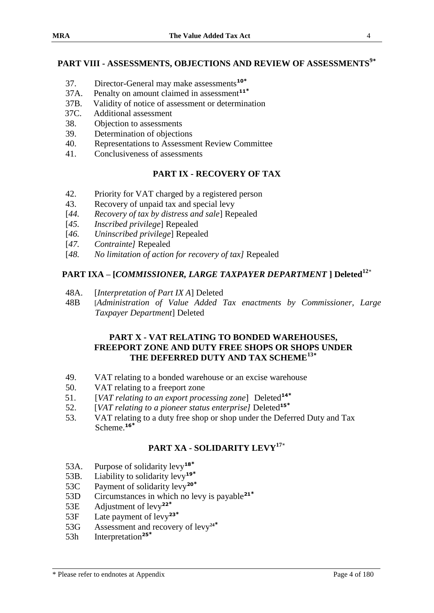# **PART VIII - ASSESSMENTS, OBJECTIONS AND REVIEW OF ASSESSMENTS<sup>9</sup>\***

- 37. Director-General may make assessments**<sup>10</sup>\***
- 37A. Penalty on amount claimed in assessment**<sup>11</sup>\***
- 37B. Validity of notice of assessment or determination
- 37C. Additional assessment
- 38. Objection to assessments
- 39. Determination of objections
- 40. Representations to Assessment Review Committee
- 41. Conclusiveness of assessments

#### **PART IX - RECOVERY OF TAX**

- 42. Priority for VAT charged by a registered person
- 43. Recovery of unpaid tax and special levy
- [*44. Recovery of tax by distress and sale*] Repealed
- [*45. Inscribed privilege*] Repealed
- [*46. Uninscribed privilege*] Repealed
- [*47. Contrainte]* Repealed
- [*48. No limitation of action for recovery of tax]* Repealed

#### **PART IXA – [***COMMISSIONER, LARGE TAXPAYER DEPARTMENT* **] Deleted<sup>12</sup>**\*

- 48A. [*Interpretation of Part IX A*] Deleted
- 48B [*Administration of Value Added Tax enactments by Commissioner, Large Taxpayer Department*] Deleted

#### **PART X - VAT RELATING TO BONDED WAREHOUSES, FREEPORT ZONE AND DUTY FREE SHOPS OR SHOPS UNDER THE DEFERRED DUTY AND TAX SCHEME<sup>13</sup>\***

- 49. VAT relating to a bonded warehouse or an excise warehouse
- 50. VAT relating to a freeport zone
- 51. [*VAT relating to an export processing zone*] Deleted**<sup>14</sup>\***
- 52. [*VAT relating to a pioneer status enterprise]* Deleted**<sup>15</sup>\***
- 53. VAT relating to a duty free shop or shop under the Deferred Duty and Tax Scheme.**<sup>16</sup>\***

# **PART XA - SOLIDARITY LEVY<sup>17</sup>**\*

- 53A. Purpose of solidarity levy**<sup>18</sup>\***
- 53B. Liability to solidarity levy**<sup>19</sup>\***
- 53C Payment of solidarity levy**<sup>20</sup>\***
- 53D Circumstances in which no levy is payable**<sup>21</sup>\***
- 53E Adjustment of levy**<sup>22</sup>\***
- 53F Late payment of levy**<sup>23</sup>\***
- 53G Assessment and recovery of levy**<sup>24</sup>\***
- 53h Interpretation**<sup>25</sup>\***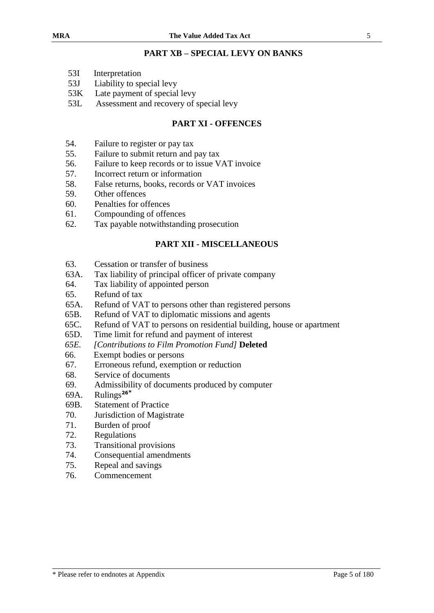#### **PART XB – SPECIAL LEVY ON BANKS**

- 53I Interpretation
- 53J Liability to special levy
- 53K Late payment of special levy
- 53L Assessment and recovery of special levy

#### **PART XI - OFFENCES**

- 54. Failure to register or pay tax
- 55. Failure to submit return and pay tax
- 56. Failure to keep records or to issue VAT invoice
- 57. Incorrect return or information
- 58. False returns, books, records or VAT invoices
- 59. Other offences
- 60. Penalties for offences
- 61. Compounding of offences
- 62. Tax payable notwithstanding prosecution

## **PART XII - MISCELLANEOUS**

- 63. Cessation or transfer of business
- 63A. Tax liability of principal officer of private company
- 64. Tax liability of appointed person
- 65. Refund of tax
- 65A. Refund of VAT to persons other than registered persons
- 65B. Refund of VAT to diplomatic missions and agents
- 65C. Refund of VAT to persons on residential building, house or apartment
- 65D. Time limit for refund and payment of interest
- *65E. [Contributions to Film Promotion Fund]* **Deleted**
- 66. Exempt bodies or persons
- 67. Erroneous refund, exemption or reduction
- 68. Service of documents
- 69. Admissibility of documents produced by computer
- 69A. Rulings**<sup>26</sup>\***
- 69B. Statement of Practice
- 70. Jurisdiction of Magistrate
- 71. Burden of proof
- 72. Regulations
- 73. Transitional provisions
- 74. Consequential amendments
- 75. Repeal and savings
- 76. Commencement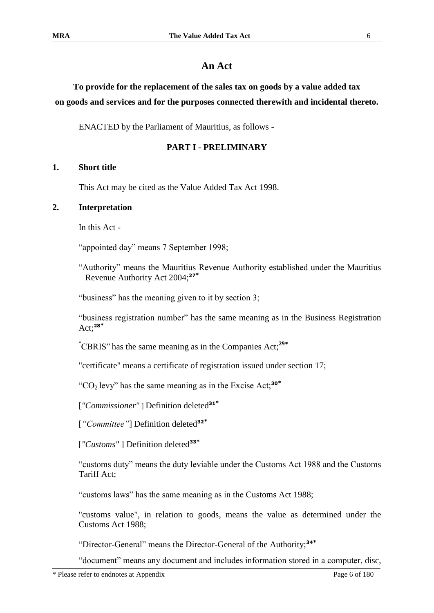#### **An Act**

# **To provide for the replacement of the sales tax on goods by a value added tax on goods and services and for the purposes connected therewith and incidental thereto.**

ENACTED by the Parliament of Mauritius, as follows -

#### **PART I - PRELIMINARY**

#### **1. Short title**

This Act may be cited as the Value Added Tax Act 1998.

#### **2. Interpretation**

In this Act -

"appointed day" means 7 September 1998;

"Authority" means the Mauritius Revenue Authority established under the Mauritius Revenue Authority Act 2004;**<sup>27</sup>\***

"business" has the meaning given to it by section 3;

"business registration number" has the same meaning as in the Business Registration Act;**<sup>28</sup>\***

"CBRIS" has the same meaning as in the Companies Act;**<sup>29</sup>\***

"certificate" means a certificate of registration issued under section 17;

"CO2 levy" has the same meaning as in the Excise Act;**<sup>30</sup>\***

[*"Commissioner"* ] Definition deleted**<sup>31</sup>\***

[*"Committee"*] Definition deleted**<sup>32</sup>\***

[*"Customs"* ] Definition deleted**<sup>33</sup>\***

"customs duty" means the duty leviable under the Customs Act 1988 and the Customs Tariff Act;

"customs laws" has the same meaning as in the Customs Act 1988;

"customs value", in relation to goods, means the value as determined under the Customs Act 1988;

"Director-General" means the Director-General of the Authority;**<sup>34</sup>\***

"document" means any document and includes information stored in a computer, disc,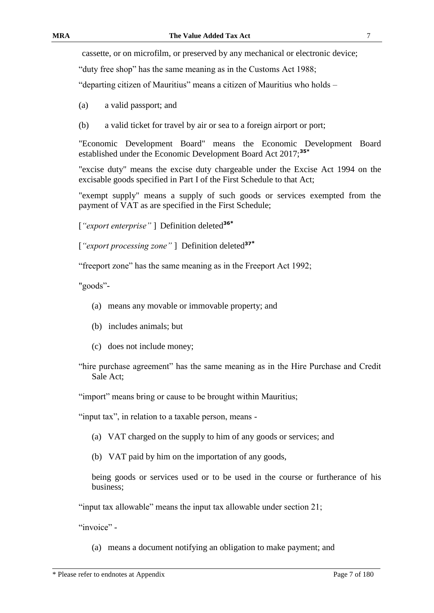cassette, or on microfilm, or preserved by any mechanical or electronic device;

"duty free shop" has the same meaning as in the Customs Act 1988;

"departing citizen of Mauritius" means a citizen of Mauritius who holds –

- (a) a valid passport; and
- (b) a valid ticket for travel by air or sea to a foreign airport or port;

"Economic Development Board" means the Economic Development Board established under the Economic Development Board Act 2017;**35\***

"excise duty" means the excise duty chargeable under the Excise Act 1994 on the excisable goods specified in Part I of the First Schedule to that Act;

"exempt supply" means a supply of such goods or services exempted from the payment of VAT as are specified in the First Schedule;

[*"export enterprise"* ] Definition deleted**<sup>36</sup>\***

[*"export processing zone"* ] Definition deleted**<sup>37</sup>\***

"freeport zone" has the same meaning as in the Freeport Act 1992;

"goods"-

- (a) means any movable or immovable property; and
- (b) includes animals; but
- (c) does not include money;
- "hire purchase agreement" has the same meaning as in the Hire Purchase and Credit Sale Act;

"import" means bring or cause to be brought within Mauritius;

"input tax", in relation to a taxable person, means -

- (a) VAT charged on the supply to him of any goods or services; and
- (b) VAT paid by him on the importation of any goods,

being goods or services used or to be used in the course or furtherance of his business;

"input tax allowable" means the input tax allowable under section 21;

"invoice" -

(a) means a document notifying an obligation to make payment; and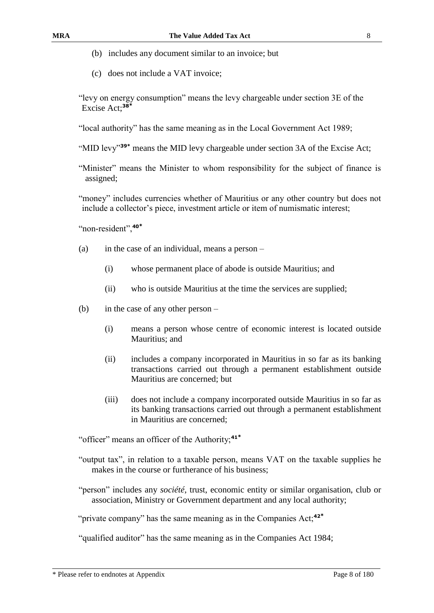- 
- (b) includes any document similar to an invoice; but
- (c) does not include a VAT invoice;
- "levy on energy consumption" means the levy chargeable under section 3E of the Excise Act;**<sup>38</sup>\***
- "local authority" has the same meaning as in the Local Government Act 1989;
- "MID levy"**39\*** means the MID levy chargeable under section 3A of the Excise Act;
- "Minister" means the Minister to whom responsibility for the subject of finance is assigned;
- "money" includes currencies whether of Mauritius or any other country but does not include a collector's piece, investment article or item of numismatic interest;

"non-resident",**<sup>40</sup>\***

- (a) in the case of an individual, means a person
	- (i) whose permanent place of abode is outside Mauritius; and
	- (ii) who is outside Mauritius at the time the services are supplied;
- (b) in the case of any other person
	- (i) means a person whose centre of economic interest is located outside Mauritius; and
	- (ii) includes a company incorporated in Mauritius in so far as its banking transactions carried out through a permanent establishment outside Mauritius are concerned; but
	- (iii) does not include a company incorporated outside Mauritius in so far as its banking transactions carried out through a permanent establishment in Mauritius are concerned;

"officer" means an officer of the Authority;**<sup>41</sup>\***

- "output tax", in relation to a taxable person, means VAT on the taxable supplies he makes in the course or furtherance of his business;
- "person" includes any *société*, trust, economic entity or similar organisation, club or association, Ministry or Government department and any local authority;

"private company" has the same meaning as in the Companies Act;**<sup>42</sup>\***

"qualified auditor" has the same meaning as in the Companies Act 1984;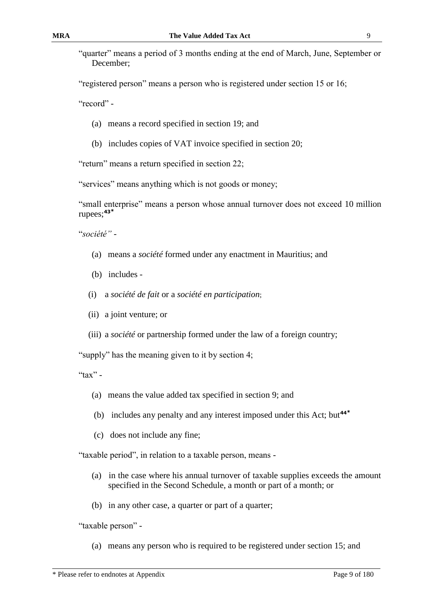"quarter" means a period of 3 months ending at the end of March, June, September or December;

"registered person" means a person who is registered under section 15 or 16;

"record" -

- (a) means a record specified in section 19; and
- (b) includes copies of VAT invoice specified in section 20;

"return" means a return specified in section 22;

"services" means anything which is not goods or money;

"small enterprise" means a person whose annual turnover does not exceed 10 million rupees;**<sup>43</sup>\***

"*société"* -

- (a) means a *société* formed under any enactment in Mauritius; and
- (b) includes -
- (i) a *société de fait* or a *société en participation*;
- (ii) a joint venture; or
- (iii) a *société* or partnership formed under the law of a foreign country;

"supply" has the meaning given to it by section 4;

"tax" -

- (a) means the value added tax specified in section 9; and
- (b) includes any penalty and any interest imposed under this Act; but**<sup>44</sup>\***
- (c) does not include any fine;

"taxable period", in relation to a taxable person, means -

- (a) in the case where his annual turnover of taxable supplies exceeds the amount specified in the Second Schedule, a month or part of a month; or
- (b) in any other case, a quarter or part of a quarter;

"taxable person" -

(a) means any person who is required to be registered under section 15; and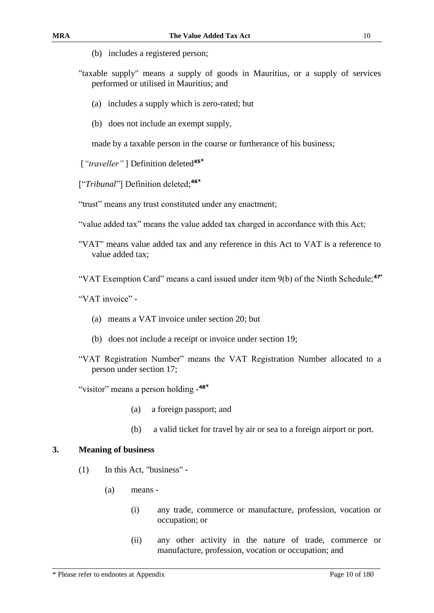- (b) includes a registered person;
- "taxable supply" means a supply of goods in Mauritius, or a supply of services performed or utilised in Mauritius; and
	- (a) includes a supply which is zero-rated; but
	- (b) does not include an exempt supply,

made by a taxable person in the course or furtherance of his business;

- [*"traveller"* ] Definition deleted**<sup>45</sup>\***
- ["*Tribunal*"] Definition deleted; **46\***

"trust" means any trust constituted under any enactment;

"value added tax" means the value added tax charged in accordance with this Act;

- "VAT" means value added tax and any reference in this Act to VAT is a reference to value added tax;
- "VAT Exemption Card" means a card issued under item 9(b) of the Ninth Schedule;**<sup>47</sup>\***

"VAT invoice" -

- (a) means a VAT invoice under section 20; but
- (b) does not include a receipt or invoice under section 19;
- "VAT Registration Number" means the VAT Registration Number allocated to a person under section 17;

"visitor" means a person holding - **48\***

- (a) a foreign passport; and
- (b) a valid ticket for travel by air or sea to a foreign airport or port.

#### **3. Meaning of business**

- (1) In this Act, "business"
	- (a) means
		- (i) any trade, commerce or manufacture, profession, vocation or occupation; or
		- (ii) any other activity in the nature of trade, commerce or manufacture, profession, vocation or occupation; and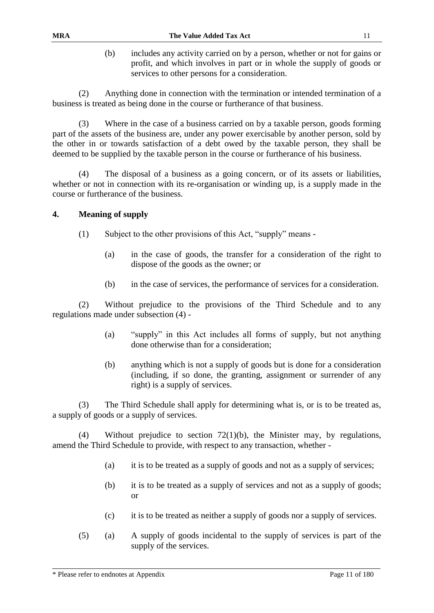(b) includes any activity carried on by a person, whether or not for gains or profit, and which involves in part or in whole the supply of goods or services to other persons for a consideration.

(2) Anything done in connection with the termination or intended termination of a business is treated as being done in the course or furtherance of that business.

(3) Where in the case of a business carried on by a taxable person, goods forming part of the assets of the business are, under any power exercisable by another person, sold by the other in or towards satisfaction of a debt owed by the taxable person, they shall be deemed to be supplied by the taxable person in the course or furtherance of his business.

(4) The disposal of a business as a going concern, or of its assets or liabilities, whether or not in connection with its re-organisation or winding up, is a supply made in the course or furtherance of the business.

#### **4. Meaning of supply**

- (1) Subject to the other provisions of this Act, "supply" means
	- (a) in the case of goods, the transfer for a consideration of the right to dispose of the goods as the owner; or
	- (b) in the case of services, the performance of services for a consideration.

(2) Without prejudice to the provisions of the Third Schedule and to any regulations made under subsection (4) -

- (a) "supply" in this Act includes all forms of supply, but not anything done otherwise than for a consideration;
- (b) anything which is not a supply of goods but is done for a consideration (including, if so done, the granting, assignment or surrender of any right) is a supply of services.

(3) The Third Schedule shall apply for determining what is, or is to be treated as, a supply of goods or a supply of services.

(4) Without prejudice to section 72(1)(b), the Minister may, by regulations, amend the Third Schedule to provide, with respect to any transaction, whether -

- (a) it is to be treated as a supply of goods and not as a supply of services;
- (b) it is to be treated as a supply of services and not as a supply of goods; or
- (c) it is to be treated as neither a supply of goods nor a supply of services.
- (5) (a) A supply of goods incidental to the supply of services is part of the supply of the services.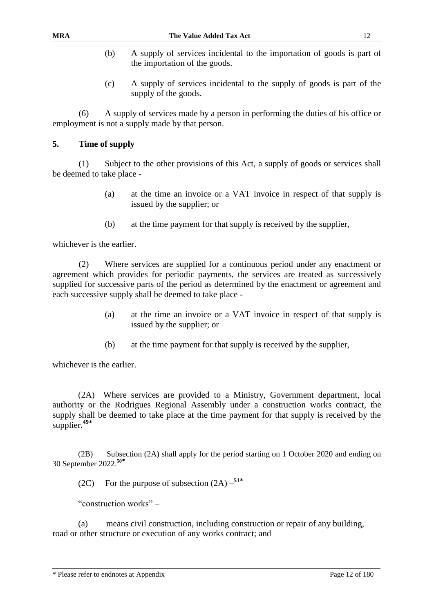- (b) A supply of services incidental to the importation of goods is part of the importation of the goods.
- (c) A supply of services incidental to the supply of goods is part of the supply of the goods.

(6) A supply of services made by a person in performing the duties of his office or employment is not a supply made by that person.

#### **5. Time of supply**

(1) Subject to the other provisions of this Act, a supply of goods or services shall be deemed to take place -

- (a) at the time an invoice or a VAT invoice in respect of that supply is issued by the supplier; or
- (b) at the time payment for that supply is received by the supplier,

whichever is the earlier.

(2) Where services are supplied for a continuous period under any enactment or agreement which provides for periodic payments, the services are treated as successively supplied for successive parts of the period as determined by the enactment or agreement and each successive supply shall be deemed to take place -

- (a) at the time an invoice or a VAT invoice in respect of that supply is issued by the supplier; or
- (b) at the time payment for that supply is received by the supplier,

whichever is the earlier.

(2A) Where services are provided to a Ministry, Government department, local authority or the Rodrigues Regional Assembly under a construction works contract, the supply shall be deemed to take place at the time payment for that supply is received by the supplier.**<sup>49</sup>\***

(2B) Subsection (2A) shall apply for the period starting on 1 October 2020 and ending on 30 September 2022.**<sup>50</sup>\***

(2C) For the purpose of subsection (2A) – **51\***

"construction works" –

(a) means civil construction, including construction or repair of any building, road or other structure or execution of any works contract; and

<sup>\*</sup> Please refer to endnotes at Appendix Page 12 of 180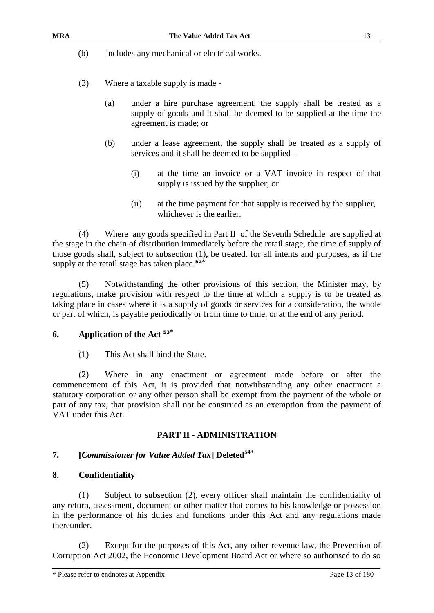(b) includes any mechanical or electrical works.

- (3) Where a taxable supply is made
	- (a) under a hire purchase agreement, the supply shall be treated as a supply of goods and it shall be deemed to be supplied at the time the agreement is made; or
	- (b) under a lease agreement, the supply shall be treated as a supply of services and it shall be deemed to be supplied -
		- (i) at the time an invoice or a VAT invoice in respect of that supply is issued by the supplier; or
		- (ii) at the time payment for that supply is received by the supplier, whichever is the earlier.

(4) Where any goods specified in Part II of the Seventh Schedule are supplied at the stage in the chain of distribution immediately before the retail stage, the time of supply of those goods shall, subject to subsection (1), be treated, for all intents and purposes, as if the supply at the retail stage has taken place.**<sup>52</sup>\***

(5) Notwithstanding the other provisions of this section, the Minister may, by regulations, make provision with respect to the time at which a supply is to be treated as taking place in cases where it is a supply of goods or services for a consideration, the whole or part of which, is payable periodically or from time to time, or at the end of any period.

#### **6. Application of the Act <sup>53</sup>\***

(1) This Act shall bind the State.

(2) Where in any enactment or agreement made before or after the commencement of this Act, it is provided that notwithstanding any other enactment a statutory corporation or any other person shall be exempt from the payment of the whole or part of any tax, that provision shall not be construed as an exemption from the payment of VAT under this Act.

#### **PART II - ADMINISTRATION**

#### **7. [***Commissioner for Value Added Tax***] Deleted<sup>54</sup>\***

#### **8. Confidentiality**

(1) Subject to subsection (2), every officer shall maintain the confidentiality of any return, assessment, document or other matter that comes to his knowledge or possession in the performance of his duties and functions under this Act and any regulations made thereunder.

(2) Except for the purposes of this Act, any other revenue law, the Prevention of Corruption Act 2002, the Economic Development Board Act or where so authorised to do so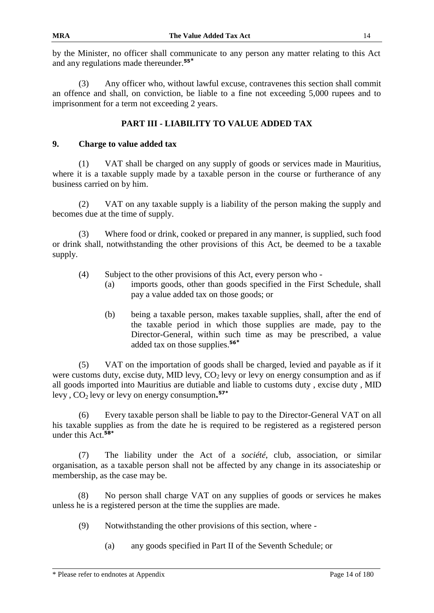by the Minister, no officer shall communicate to any person any matter relating to this Act and any regulations made thereunder.**<sup>55</sup>\***

(3) Any officer who, without lawful excuse, contravenes this section shall commit an offence and shall, on conviction, be liable to a fine not exceeding 5,000 rupees and to imprisonment for a term not exceeding 2 years.

# **PART III - LIABILITY TO VALUE ADDED TAX**

#### **9. Charge to value added tax**

(1) VAT shall be charged on any supply of goods or services made in Mauritius, where it is a taxable supply made by a taxable person in the course or furtherance of any business carried on by him.

(2) VAT on any taxable supply is a liability of the person making the supply and becomes due at the time of supply.

(3) Where food or drink, cooked or prepared in any manner, is supplied, such food or drink shall, notwithstanding the other provisions of this Act, be deemed to be a taxable supply.

- (4) Subject to the other provisions of this Act, every person who
	- (a) imports goods, other than goods specified in the First Schedule, shall pay a value added tax on those goods; or
	- (b) being a taxable person, makes taxable supplies, shall, after the end of the taxable period in which those supplies are made, pay to the Director-General, within such time as may be prescribed, a value added tax on those supplies.**<sup>56</sup>\***

(5) VAT on the importation of goods shall be charged, levied and payable as if it were customs duty, excise duty, MID levy,  $CO<sub>2</sub>$  levy or levy on energy consumption and as if all goods imported into Mauritius are dutiable and liable to customs duty , excise duty , MID levy , CO2 levy or levy on energy consumption**. 57\***

(6) Every taxable person shall be liable to pay to the Director-General VAT on all his taxable supplies as from the date he is required to be registered as a registered person under this Act.**58\***

(7) The liability under the Act of a *société*, club, association, or similar organisation, as a taxable person shall not be affected by any change in its associateship or membership, as the case may be.

(8) No person shall charge VAT on any supplies of goods or services he makes unless he is a registered person at the time the supplies are made.

- (9) Notwithstanding the other provisions of this section, where
	- (a) any goods specified in Part II of the Seventh Schedule; or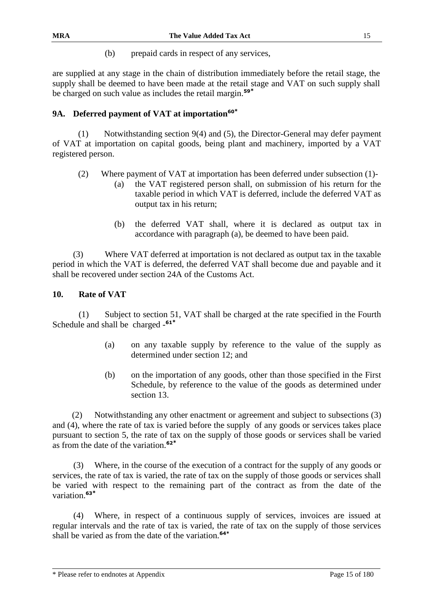(b) prepaid cards in respect of any services,

are supplied at any stage in the chain of distribution immediately before the retail stage, the supply shall be deemed to have been made at the retail stage and VAT on such supply shall be charged on such value as includes the retail margin.**<sup>59</sup>\***

## **9A. Deferred payment of VAT at importation<sup>60</sup>\***

(1) Notwithstanding section 9(4) and (5), the Director-General may defer payment of VAT at importation on capital goods, being plant and machinery, imported by a VAT registered person.

- (2) Where payment of VAT at importation has been deferred under subsection (1)-
	- (a) the VAT registered person shall, on submission of his return for the taxable period in which VAT is deferred, include the deferred VAT as output tax in his return;
		- (b) the deferred VAT shall, where it is declared as output tax in accordance with paragraph (a), be deemed to have been paid.

(3) Where VAT deferred at importation is not declared as output tax in the taxable period in which the VAT is deferred, the deferred VAT shall become due and payable and it shall be recovered under section 24A of the Customs Act.

#### **10. Rate of VAT**

(1) Subject to section 51, VAT shall be charged at the rate specified in the Fourth Schedule and shall be charged - **61\***

- (a) on any taxable supply by reference to the value of the supply as determined under section 12; and
- (b) on the importation of any goods, other than those specified in the First Schedule, by reference to the value of the goods as determined under section 13.

(2) Notwithstanding any other enactment or agreement and subject to subsections (3) and (4), where the rate of tax is varied before the supply of any goods or services takes place pursuant to section 5, the rate of tax on the supply of those goods or services shall be varied as from the date of the variation.**<sup>62</sup>\***

Where, in the course of the execution of a contract for the supply of any goods or services, the rate of tax is varied, the rate of tax on the supply of those goods or services shall be varied with respect to the remaining part of the contract as from the date of the variation.**<sup>63</sup>\***

(4) Where, in respect of a continuous supply of services, invoices are issued at regular intervals and the rate of tax is varied, the rate of tax on the supply of those services shall be varied as from the date of the variation.**64\***

\* Please refer to endnotes at Appendix Page 15 of 180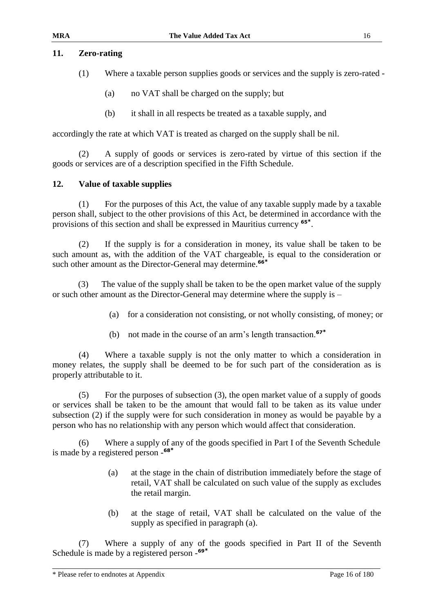#### **11. Zero-rating**

- (1) Where a taxable person supplies goods or services and the supply is zero-rated
	- (a) no VAT shall be charged on the supply; but
	- (b) it shall in all respects be treated as a taxable supply, and

accordingly the rate at which VAT is treated as charged on the supply shall be nil.

(2) A supply of goods or services is zero-rated by virtue of this section if the goods or services are of a description specified in the Fifth Schedule.

#### **12. Value of taxable supplies**

(1) For the purposes of this Act, the value of any taxable supply made by a taxable person shall, subject to the other provisions of this Act, be determined in accordance with the provisions of this section and shall be expressed in Mauritius currency **<sup>65</sup>\*** .

(2) If the supply is for a consideration in money, its value shall be taken to be such amount as, with the addition of the VAT chargeable, is equal to the consideration or such other amount as the Director-General may determine.**<sup>66</sup>\***

(3) The value of the supply shall be taken to be the open market value of the supply or such other amount as the Director-General may determine where the supply is –

- (a) for a consideration not consisting, or not wholly consisting, of money; or
- (b) not made in the course of an arm's length transaction.**<sup>67</sup>\***

(4) Where a taxable supply is not the only matter to which a consideration in money relates, the supply shall be deemed to be for such part of the consideration as is properly attributable to it.

(5) For the purposes of subsection (3), the open market value of a supply of goods or services shall be taken to be the amount that would fall to be taken as its value under subsection (2) if the supply were for such consideration in money as would be payable by a person who has no relationship with any person which would affect that consideration.

(6) Where a supply of any of the goods specified in Part I of the Seventh Schedule is made by a registered person - **68\***

- (a) at the stage in the chain of distribution immediately before the stage of retail, VAT shall be calculated on such value of the supply as excludes the retail margin.
- (b) at the stage of retail, VAT shall be calculated on the value of the supply as specified in paragraph (a).

(7) Where a supply of any of the goods specified in Part II of the Seventh Schedule is made by a registered person - **69\***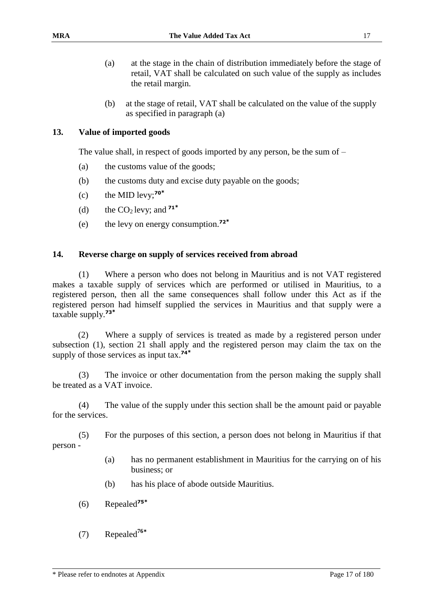- (a) at the stage in the chain of distribution immediately before the stage of retail, VAT shall be calculated on such value of the supply as includes the retail margin.
- (b) at the stage of retail, VAT shall be calculated on the value of the supply as specified in paragraph (a)

#### **13. Value of imported goods**

The value shall, in respect of goods imported by any person, be the sum of –

- (a) the customs value of the goods;
- (b) the customs duty and excise duty payable on the goods;
- (c) the MID levy;**<sup>70</sup>\***
- (d) the  $CO<sub>2</sub>$  levy; and  $71^*$
- (e) the levy on energy consumption.**<sup>72</sup>\***

#### **14. Reverse charge on supply of services received from abroad**

(1) Where a person who does not belong in Mauritius and is not VAT registered makes a taxable supply of services which are performed or utilised in Mauritius, to a registered person, then all the same consequences shall follow under this Act as if the registered person had himself supplied the services in Mauritius and that supply were a taxable supply.**<sup>73</sup>\***

(2) Where a supply of services is treated as made by a registered person under subsection (1), section 21 shall apply and the registered person may claim the tax on the supply of those services as input tax.**<sup>74</sup>\***

(3) The invoice or other documentation from the person making the supply shall be treated as a VAT invoice.

(4) The value of the supply under this section shall be the amount paid or payable for the services.

(5) For the purposes of this section, a person does not belong in Mauritius if that person -

- (a) has no permanent establishment in Mauritius for the carrying on of his business; or
- (b) has his place of abode outside Mauritius.
- (6) Repealed**<sup>75</sup>\***
- (7) Repealed**<sup>76</sup>\***

\* Please refer to endnotes at Appendix Page 17 of 180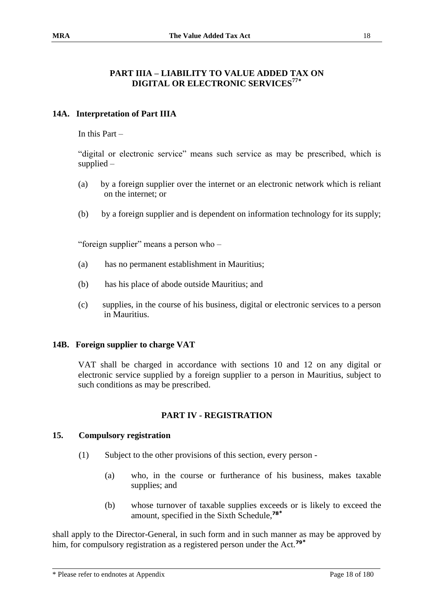#### **PART IIIA – LIABILITY TO VALUE ADDED TAX ON DIGITAL OR ELECTRONIC SERVICES<sup>77</sup>\***

#### **14A. Interpretation of Part IIIA**

In this Part –

"digital or electronic service" means such service as may be prescribed, which is supplied –

- (a) by a foreign supplier over the internet or an electronic network which is reliant on the internet; or
- (b) by a foreign supplier and is dependent on information technology for its supply;

"foreign supplier" means a person who –

- (a) has no permanent establishment in Mauritius;
- (b) has his place of abode outside Mauritius; and
- (c) supplies, in the course of his business, digital or electronic services to a person in Mauritius.

#### **14B. Foreign supplier to charge VAT**

VAT shall be charged in accordance with sections 10 and 12 on any digital or electronic service supplied by a foreign supplier to a person in Mauritius, subject to such conditions as may be prescribed.

#### **PART IV - REGISTRATION**

#### **15. Compulsory registration**

- (1) Subject to the other provisions of this section, every person
	- (a) who, in the course or furtherance of his business, makes taxable supplies; and
	- (b) whose turnover of taxable supplies exceeds or is likely to exceed the amount, specified in the Sixth Schedule,**<sup>78</sup>\***

shall apply to the Director-General, in such form and in such manner as may be approved by him, for compulsory registration as a registered person under the Act.**79\***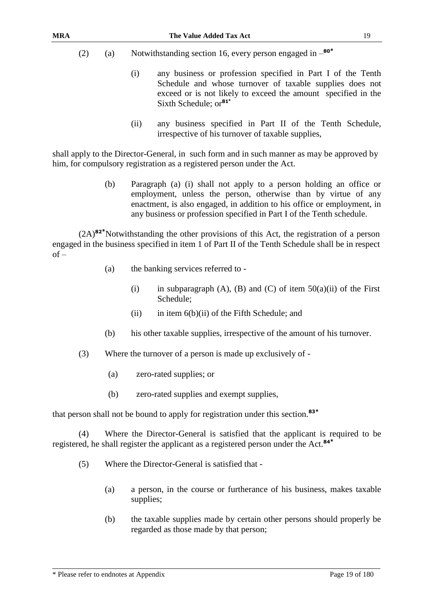- (2) (a) Notwithstanding section 16, every person engaged in **80\***
	- (i) any business or profession specified in Part I of the Tenth Schedule and whose turnover of taxable supplies does not exceed or is not likely to exceed the amount specified in the Sixth Schedule; or**<sup>81</sup>\***
	- (ii) any business specified in Part II of the Tenth Schedule, irrespective of his turnover of taxable supplies,

shall apply to the Director-General, in such form and in such manner as may be approved by him, for compulsory registration as a registered person under the Act.

> (b) Paragraph (a) (i) shall not apply to a person holding an office or employment, unless the person, otherwise than by virtue of any enactment, is also engaged, in addition to his office or employment, in any business or profession specified in Part I of the Tenth schedule.

(2A)**<sup>82</sup>\***Notwithstanding the other provisions of this Act, the registration of a person engaged in the business specified in item 1 of Part II of the Tenth Schedule shall be in respect  $of -$ 

- (a) the banking services referred to
	- (i) in subparagraph (A), (B) and (C) of item  $50(a)(ii)$  of the First Schedule;
	- (ii) in item  $6(b)(ii)$  of the Fifth Schedule; and
- (b) his other taxable supplies, irrespective of the amount of his turnover.
- (3) Where the turnover of a person is made up exclusively of
	- (a) zero-rated supplies; or
	- (b) zero-rated supplies and exempt supplies,

that person shall not be bound to apply for registration under this section.**<sup>83</sup>\***

(4) Where the Director-General is satisfied that the applicant is required to be registered, he shall register the applicant as a registered person under the Act.**<sup>84</sup>\***

- (5) Where the Director-General is satisfied that
	- (a) a person, in the course or furtherance of his business, makes taxable supplies;
	- (b) the taxable supplies made by certain other persons should properly be regarded as those made by that person;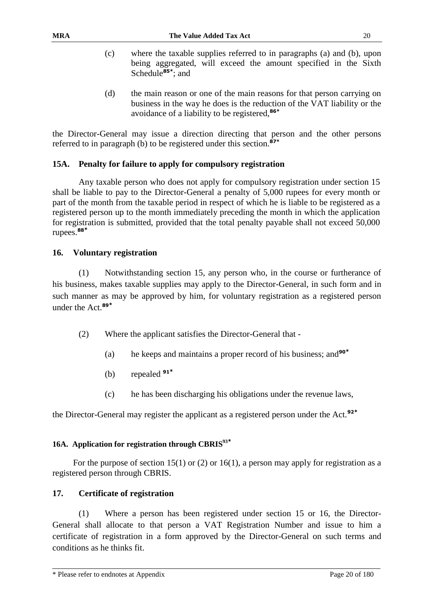- (c) where the taxable supplies referred to in paragraphs (a) and (b), upon being aggregated, will exceed the amount specified in the Sixth Schedule**85\*** ; and
- (d) the main reason or one of the main reasons for that person carrying on business in the way he does is the reduction of the VAT liability or the avoidance of a liability to be registered,**86\***

the Director-General may issue a direction directing that person and the other persons referred to in paragraph (b) to be registered under this section.**87\***

#### **15A. Penalty for failure to apply for compulsory registration**

Any taxable person who does not apply for compulsory registration under section 15 shall be liable to pay to the Director-General a penalty of 5,000 rupees for every month or part of the month from the taxable period in respect of which he is liable to be registered as a registered person up to the month immediately preceding the month in which the application for registration is submitted, provided that the total penalty payable shall not exceed 50,000 rupees.**<sup>88</sup>\***

#### **16. Voluntary registration**

(1) Notwithstanding section 15, any person who, in the course or furtherance of his business, makes taxable supplies may apply to the Director-General, in such form and in such manner as may be approved by him, for voluntary registration as a registered person under the Act.**<sup>89</sup>\***

- (2) Where the applicant satisfies the Director-General that
	- (a) he keeps and maintains a proper record of his business; and**<sup>90</sup>\***
	- (b) repealed **<sup>91</sup>\***
	- (c) he has been discharging his obligations under the revenue laws,

the Director-General may register the applicant as a registered person under the Act.**<sup>92</sup>\***

#### **16A. Application for registration through CBRIS<sup>93</sup>\***

For the purpose of section 15(1) or (2) or 16(1), a person may apply for registration as a registered person through CBRIS.

#### **17. Certificate of registration**

(1) Where a person has been registered under section 15 or 16, the Director-General shall allocate to that person a VAT Registration Number and issue to him a certificate of registration in a form approved by the Director-General on such terms and conditions as he thinks fit.

<sup>\*</sup> Please refer to endnotes at Appendix Page 20 of 180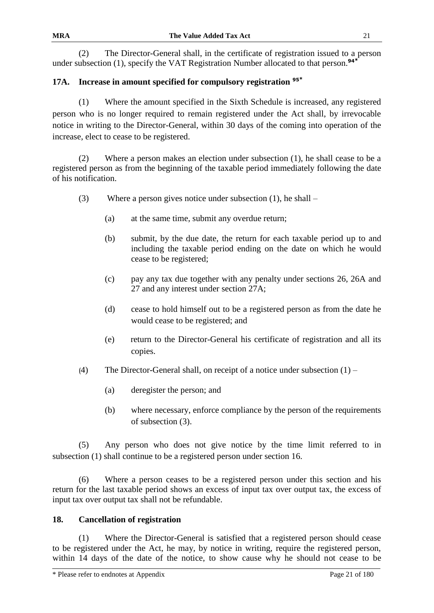(2) The Director-General shall, in the certificate of registration issued to a person under subsection (1), specify the VAT Registration Number allocated to that person.**<sup>94</sup>\***

# **17A. Increase in amount specified for compulsory registration <sup>95</sup>\***

(1) Where the amount specified in the Sixth Schedule is increased, any registered person who is no longer required to remain registered under the Act shall, by irrevocable notice in writing to the Director-General, within 30 days of the coming into operation of the increase, elect to cease to be registered.

(2) Where a person makes an election under subsection (1), he shall cease to be a registered person as from the beginning of the taxable period immediately following the date of his notification.

- (3) Where a person gives notice under subsection (1), he shall
	- (a) at the same time, submit any overdue return;
	- (b) submit, by the due date, the return for each taxable period up to and including the taxable period ending on the date on which he would cease to be registered;
	- (c) pay any tax due together with any penalty under sections 26, 26A and 27 and any interest under section 27A;
	- (d) cease to hold himself out to be a registered person as from the date he would cease to be registered; and
	- (e) return to the Director-General his certificate of registration and all its copies.
- (4) The Director-General shall, on receipt of a notice under subsection  $(1)$ 
	- (a) deregister the person; and
	- (b) where necessary, enforce compliance by the person of the requirements of subsection (3).

(5) Any person who does not give notice by the time limit referred to in subsection (1) shall continue to be a registered person under section 16.

(6) Where a person ceases to be a registered person under this section and his return for the last taxable period shows an excess of input tax over output tax, the excess of input tax over output tax shall not be refundable.

#### **18. Cancellation of registration**

(1) Where the Director-General is satisfied that a registered person should cease to be registered under the Act, he may, by notice in writing, require the registered person, within 14 days of the date of the notice, to show cause why he should not cease to be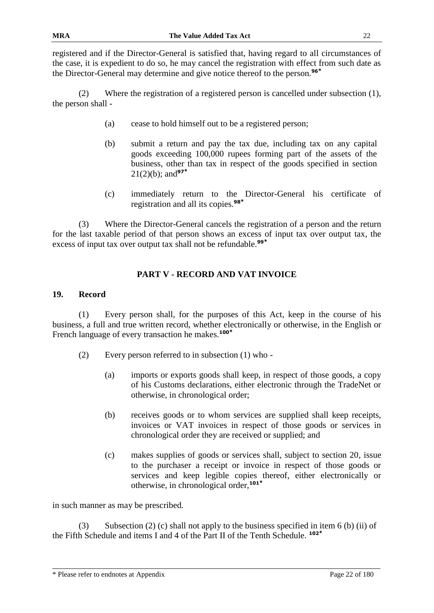registered and if the Director-General is satisfied that, having regard to all circumstances of the case, it is expedient to do so, he may cancel the registration with effect from such date as the Director-General may determine and give notice thereof to the person.**<sup>96</sup>\***

(2) Where the registration of a registered person is cancelled under subsection (1), the person shall -

- (a) cease to hold himself out to be a registered person;
- (b) submit a return and pay the tax due, including tax on any capital goods exceeding 100,000 rupees forming part of the assets of the business, other than tax in respect of the goods specified in section 21(2)(b); and**<sup>97</sup>\***
- (c) immediately return to the Director-General his certificate of registration and all its copies.**<sup>98</sup>\***

(3) Where the Director-General cancels the registration of a person and the return for the last taxable period of that person shows an excess of input tax over output tax, the excess of input tax over output tax shall not be refundable.**<sup>99</sup>\***

# **PART V - RECORD AND VAT INVOICE**

#### **19. Record**

(1) Every person shall, for the purposes of this Act, keep in the course of his business, a full and true written record, whether electronically or otherwise, in the English or French language of every transaction he makes.**<sup>100</sup>\***

- (2) Every person referred to in subsection (1) who
	- (a) imports or exports goods shall keep, in respect of those goods, a copy of his Customs declarations, either electronic through the TradeNet or otherwise, in chronological order;
	- (b) receives goods or to whom services are supplied shall keep receipts, invoices or VAT invoices in respect of those goods or services in chronological order they are received or supplied; and
	- (c) makes supplies of goods or services shall, subject to section 20, issue to the purchaser a receipt or invoice in respect of those goods or services and keep legible copies thereof, either electronically or otherwise, in chronological order,**<sup>101</sup>\***

in such manner as may be prescribed.

(3) Subsection (2) (c) shall not apply to the business specified in item 6 (b) (ii) of the Fifth Schedule and items I and 4 of the Part II of the Tenth Schedule. **102\***

<sup>\*</sup> Please refer to endnotes at Appendix Page 22 of 180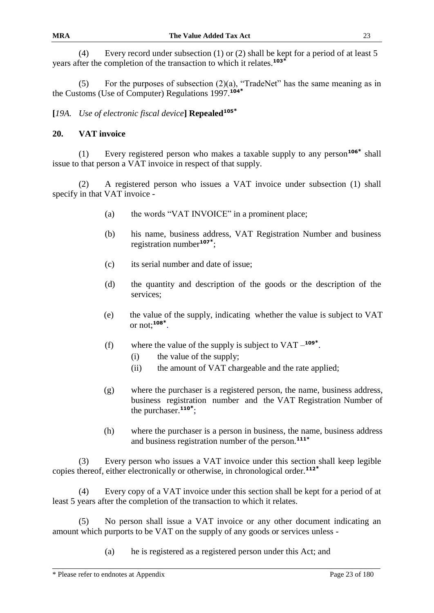(4) Every record under subsection (1) or (2) shall be kept for a period of at least 5 years after the completion of the transaction to which it relates.**<sup>103</sup>\***

(5) For the purposes of subsection  $(2)(a)$ , "TradeNet" has the same meaning as in the Customs (Use of Computer) Regulations 1997.**<sup>104</sup>\***

## **[***19A. Use of electronic fiscal device***] Repealed<sup>105</sup>\***

#### **20. VAT invoice**

(1) Every registered person who makes a taxable supply to any person**<sup>106</sup>\*** shall issue to that person a VAT invoice in respect of that supply.

(2) A registered person who issues a VAT invoice under subsection (1) shall specify in that VAT invoice -

- (a) the words "VAT INVOICE" in a prominent place;
- (b) his name, business address, VAT Registration Number and business registration number**<sup>107</sup>\*** ;
- (c) its serial number and date of issue;
- (d) the quantity and description of the goods or the description of the services;
- (e) the value of the supply, indicating whether the value is subject to VAT or not;**<sup>108</sup>\*** .
- (f) where the value of the supply is subject to  $VAT -<sup>109</sup>$ <sup>\*</sup>.
	- (i) the value of the supply;
	- (ii) the amount of VAT chargeable and the rate applied;
- (g) where the purchaser is a registered person, the name, business address, business registration number and the VAT Registration Number of the purchaser.**<sup>110</sup>\*** ;
- (h) where the purchaser is a person in business, the name, business address and business registration number of the person.**111\***

(3) Every person who issues a VAT invoice under this section shall keep legible copies thereof, either electronically or otherwise, in chronological order.**<sup>112</sup>\***

(4) Every copy of a VAT invoice under this section shall be kept for a period of at least 5 years after the completion of the transaction to which it relates.

(5) No person shall issue a VAT invoice or any other document indicating an amount which purports to be VAT on the supply of any goods or services unless -

(a) he is registered as a registered person under this Act; and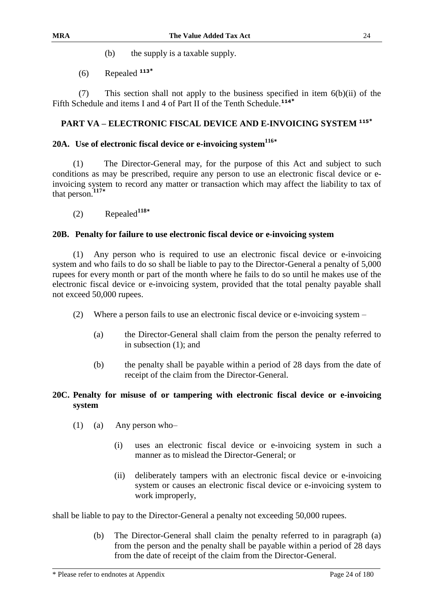- (b) the supply is a taxable supply.
- (6) Repealed **<sup>113</sup>\***

(7) This section shall not apply to the business specified in item 6(b)(ii) of the Fifth Schedule and items I and 4 of Part II of the Tenth Schedule.**<sup>114</sup>\***

#### **PART VA – ELECTRONIC FISCAL DEVICE AND E-INVOICING SYSTEM <sup>115</sup>\***

# **20A. Use of electronic fiscal device or e-invoicing system<sup>116</sup>\***

(1) The Director-General may, for the purpose of this Act and subject to such conditions as may be prescribed, require any person to use an electronic fiscal device or einvoicing system to record any matter or transaction which may affect the liability to tax of that person.**<sup>117</sup>\***

(2) Repealed**<sup>118</sup>\***

#### **20B. Penalty for failure to use electronic fiscal device or e-invoicing system**

(1) Any person who is required to use an electronic fiscal device or e-invoicing system and who fails to do so shall be liable to pay to the Director-General a penalty of 5,000 rupees for every month or part of the month where he fails to do so until he makes use of the electronic fiscal device or e-invoicing system, provided that the total penalty payable shall not exceed 50,000 rupees.

- (2) Where a person fails to use an electronic fiscal device or e-invoicing system
	- (a) the Director-General shall claim from the person the penalty referred to in subsection (1); and
	- (b) the penalty shall be payable within a period of 28 days from the date of receipt of the claim from the Director-General.

#### **20C. Penalty for misuse of or tampering with electronic fiscal device or e-invoicing system**

- (1) (a) Any person who–
	- (i) uses an electronic fiscal device or e-invoicing system in such a manner as to mislead the Director-General; or
	- (ii) deliberately tampers with an electronic fiscal device or e-invoicing system or causes an electronic fiscal device or e-invoicing system to work improperly,

shall be liable to pay to the Director-General a penalty not exceeding 50,000 rupees.

(b) The Director-General shall claim the penalty referred to in paragraph (a) from the person and the penalty shall be payable within a period of 28 days from the date of receipt of the claim from the Director-General.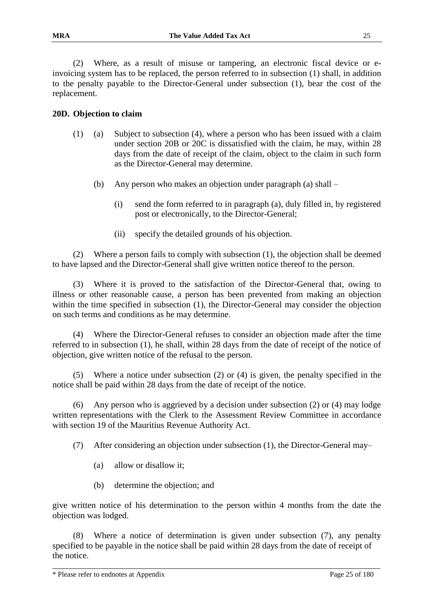(2) Where, as a result of misuse or tampering, an electronic fiscal device or einvoicing system has to be replaced, the person referred to in subsection (1) shall, in addition to the penalty payable to the Director-General under subsection (1), bear the cost of the replacement.

#### **20D. Objection to claim**

- (1) (a) Subject to subsection (4), where a person who has been issued with a claim under section 20B or 20C is dissatisfied with the claim, he may, within 28 days from the date of receipt of the claim, object to the claim in such form as the Director-General may determine.
	- (b) Any person who makes an objection under paragraph (a) shall
		- (i) send the form referred to in paragraph (a), duly filled in, by registered post or electronically, to the Director-General;
		- (ii) specify the detailed grounds of his objection.

(2) Where a person fails to comply with subsection (1), the objection shall be deemed to have lapsed and the Director-General shall give written notice thereof to the person.

(3) Where it is proved to the satisfaction of the Director-General that, owing to illness or other reasonable cause, a person has been prevented from making an objection within the time specified in subsection (1), the Director-General may consider the objection on such terms and conditions as he may determine.

(4) Where the Director-General refuses to consider an objection made after the time referred to in subsection (1), he shall, within 28 days from the date of receipt of the notice of objection, give written notice of the refusal to the person.

(5) Where a notice under subsection (2) or (4) is given, the penalty specified in the notice shall be paid within 28 days from the date of receipt of the notice.

(6) Any person who is aggrieved by a decision under subsection (2) or (4) may lodge written representations with the Clerk to the Assessment Review Committee in accordance with section 19 of the Mauritius Revenue Authority Act.

(7) After considering an objection under subsection (1), the Director-General may–

- (a) allow or disallow it;
- (b) determine the objection; and

give written notice of his determination to the person within 4 months from the date the objection was lodged.

(8) Where a notice of determination is given under subsection (7), any penalty specified to be payable in the notice shall be paid within 28 days from the date of receipt of the notice.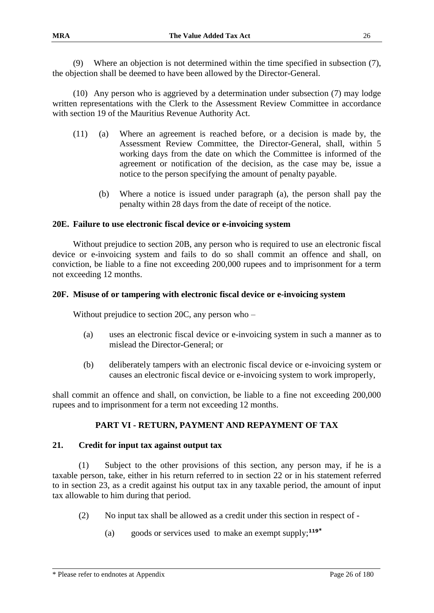(9) Where an objection is not determined within the time specified in subsection (7), the objection shall be deemed to have been allowed by the Director-General.

(10) Any person who is aggrieved by a determination under subsection (7) may lodge written representations with the Clerk to the Assessment Review Committee in accordance with section 19 of the Mauritius Revenue Authority Act.

- (11) (a) Where an agreement is reached before, or a decision is made by, the Assessment Review Committee, the Director-General, shall, within 5 working days from the date on which the Committee is informed of the agreement or notification of the decision, as the case may be, issue a notice to the person specifying the amount of penalty payable.
	- (b) Where a notice is issued under paragraph (a), the person shall pay the penalty within 28 days from the date of receipt of the notice.

#### **20E. Failure to use electronic fiscal device or e-invoicing system**

Without prejudice to section 20B, any person who is required to use an electronic fiscal device or e-invoicing system and fails to do so shall commit an offence and shall, on conviction, be liable to a fine not exceeding 200,000 rupees and to imprisonment for a term not exceeding 12 months.

#### **20F. Misuse of or tampering with electronic fiscal device or e-invoicing system**

Without prejudice to section 20C, any person who –

- (a) uses an electronic fiscal device or e-invoicing system in such a manner as to mislead the Director-General; or
- (b) deliberately tampers with an electronic fiscal device or e-invoicing system or causes an electronic fiscal device or e-invoicing system to work improperly,

shall commit an offence and shall, on conviction, be liable to a fine not exceeding 200,000 rupees and to imprisonment for a term not exceeding 12 months.

#### **PART VI - RETURN, PAYMENT AND REPAYMENT OF TAX**

#### **21. Credit for input tax against output tax**

(1) Subject to the other provisions of this section, any person may, if he is a taxable person, take, either in his return referred to in section 22 or in his statement referred to in section 23, as a credit against his output tax in any taxable period, the amount of input tax allowable to him during that period.

- (2) No input tax shall be allowed as a credit under this section in respect of
	- (a) goods or services used to make an exempt supply;**<sup>119</sup>\***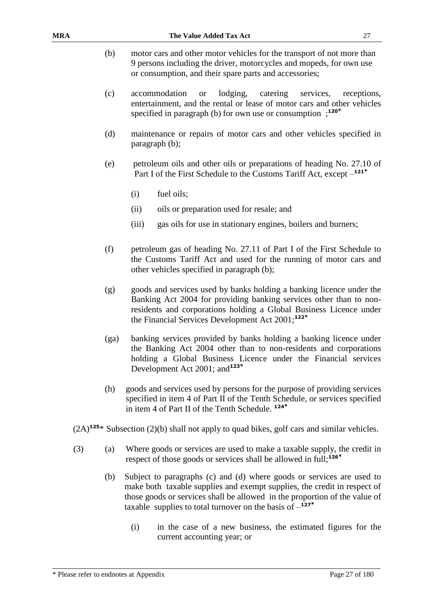- (b) motor cars and other motor vehicles for the transport of not more than 9 persons including the driver, motorcycles and mopeds, for own use or consumption, and their spare parts and accessories;
- (c) accommodation or lodging, catering services, receptions, entertainment, and the rental or lease of motor cars and other vehicles specified in paragraph (b) for own use or consumption ; **120\***
- (d) maintenance or repairs of motor cars and other vehicles specified in paragraph (b);
- (e) petroleum oils and other oils or preparations of heading No. 27.10 of Part I of the First Schedule to the Customs Tariff Act, except – **121\***
	- (i) fuel oils;
	- (ii) oils or preparation used for resale; and
	- (iii) gas oils for use in stationary engines, boilers and burners;
- (f) petroleum gas of heading No. 27.11 of Part I of the First Schedule to the Customs Tariff Act and used for the running of motor cars and other vehicles specified in paragraph (b);
- (g) goods and services used by banks holding a banking licence under the Banking Act 2004 for providing banking services other than to nonresidents and corporations holding a Global Business Licence under the Financial Services Development Act 2001;**<sup>122</sup>\***
- (ga) banking services provided by banks holding a banking licence under the Banking Act 2004 other than to non-residents and corporations holding a Global Business Licence under the Financial services Development Act 2001; and**<sup>123</sup>\***
- (h) goods and services used by persons for the purpose of providing services specified in item 4 of Part II of the Tenth Schedule, or services specified in item 4 of Part II of the Tenth Schedule. **<sup>124</sup>\***
- (2A)**<sup>125</sup>**\* Subsection (2)(b) shall not apply to quad bikes, golf cars and similar vehicles.
- (3) (a) Where goods or services are used to make a taxable supply, the credit in respect of those goods or services shall be allowed in full;**<sup>126</sup>\***
	- (b) Subject to paragraphs (c) and (d) where goods or services are used to make both taxable supplies and exempt supplies, the credit in respect of those goods or services shall be allowed in the proportion of the value of taxable supplies to total turnover on the basis of  $-$ <sup>127\*</sup>
		- (i) in the case of a new business, the estimated figures for the current accounting year; or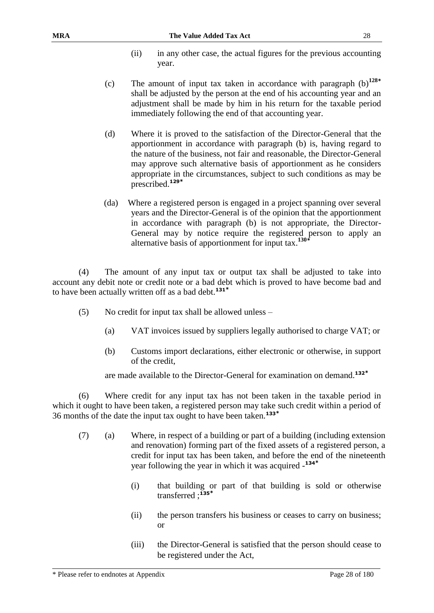- (ii) in any other case, the actual figures for the previous accounting year.
- (c) The amount of input tax taken in accordance with paragraph (b)**<sup>128</sup>\*** shall be adjusted by the person at the end of his accounting year and an adjustment shall be made by him in his return for the taxable period immediately following the end of that accounting year.
- (d) Where it is proved to the satisfaction of the Director-General that the apportionment in accordance with paragraph (b) is, having regard to the nature of the business, not fair and reasonable, the Director-General may approve such alternative basis of apportionment as he considers appropriate in the circumstances, subject to such conditions as may be prescribed.**<sup>129</sup>\***
- (da) Where a registered person is engaged in a project spanning over several years and the Director-General is of the opinion that the apportionment in accordance with paragraph (b) is not appropriate, the Director-General may by notice require the registered person to apply an alternative basis of apportionment for input tax.**<sup>130</sup>\***

(4) The amount of any input tax or output tax shall be adjusted to take into account any debit note or credit note or a bad debt which is proved to have become bad and to have been actually written off as a bad debt. **131\***

- (5) No credit for input tax shall be allowed unless
	- (a) VAT invoices issued by suppliers legally authorised to charge VAT; or
	- (b) Customs import declarations, either electronic or otherwise, in support of the credit,

are made available to the Director-General for examination on demand.**<sup>132</sup>\***

(6) Where credit for any input tax has not been taken in the taxable period in which it ought to have been taken, a registered person may take such credit within a period of 36 months of the date the input tax ought to have been taken.**<sup>133</sup>\***

- (7) (a) Where, in respect of a building or part of a building (including extension and renovation) forming part of the fixed assets of a registered person, a credit for input tax has been taken, and before the end of the nineteenth year following the year in which it was acquired - **134\***
	- (i) that building or part of that building is sold or otherwise transferred ;**<sup>135</sup>\***
	- (ii) the person transfers his business or ceases to carry on business; or
	- (iii) the Director-General is satisfied that the person should cease to be registered under the Act,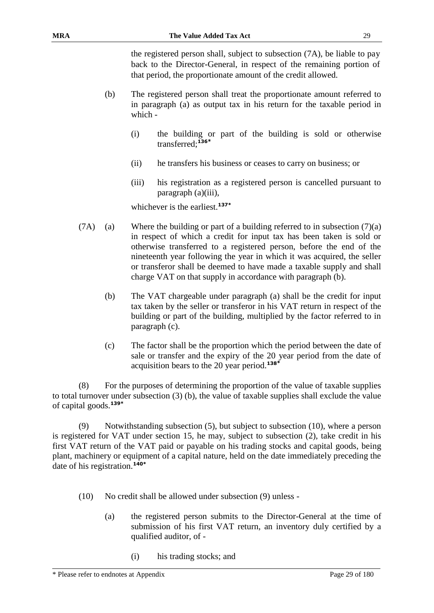the registered person shall, subject to subsection (7A), be liable to pay back to the Director-General, in respect of the remaining portion of that period, the proportionate amount of the credit allowed.

- (b) The registered person shall treat the proportionate amount referred to in paragraph (a) as output tax in his return for the taxable period in which -
	- (i) the building or part of the building is sold or otherwise transferred;**<sup>136</sup>\***
	- (ii) he transfers his business or ceases to carry on business; or
	- (iii) his registration as a registered person is cancelled pursuant to paragraph (a)(iii),

whichever is the earliest.**137\***

- (7A) (a) Where the building or part of a building referred to in subsection  $(7)(a)$ in respect of which a credit for input tax has been taken is sold or otherwise transferred to a registered person, before the end of the nineteenth year following the year in which it was acquired, the seller or transferor shall be deemed to have made a taxable supply and shall charge VAT on that supply in accordance with paragraph (b).
	- (b) The VAT chargeable under paragraph (a) shall be the credit for input tax taken by the seller or transferor in his VAT return in respect of the building or part of the building, multiplied by the factor referred to in paragraph (c).
	- (c) The factor shall be the proportion which the period between the date of sale or transfer and the expiry of the 20 year period from the date of acquisition bears to the 20 year period.**<sup>138</sup>\***

(8) For the purposes of determining the proportion of the value of taxable supplies to total turnover under subsection (3) (b), the value of taxable supplies shall exclude the value of capital goods.**139\***

(9) Notwithstanding subsection (5), but subject to subsection (10), where a person is registered for VAT under section 15, he may, subject to subsection (2), take credit in his first VAT return of the VAT paid or payable on his trading stocks and capital goods, being plant, machinery or equipment of a capital nature, held on the date immediately preceding the date of his registration.**140\***

- (10) No credit shall be allowed under subsection (9) unless
	- (a) the registered person submits to the Director-General at the time of submission of his first VAT return, an inventory duly certified by a qualified auditor, of -
		- (i) his trading stocks; and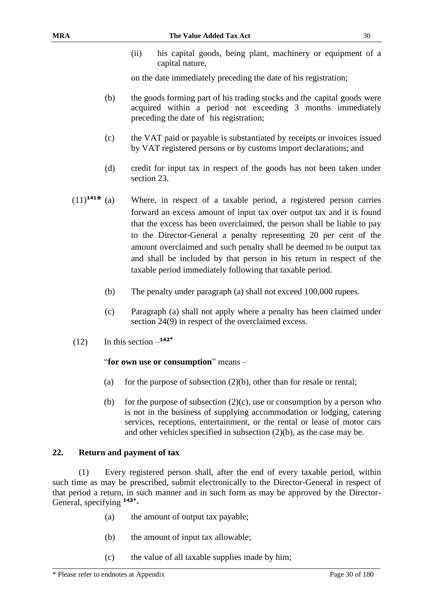(ii) his capital goods, being plant, machinery or equipment of a capital nature,

on the date immediately preceding the date of his registration;

- (b) the goods forming part of his trading stocks and the capital goods were acquired within a period not exceeding 3 months immediately preceding the date of his registration;
- (c) the VAT paid or payable is substantiated by receipts or invoices issued by VAT registered persons or by customs import declarations; and
- (d) credit for input tax in respect of the goods has not been taken under section 23.
- (11)**<sup>141</sup>\*** (a) Where, in respect of a taxable period, a registered person carries forward an excess amount of input tax over output tax and it is found that the excess has been overclaimed, the person shall be liable to pay to the Director-General a penalty representing 20 per cent of the amount overclaimed and such penalty shall be deemed to be output tax and shall be included by that person in his return in respect of the taxable period immediately following that taxable period.
	- (b) The penalty under paragraph (a) shall not exceed 100,000 rupees.
	- (c) Paragraph (a) shall not apply where a penalty has been claimed under section 24(9) in respect of the overclaimed excess.
- $(12)$  In this section  $-$ **<sup>142<sup>\*</sup>**</sup>

#### "**for own use or consumption**" means –

- (a) for the purpose of subsection  $(2)(b)$ , other than for resale or rental;
- (b) for the purpose of subsection  $(2)(c)$ , use or consumption by a person who is not in the business of supplying accommodation or lodging, catering services, receptions, entertainment, or the rental or lease of motor cars and other vehicles specified in subsection (2)(b), as the case may be.

#### **22. Return and payment of tax**

(1) Every registered person shall, after the end of every taxable period, within such time as may be prescribed, submit electronically to the Director-General in respect of that period a return, in such manner and in such form as may be approved by the Director-General, specifying **143\*** -

- (a) the amount of output tax payable;
- (b) the amount of input tax allowable;
- (c) the value of all taxable supplies made by him;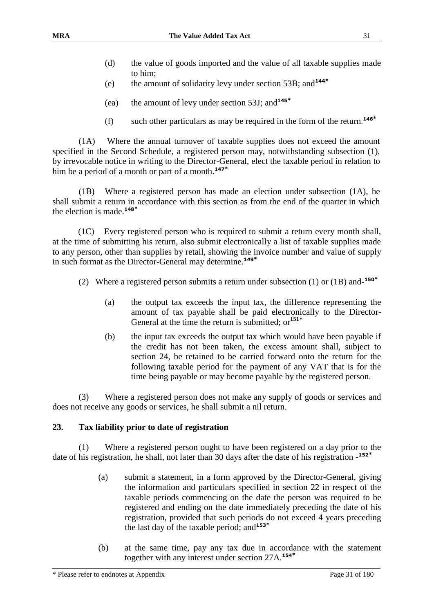- (d) the value of goods imported and the value of all taxable supplies made to him;
- (e) the amount of solidarity levy under section 53B; and**<sup>144</sup>\***
- (ea) the amount of levy under section 53J; and**<sup>145</sup>\***
- (f) such other particulars as may be required in the form of the return. **146\***

(1A) Where the annual turnover of taxable supplies does not exceed the amount specified in the Second Schedule, a registered person may, notwithstanding subsection (1), by irrevocable notice in writing to the Director-General, elect the taxable period in relation to him be a period of a month or part of a month.**<sup>147</sup>\***

(1B) Where a registered person has made an election under subsection (1A), he shall submit a return in accordance with this section as from the end of the quarter in which the election is made.**<sup>148</sup>\***

(1C) Every registered person who is required to submit a return every month shall, at the time of submitting his return, also submit electronically a list of taxable supplies made to any person, other than supplies by retail, showing the invoice number and value of supply in such format as the Director-General may determine.**<sup>149</sup>\***

- (2) Where a registered person submits a return under subsection (1) or (1B) and-**150\***
	- (a) the output tax exceeds the input tax, the difference representing the amount of tax payable shall be paid electronically to the Director-General at the time the return is submitted; or**<sup>151</sup>\***
	- (b) the input tax exceeds the output tax which would have been payable if the credit has not been taken, the excess amount shall, subject to section 24, be retained to be carried forward onto the return for the following taxable period for the payment of any VAT that is for the time being payable or may become payable by the registered person.

(3) Where a registered person does not make any supply of goods or services and does not receive any goods or services, he shall submit a nil return.

#### **23. Tax liability prior to date of registration**

(1) Where a registered person ought to have been registered on a day prior to the date of his registration, he shall, not later than 30 days after the date of his registration - **152\***

- (a) submit a statement, in a form approved by the Director-General, giving the information and particulars specified in section 22 in respect of the taxable periods commencing on the date the person was required to be registered and ending on the date immediately preceding the date of his registration, provided that such periods do not exceed 4 years preceding the last day of the taxable period; and**<sup>153</sup>\***
- (b) at the same time, pay any tax due in accordance with the statement together with any interest under section 27A.**154\***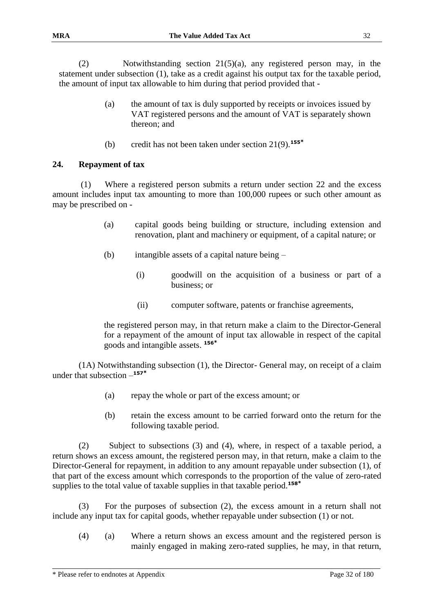(2) Notwithstanding section 21(5)(a), any registered person may, in the statement under subsection (1), take as a credit against his output tax for the taxable period, the amount of input tax allowable to him during that period provided that -

- (a) the amount of tax is duly supported by receipts or invoices issued by VAT registered persons and the amount of VAT is separately shown thereon; and
- (b) credit has not been taken under section 21(9).**<sup>155</sup>\***

#### **24. Repayment of tax**

(1) Where a registered person submits a return under section 22 and the excess amount includes input tax amounting to more than 100,000 rupees or such other amount as may be prescribed on -

- (a) capital goods being building or structure, including extension and renovation, plant and machinery or equipment, of a capital nature; or
- (b) intangible assets of a capital nature being
	- (i) goodwill on the acquisition of a business or part of a business; or
		- (ii) computer software, patents or franchise agreements,

the registered person may, in that return make a claim to the Director-General for a repayment of the amount of input tax allowable in respect of the capital goods and intangible assets. **<sup>156</sup>\***

(1A) Notwithstanding subsection (1), the Director- General may, on receipt of a claim under that subsection – **157\***

- (a) repay the whole or part of the excess amount; or
- (b) retain the excess amount to be carried forward onto the return for the following taxable period.

(2) Subject to subsections (3) and (4), where, in respect of a taxable period, a return shows an excess amount, the registered person may, in that return, make a claim to the Director-General for repayment, in addition to any amount repayable under subsection (1), of that part of the excess amount which corresponds to the proportion of the value of zero-rated supplies to the total value of taxable supplies in that taxable period.**<sup>158</sup>\***

(3) For the purposes of subsection (2), the excess amount in a return shall not include any input tax for capital goods, whether repayable under subsection (1) or not.

(4) (a) Where a return shows an excess amount and the registered person is mainly engaged in making zero-rated supplies, he may, in that return,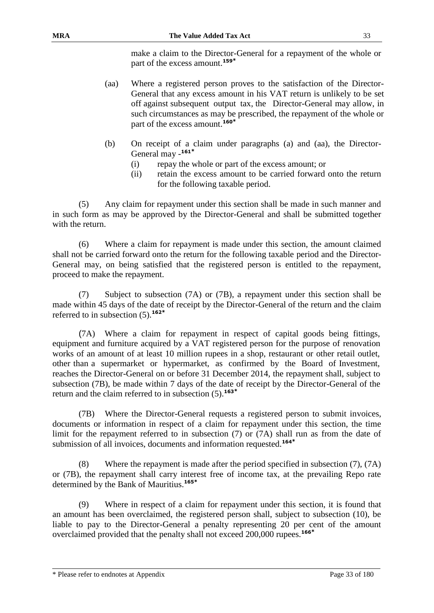make a claim to the Director-General for a repayment of the whole or part of the excess amount.**<sup>159</sup>\***

- (aa) Where a registered person proves to the satisfaction of the Director-General that any excess amount in his VAT return is unlikely to be set off against subsequent output tax, the Director-General may allow, in such circumstances as may be prescribed, the repayment of the whole or part of the excess amount.**<sup>160</sup>\***
- (b) On receipt of a claim under paragraphs (a) and (aa), the Director-General may - **161\***
	- (i) repay the whole or part of the excess amount; or
	- (ii) retain the excess amount to be carried forward onto the return for the following taxable period.

(5) Any claim for repayment under this section shall be made in such manner and in such form as may be approved by the Director-General and shall be submitted together with the return.

(6) Where a claim for repayment is made under this section, the amount claimed shall not be carried forward onto the return for the following taxable period and the Director-General may, on being satisfied that the registered person is entitled to the repayment, proceed to make the repayment.

(7) Subject to subsection (7A) or (7B), a repayment under this section shall be made within 45 days of the date of receipt by the Director-General of the return and the claim referred to in subsection (5).**<sup>162</sup>\***

(7A) Where a claim for repayment in respect of capital goods being fittings, equipment and furniture acquired by a VAT registered person for the purpose of renovation works of an amount of at least 10 million rupees in a shop, restaurant or other retail outlet, other than a supermarket or hypermarket, as confirmed by the Board of Investment, reaches the Director-General on or before 31 December 2014, the repayment shall, subject to subsection (7B), be made within 7 days of the date of receipt by the Director-General of the return and the claim referred to in subsection (5).**<sup>163</sup>\***

(7B) Where the Director-General requests a registered person to submit invoices, documents or information in respect of a claim for repayment under this section, the time limit for the repayment referred to in subsection (7) or (7A) shall run as from the date of submission of all invoices, documents and information requested.**<sup>164</sup>\***

(8) Where the repayment is made after the period specified in subsection (7), (7A) or (7B), the repayment shall carry interest free of income tax, at the prevailing Repo rate determined by the Bank of Mauritius.**<sup>165</sup>\***

(9) Where in respect of a claim for repayment under this section, it is found that an amount has been overclaimed, the registered person shall, subject to subsection (10), be liable to pay to the Director-General a penalty representing 20 per cent of the amount overclaimed provided that the penalty shall not exceed 200,000 rupees.**166\***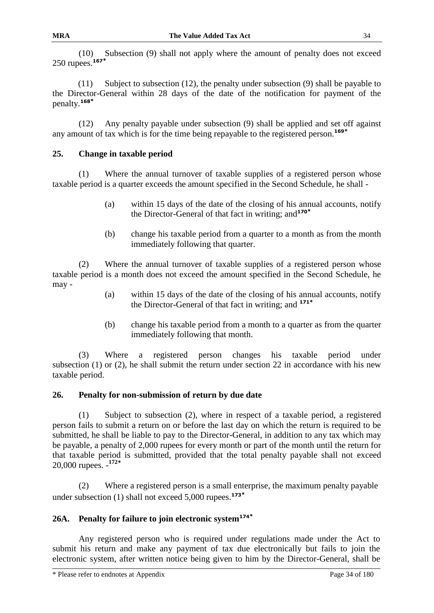(10) Subsection (9) shall not apply where the amount of penalty does not exceed 250 rupees.**<sup>167</sup>\***

(11) Subject to subsection (12), the penalty under subsection (9) shall be payable to the Director-General within 28 days of the date of the notification for payment of the penalty.**<sup>168</sup>\***

(12) Any penalty payable under subsection (9) shall be applied and set off against any amount of tax which is for the time being repayable to the registered person.**<sup>169</sup>\***

#### **25. Change in taxable period**

(1) Where the annual turnover of taxable supplies of a registered person whose taxable period is a quarter exceeds the amount specified in the Second Schedule, he shall -

- (a) within 15 days of the date of the closing of his annual accounts, notify the Director-General of that fact in writing; and**<sup>170</sup>\***
- (b) change his taxable period from a quarter to a month as from the month immediately following that quarter.

(2) Where the annual turnover of taxable supplies of a registered person whose taxable period is a month does not exceed the amount specified in the Second Schedule, he may -

- (a) within 15 days of the date of the closing of his annual accounts, notify the Director-General of that fact in writing; and **<sup>171</sup>\***
- (b) change his taxable period from a month to a quarter as from the quarter immediately following that month.

(3) Where a registered person changes his taxable period under subsection (1) or (2), he shall submit the return under section 22 in accordance with his new taxable period.

#### **26. Penalty for non-submission of return by due date**

(1) Subject to subsection (2), where in respect of a taxable period, a registered person fails to submit a return on or before the last day on which the return is required to be submitted, he shall be liable to pay to the Director-General, in addition to any tax which may be payable, a penalty of 2,000 rupees for every month or part of the month until the return for that taxable period is submitted, provided that the total penalty payable shall not exceed 20,000 rupees. - **172\***

(2) Where a registered person is a small enterprise, the maximum penalty payable under subsection (1) shall not exceed 5,000 rupees.**<sup>173</sup>\***

# **26A. Penalty for failure to join electronic system<sup>174</sup>\***

Any registered person who is required under regulations made under the Act to submit his return and make any payment of tax due electronically but fails to join the electronic system, after written notice being given to him by the Director-General, shall be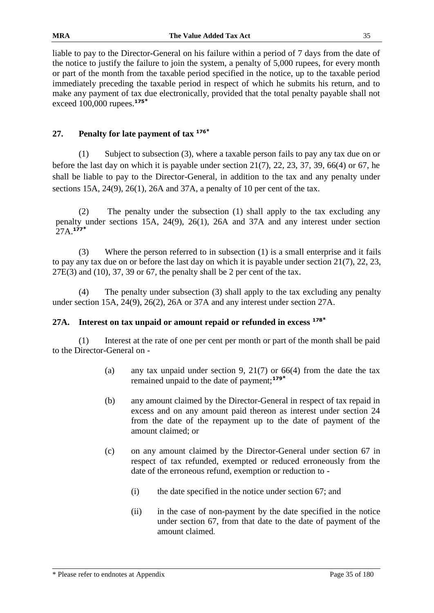liable to pay to the Director-General on his failure within a period of 7 days from the date of the notice to justify the failure to join the system, a penalty of 5,000 rupees, for every month or part of the month from the taxable period specified in the notice, up to the taxable period immediately preceding the taxable period in respect of which he submits his return, and to make any payment of tax due electronically, provided that the total penalty payable shall not exceed 100,000 rupees.**<sup>175</sup>\***

# **27. Penalty for late payment of tax <sup>176</sup>\***

(1) Subject to subsection (3), where a taxable person fails to pay any tax due on or before the last day on which it is payable under section  $21(7)$ ,  $22$ ,  $23$ ,  $37$ ,  $39$ ,  $66(4)$  or 67, he shall be liable to pay to the Director-General, in addition to the tax and any penalty under sections 15A, 24(9), 26(1), 26A and 37A, a penalty of 10 per cent of the tax.

(2) The penalty under the subsection (1) shall apply to the tax excluding any penalty under sections 15A, 24(9), 26(1), 26A and 37A and any interest under section 27A.**<sup>177</sup>\***

(3) Where the person referred to in subsection (1) is a small enterprise and it fails to pay any tax due on or before the last day on which it is payable under section 21(7), 22, 23,  $27E(3)$  and (10), 37, 39 or 67, the penalty shall be 2 per cent of the tax.

The penalty under subsection (3) shall apply to the tax excluding any penalty under section 15A, 24(9), 26(2), 26A or 37A and any interest under section 27A.

#### **27A. Interest on tax unpaid or amount repaid or refunded in excess <sup>178</sup>\***

(1) Interest at the rate of one per cent per month or part of the month shall be paid to the Director-General on -

- (a) any tax unpaid under section 9, 21(7) or  $66(4)$  from the date the tax remained unpaid to the date of payment;**<sup>179</sup>\***
- (b) any amount claimed by the Director-General in respect of tax repaid in excess and on any amount paid thereon as interest under section 24 from the date of the repayment up to the date of payment of the amount claimed; or
- (c) on any amount claimed by the Director-General under section 67 in respect of tax refunded, exempted or reduced erroneously from the date of the erroneous refund, exemption or reduction to -
	- (i) the date specified in the notice under section 67; and
	- (ii) in the case of non-payment by the date specified in the notice under section 67, from that date to the date of payment of the amount claimed.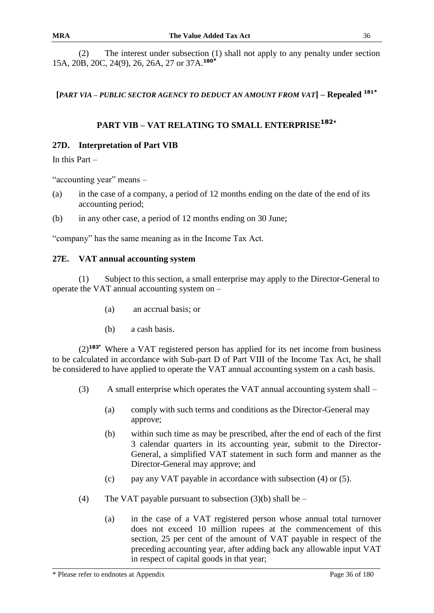(2) The interest under subsection (1) shall not apply to any penalty under section 15A, 20B, 20C, 24(9), 26, 26A, 27 or 37A.**<sup>180</sup>\***

**[***PART VIA – PUBLIC SECTOR AGENCY TO DEDUCT AN AMOUNT FROM VAT***] – Repealed <sup>181</sup>\***

# **PART VIB – VAT RELATING TO SMALL ENTERPRISE<sup>182</sup>\***

#### **27D. Interpretation of Part VIB**

In this Part –

"accounting year" means –

- (a) in the case of a company, a period of 12 months ending on the date of the end of its accounting period;
- (b) in any other case, a period of 12 months ending on 30 June;

"company" has the same meaning as in the Income Tax Act.

#### **27E. VAT annual accounting system**

(1) Subject to this section, a small enterprise may apply to the Director-General to operate the VAT annual accounting system on –

- (a) an accrual basis; or
- (b) a cash basis.

(2)**<sup>183</sup>\*** Where a VAT registered person has applied for its net income from business to be calculated in accordance with Sub-part D of Part VIII of the Income Tax Act, he shall be considered to have applied to operate the VAT annual accounting system on a cash basis.

- (3) A small enterprise which operates the VAT annual accounting system shall
	- (a) comply with such terms and conditions as the Director-General may approve;
	- (b) within such time as may be prescribed, after the end of each of the first 3 calendar quarters in its accounting year, submit to the Director-General, a simplified VAT statement in such form and manner as the Director-General may approve; and
	- (c) pay any VAT payable in accordance with subsection (4) or (5).
- (4) The VAT payable pursuant to subsection  $(3)(b)$  shall be
	- (a) in the case of a VAT registered person whose annual total turnover does not exceed 10 million rupees at the commencement of this section, 25 per cent of the amount of VAT payable in respect of the preceding accounting year, after adding back any allowable input VAT in respect of capital goods in that year;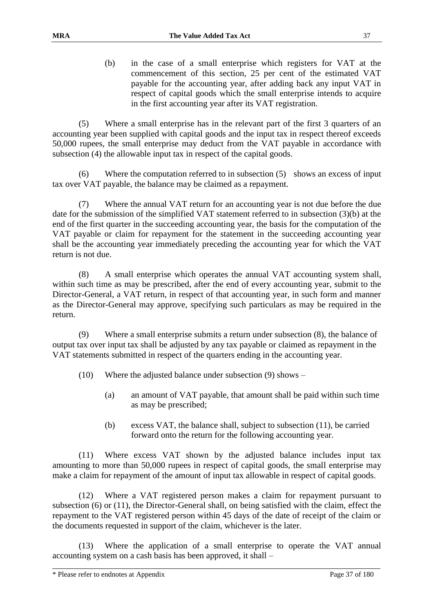(b) in the case of a small enterprise which registers for VAT at the commencement of this section, 25 per cent of the estimated VAT payable for the accounting year, after adding back any input VAT in respect of capital goods which the small enterprise intends to acquire in the first accounting year after its VAT registration.

(5) Where a small enterprise has in the relevant part of the first 3 quarters of an accounting year been supplied with capital goods and the input tax in respect thereof exceeds 50,000 rupees, the small enterprise may deduct from the VAT payable in accordance with subsection (4) the allowable input tax in respect of the capital goods.

(6) Where the computation referred to in subsection (5) shows an excess of input tax over VAT payable, the balance may be claimed as a repayment.

(7) Where the annual VAT return for an accounting year is not due before the due date for the submission of the simplified VAT statement referred to in subsection (3)(b) at the end of the first quarter in the succeeding accounting year, the basis for the computation of the VAT payable or claim for repayment for the statement in the succeeding accounting year shall be the accounting year immediately preceding the accounting year for which the VAT return is not due.

(8) A small enterprise which operates the annual VAT accounting system shall, within such time as may be prescribed, after the end of every accounting year, submit to the Director-General, a VAT return, in respect of that accounting year, in such form and manner as the Director-General may approve, specifying such particulars as may be required in the return.

(9) Where a small enterprise submits a return under subsection (8), the balance of output tax over input tax shall be adjusted by any tax payable or claimed as repayment in the VAT statements submitted in respect of the quarters ending in the accounting year.

- (10) Where the adjusted balance under subsection (9) shows
	- (a) an amount of VAT payable, that amount shall be paid within such time as may be prescribed;
	- (b) excess VAT, the balance shall, subject to subsection (11), be carried forward onto the return for the following accounting year.

(11) Where excess VAT shown by the adjusted balance includes input tax amounting to more than 50,000 rupees in respect of capital goods, the small enterprise may make a claim for repayment of the amount of input tax allowable in respect of capital goods.

(12) Where a VAT registered person makes a claim for repayment pursuant to subsection (6) or (11), the Director-General shall, on being satisfied with the claim, effect the repayment to the VAT registered person within 45 days of the date of receipt of the claim or the documents requested in support of the claim, whichever is the later.

(13) Where the application of a small enterprise to operate the VAT annual accounting system on a cash basis has been approved, it shall –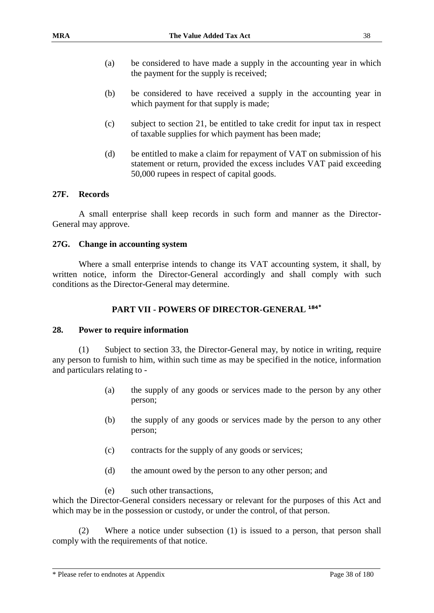- (a) be considered to have made a supply in the accounting year in which the payment for the supply is received;
- (b) be considered to have received a supply in the accounting year in which payment for that supply is made;
- (c) subject to section 21, be entitled to take credit for input tax in respect of taxable supplies for which payment has been made;
- (d) be entitled to make a claim for repayment of VAT on submission of his statement or return, provided the excess includes VAT paid exceeding 50,000 rupees in respect of capital goods.

### **27F. Records**

A small enterprise shall keep records in such form and manner as the Director-General may approve.

#### **27G. Change in accounting system**

Where a small enterprise intends to change its VAT accounting system, it shall, by written notice, inform the Director-General accordingly and shall comply with such conditions as the Director-General may determine.

# **PART VII - POWERS OF DIRECTOR-GENERAL <sup>184</sup>\***

#### **28. Power to require information**

(1) Subject to section 33, the Director-General may, by notice in writing, require any person to furnish to him, within such time as may be specified in the notice, information and particulars relating to -

- (a) the supply of any goods or services made to the person by any other person;
- (b) the supply of any goods or services made by the person to any other person;
- (c) contracts for the supply of any goods or services;
- (d) the amount owed by the person to any other person; and

#### (e) such other transactions,

which the Director-General considers necessary or relevant for the purposes of this Act and which may be in the possession or custody, or under the control, of that person.

(2) Where a notice under subsection (1) is issued to a person, that person shall comply with the requirements of that notice.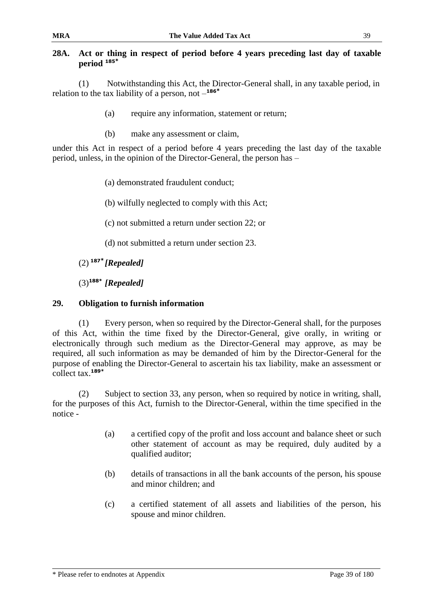# **28A. Act or thing in respect of period before 4 years preceding last day of taxable period <sup>185</sup>\***

(1) Notwithstanding this Act, the Director-General shall, in any taxable period, in relation to the tax liability of a person, not – **186\***

- (a) require any information, statement or return;
- (b) make any assessment or claim,

under this Act in respect of a period before 4 years preceding the last day of the taxable period, unless, in the opinion of the Director-General, the person has –

(a) demonstrated fraudulent conduct;

(b) wilfully neglected to comply with this Act;

(c) not submitted a return under section 22; or

(d) not submitted a return under section 23.

(2) **<sup>187</sup>\*** *[Repealed]*

(3)**188\*** *[Repealed]*

# **29. Obligation to furnish information**

(1) Every person, when so required by the Director-General shall, for the purposes of this Act, within the time fixed by the Director-General, give orally, in writing or electronically through such medium as the Director-General may approve, as may be required, all such information as may be demanded of him by the Director-General for the purpose of enabling the Director-General to ascertain his tax liability, make an assessment or collect tax.**189\***

(2) Subject to section 33, any person, when so required by notice in writing, shall, for the purposes of this Act, furnish to the Director-General, within the time specified in the notice -

- (a) a certified copy of the profit and loss account and balance sheet or such other statement of account as may be required, duly audited by a qualified auditor;
- (b) details of transactions in all the bank accounts of the person, his spouse and minor children; and
- (c) a certified statement of all assets and liabilities of the person, his spouse and minor children.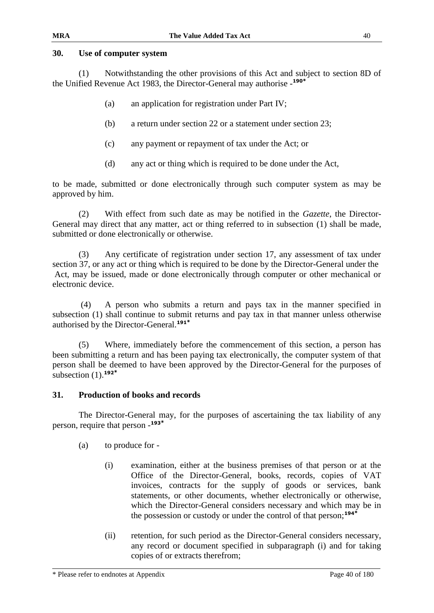### **30. Use of computer system**

(1) Notwithstanding the other provisions of this Act and subject to section 8D of the Unified Revenue Act 1983, the Director-General may authorise - **190\***

- (a) an application for registration under Part IV;
- (b) a return under section 22 or a statement under section 23;
- (c) any payment or repayment of tax under the Act; or
- (d) any act or thing which is required to be done under the Act,

to be made, submitted or done electronically through such computer system as may be approved by him.

(2) With effect from such date as may be notified in the *Gazette*, the Director-General may direct that any matter, act or thing referred to in subsection (1) shall be made, submitted or done electronically or otherwise.

(3) Any certificate of registration under section 17, any assessment of tax under section 37, or any act or thing which is required to be done by the Director-General under the Act, may be issued, made or done electronically through computer or other mechanical or electronic device.

 (4) A person who submits a return and pays tax in the manner specified in subsection (1) shall continue to submit returns and pay tax in that manner unless otherwise authorised by the Director-General.**<sup>191</sup>\***

 (5) Where, immediately before the commencement of this section, a person has been submitting a return and has been paying tax electronically, the computer system of that person shall be deemed to have been approved by the Director-General for the purposes of subsection (1).**<sup>192</sup>\***

## **31. Production of books and records**

The Director-General may, for the purposes of ascertaining the tax liability of any person, require that person - **193\***

- (a) to produce for
	- (i) examination, either at the business premises of that person or at the Office of the Director-General, books, records, copies of VAT invoices, contracts for the supply of goods or services, bank statements, or other documents, whether electronically or otherwise, which the Director-General considers necessary and which may be in the possession or custody or under the control of that person;**<sup>194</sup>\***
	- (ii) retention, for such period as the Director-General considers necessary, any record or document specified in subparagraph (i) and for taking copies of or extracts therefrom;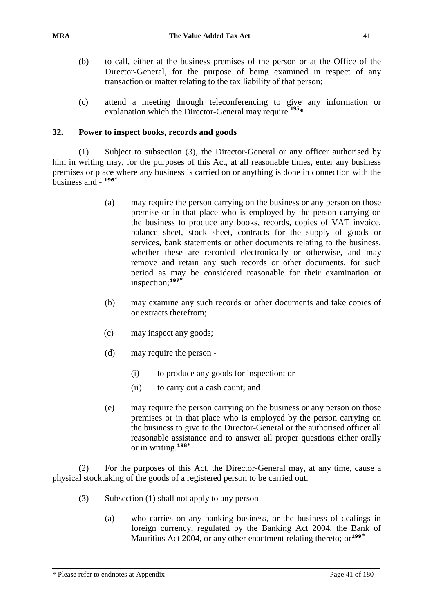- (b) to call, either at the business premises of the person or at the Office of the Director-General, for the purpose of being examined in respect of any transaction or matter relating to the tax liability of that person;
- (c) attend a meeting through teleconferencing to give any information or explanation which the Director-General may require.**<sup>195</sup>\***

### **32. Power to inspect books, records and goods**

(1) Subject to subsection (3), the Director-General or any officer authorised by him in writing may, for the purposes of this Act, at all reasonable times, enter any business premises or place where any business is carried on or anything is done in connection with the business and - **196\***

- (a) may require the person carrying on the business or any person on those premise or in that place who is employed by the person carrying on the business to produce any books, records, copies of VAT invoice, balance sheet, stock sheet, contracts for the supply of goods or services, bank statements or other documents relating to the business, whether these are recorded electronically or otherwise, and may remove and retain any such records or other documents, for such period as may be considered reasonable for their examination or inspection;**<sup>197</sup>\***
- (b) may examine any such records or other documents and take copies of or extracts therefrom;
- (c) may inspect any goods;
- (d) may require the person
	- (i) to produce any goods for inspection; or
	- (ii) to carry out a cash count; and
- (e) may require the person carrying on the business or any person on those premises or in that place who is employed by the person carrying on the business to give to the Director-General or the authorised officer all reasonable assistance and to answer all proper questions either orally or in writing.**<sup>198</sup>\***

(2) For the purposes of this Act, the Director-General may, at any time, cause a physical stocktaking of the goods of a registered person to be carried out.

- (3) Subsection (1) shall not apply to any person
	- (a) who carries on any banking business, or the business of dealings in foreign currency, regulated by the Banking Act 2004, the Bank of Mauritius Act 2004, or any other enactment relating thereto; or**199\***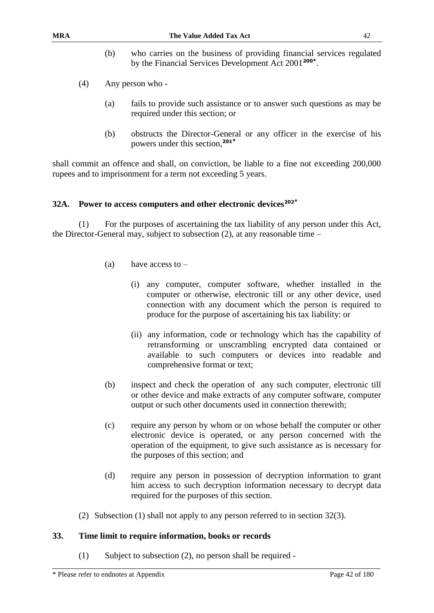- (b) who carries on the business of providing financial services regulated by the Financial Services Development Act 2001**200\*** .
- (4) Any person who
	- (a) fails to provide such assistance or to answer such questions as may be required under this section; or
	- (b) obstructs the Director-General or any officer in the exercise of his powers under this section,**<sup>201</sup>\***

shall commit an offence and shall, on conviction, be liable to a fine not exceeding 200,000 rupees and to imprisonment for a term not exceeding 5 years.

### **32A. Power to access computers and other electronic devices<sup>202</sup>\***

(1) For the purposes of ascertaining the tax liability of any person under this Act, the Director-General may, subject to subsection (2), at any reasonable time –

- (a) have access to
	- (i) any computer, computer software, whether installed in the computer or otherwise, electronic till or any other device, used connection with any document which the person is required to produce for the purpose of ascertaining his tax liability: or
	- (ii) any information, code or technology which has the capability of retransforming or unscrambling encrypted data contained or available to such computers or devices into readable and comprehensive format or text;
- (b) inspect and check the operation of any such computer, electronic till or other device and make extracts of any computer software, computer output or such other documents used in connection therewith;
- (c) require any person by whom or on whose behalf the computer or other electronic device is operated, or any person concerned with the operation of the equipment, to give such assistance as is necessary for the purposes of this section; and
- (d) require any person in possession of decryption information to grant him access to such decryption information necessary to decrypt data required for the purposes of this section.
- (2) Subsection (1) shall not apply to any person referred to in section 32(3).

### **33. Time limit to require information, books or records**

(1) Subject to subsection (2), no person shall be required -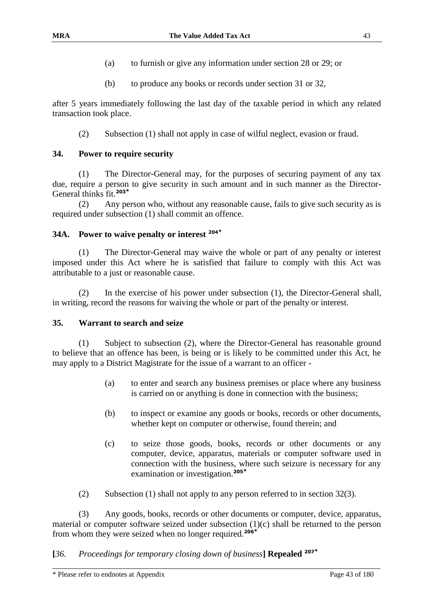- (a) to furnish or give any information under section 28 or 29; or
- (b) to produce any books or records under section 31 or 32,

after 5 years immediately following the last day of the taxable period in which any related transaction took place.

(2) Subsection (1) shall not apply in case of wilful neglect, evasion or fraud.

### **34. Power to require security**

(1) The Director-General may, for the purposes of securing payment of any tax due, require a person to give security in such amount and in such manner as the Director-General thinks fit.**<sup>203</sup>\***

(2) Any person who, without any reasonable cause, fails to give such security as is required under subsection (1) shall commit an offence.

### **34A. Power to waive penalty or interest <sup>204</sup>\***

(1) The Director-General may waive the whole or part of any penalty or interest imposed under this Act where he is satisfied that failure to comply with this Act was attributable to a just or reasonable cause.

(2) In the exercise of his power under subsection (1), the Director-General shall, in writing, record the reasons for waiving the whole or part of the penalty or interest.

#### **35. Warrant to search and seize**

(1) Subject to subsection (2), where the Director-General has reasonable ground to believe that an offence has been, is being or is likely to be committed under this Act, he may apply to a District Magistrate for the issue of a warrant to an officer -

- (a) to enter and search any business premises or place where any business is carried on or anything is done in connection with the business;
- (b) to inspect or examine any goods or books, records or other documents, whether kept on computer or otherwise, found therein; and
- (c) to seize those goods, books, records or other documents or any computer, device, apparatus, materials or computer software used in connection with the business, where such seizure is necessary for any examination or investigation.**<sup>205</sup>\***
- (2) Subsection (1) shall not apply to any person referred to in section 32(3).

(3) Any goods, books, records or other documents or computer, device, apparatus, material or computer software seized under subsection (1)(c) shall be returned to the person from whom they were seized when no longer required.**<sup>206</sup>\***

## **[***36. Proceedings for temporary closing down of business***] Repealed <sup>207</sup>\***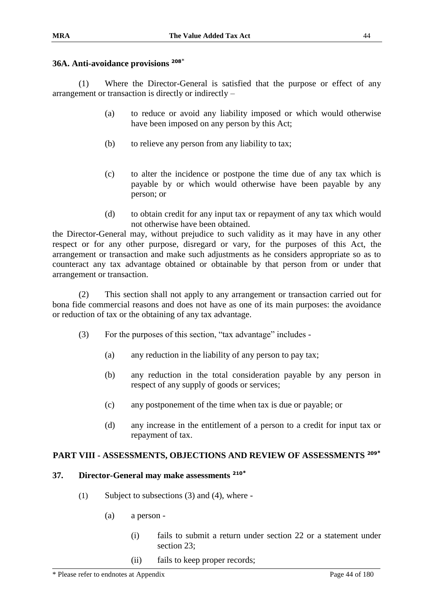# **36A. Anti-avoidance provisions <sup>208</sup>**\*

(1) Where the Director-General is satisfied that the purpose or effect of any arrangement or transaction is directly or indirectly –

- (a) to reduce or avoid any liability imposed or which would otherwise have been imposed on any person by this Act;
- (b) to relieve any person from any liability to tax;
- (c) to alter the incidence or postpone the time due of any tax which is payable by or which would otherwise have been payable by any person; or
- (d) to obtain credit for any input tax or repayment of any tax which would not otherwise have been obtained.

the Director-General may, without prejudice to such validity as it may have in any other respect or for any other purpose, disregard or vary, for the purposes of this Act, the arrangement or transaction and make such adjustments as he considers appropriate so as to counteract any tax advantage obtained or obtainable by that person from or under that arrangement or transaction.

(2) This section shall not apply to any arrangement or transaction carried out for bona fide commercial reasons and does not have as one of its main purposes: the avoidance or reduction of tax or the obtaining of any tax advantage.

- (3) For the purposes of this section, "tax advantage" includes
	- (a) any reduction in the liability of any person to pay tax;
	- (b) any reduction in the total consideration payable by any person in respect of any supply of goods or services;
	- (c) any postponement of the time when tax is due or payable; or
	- (d) any increase in the entitlement of a person to a credit for input tax or repayment of tax.

# **PART VIII - ASSESSMENTS, OBJECTIONS AND REVIEW OF ASSESSMENTS <sup>209</sup>\***

#### **37. Director-General may make assessments <sup>210</sup>\***

- (1) Subject to subsections (3) and (4), where
	- (a) a person
		- (i) fails to submit a return under section 22 or a statement under section 23;
		- (ii) fails to keep proper records;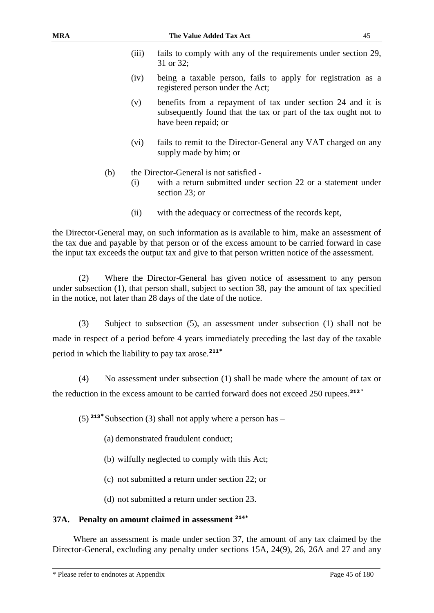registered person under the Act;

| (iii) | fails to comply with any of the requirements under section 29,<br>31 or 32: |
|-------|-----------------------------------------------------------------------------|
| (iv)  | being a taxable person, fails to apply for registration as a                |

- (v) benefits from a repayment of tax under section 24 and it is subsequently found that the tax or part of the tax ought not to have been repaid; or
- (vi) fails to remit to the Director-General any VAT charged on any supply made by him; or
- (b) the Director-General is not satisfied
	- (i) with a return submitted under section 22 or a statement under section 23; or
	- (ii) with the adequacy or correctness of the records kept,

the Director-General may, on such information as is available to him, make an assessment of the tax due and payable by that person or of the excess amount to be carried forward in case the input tax exceeds the output tax and give to that person written notice of the assessment.

(2) Where the Director-General has given notice of assessment to any person under subsection (1), that person shall, subject to section 38, pay the amount of tax specified in the notice, not later than 28 days of the date of the notice.

(3) Subject to subsection (5), an assessment under subsection (1) shall not be made in respect of a period before 4 years immediately preceding the last day of the taxable period in which the liability to pay tax arose.**<sup>211</sup>\***

(4) No assessment under subsection (1) shall be made where the amount of tax or the reduction in the excess amount to be carried forward does not exceed 250 rupees.**<sup>212</sup> \***

(5) **<sup>213</sup>\*** Subsection (3) shall not apply where a person has –

- (a) demonstrated fraudulent conduct;
- (b) wilfully neglected to comply with this Act;
- (c) not submitted a return under section 22; or
- (d) not submitted a return under section 23.

#### **37A. Penalty on amount claimed in assessment 214\***

Where an assessment is made under section 37, the amount of any tax claimed by the Director-General, excluding any penalty under sections 15A, 24(9), 26, 26A and 27 and any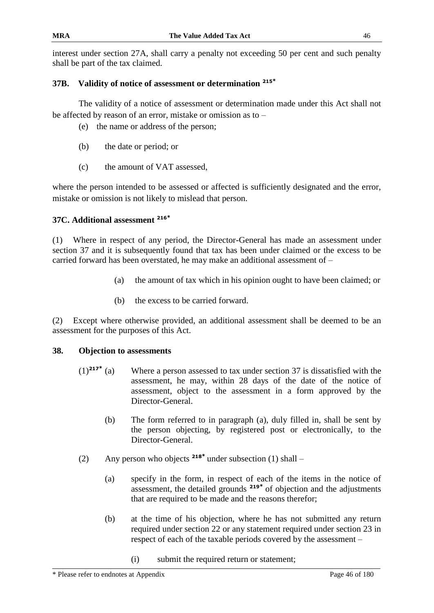interest under section 27A, shall carry a penalty not exceeding 50 per cent and such penalty shall be part of the tax claimed.

## **37B. Validity of notice of assessment or determination <sup>215</sup>\***

The validity of a notice of assessment or determination made under this Act shall not be affected by reason of an error, mistake or omission as to –

- (e) the name or address of the person;
- (b) the date or period; or
- (c) the amount of VAT assessed,

where the person intended to be assessed or affected is sufficiently designated and the error, mistake or omission is not likely to mislead that person.

## **37C. Additional assessment <sup>216</sup>\***

(1) Where in respect of any period, the Director-General has made an assessment under section 37 and it is subsequently found that tax has been under claimed or the excess to be carried forward has been overstated, he may make an additional assessment of –

- (a) the amount of tax which in his opinion ought to have been claimed; or
- (b) the excess to be carried forward.

(2) Except where otherwise provided, an additional assessment shall be deemed to be an assessment for the purposes of this Act.

## **38. Objection to assessments**

- $(1)^{217^*}$  (a) Where a person assessed to tax under section 37 is dissatisfied with the assessment, he may, within 28 days of the date of the notice of assessment, object to the assessment in a form approved by the Director-General.
	- (b) The form referred to in paragraph (a), duly filled in, shall be sent by the person objecting, by registered post or electronically, to the Director-General.
- (2) Any person who objects **<sup>218</sup>\*** under subsection (1) shall
	- (a) specify in the form, in respect of each of the items in the notice of assessment, the detailed grounds **<sup>219</sup>\*** of objection and the adjustments that are required to be made and the reasons therefor;
	- (b) at the time of his objection, where he has not submitted any return required under section 22 or any statement required under section 23 in respect of each of the taxable periods covered by the assessment –
		- (i) submit the required return or statement;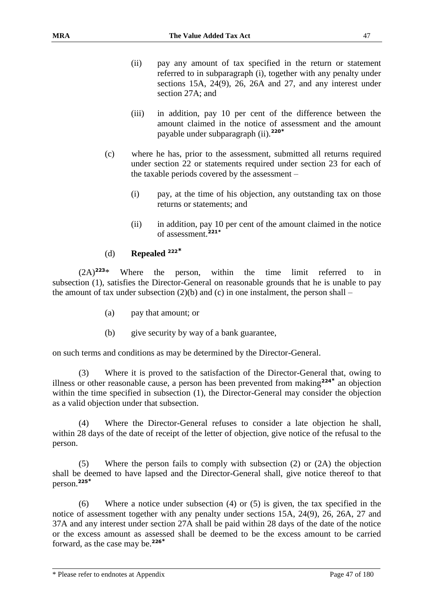- (ii) pay any amount of tax specified in the return or statement referred to in subparagraph (i), together with any penalty under sections 15A, 24(9), 26, 26A and 27, and any interest under section 27A; and
- (iii) in addition, pay 10 per cent of the difference between the amount claimed in the notice of assessment and the amount payable under subparagraph (ii).**<sup>220</sup>\***
- (c) where he has, prior to the assessment, submitted all returns required under section 22 or statements required under section 23 for each of the taxable periods covered by the assessment –
	- (i) pay, at the time of his objection, any outstanding tax on those returns or statements; and
	- (ii) in addition, pay 10 per cent of the amount claimed in the notice of assessment.**221\***

### (d) **Repealed <sup>222</sup>\***

(2A)**<sup>223</sup>**\* Where the person, within the time limit referred to in subsection (1), satisfies the Director-General on reasonable grounds that he is unable to pay the amount of tax under subsection  $(2)(b)$  and  $(c)$  in one instalment, the person shall –

- (a) pay that amount; or
- (b) give security by way of a bank guarantee,

on such terms and conditions as may be determined by the Director-General.

Where it is proved to the satisfaction of the Director-General that, owing to illness or other reasonable cause, a person has been prevented from making**<sup>224</sup>\*** an objection within the time specified in subsection (1), the Director-General may consider the objection as a valid objection under that subsection.

(4) Where the Director-General refuses to consider a late objection he shall, within 28 days of the date of receipt of the letter of objection, give notice of the refusal to the person.

(5) Where the person fails to comply with subsection (2) or (2A) the objection shall be deemed to have lapsed and the Director-General shall, give notice thereof to that person.**<sup>225</sup>\***

(6) Where a notice under subsection (4) or (5) is given, the tax specified in the notice of assessment together with any penalty under sections 15A, 24(9), 26, 26A, 27 and 37A and any interest under section 27A shall be paid within 28 days of the date of the notice or the excess amount as assessed shall be deemed to be the excess amount to be carried forward, as the case may be.**226\***

\* Please refer to endnotes at Appendix Page 47 of 180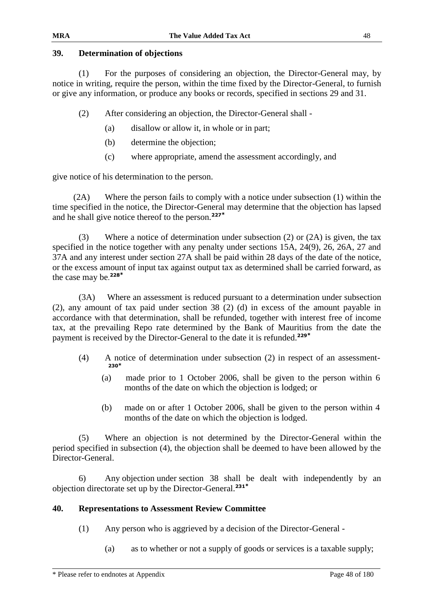### **39. Determination of objections**

(1) For the purposes of considering an objection, the Director-General may, by notice in writing, require the person, within the time fixed by the Director-General, to furnish or give any information, or produce any books or records, specified in sections 29 and 31.

(2) After considering an objection, the Director-General shall -

- (a) disallow or allow it, in whole or in part;
- (b) determine the objection;
- (c) where appropriate, amend the assessment accordingly, and

give notice of his determination to the person.

(2A) Where the person fails to comply with a notice under subsection (1) within the time specified in the notice, the Director-General may determine that the objection has lapsed and he shall give notice thereof to the person.**<sup>227</sup>\***

(3) Where a notice of determination under subsection (2) or (2A) is given, the tax specified in the notice together with any penalty under sections 15A, 24(9), 26, 26A, 27 and 37A and any interest under section 27A shall be paid within 28 days of the date of the notice, or the excess amount of input tax against output tax as determined shall be carried forward, as the case may be. **228\***

(3A) Where an assessment is reduced pursuant to a determination under subsection (2), any amount of tax paid under section 38 (2) (d) in excess of the amount payable in accordance with that determination, shall be refunded, together with interest free of income tax, at the prevailing Repo rate determined by the Bank of Mauritius from the date the payment is received by the Director-General to the date it is refunded.**<sup>229</sup>\***

- (4) A notice of determination under subsection (2) in respect of an assessment-**230\***
	- (a) made prior to 1 October 2006, shall be given to the person within 6 months of the date on which the objection is lodged; or
	- (b) made on or after 1 October 2006, shall be given to the person within 4 months of the date on which the objection is lodged.

(5) Where an objection is not determined by the Director-General within the period specified in subsection (4), the objection shall be deemed to have been allowed by the Director-General.

6) Any objection under section 38 shall be dealt with independently by an objection directorate set up by the Director-General.**<sup>231</sup>\***

## **40. Representations to Assessment Review Committee**

- (1) Any person who is aggrieved by a decision of the Director-General
	- (a) as to whether or not a supply of goods or services is a taxable supply;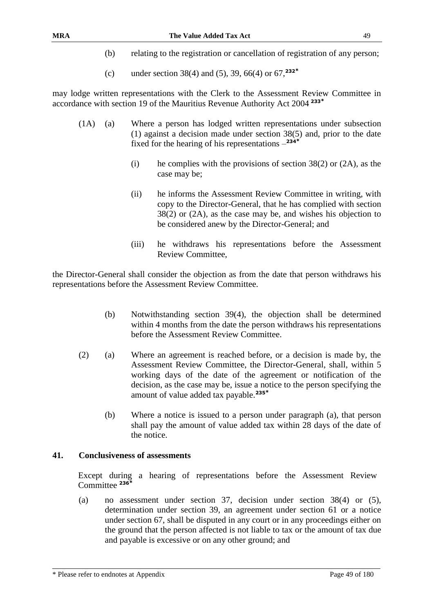- (b) relating to the registration or cancellation of registration of any person;
- (c) under section 38(4) and (5), 39, 66(4) or 67,**<sup>232</sup>\***

may lodge written representations with the Clerk to the Assessment Review Committee in accordance with section 19 of the Mauritius Revenue Authority Act 2004 **<sup>233</sup>\***

- (1A) (a) Where a person has lodged written representations under subsection (1) against a decision made under section 38(5) and, prior to the date fixed for the hearing of his representations – **234\***
	- (i) he complies with the provisions of section  $38(2)$  or  $(2A)$ , as the case may be;
	- (ii) he informs the Assessment Review Committee in writing, with copy to the Director-General, that he has complied with section 38(2) or (2A), as the case may be, and wishes his objection to be considered anew by the Director-General; and
	- (iii) he withdraws his representations before the Assessment Review Committee,

the Director-General shall consider the objection as from the date that person withdraws his representations before the Assessment Review Committee.

- (b) Notwithstanding section 39(4), the objection shall be determined within 4 months from the date the person withdraws his representations before the Assessment Review Committee.
- (2) (a) Where an agreement is reached before, or a decision is made by, the Assessment Review Committee, the Director-General, shall, within 5 working days of the date of the agreement or notification of the decision, as the case may be, issue a notice to the person specifying the amount of value added tax payable.**<sup>235</sup>\***
	- (b) Where a notice is issued to a person under paragraph (a), that person shall pay the amount of value added tax within 28 days of the date of the notice.

#### **41. Conclusiveness of assessments**

Except during a hearing of representations before the Assessment Review Committee **<sup>236</sup>\***

(a) no assessment under section 37, decision under section 38(4) or (5), determination under section 39, an agreement under section 61 or a notice under section 67, shall be disputed in any court or in any proceedings either on the ground that the person affected is not liable to tax or the amount of tax due and payable is excessive or on any other ground; and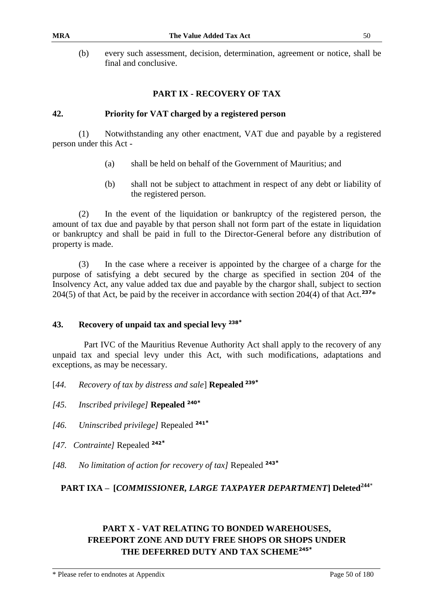(b) every such assessment, decision, determination, agreement or notice, shall be final and conclusive.

#### **PART IX - RECOVERY OF TAX**

#### **42. Priority for VAT charged by a registered person**

(1) Notwithstanding any other enactment, VAT due and payable by a registered person under this Act -

- (a) shall be held on behalf of the Government of Mauritius; and
- (b) shall not be subject to attachment in respect of any debt or liability of the registered person.

(2) In the event of the liquidation or bankruptcy of the registered person, the amount of tax due and payable by that person shall not form part of the estate in liquidation or bankruptcy and shall be paid in full to the Director-General before any distribution of property is made.

(3) In the case where a receiver is appointed by the chargee of a charge for the purpose of satisfying a debt secured by the charge as specified in section 204 of the Insolvency Act, any value added tax due and payable by the chargor shall, subject to section 204(5) of that Act, be paid by the receiver in accordance with section 204(4) of that Act.**<sup>237</sup>**\*

#### **43. Recovery of unpaid tax and special levy <sup>238</sup>\***

Part IVC of the Mauritius Revenue Authority Act shall apply to the recovery of any unpaid tax and special levy under this Act, with such modifications, adaptations and exceptions, as may be necessary.

- [*44. Recovery of tax by distress and sale*] **Repealed <sup>239</sup>\***
- *[45. Inscribed privilege]* **Repealed <sup>240</sup>\***
- *[46. Uninscribed privilege]* Repealed **<sup>241</sup>\***
- *[47. Contrainte]* Repealed **<sup>242</sup>\***
- *[48. No limitation of action for recovery of tax]* Repealed **<sup>243</sup>\***

# **PART IXA – [***COMMISSIONER, LARGE TAXPAYER DEPARTMENT***] Deleted<sup>244</sup>**\*

# **PART X - VAT RELATING TO BONDED WAREHOUSES, FREEPORT ZONE AND DUTY FREE SHOPS OR SHOPS UNDER THE DEFERRED DUTY AND TAX SCHEME245\***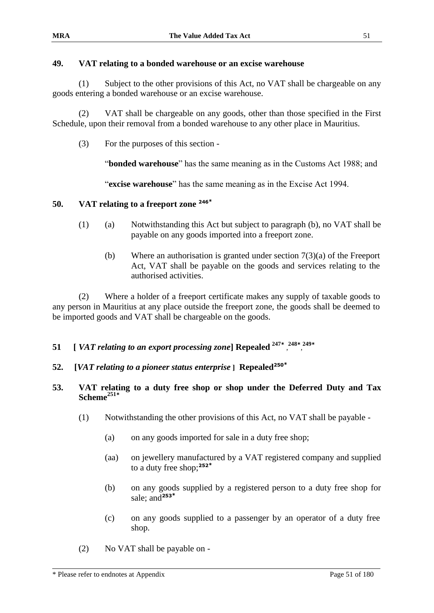## **49. VAT relating to a bonded warehouse or an excise warehouse**

(1) Subject to the other provisions of this Act, no VAT shall be chargeable on any goods entering a bonded warehouse or an excise warehouse.

(2) VAT shall be chargeable on any goods, other than those specified in the First Schedule, upon their removal from a bonded warehouse to any other place in Mauritius.

(3) For the purposes of this section -

"**bonded warehouse**" has the same meaning as in the Customs Act 1988; and

"**excise warehouse**" has the same meaning as in the Excise Act 1994.

### **50. VAT relating to a freeport zone <sup>246</sup>\***

- (1) (a) Notwithstanding this Act but subject to paragraph (b), no VAT shall be payable on any goods imported into a freeport zone.
	- (b) Where an authorisation is granted under section 7(3)(a) of the Freeport Act, VAT shall be payable on the goods and services relating to the authorised activities.

(2) Where a holder of a freeport certificate makes any supply of taxable goods to any person in Mauritius at any place outside the freeport zone, the goods shall be deemed to be imported goods and VAT shall be chargeable on the goods.

# **51 [** *VAT relating to an export processing zone*] Repealed <sup>247\*</sup>, <sup>248\*</sup>, <sup>249\*</sup>

**52. [***VAT relating to a pioneer status enterprise* **] Repealed<sup>250</sup>\***

### **53. VAT relating to a duty free shop or shop under the Deferred Duty and Tax Scheme<sup>251</sup>\***

- (1) Notwithstanding the other provisions of this Act, no VAT shall be payable
	- (a) on any goods imported for sale in a duty free shop;
	- (aa) on jewellery manufactured by a VAT registered company and supplied to a duty free shop;**<sup>252</sup>\***
	- (b) on any goods supplied by a registered person to a duty free shop for sale; and**<sup>253</sup>\***
	- (c) on any goods supplied to a passenger by an operator of a duty free shop.
- (2) No VAT shall be payable on -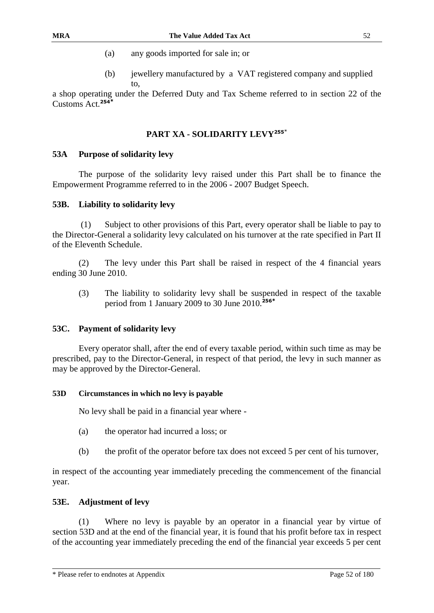- (a) any goods imported for sale in; or
- (b) jewellery manufactured by a VAT registered company and supplied to,

a shop operating under the Deferred Duty and Tax Scheme referred to in section 22 of the Customs Act.**<sup>254</sup>\***

# **PART XA - SOLIDARITY LEVY<sup>255</sup>**\*

### **53A Purpose of solidarity levy**

The purpose of the solidarity levy raised under this Part shall be to finance the Empowerment Programme referred to in the 2006 - 2007 Budget Speech.

### **53B. Liability to solidarity levy**

(1) Subject to other provisions of this Part, every operator shall be liable to pay to the Director-General a solidarity levy calculated on his turnover at the rate specified in Part II of the Eleventh Schedule.

(2) The levy under this Part shall be raised in respect of the 4 financial years ending 30 June 2010.

(3) The liability to solidarity levy shall be suspended in respect of the taxable period from 1 January 2009 to 30 June 2010.**<sup>256</sup>\***

## **53C. Payment of solidarity levy**

Every operator shall, after the end of every taxable period, within such time as may be prescribed, pay to the Director-General, in respect of that period, the levy in such manner as may be approved by the Director-General.

#### **53D Circumstances in which no levy is payable**

No levy shall be paid in a financial year where -

- (a) the operator had incurred a loss; or
- (b) the profit of the operator before tax does not exceed 5 per cent of his turnover,

in respect of the accounting year immediately preceding the commencement of the financial year.

## **53E. Adjustment of levy**

(1) Where no levy is payable by an operator in a financial year by virtue of section 53D and at the end of the financial year, it is found that his profit before tax in respect of the accounting year immediately preceding the end of the financial year exceeds 5 per cent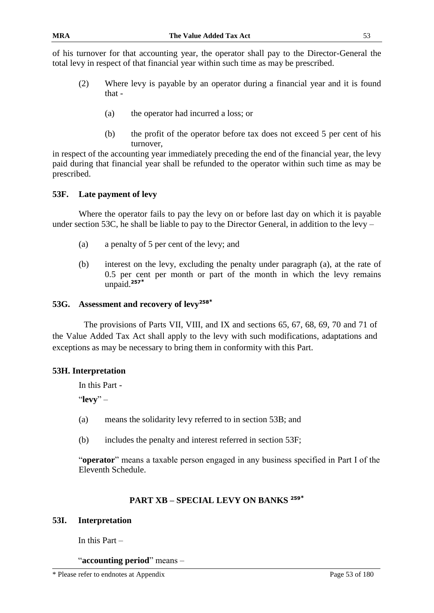of his turnover for that accounting year, the operator shall pay to the Director-General the total levy in respect of that financial year within such time as may be prescribed.

- (2) Where levy is payable by an operator during a financial year and it is found that -
	- (a) the operator had incurred a loss; or
	- (b) the profit of the operator before tax does not exceed 5 per cent of his turnover,

in respect of the accounting year immediately preceding the end of the financial year, the levy paid during that financial year shall be refunded to the operator within such time as may be prescribed.

## **53F. Late payment of levy**

Where the operator fails to pay the levy on or before last day on which it is payable under section 53C, he shall be liable to pay to the Director General, in addition to the levy –

- (a) a penalty of 5 per cent of the levy; and
- (b) interest on the levy, excluding the penalty under paragraph (a), at the rate of 0.5 per cent per month or part of the month in which the levy remains unpaid.**<sup>257</sup>\***

# **53G. Assessment and recovery of levy<sup>258</sup>\***

The provisions of Parts VII, VIII, and IX and sections 65, 67, 68, 69, 70 and 71 of the Value Added Tax Act shall apply to the levy with such modifications, adaptations and exceptions as may be necessary to bring them in conformity with this Part.

#### **53H. Interpretation**

In this Part -

"**levy**" –

- (a) means the solidarity levy referred to in section 53B; and
- (b) includes the penalty and interest referred in section 53F;

"**operator**" means a taxable person engaged in any business specified in Part I of the Eleventh Schedule.

## **PART XB – SPECIAL LEVY ON BANKS <sup>259</sup>\***

#### **53I. Interpretation**

In this Part –

"**accounting period**" means –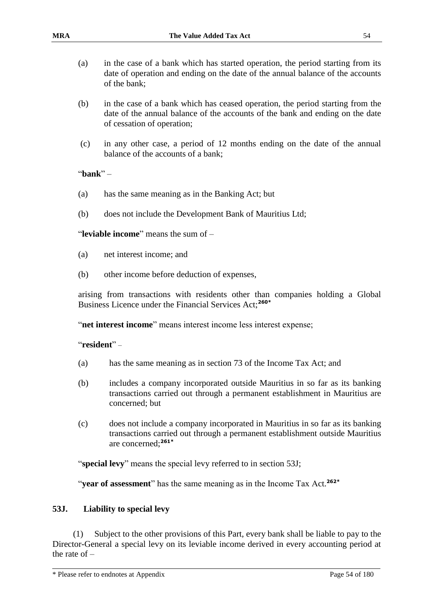- (a) in the case of a bank which has started operation, the period starting from its date of operation and ending on the date of the annual balance of the accounts of the bank;
- (b) in the case of a bank which has ceased operation, the period starting from the date of the annual balance of the accounts of the bank and ending on the date of cessation of operation;
- (c) in any other case, a period of 12 months ending on the date of the annual balance of the accounts of a bank;

"**bank**" –

- (a) has the same meaning as in the Banking Act; but
- (b) does not include the Development Bank of Mauritius Ltd;

"**leviable income**" means the sum of –

- (a) net interest income; and
- (b) other income before deduction of expenses,

arising from transactions with residents other than companies holding a Global Business Licence under the Financial Services Act;**260\***

"**net interest income**" means interest income less interest expense;

#### "**resident**" –

- (a) has the same meaning as in section 73 of the Income Tax Act; and
- (b) includes a company incorporated outside Mauritius in so far as its banking transactions carried out through a permanent establishment in Mauritius are concerned; but
- (c) does not include a company incorporated in Mauritius in so far as its banking transactions carried out through a permanent establishment outside Mauritius are concerned;**261\***

"**special levy**" means the special levy referred to in section 53J;

"**year of assessment**" has the same meaning as in the Income Tax Act.**262\***

#### **53J. Liability to special levy**

(1) Subject to the other provisions of this Part, every bank shall be liable to pay to the Director-General a special levy on its leviable income derived in every accounting period at the rate of –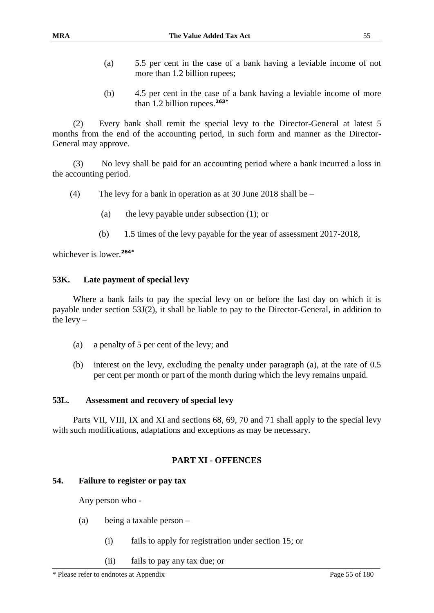- (a) 5.5 per cent in the case of a bank having a leviable income of not more than 1.2 billion rupees;
- (b) 4.5 per cent in the case of a bank having a leviable income of more than 1.2 billion rupees.**263\***

(2) Every bank shall remit the special levy to the Director-General at latest 5 months from the end of the accounting period, in such form and manner as the Director-General may approve.

(3) No levy shall be paid for an accounting period where a bank incurred a loss in the accounting period.

- (4) The levy for a bank in operation as at 30 June 2018 shall be
	- (a) the levy payable under subsection (1); or
	- (b) 1.5 times of the levy payable for the year of assessment 2017-2018,

whichever is lower.**264\***

#### **53K. Late payment of special levy**

Where a bank fails to pay the special levy on or before the last day on which it is payable under section 53J(2), it shall be liable to pay to the Director-General, in addition to the  $levy -$ 

- (a) a penalty of 5 per cent of the levy; and
- (b) interest on the levy, excluding the penalty under paragraph (a), at the rate of 0.5 per cent per month or part of the month during which the levy remains unpaid.

#### **53L. Assessment and recovery of special levy**

Parts VII, VIII, IX and XI and sections 68, 69, 70 and 71 shall apply to the special levy with such modifications, adaptations and exceptions as may be necessary.

### **PART XI - OFFENCES**

#### **54. Failure to register or pay tax**

Any person who -

- (a) being a taxable person
	- (i) fails to apply for registration under section 15; or
	- (ii) fails to pay any tax due; or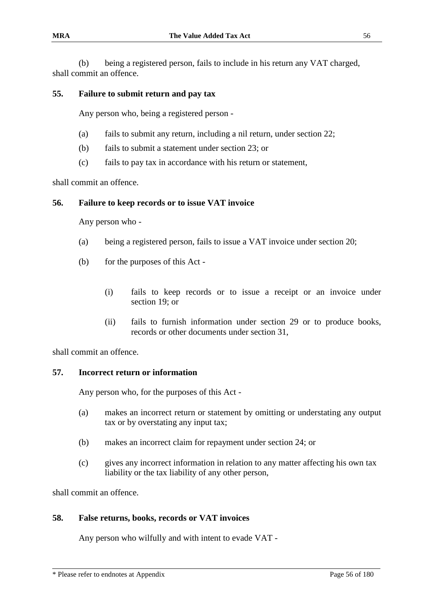(b) being a registered person, fails to include in his return any VAT charged, shall commit an offence.

### **55. Failure to submit return and pay tax**

Any person who, being a registered person -

- (a) fails to submit any return, including a nil return, under section 22;
- (b) fails to submit a statement under section 23; or
- (c) fails to pay tax in accordance with his return or statement,

shall commit an offence.

#### **56. Failure to keep records or to issue VAT invoice**

Any person who -

- (a) being a registered person, fails to issue a VAT invoice under section 20;
- (b) for the purposes of this Act
	- (i) fails to keep records or to issue a receipt or an invoice under section 19; or
	- (ii) fails to furnish information under section 29 or to produce books, records or other documents under section 31,

shall commit an offence.

#### **57. Incorrect return or information**

Any person who, for the purposes of this Act -

- (a) makes an incorrect return or statement by omitting or understating any output tax or by overstating any input tax;
- (b) makes an incorrect claim for repayment under section 24; or
- (c) gives any incorrect information in relation to any matter affecting his own tax liability or the tax liability of any other person,

shall commit an offence.

#### **58. False returns, books, records or VAT invoices**

Any person who wilfully and with intent to evade VAT -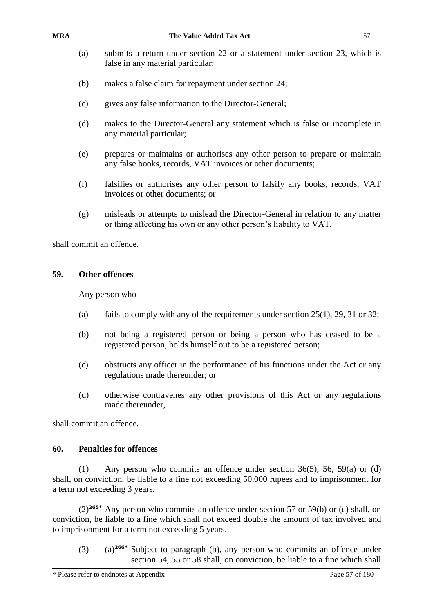- (a) submits a return under section 22 or a statement under section 23, which is false in any material particular;
- (b) makes a false claim for repayment under section 24;
- (c) gives any false information to the Director-General;
- (d) makes to the Director-General any statement which is false or incomplete in any material particular;
- (e) prepares or maintains or authorises any other person to prepare or maintain any false books, records, VAT invoices or other documents;
- (f) falsifies or authorises any other person to falsify any books, records, VAT invoices or other documents; or
- (g) misleads or attempts to mislead the Director-General in relation to any matter or thing affecting his own or any other person's liability to VAT,

shall commit an offence.

#### **59. Other offences**

Any person who -

- (a) fails to comply with any of the requirements under section  $25(1)$ ,  $29$ ,  $31$  or  $32$ ;
- (b) not being a registered person or being a person who has ceased to be a registered person, holds himself out to be a registered person;
- (c) obstructs any officer in the performance of his functions under the Act or any regulations made thereunder; or
- (d) otherwise contravenes any other provisions of this Act or any regulations made thereunder,

shall commit an offence.

#### **60. Penalties for offences**

(1) Any person who commits an offence under section 36(5), 56, 59(a) or (d) shall, on conviction, be liable to a fine not exceeding 50,000 rupees and to imprisonment for a term not exceeding 3 years.

(2)**265\*** Any person who commits an offence under section 57 or 59(b) or (c) shall, on conviction, be liable to a fine which shall not exceed double the amount of tax involved and to imprisonment for a term not exceeding 5 years.

(3) (a)**266\*** Subject to paragraph (b), any person who commits an offence under section 54, 55 or 58 shall, on conviction, be liable to a fine which shall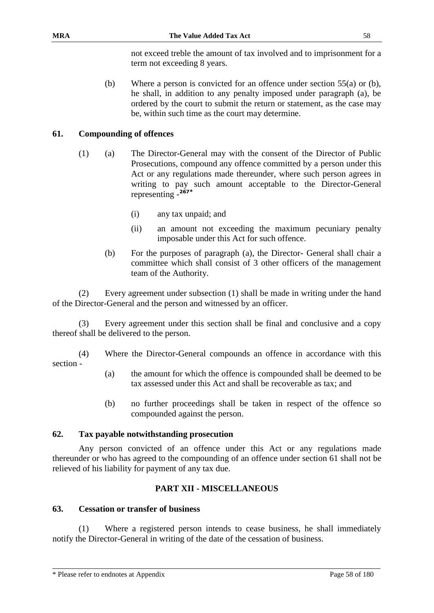not exceed treble the amount of tax involved and to imprisonment for a term not exceeding 8 years.

(b) Where a person is convicted for an offence under section 55(a) or (b), he shall, in addition to any penalty imposed under paragraph (a), be ordered by the court to submit the return or statement, as the case may be, within such time as the court may determine.

# **61. Compounding of offences**

- (1) (a) The Director-General may with the consent of the Director of Public Prosecutions, compound any offence committed by a person under this Act or any regulations made thereunder, where such person agrees in writing to pay such amount acceptable to the Director-General representing - **267\***
	- (i) any tax unpaid; and
	- (ii) an amount not exceeding the maximum pecuniary penalty imposable under this Act for such offence.
	- (b) For the purposes of paragraph (a), the Director- General shall chair a committee which shall consist of 3 other officers of the management team of the Authority.

(2) Every agreement under subsection (1) shall be made in writing under the hand of the Director-General and the person and witnessed by an officer.

Every agreement under this section shall be final and conclusive and a copy thereof shall be delivered to the person.

(4) Where the Director-General compounds an offence in accordance with this section -

- (a) the amount for which the offence is compounded shall be deemed to be tax assessed under this Act and shall be recoverable as tax; and
- (b) no further proceedings shall be taken in respect of the offence so compounded against the person.

## **62. Tax payable notwithstanding prosecution**

Any person convicted of an offence under this Act or any regulations made thereunder or who has agreed to the compounding of an offence under section 61 shall not be relieved of his liability for payment of any tax due.

## **PART XII - MISCELLANEOUS**

## **63. Cessation or transfer of business**

(1) Where a registered person intends to cease business, he shall immediately notify the Director-General in writing of the date of the cessation of business.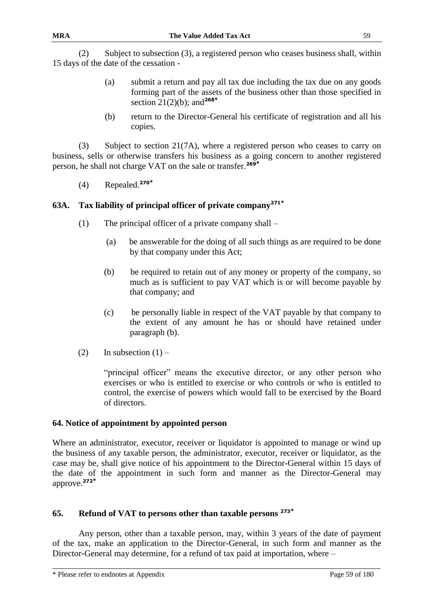(2) Subject to subsection (3), a registered person who ceases business shall, within 15 days of the date of the cessation -

- (a) submit a return and pay all tax due including the tax due on any goods forming part of the assets of the business other than those specified in section 21(2)(b); and**<sup>268</sup>\***
- (b) return to the Director-General his certificate of registration and all his copies.

(3) Subject to section 21(7A), where a registered person who ceases to carry on business, sells or otherwise transfers his business as a going concern to another registered person, he shall not charge VAT on the sale or transfer.**<sup>269</sup>\***

(4) Repealed.**<sup>270</sup>\***

# **63A. Tax liability of principal officer of private company<sup>271</sup>\***

- (1) The principal officer of a private company shall
	- (a) be answerable for the doing of all such things as are required to be done by that company under this Act;
	- (b) be required to retain out of any money or property of the company, so much as is sufficient to pay VAT which is or will become payable by that company; and
	- (c) be personally liable in respect of the VAT payable by that company to the extent of any amount he has or should have retained under paragraph (b).
- (2) In subsection  $(1)$  –

"principal officer" means the executive director, or any other person who exercises or who is entitled to exercise or who controls or who is entitled to control, the exercise of powers which would fall to be exercised by the Board of directors.

## **64. Notice of appointment by appointed person**

Where an administrator, executor, receiver or liquidator is appointed to manage or wind up the business of any taxable person, the administrator, executor, receiver or liquidator, as the case may be, shall give notice of his appointment to the Director-General within 15 days of the date of the appointment in such form and manner as the Director-General may approve.**<sup>272</sup>\***

## **65. Refund of VAT to persons other than taxable persons <sup>273</sup>\***

Any person, other than a taxable person, may, within 3 years of the date of payment of the tax, make an application to the Director-General, in such form and manner as the Director-General may determine, for a refund of tax paid at importation, where –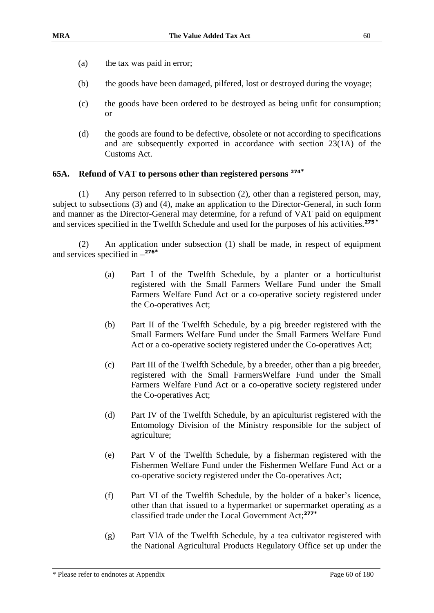- (a) the tax was paid in error;
- (b) the goods have been damaged, pilfered, lost or destroyed during the voyage;
- (c) the goods have been ordered to be destroyed as being unfit for consumption; or
- (d) the goods are found to be defective, obsolete or not according to specifications and are subsequently exported in accordance with section 23(1A) of the Customs Act.

#### **65A. Refund of VAT to persons other than registered persons <sup>274</sup>\***

(1) Any person referred to in subsection (2), other than a registered person, may, subject to subsections (3) and (4), make an application to the Director-General, in such form and manner as the Director-General may determine, for a refund of VAT paid on equipment and services specified in the Twelfth Schedule and used for the purposes of his activities.**<sup>275</sup> \***

(2) An application under subsection (1) shall be made, in respect of equipment and services specified in – **276\***

- (a) Part I of the Twelfth Schedule, by a planter or a horticulturist registered with the Small Farmers Welfare Fund under the Small Farmers Welfare Fund Act or a co-operative society registered under the Co-operatives Act;
- (b) Part II of the Twelfth Schedule, by a pig breeder registered with the Small Farmers Welfare Fund under the Small Farmers Welfare Fund Act or a co-operative society registered under the Co-operatives Act;
- (c) Part III of the Twelfth Schedule, by a breeder, other than a pig breeder, registered with the Small FarmersWelfare Fund under the Small Farmers Welfare Fund Act or a co-operative society registered under the Co-operatives Act;
- (d) Part IV of the Twelfth Schedule, by an apiculturist registered with the Entomology Division of the Ministry responsible for the subject of agriculture;
- (e) Part V of the Twelfth Schedule, by a fisherman registered with the Fishermen Welfare Fund under the Fishermen Welfare Fund Act or a co-operative society registered under the Co-operatives Act;
- (f) Part VI of the Twelfth Schedule, by the holder of a baker's licence, other than that issued to a hypermarket or supermarket operating as a classified trade under the Local Government Act; **277\***
- (g) Part VIA of the Twelfth Schedule, by a tea cultivator registered with the National Agricultural Products Regulatory Office set up under the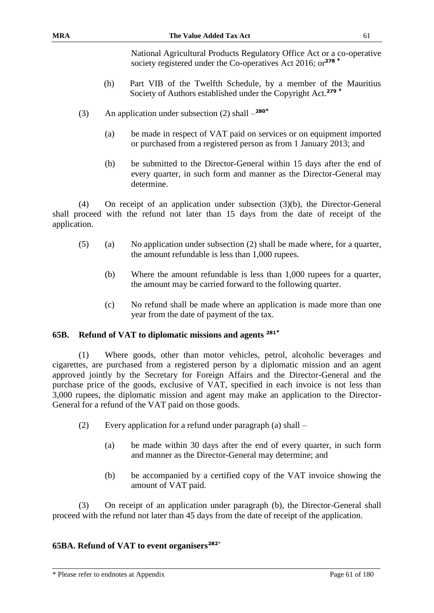National Agricultural Products Regulatory Office Act or a co-operative society registered under the Co-operatives Act 2016; or**<sup>278</sup> \***

- (h) Part VIB of the Twelfth Schedule, by a member of the Mauritius Society of Authors established under the Copyright Act.**<sup>279</sup> \***
- (3) An application under subsection (2) shall **280\***
	- (a) be made in respect of VAT paid on services or on equipment imported or purchased from a registered person as from 1 January 2013; and
	- (b) be submitted to the Director-General within 15 days after the end of every quarter, in such form and manner as the Director-General may determine.

(4) On receipt of an application under subsection (3)(b), the Director-General shall proceed with the refund not later than 15 days from the date of receipt of the application.

- (5) (a) No application under subsection (2) shall be made where, for a quarter, the amount refundable is less than 1,000 rupees.
	- (b) Where the amount refundable is less than 1,000 rupees for a quarter, the amount may be carried forward to the following quarter.
	- (c) No refund shall be made where an application is made more than one year from the date of payment of the tax.

## **65B. Refund of VAT to diplomatic missions and agents <sup>281</sup>\***

(1) Where goods, other than motor vehicles, petrol, alcoholic beverages and cigarettes, are purchased from a registered person by a diplomatic mission and an agent approved jointly by the Secretary for Foreign Affairs and the Director-General and the purchase price of the goods, exclusive of VAT, specified in each invoice is not less than 3,000 rupees, the diplomatic mission and agent may make an application to the Director-General for a refund of the VAT paid on those goods.

- (2) Every application for a refund under paragraph (a) shall
	- (a) be made within 30 days after the end of every quarter, in such form and manner as the Director-General may determine; and
	- (b) be accompanied by a certified copy of the VAT invoice showing the amount of VAT paid.

(3) On receipt of an application under paragraph (b), the Director-General shall proceed with the refund not later than 45 days from the date of receipt of the application.

## **65BA. Refund of VAT to event organisers<sup>282</sup>**\*

\* Please refer to endnotes at Appendix Page 61 of 180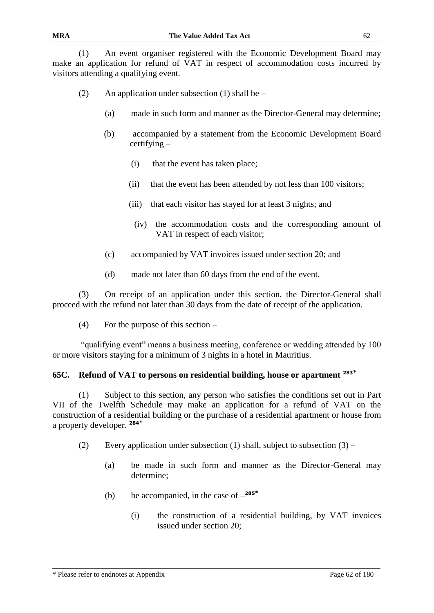(1) An event organiser registered with the Economic Development Board may make an application for refund of VAT in respect of accommodation costs incurred by visitors attending a qualifying event.

- (2) An application under subsection (1) shall be  $-$ 
	- (a) made in such form and manner as the Director-General may determine;
	- (b) accompanied by a statement from the Economic Development Board certifying –
		- (i) that the event has taken place;
		- (ii) that the event has been attended by not less than 100 visitors;
		- (iii) that each visitor has stayed for at least 3 nights; and
			- (iv) the accommodation costs and the corresponding amount of VAT in respect of each visitor;
	- (c) accompanied by VAT invoices issued under section 20; and
	- (d) made not later than 60 days from the end of the event.

(3) On receipt of an application under this section, the Director-General shall proceed with the refund not later than 30 days from the date of receipt of the application.

(4) For the purpose of this section –

"qualifying event" means a business meeting, conference or wedding attended by 100 or more visitors staying for a minimum of 3 nights in a hotel in Mauritius.

## **65C. Refund of VAT to persons on residential building, house or apartment <sup>283</sup>\***

(1) Subject to this section, any person who satisfies the conditions set out in Part VII of the Twelfth Schedule may make an application for a refund of VAT on the construction of a residential building or the purchase of a residential apartment or house from a property developer. **<sup>284</sup>\***

- (2) Every application under subsection (1) shall, subject to subsection  $(3)$ 
	- (a) be made in such form and manner as the Director-General may determine;
	- (b) be accompanied, in the case of **285\***
		- (i) the construction of a residential building, by VAT invoices issued under section 20;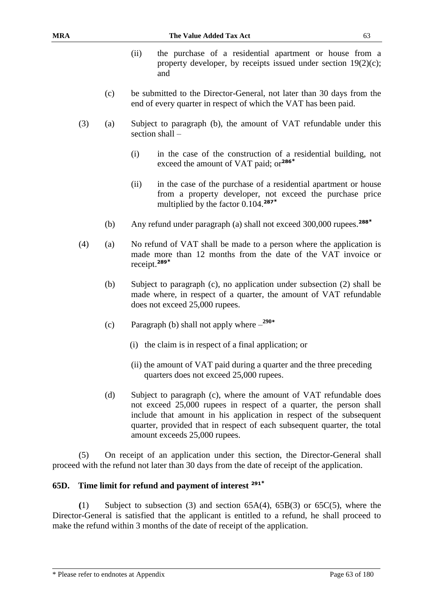- (ii) the purchase of a residential apartment or house from a property developer, by receipts issued under section  $19(2)(c)$ ; and
- (c) be submitted to the Director-General, not later than 30 days from the end of every quarter in respect of which the VAT has been paid.
- (3) (a) Subject to paragraph (b), the amount of VAT refundable under this section shall –
	- (i) in the case of the construction of a residential building, not exceed the amount of VAT paid; or**<sup>286</sup>\***
	- (ii) in the case of the purchase of a residential apartment or house from a property developer, not exceed the purchase price multiplied by the factor 0.104.**<sup>287</sup>\***
	- (b) Any refund under paragraph (a) shall not exceed 300,000 rupees.**<sup>288</sup>\***
- (4) (a) No refund of VAT shall be made to a person where the application is made more than 12 months from the date of the VAT invoice or receipt. **289\***
	- (b) Subject to paragraph (c), no application under subsection (2) shall be made where, in respect of a quarter, the amount of VAT refundable does not exceed 25,000 rupees.
	- (c) Paragraph (b) shall not apply where **290\***
		- (i) the claim is in respect of a final application; or
		- (ii) the amount of VAT paid during a quarter and the three preceding quarters does not exceed 25,000 rupees.
	- (d) Subject to paragraph (c), where the amount of VAT refundable does not exceed 25,000 rupees in respect of a quarter, the person shall include that amount in his application in respect of the subsequent quarter, provided that in respect of each subsequent quarter, the total amount exceeds 25,000 rupees.

(5) On receipt of an application under this section, the Director-General shall proceed with the refund not later than 30 days from the date of receipt of the application.

## **65D. Time limit for refund and payment of interest <sup>291</sup>\***

**(**1) Subject to subsection (3) and section 65A(4), 65B(3) or 65C(5), where the Director-General is satisfied that the applicant is entitled to a refund, he shall proceed to make the refund within 3 months of the date of receipt of the application.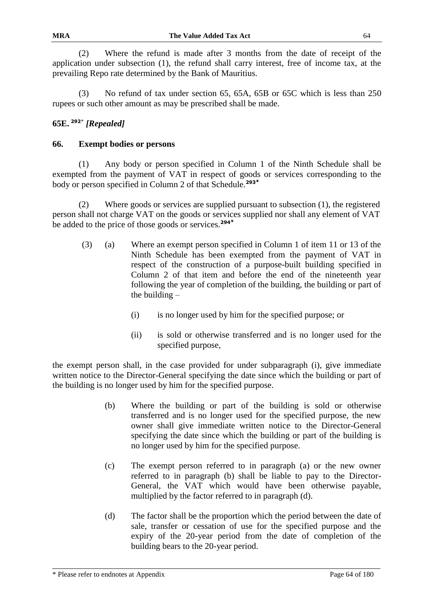(2) Where the refund is made after 3 months from the date of receipt of the application under subsection (1), the refund shall carry interest, free of income tax, at the prevailing Repo rate determined by the Bank of Mauritius.

(3) No refund of tax under section 65, 65A, 65B or 65C which is less than 250 rupees or such other amount as may be prescribed shall be made.

# **65E. <sup>292</sup>**\* *[Repealed]*

# **66. Exempt bodies or persons**

(1) Any body or person specified in Column 1 of the Ninth Schedule shall be exempted from the payment of VAT in respect of goods or services corresponding to the body or person specified in Column 2 of that Schedule.**<sup>293</sup>\***

(2) Where goods or services are supplied pursuant to subsection (1), the registered person shall not charge VAT on the goods or services supplied nor shall any element of VAT be added to the price of those goods or services.**<sup>294</sup>\***

- (3) (a) Where an exempt person specified in Column 1 of item 11 or 13 of the Ninth Schedule has been exempted from the payment of VAT in respect of the construction of a purpose-built building specified in Column 2 of that item and before the end of the nineteenth year following the year of completion of the building, the building or part of the building  $-$ 
	- (i) is no longer used by him for the specified purpose; or
	- (ii) is sold or otherwise transferred and is no longer used for the specified purpose,

the exempt person shall, in the case provided for under subparagraph (i), give immediate written notice to the Director-General specifying the date since which the building or part of the building is no longer used by him for the specified purpose.

- (b) Where the building or part of the building is sold or otherwise transferred and is no longer used for the specified purpose, the new owner shall give immediate written notice to the Director-General specifying the date since which the building or part of the building is no longer used by him for the specified purpose.
- (c) The exempt person referred to in paragraph (a) or the new owner referred to in paragraph (b) shall be liable to pay to the Director-General, the VAT which would have been otherwise payable, multiplied by the factor referred to in paragraph (d).
- (d) The factor shall be the proportion which the period between the date of sale, transfer or cessation of use for the specified purpose and the expiry of the 20-year period from the date of completion of the building bears to the 20-year period.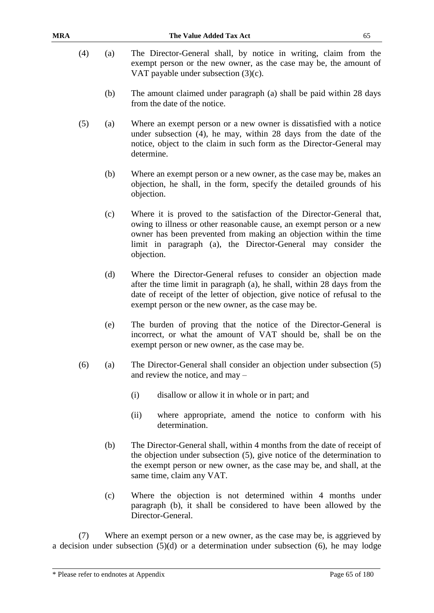- 
- (4) (a) The Director-General shall, by notice in writing, claim from the exempt person or the new owner, as the case may be, the amount of VAT payable under subsection (3)(c).
	- (b) The amount claimed under paragraph (a) shall be paid within 28 days from the date of the notice.
- (5) (a) Where an exempt person or a new owner is dissatisfied with a notice under subsection (4), he may, within 28 days from the date of the notice, object to the claim in such form as the Director-General may determine.
	- (b) Where an exempt person or a new owner, as the case may be, makes an objection, he shall, in the form, specify the detailed grounds of his objection.
	- (c) Where it is proved to the satisfaction of the Director-General that, owing to illness or other reasonable cause, an exempt person or a new owner has been prevented from making an objection within the time limit in paragraph (a), the Director-General may consider the objection.
	- (d) Where the Director-General refuses to consider an objection made after the time limit in paragraph (a), he shall, within 28 days from the date of receipt of the letter of objection, give notice of refusal to the exempt person or the new owner, as the case may be.
	- (e) The burden of proving that the notice of the Director-General is incorrect, or what the amount of VAT should be, shall be on the exempt person or new owner, as the case may be.
- (6) (a) The Director-General shall consider an objection under subsection (5) and review the notice, and may –
	- (i) disallow or allow it in whole or in part; and
	- (ii) where appropriate, amend the notice to conform with his determination.
	- (b) The Director-General shall, within 4 months from the date of receipt of the objection under subsection (5), give notice of the determination to the exempt person or new owner, as the case may be, and shall, at the same time, claim any VAT.
	- (c) Where the objection is not determined within 4 months under paragraph (b), it shall be considered to have been allowed by the Director-General.

(7) Where an exempt person or a new owner, as the case may be, is aggrieved by a decision under subsection (5)(d) or a determination under subsection (6), he may lodge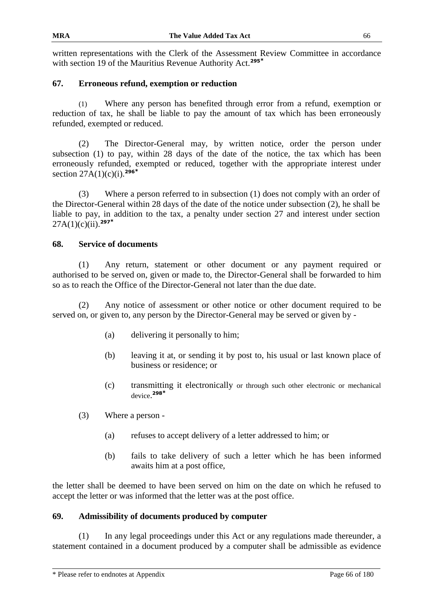written representations with the Clerk of the Assessment Review Committee in accordance with section 19 of the Mauritius Revenue Authority Act.**<sup>295</sup>\***

## **67. Erroneous refund, exemption or reduction**

(1) Where any person has benefited through error from a refund, exemption or reduction of tax, he shall be liable to pay the amount of tax which has been erroneously refunded, exempted or reduced.

(2) The Director-General may, by written notice, order the person under subsection (1) to pay, within 28 days of the date of the notice, the tax which has been erroneously refunded, exempted or reduced, together with the appropriate interest under section 27A(1)(c)(i).**<sup>296</sup>\***

(3) Where a person referred to in subsection (1) does not comply with an order of the Director-General within 28 days of the date of the notice under subsection (2), he shall be liable to pay, in addition to the tax, a penalty under section 27 and interest under section 27A(1)(c)(ii).**<sup>297</sup>\***

### **68. Service of documents**

(1) Any return, statement or other document or any payment required or authorised to be served on, given or made to, the Director-General shall be forwarded to him so as to reach the Office of the Director-General not later than the due date.

(2) Any notice of assessment or other notice or other document required to be served on, or given to, any person by the Director-General may be served or given by -

- (a) delivering it personally to him;
- (b) leaving it at, or sending it by post to, his usual or last known place of business or residence; or
- (c) transmitting it electronically or through such other electronic or mechanical device. **298\***
- (3) Where a person
	- (a) refuses to accept delivery of a letter addressed to him; or
	- (b) fails to take delivery of such a letter which he has been informed awaits him at a post office,

the letter shall be deemed to have been served on him on the date on which he refused to accept the letter or was informed that the letter was at the post office.

## **69. Admissibility of documents produced by computer**

(1) In any legal proceedings under this Act or any regulations made thereunder, a statement contained in a document produced by a computer shall be admissible as evidence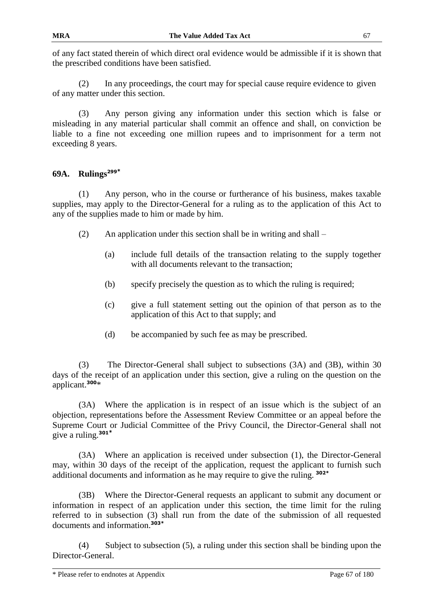(2) In any proceedings, the court may for special cause require evidence to given of any matter under this section.

(3) Any person giving any information under this section which is false or misleading in any material particular shall commit an offence and shall, on conviction be liable to a fine not exceeding one million rupees and to imprisonment for a term not exceeding 8 years.

# **69A. Rulings<sup>299</sup>\***

(1) Any person, who in the course or furtherance of his business, makes taxable supplies, may apply to the Director-General for a ruling as to the application of this Act to any of the supplies made to him or made by him.

- (2) An application under this section shall be in writing and shall
	- (a) include full details of the transaction relating to the supply together with all documents relevant to the transaction;
	- (b) specify precisely the question as to which the ruling is required;
	- (c) give a full statement setting out the opinion of that person as to the application of this Act to that supply; and
	- (d) be accompanied by such fee as may be prescribed.

(3) The Director-General shall subject to subsections (3A) and (3B), within 30 days of the receipt of an application under this section, give a ruling on the question on the applicant.**<sup>300</sup>**\*

(3A) Where the application is in respect of an issue which is the subject of an objection, representations before the Assessment Review Committee or an appeal before the Supreme Court or Judicial Committee of the Privy Council, the Director-General shall not give a ruling.**<sup>301</sup>\***

(3A) Where an application is received under subsection (1), the Director-General may, within 30 days of the receipt of the application, request the applicant to furnish such additional documents and information as he may require to give the ruling. **302\***

(3B) Where the Director-General requests an applicant to submit any document or information in respect of an application under this section, the time limit for the ruling referred to in subsection (3) shall run from the date of the submission of all requested documents and information.**303\***

(4) Subject to subsection (5), a ruling under this section shall be binding upon the Director-General.

<sup>\*</sup> Please refer to endnotes at Appendix Page 67 of 180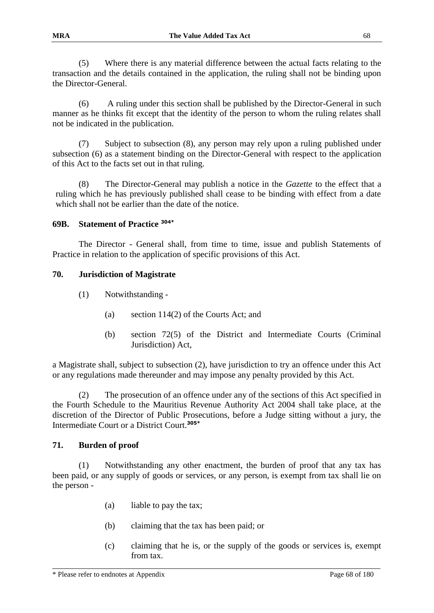(5) Where there is any material difference between the actual facts relating to the transaction and the details contained in the application, the ruling shall not be binding upon the Director-General.

(6) A ruling under this section shall be published by the Director-General in such manner as he thinks fit except that the identity of the person to whom the ruling relates shall not be indicated in the publication.

(7) Subject to subsection (8), any person may rely upon a ruling published under subsection (6) as a statement binding on the Director-General with respect to the application of this Act to the facts set out in that ruling.

(8) The Director-General may publish a notice in the *Gazette* to the effect that a ruling which he has previously published shall cease to be binding with effect from a date which shall not be earlier than the date of the notice.

### **69B. Statement of Practice 304\***

The Director - General shall, from time to time, issue and publish Statements of Practice in relation to the application of specific provisions of this Act.

### **70. Jurisdiction of Magistrate**

- (1) Notwithstanding
	- (a) section 114(2) of the Courts Act; and
	- (b) section 72(5) of the District and Intermediate Courts (Criminal Jurisdiction) Act,

a Magistrate shall, subject to subsection (2), have jurisdiction to try an offence under this Act or any regulations made thereunder and may impose any penalty provided by this Act.

(2) The prosecution of an offence under any of the sections of this Act specified in the Fourth Schedule to the Mauritius Revenue Authority Act 2004 shall take place, at the discretion of the Director of Public Prosecutions, before a Judge sitting without a jury, the Intermediate Court or a District Court.**305\***

### **71. Burden of proof**

(1) Notwithstanding any other enactment, the burden of proof that any tax has been paid, or any supply of goods or services, or any person, is exempt from tax shall lie on the person -

- (a) liable to pay the tax;
- (b) claiming that the tax has been paid; or
- (c) claiming that he is, or the supply of the goods or services is, exempt from tax.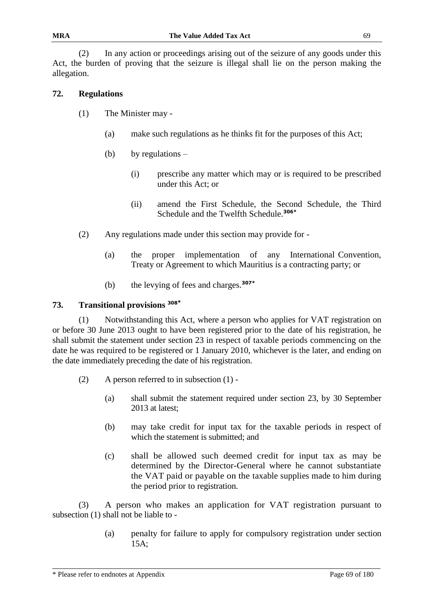(2) In any action or proceedings arising out of the seizure of any goods under this Act, the burden of proving that the seizure is illegal shall lie on the person making the allegation.

# **72. Regulations**

- (1) The Minister may
	- (a) make such regulations as he thinks fit for the purposes of this Act;
	- (b) by regulations  $-$ 
		- (i) prescribe any matter which may or is required to be prescribed under this Act; or
		- (ii) amend the First Schedule, the Second Schedule, the Third Schedule and the Twelfth Schedule.**306\***
- (2) Any regulations made under this section may provide for
	- (a) the proper implementation of any International Convention, Treaty or Agreement to which Mauritius is a contracting party; or
	- (b) the levying of fees and charges.**307\***

## **73. Transitional provisions <sup>308</sup>\***

(1) Notwithstanding this Act, where a person who applies for VAT registration on or before 30 June 2013 ought to have been registered prior to the date of his registration, he shall submit the statement under section 23 in respect of taxable periods commencing on the date he was required to be registered or 1 January 2010, whichever is the later, and ending on the date immediately preceding the date of his registration.

- (2) A person referred to in subsection (1)
	- (a) shall submit the statement required under section 23, by 30 September 2013 at latest;
	- (b) may take credit for input tax for the taxable periods in respect of which the statement is submitted; and
	- (c) shall be allowed such deemed credit for input tax as may be determined by the Director-General where he cannot substantiate the VAT paid or payable on the taxable supplies made to him during the period prior to registration.

(3) A person who makes an application for VAT registration pursuant to subsection (1) shall not be liable to -

> (a) penalty for failure to apply for compulsory registration under section 15A;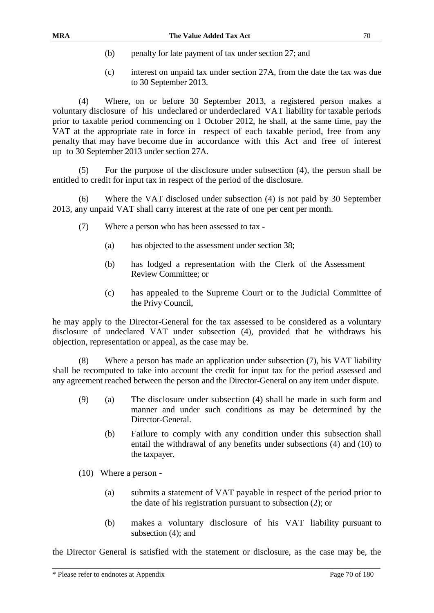- (b) penalty for late payment of tax under section 27; and
- (c) interest on unpaid tax under section 27A, from the date the tax was due to 30 September 2013.

(4) Where, on or before 30 September 2013, a registered person makes a voluntary disclosure of his undeclared or underdeclared VAT liability for taxable periods prior to taxable period commencing on 1 October 2012, he shall, at the same time, pay the VAT at the appropriate rate in force in respect of each taxable period, free from any penalty that may have become due in accordance with this Act and free of interest up to 30 September 2013 under section 27A.

(5) For the purpose of the disclosure under subsection (4), the person shall be entitled to credit for input tax in respect of the period of the disclosure.

(6) Where the VAT disclosed under subsection (4) is not paid by 30 September 2013, any unpaid VAT shall carry interest at the rate of one per cent per month.

- (7) Where a person who has been assessed to tax
	- (a) has objected to the assessment under section 38;
	- (b) has lodged a representation with the Clerk of the Assessment Review Committee; or
	- (c) has appealed to the Supreme Court or to the Judicial Committee of the Privy Council,

he may apply to the Director-General for the tax assessed to be considered as a voluntary disclosure of undeclared VAT under subsection (4), provided that he withdraws his objection, representation or appeal, as the case may be.

(8) Where a person has made an application under subsection (7), his VAT liability shall be recomputed to take into account the credit for input tax for the period assessed and any agreement reached between the person and the Director-General on any item under dispute.

- (9) (a) The disclosure under subsection (4) shall be made in such form and manner and under such conditions as may be determined by the Director-General.
	- (b) Failure to comply with any condition under this subsection shall entail the withdrawal of any benefits under subsections (4) and (10) to the taxpayer.
- (10) Where a person
	- (a) submits a statement of VAT payable in respect of the period prior to the date of his registration pursuant to subsection (2); or
	- (b) makes a voluntary disclosure of his VAT liability pursuant to subsection  $(4)$ ; and

the Director General is satisfied with the statement or disclosure, as the case may be, the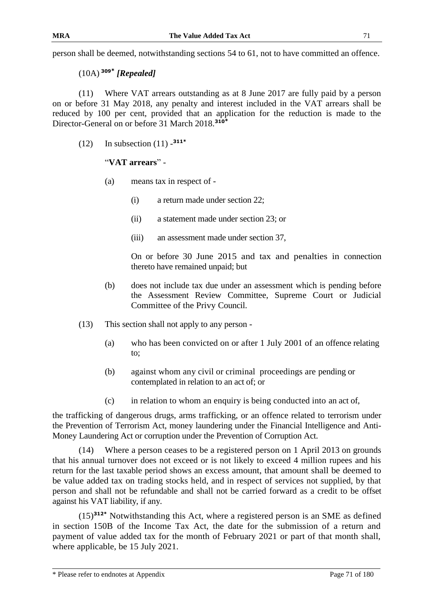person shall be deemed, notwithstanding sections 54 to 61, not to have committed an offence.

(10A) **<sup>309</sup>\*** *[Repealed]*

(11) Where VAT arrears outstanding as at 8 June 2017 are fully paid by a person on or before 31 May 2018, any penalty and interest included in the VAT arrears shall be reduced by 100 per cent, provided that an application for the reduction is made to the Director-General on or before 31 March 2018.**<sup>310</sup>\***

(12) In subsection (11) - **311\***

# "**VAT arrears**" -

- (a) means tax in respect of
	- (i) a return made under section 22;
	- (ii) a statement made under section 23; or
	- (iii) an assessment made under section 37,

On or before 30 June 2015 and tax and penalties in connection thereto have remained unpaid; but

- (b) does not include tax due under an assessment which is pending before the Assessment Review Committee, Supreme Court or Judicial Committee of the Privy Council.
- (13) This section shall not apply to any person
	- (a) who has been convicted on or after 1 July 2001 of an offence relating to;
	- (b) against whom any civil or criminal proceedings are pending or contemplated in relation to an act of; or
	- (c) in relation to whom an enquiry is being conducted into an act of,

the trafficking of dangerous drugs, arms trafficking, or an offence related to terrorism under the Prevention of Terrorism Act, money laundering under the Financial Intelligence and Anti-Money Laundering Act or corruption under the Prevention of Corruption Act.

(14) Where a person ceases to be a registered person on 1 April 2013 on grounds that his annual turnover does not exceed or is not likely to exceed 4 million rupees and his return for the last taxable period shows an excess amount, that amount shall be deemed to be value added tax on trading stocks held, and in respect of services not supplied, by that person and shall not be refundable and shall not be carried forward as a credit to be offset against his VAT liability, if any.

(15)**312\*** Notwithstanding this Act, where a registered person is an SME as defined in section 150B of the Income Tax Act, the date for the submission of a return and payment of value added tax for the month of February 2021 or part of that month shall, where applicable, be 15 July 2021.

\* Please refer to endnotes at Appendix Page 71 of 180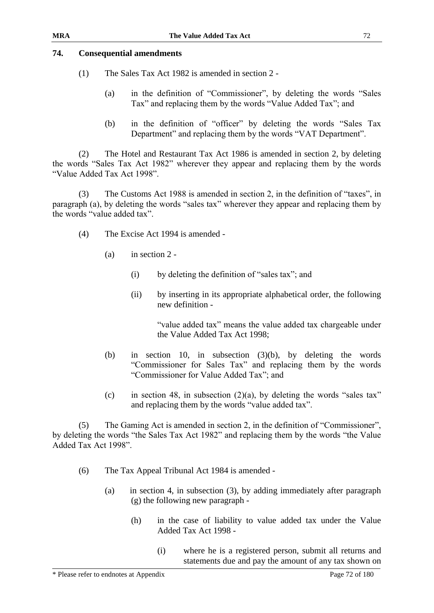### **74. Consequential amendments**

- (1) The Sales Tax Act 1982 is amended in section 2
	- (a) in the definition of "Commissioner", by deleting the words "Sales Tax" and replacing them by the words "Value Added Tax"; and
	- (b) in the definition of "officer" by deleting the words "Sales Tax Department" and replacing them by the words "VAT Department".

(2) The Hotel and Restaurant Tax Act 1986 is amended in section 2, by deleting the words "Sales Tax Act 1982" wherever they appear and replacing them by the words "Value Added Tax Act 1998".

The Customs Act 1988 is amended in section 2, in the definition of "taxes", in paragraph (a), by deleting the words "sales tax" wherever they appear and replacing them by the words "value added tax".

- (4) The Excise Act 1994 is amended
	- (a) in section 2
		- (i) by deleting the definition of "sales tax"; and
		- (ii) by inserting in its appropriate alphabetical order, the following new definition -

"value added tax" means the value added tax chargeable under the Value Added Tax Act 1998;

- (b) in section 10, in subsection (3)(b), by deleting the words "Commissioner for Sales Tax" and replacing them by the words "Commissioner for Value Added Tax"; and
- (c) in section 48, in subsection  $(2)(a)$ , by deleting the words "sales tax" and replacing them by the words "value added tax".

(5) The Gaming Act is amended in section 2, in the definition of "Commissioner", by deleting the words "the Sales Tax Act 1982" and replacing them by the words "the Value Added Tax Act 1998".

- (6) The Tax Appeal Tribunal Act 1984 is amended
	- (a) in section 4, in subsection (3), by adding immediately after paragraph (g) the following new paragraph -
		- (h) in the case of liability to value added tax under the Value Added Tax Act 1998 -
			- (i) where he is a registered person, submit all returns and statements due and pay the amount of any tax shown on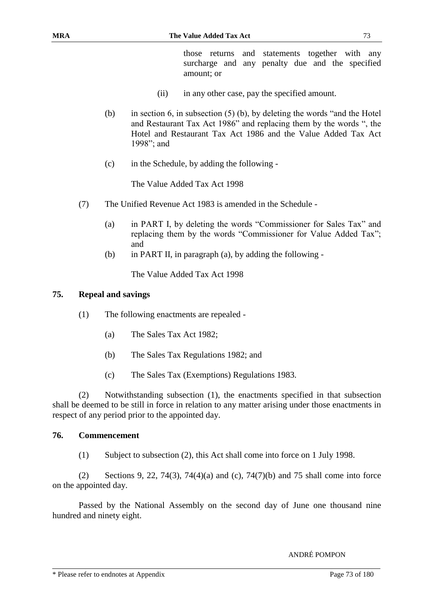those returns and statements together with any surcharge and any penalty due and the specified amount; or

- (ii) in any other case, pay the specified amount.
- (b) in section 6, in subsection (5) (b), by deleting the words "and the Hotel and Restaurant Tax Act 1986" and replacing them by the words ", the Hotel and Restaurant Tax Act 1986 and the Value Added Tax Act 1998"; and
- (c) in the Schedule, by adding the following -

The Value Added Tax Act 1998

- (7) The Unified Revenue Act 1983 is amended in the Schedule
	- (a) in PART I, by deleting the words "Commissioner for Sales Tax" and replacing them by the words "Commissioner for Value Added Tax"; and
	- (b) in PART II, in paragraph (a), by adding the following -

The Value Added Tax Act 1998

#### **75. Repeal and savings**

- (1) The following enactments are repealed
	- (a) The Sales Tax Act 1982;
	- (b) The Sales Tax Regulations 1982; and
	- (c) The Sales Tax (Exemptions) Regulations 1983.

(2) Notwithstanding subsection (1), the enactments specified in that subsection shall be deemed to be still in force in relation to any matter arising under those enactments in respect of any period prior to the appointed day.

#### **76. Commencement**

(1) Subject to subsection (2), this Act shall come into force on 1 July 1998.

(2) Sections 9, 22, 74(3), 74(4)(a) and (c), 74(7)(b) and 75 shall come into force on the appointed day.

Passed by the National Assembly on the second day of June one thousand nine hundred and ninety eight.

ANDRÉ POMPON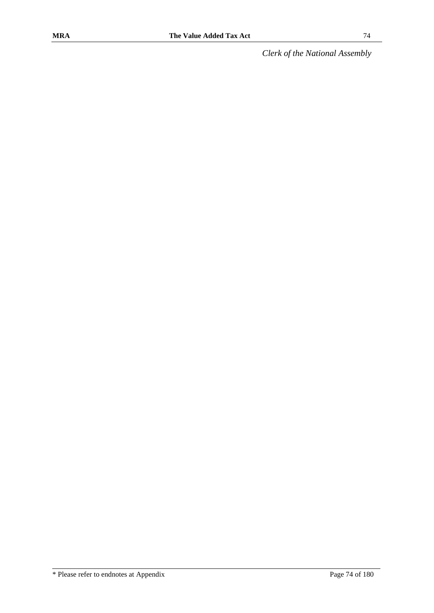*Clerk of the National Assembly*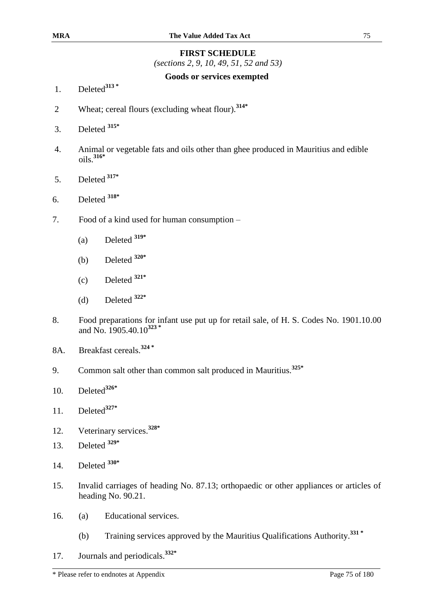#### **FIRST SCHEDULE**

*(sections 2, 9, 10, 49, 51, 52 and 53)*

#### **Goods or services exempted**

- 1. Deleted**<sup>313</sup> \***
- 2 Wheat; cereal flours (excluding wheat flour).**314\***
- 3. Deleted **315\***
- 4. Animal or vegetable fats and oils other than ghee produced in Mauritius and edible oils.**316\***
- 5. Deleted **317\***
- 6. Deleted **318\***
- 7. Food of a kind used for human consumption
	- (a) Deleted **319\***
	- (b) Deleted **320\***
	- (c) Deleted **321\***
	- (d) Deleted **322\***
- 8. Food preparations for infant use put up for retail sale, of H. S. Codes No. 1901.10.00 and No. 1905.40.10 **323 \***
- 8A. Breakfast cereals.**<sup>324</sup> \***
- 9. Common salt other than common salt produced in Mauritius.**325\***
- 10. Deleted**326\***
- 11. Deleted**327\***
- 12. Veterinary services. **328\***
- 13. Deleted **329\***
- 14. Deleted **330\***
- 15. Invalid carriages of heading No. 87.13; orthopaedic or other appliances or articles of heading No. 90.21.
- 16. (a) Educational services.
	- (b) Training services approved by the Mauritius Qualifications Authority.**<sup>331</sup> \***
- 17. Journals and periodicals. **332\***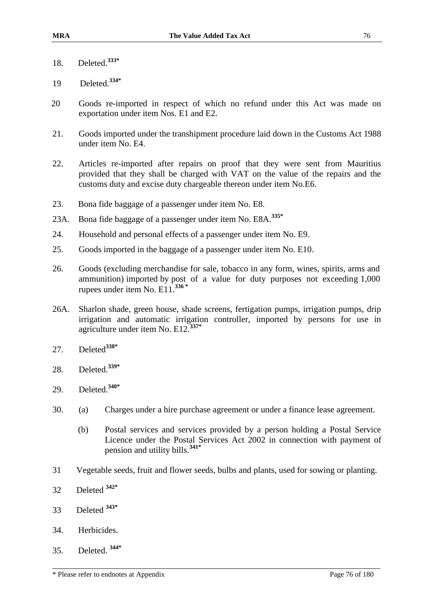- 18. Deleted.**333\***
- 19 Deleted.**334\***
- 20 Goods re-imported in respect of which no refund under this Act was made on exportation under item Nos. E1 and E2.
- 21. Goods imported under the transhipment procedure laid down in the Customs Act 1988 under item No. E4.
- 22. Articles re-imported after repairs on proof that they were sent from Mauritius provided that they shall be charged with VAT on the value of the repairs and the customs duty and excise duty chargeable thereon under item No.E6.
- 23. Bona fide baggage of a passenger under item No. E8.
- 23A. Bona fide baggage of a passenger under item No. E8A. **335\***
- 24. Household and personal effects of a passenger under item No. E9.
- 25. Goods imported in the baggage of a passenger under item No. E10.
- 26. Goods (excluding merchandise for sale, tobacco in any form, wines, spirits, arms and ammunition) imported by post of a value for duty purposes not exceeding 1,000 rupees under item No. E11.**<sup>336</sup> \***
- 26A. Sharlon shade, green house, shade screens, fertigation pumps, irrigation pumps, drip irrigation and automatic irrigation controller, imported by persons for use in agriculture under item No. E12.**337\***
- 27. Deleted**338\***
- 28. Deleted.**339\***
- 29. Deleted.**340\***
- 30. (a) Charges under a hire purchase agreement or under a finance lease agreement.
	- (b) Postal services and services provided by a person holding a Postal Service Licence under the Postal Services Act 2002 in connection with payment of pension and utility bills.**341\***
- 31 Vegetable seeds, fruit and flower seeds, bulbs and plants, used for sowing or planting.
- 32 Deleted **342\***
- 33 Deleted **343\***
- 34. Herbicides.
- 35. Deleted. **344\***

<sup>\*</sup> Please refer to endnotes at Appendix Page 76 of 180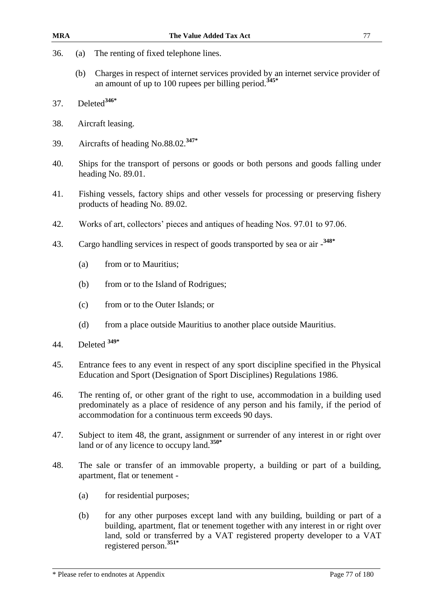- 36. (a) The renting of fixed telephone lines.
	- (b) Charges in respect of internet services provided by an internet service provider of an amount of up to 100 rupees per billing period.**345\***
- 37. Deleted**346\***
- 38. Aircraft leasing.
- 39. Aircrafts of heading No.88.02.**347\***
- 40. Ships for the transport of persons or goods or both persons and goods falling under heading No. 89.01.
- 41. Fishing vessels, factory ships and other vessels for processing or preserving fishery products of heading No. 89.02.
- 42. Works of art, collectors' pieces and antiques of heading Nos. 97.01 to 97.06.
- 43. Cargo handling services in respect of goods transported by sea or air **348\***
	- (a) from or to Mauritius;
	- (b) from or to the Island of Rodrigues;
	- (c) from or to the Outer Islands; or
	- (d) from a place outside Mauritius to another place outside Mauritius.
- 44. Deleted **349\***
- 45. Entrance fees to any event in respect of any sport discipline specified in the Physical Education and Sport (Designation of Sport Disciplines) Regulations 1986.
- 46. The renting of, or other grant of the right to use, accommodation in a building used predominately as a place of residence of any person and his family, if the period of accommodation for a continuous term exceeds 90 days.
- 47. Subject to item 48, the grant, assignment or surrender of any interest in or right over land or of any licence to occupy land.**350\***
- 48. The sale or transfer of an immovable property, a building or part of a building, apartment, flat or tenement -
	- (a) for residential purposes;
	- (b) for any other purposes except land with any building, building or part of a building, apartment, flat or tenement together with any interest in or right over land, sold or transferred by a VAT registered property developer to a VAT registered person.**351\***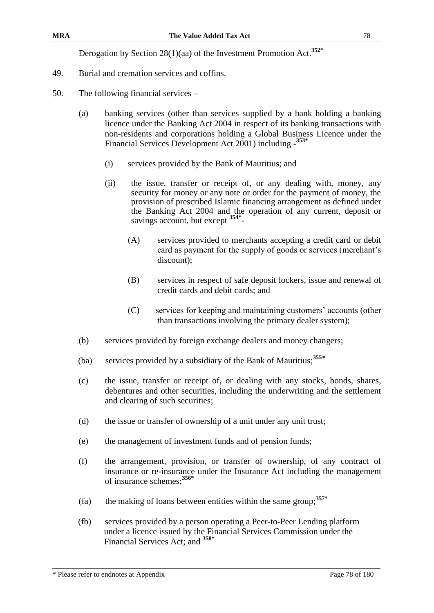- 49. Burial and cremation services and coffins.
- 50. The following financial services
	- (a) banking services (other than services supplied by a bank holding a banking licence under the Banking Act 2004 in respect of its banking transactions with non-residents and corporations holding a Global Business Licence under the Financial Services Development Act 2001) including - **353\***
		- (i) services provided by the Bank of Mauritius; and
		- (ii) the issue, transfer or receipt of, or any dealing with, money, any security for money or any note or order for the payment of money, the provision of prescribed Islamic financing arrangement as defined under the Banking Act 2004 and the operation of any current, deposit or savings account, but except **354\*** -
			- (A) services provided to merchants accepting a credit card or debit card as payment for the supply of goods or services (merchant's discount);
			- (B) services in respect of safe deposit lockers, issue and renewal of credit cards and debit cards; and
			- (C) services for keeping and maintaining customers' accounts (other than transactions involving the primary dealer system);
	- (b) services provided by foreign exchange dealers and money changers;
	- (ba) services provided by a subsidiary of the Bank of Mauritius;**<sup>355</sup>\***
	- (c) the issue, transfer or receipt of, or dealing with any stocks, bonds, shares, debentures and other securities, including the underwriting and the settlement and clearing of such securities;
	- (d) the issue or transfer of ownership of a unit under any unit trust;
	- (e) the management of investment funds and of pension funds;
	- (f) the arrangement, provision, or transfer of ownership, of any contract of insurance or re-insurance under the Insurance Act including the management of insurance schemes; **356\***
	- (fa) the making of loans between entities within the same group;**357\***
	- (fb) services provided by a person operating a Peer-to-Peer Lending platform under a licence issued by the Financial Services Commission under the Financial Services Act; and **358\***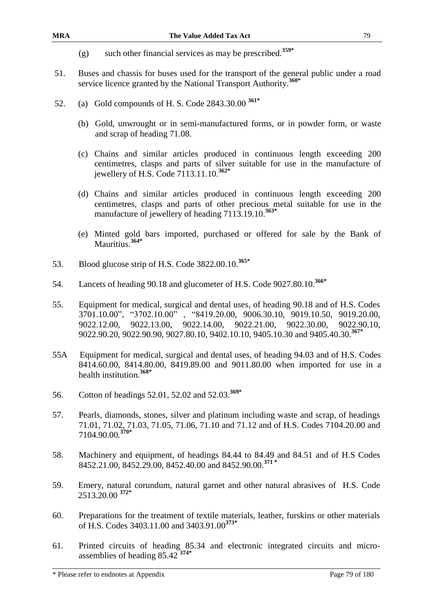- (g) such other financial services as may be prescribed.**359\***
- 51. Buses and chassis for buses used for the transport of the general public under a road service licence granted by the National Transport Authority. **360\***
- 52. (a) Gold compounds of H. S. Code 2843.30.00 **361\*** 
	- (b) Gold, unwrought or in semi-manufactured forms, or in powder form, or waste and scrap of heading 71.08.
	- (c) Chains and similar articles produced in continuous length exceeding 200 centimetres, clasps and parts of silver suitable for use in the manufacture of jewellery of H.S. Code 7113.11.10. **362\***
	- (d) Chains and similar articles produced in continuous length exceeding 200 centimetres, clasps and parts of other precious metal suitable for use in the manufacture of jewellery of heading 7113.19.10.**363\***
	- (e) Minted gold bars imported, purchased or offered for sale by the Bank of Mauritius.**364\***
- 53. Blood glucose strip of H.S. Code 3822.00.10. **365\***
- 54. Lancets of heading 90.18 and glucometer of H.S. Code 9027.80.10. **366\***
- 55. Equipment for medical, surgical and dental uses, of heading 90.18 and of H.S. Codes 3701.10.00", "3702.10.00" , "8419.20.00, 9006.30.10, 9019.10.50, 9019.20.00, 9022.12.00, 9022.13.00, 9022.14.00, 9022.21.00, 9022.30.00, 9022.90.10, 9022.90.20, 9022.90.90, 9027.80.10, 9402.10.10, 9405.10.30 and 9405.40.30. **367\***
- 55A Equipment for medical, surgical and dental uses, of heading 94.03 and of H.S. Codes 8414.60.00, 8414.80.00, 8419.89.00 and 9011.80.00 when imported for use in a health institution.**368\***
- 56. Cotton of headings 52.01, 52.02 and 52.03.**369\***
- 57. Pearls, diamonds, stones, silver and platinum including waste and scrap, of headings 71.01, 71.02, 71.03, 71.05, 71.06, 71.10 and 71.12 and of H.S. Codes 7104.20.00 and 7104.90.00. **370\***
- 58. Machinery and equipment, of headings 84.44 to 84.49 and 84.51 and of H.S Codes 8452.21.00, 8452.29.00, 8452.40.00 and 8452.90.00. **371 \***
- 59. Emery, natural corundum, natural garnet and other natural abrasives of H.S. Code 2513.20.00 **372\***
- 60. Preparations for the treatment of textile materials, leather, furskins or other materials of H.S. Codes 3403.11.00 and 3403.91.00**373\***
- 61. Printed circuits of heading 85.34 and electronic integrated circuits and microassemblies of heading 85.42 **374\***

\* Please refer to endnotes at Appendix Page 79 of 180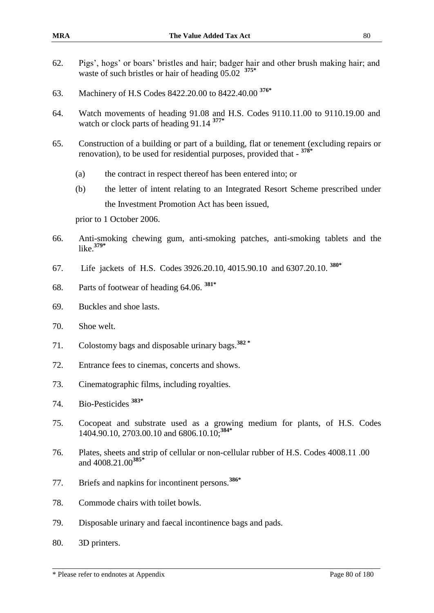- 62. Pigs', hogs' or boars' bristles and hair; badger hair and other brush making hair; and waste of such bristles or hair of heading 05.02 **375\***
- 63. Machinery of H.S Codes 8422.20.00 to 8422.40.00 **376\***
- 64. Watch movements of heading 91.08 and H.S. Codes 9110.11.00 to 9110.19.00 and watch or clock parts of heading 91.14 **377\***
- 65. Construction of a building or part of a building, flat or tenement (excluding repairs or renovation), to be used for residential purposes, provided that - **378\***
	- (a) the contract in respect thereof has been entered into; or
	- (b) the letter of intent relating to an Integrated Resort Scheme prescribed under the Investment Promotion Act has been issued,

prior to 1 October 2006.

- 66. Anti-smoking chewing gum, anti-smoking patches, anti-smoking tablets and the like. **379\***
- 67. Life jackets of H.S. Codes 3926.20.10, 4015.90.10 and 6307.20.10. **380\***
- 68. Parts of footwear of heading 64.06. **381\***
- 69. Buckles and shoe lasts.
- 70. Shoe welt.
- 71. Colostomy bags and disposable urinary bags.**<sup>382</sup> \***
- 72. Entrance fees to cinemas, concerts and shows.
- 73. Cinematographic films, including royalties.
- 74. Bio-Pesticides **383\***
- 75. Cocopeat and substrate used as a growing medium for plants, of H.S. Codes 1404.90.10, 2703.00.10 and 6806.10.10; **384\***
- 76. Plates, sheets and strip of cellular or non-cellular rubber of H.S. Codes 4008.11 .00 and 4008.21.00**385\***
- 77. Briefs and napkins for incontinent persons.**386\***
- 78. Commode chairs with toilet bowls.
- 79. Disposable urinary and faecal incontinence bags and pads.
- 80. 3D printers.

\* Please refer to endnotes at Appendix Page 80 of 180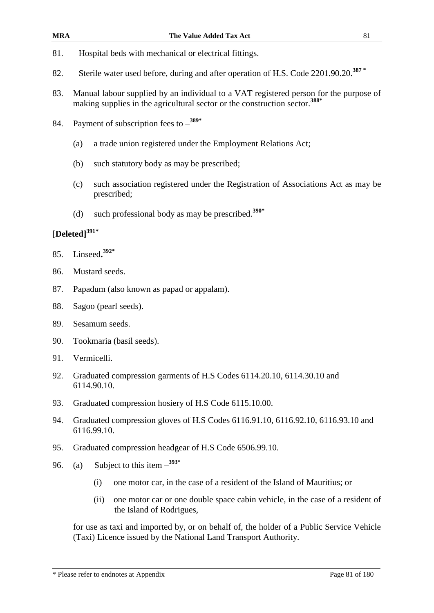- 81. Hospital beds with mechanical or electrical fittings.
- 82. Sterile water used before, during and after operation of H.S. Code 2201.90.20.**<sup>387</sup> \***
- 83. Manual labour supplied by an individual to a VAT registered person for the purpose of making supplies in the agricultural sector or the construction sector.**388\***
- 84. Payment of subscription fees to **389\***
	- (a) a trade union registered under the Employment Relations Act;
	- (b) such statutory body as may be prescribed;
	- (c) such association registered under the Registration of Associations Act as may be prescribed;
	- (d) such professional body as may be prescribed.**390\***

# [**Deleted] 391\***

- 85. Linseed**. 392\***
- 86. Mustard seeds.
- 87. Papadum (also known as papad or appalam).
- 88. Sagoo (pearl seeds).
- 89. Sesamum seeds.
- 90. Tookmaria (basil seeds).
- 91. Vermicelli.
- 92. Graduated compression garments of H.S Codes 6114.20.10, 6114.30.10 and 6114.90.10.
- 93. Graduated compression hosiery of H.S Code 6115.10.00.
- 94. Graduated compression gloves of H.S Codes 6116.91.10, 6116.92.10, 6116.93.10 and 6116.99.10.
- 95. Graduated compression headgear of H.S Code 6506.99.10.
- 96. (a) Subject to this item  $-$ <sup>393\*</sup>
	- (i) one motor car, in the case of a resident of the Island of Mauritius; or
	- (ii) one motor car or one double space cabin vehicle, in the case of a resident of the Island of Rodrigues,

for use as taxi and imported by, or on behalf of, the holder of a Public Service Vehicle (Taxi) Licence issued by the National Land Transport Authority.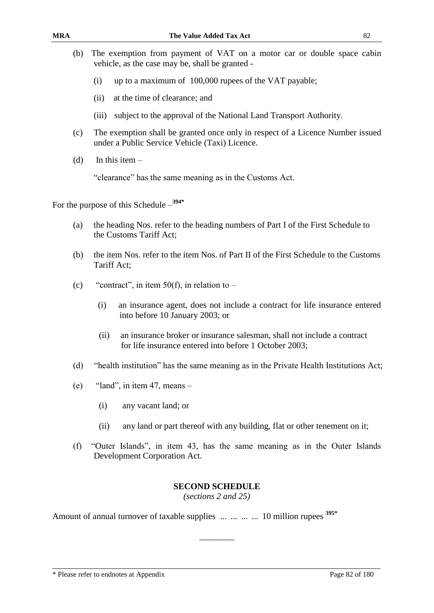- (b) The exemption from payment of VAT on a motor car or double space cabin vehicle, as the case may be, shall be granted -
	- (i) up to a maximum of 100,000 rupees of the VAT payable;
	- (ii) at the time of clearance; and
	- (iii) subject to the approval of the National Land Transport Authority.
- (c) The exemption shall be granted once only in respect of a Licence Number issued under a Public Service Vehicle (Taxi) Licence.
- (d) In this item  $-$

"clearance" has the same meaning as in the Customs Act.

For the purpose of this Schedule – **394\***

- (a) the heading Nos. refer to the heading numbers of Part I of the First Schedule to the Customs Tariff Act;
- (b) the item Nos. refer to the item Nos. of Part II of the First Schedule to the Customs Tariff Act;
- (c) "contract", in item  $50(f)$ , in relation to
	- (i) an insurance agent, does not include a contract for life insurance entered into before 10 January 2003; or
	- (ii) an insurance broker or insurance salesman, shall not include a contract for life insurance entered into before 1 October 2003;
- (d) "health institution" has the same meaning as in the Private Health Institutions Act;
- (e) "land", in item 47, means
	- (i) any vacant land; or
	- (ii) any land or part thereof with any building, flat or other tenement on it;
- (f) "Outer Islands", in item 43, has the same meaning as in the Outer Islands Development Corporation Act.

#### **SECOND SCHEDULE**

*(sections 2 and 25)*

 $\overline{\phantom{a}}$  ,  $\overline{\phantom{a}}$  ,  $\overline{\phantom{a}}$  ,  $\overline{\phantom{a}}$  ,  $\overline{\phantom{a}}$  ,  $\overline{\phantom{a}}$  ,  $\overline{\phantom{a}}$  ,  $\overline{\phantom{a}}$  ,  $\overline{\phantom{a}}$  ,  $\overline{\phantom{a}}$  ,  $\overline{\phantom{a}}$  ,  $\overline{\phantom{a}}$  ,  $\overline{\phantom{a}}$  ,  $\overline{\phantom{a}}$  ,  $\overline{\phantom{a}}$  ,  $\overline{\phantom{a}}$ 

Amount of annual turnover of taxable supplies ... ... ... ... 10 million rupees **395\***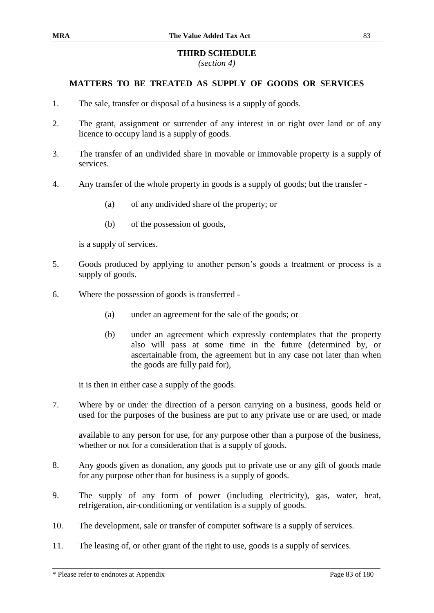#### **THIRD SCHEDULE**

*(section 4)*

#### **MATTERS TO BE TREATED AS SUPPLY OF GOODS OR SERVICES**

- 1. The sale, transfer or disposal of a business is a supply of goods.
- 2. The grant, assignment or surrender of any interest in or right over land or of any licence to occupy land is a supply of goods.
- 3. The transfer of an undivided share in movable or immovable property is a supply of services.
- 4. Any transfer of the whole property in goods is a supply of goods; but the transfer
	- (a) of any undivided share of the property; or
	- (b) of the possession of goods,

is a supply of services.

- 5. Goods produced by applying to another person's goods a treatment or process is a supply of goods.
- 6. Where the possession of goods is transferred
	- (a) under an agreement for the sale of the goods; or
	- (b) under an agreement which expressly contemplates that the property also will pass at some time in the future (determined by, or ascertainable from, the agreement but in any case not later than when the goods are fully paid for),

it is then in either case a supply of the goods.

7. Where by or under the direction of a person carrying on a business, goods held or used for the purposes of the business are put to any private use or are used, or made

available to any person for use, for any purpose other than a purpose of the business, whether or not for a consideration that is a supply of goods.

- 8. Any goods given as donation, any goods put to private use or any gift of goods made for any purpose other than for business is a supply of goods.
- 9. The supply of any form of power (including electricity), gas, water, heat, refrigeration, air-conditioning or ventilation is a supply of goods.
- 10. The development, sale or transfer of computer software is a supply of services.
- 11. The leasing of, or other grant of the right to use, goods is a supply of services.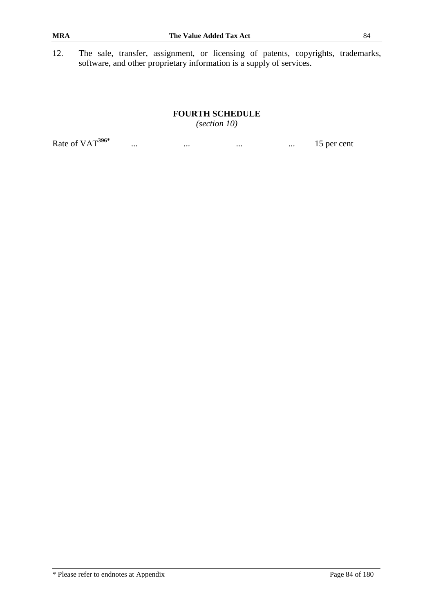12. The sale, transfer, assignment, or licensing of patents, copyrights, trademarks, software, and other proprietary information is a supply of services.

> **FOURTH SCHEDULE** *(section 10)*

... ... ... ... ... ... ... ... ... 15 per cent

Rate of VAT**396\***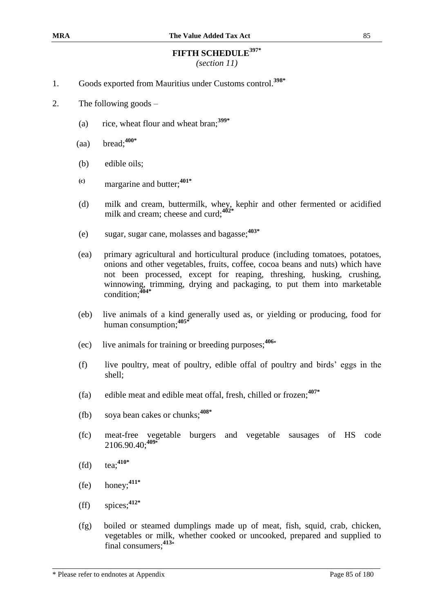# **FIFTH SCHEDULE397\***

*(section 11)*

- 1. Goods exported from Mauritius under Customs control.**398\***
- 2. The following goods
	- (a) rice, wheat flour and wheat bran;**399\***
	- (aa) bread;**400\***
	- (b) edible oils;
	- **(c)** margarine and butter;**401\***
	- (d) milk and cream, buttermilk, whey, kephir and other fermented or acidified milk and cream; cheese and curd;**402\***
	- (e) sugar, sugar cane, molasses and bagasse; **403\***
	- (ea) primary agricultural and horticultural produce (including tomatoes, potatoes, onions and other vegetables, fruits, coffee, cocoa beans and nuts) which have not been processed, except for reaping, threshing, husking, crushing, winnowing, trimming, drying and packaging, to put them into marketable condition;**404\***
	- (eb) live animals of a kind generally used as, or yielding or producing, food for human consumption; **405\***
	- (ec) live animals for training or breeding purposes;**<sup>406</sup>\***
	- (f) live poultry, meat of poultry, edible offal of poultry and birds' eggs in the shell;
	- (fa) edible meat and edible meat offal, fresh, chilled or frozen;**407\***
	- (fb) soya bean cakes or chunks;**408\***
	- (fc) meat-free vegetable burgers and vegetable sausages of HS code 2106.90.40; **409\***
	- (fd) tea;**410\***
	- (fe) honey;**411\***
	- (ff) spices; **412\***
	- (fg) boiled or steamed dumplings made up of meat, fish, squid, crab, chicken, vegetables or milk, whether cooked or uncooked, prepared and supplied to final consumers;**<sup>413</sup>\***

\* Please refer to endnotes at Appendix Page 85 of 180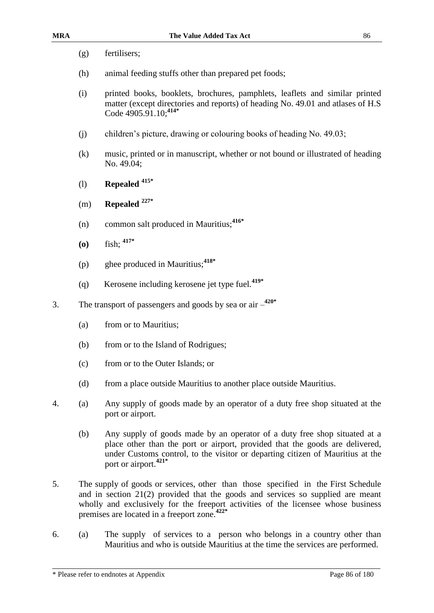| (g) | fertilisers; |
|-----|--------------|
|     |              |

- (h) animal feeding stuffs other than prepared pet foods;
- (i) printed books, booklets, brochures, pamphlets, leaflets and similar printed matter (except directories and reports) of heading No. 49.01 and atlases of H.S Code 4905.91.10; **414\***
- (j) children's picture, drawing or colouring books of heading No. 49.03;
- (k) music, printed or in manuscript, whether or not bound or illustrated of heading No. 49.04;
- (l) **Repealed 415\***
- (m) **Repealed 227\***
- (n) common salt produced in Mauritius;**416\***
- **(o)** fish; **417\***
- (p) ghee produced in Mauritius;**418\***
- (q) Kerosene including kerosene jet type fuel.**419\***
- 3. The transport of passengers and goods by sea or air **420\***
	- (a) from or to Mauritius;
	- (b) from or to the Island of Rodrigues;
	- (c) from or to the Outer Islands; or
	- (d) from a place outside Mauritius to another place outside Mauritius.
- 4. (a) Any supply of goods made by an operator of a duty free shop situated at the port or airport.
	- (b) Any supply of goods made by an operator of a duty free shop situated at a place other than the port or airport, provided that the goods are delivered, under Customs control, to the visitor or departing citizen of Mauritius at the port or airport.**421\***
- 5. The supply of goods or services, other than those specified in the First Schedule and in section 21(2) provided that the goods and services so supplied are meant wholly and exclusively for the freeport activities of the licensee whose business premises are located in a freeport zone.**422\***
- 6. (a) The supply of services to a person who belongs in a country other than Mauritius and who is outside Mauritius at the time the services are performed.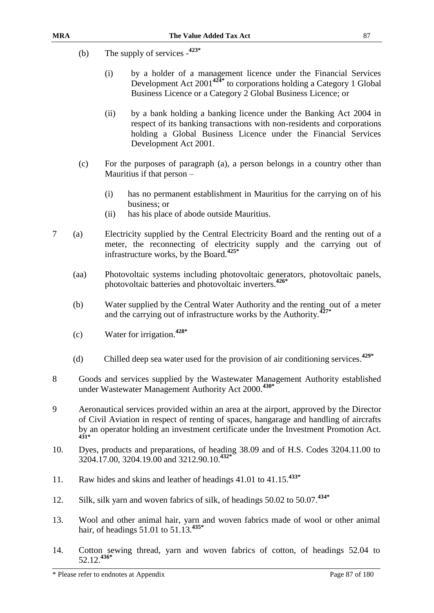- (b) The supply of services **423\***
	- (i) by a holder of a management licence under the Financial Services Development Act 2001**424\*** to corporations holding a Category 1 Global Business Licence or a Category 2 Global Business Licence; or
	- (ii) by a bank holding a banking licence under the Banking Act 2004 in respect of its banking transactions with non-residents and corporations holding a Global Business Licence under the Financial Services Development Act 2001.
- (c) For the purposes of paragraph (a), a person belongs in a country other than Mauritius if that person –
	- (i) has no permanent establishment in Mauritius for the carrying on of his business; or
	- (ii) has his place of abode outside Mauritius.
- 7 (a) Electricity supplied by the Central Electricity Board and the renting out of a meter, the reconnecting of electricity supply and the carrying out of infrastructure works, by the Board.**425\***
	- (aa) Photovoltaic systems including photovoltaic generators, photovoltaic panels, photovoltaic batteries and photovoltaic inverters.**426\***
	- (b) Water supplied by the Central Water Authority and the renting out of a meter and the carrying out of infrastructure works by the Authority.**427\***
	- (c) Water for irrigation.**428\***
	- (d) Chilled deep sea water used for the provision of air conditioning services.**429\***
- 8 Goods and services supplied by the Wastewater Management Authority established under Wastewater Management Authority Act 2000.**430\***
- 9 Aeronautical services provided within an area at the airport, approved by the Director of Civil Aviation in respect of renting of spaces, hangarage and handling of aircrafts by an operator holding an investment certificate under the Investment Promotion Act. **431\***
- 10. Dyes, products and preparations, of heading 38.09 and of H.S. Codes 3204.11.00 to 3204.17.00, 3204.19.00 and 3212.90.10. **432\***
- 11. Raw hides and skins and leather of headings 41.01 to 41.15.**433\***
- 12. Silk, silk yarn and woven fabrics of silk, of headings 50.02 to 50.07.**434\***
- 13. Wool and other animal hair, yarn and woven fabrics made of wool or other animal hair, of headings 51.01 to 51.13.**435\***
- 14. Cotton sewing thread, yarn and woven fabrics of cotton, of headings 52.04 to 52.12.**436\***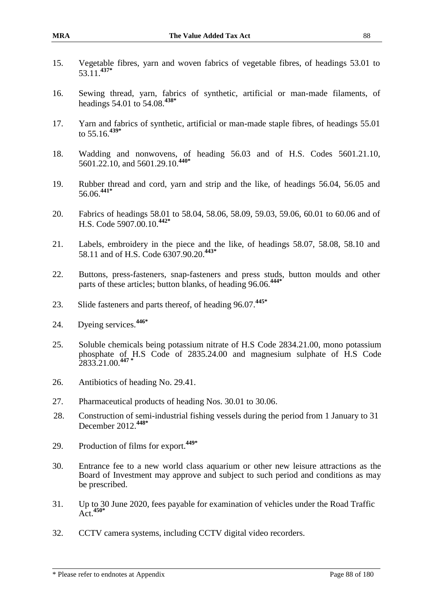- 15. Vegetable fibres, yarn and woven fabrics of vegetable fibres, of headings 53.01 to 53.11.**437\***
- 16. Sewing thread, yarn, fabrics of synthetic, artificial or man-made filaments, of headings 54.01 to 54.08.**438\***
- 17. Yarn and fabrics of synthetic, artificial or man-made staple fibres, of headings 55.01 to 55.16.**439\***
- 18. Wadding and nonwovens, of heading 56.03 and of H.S. Codes 5601.21.10, 5601.22.10, and 5601.29.10. **440\***
- 19. Rubber thread and cord, yarn and strip and the like, of headings 56.04, 56.05 and 56.06.**441\***
- 20. Fabrics of headings 58.01 to 58.04, 58.06, 58.09, 59.03, 59.06, 60.01 to 60.06 and of H.S. Code 5907.00.10. **442\***
- 21. Labels, embroidery in the piece and the like, of headings 58.07, 58.08, 58.10 and 58.11 and of H.S. Code 6307.90.20. **443\***
- 22. Buttons, press-fasteners, snap-fasteners and press studs, button moulds and other parts of these articles; button blanks, of heading 96.06.**444\***
- 23. Slide fasteners and parts thereof, of heading 96.07.**445\***
- 24. Dyeing services.**446\***
- 25. Soluble chemicals being potassium nitrate of H.S Code 2834.21.00, mono potassium phosphate of H.S Code of 2835.24.00 and magnesium sulphate of H.S Code 2833.21.00. **447 \***
- 26. Antibiotics of heading No. 29.41.
- 27. Pharmaceutical products of heading Nos. 30.01 to 30.06.
- 28. Construction of semi-industrial fishing vessels during the period from 1 January to 31 December 2012.**448\***
- 29. Production of films for export.**449\***
- 30. Entrance fee to a new world class aquarium or other new leisure attractions as the Board of Investment may approve and subject to such period and conditions as may be prescribed.
- 31. Up to 30 June 2020, fees payable for examination of vehicles under the Road Traffic Act.**450\***
- 32. CCTV camera systems, including CCTV digital video recorders.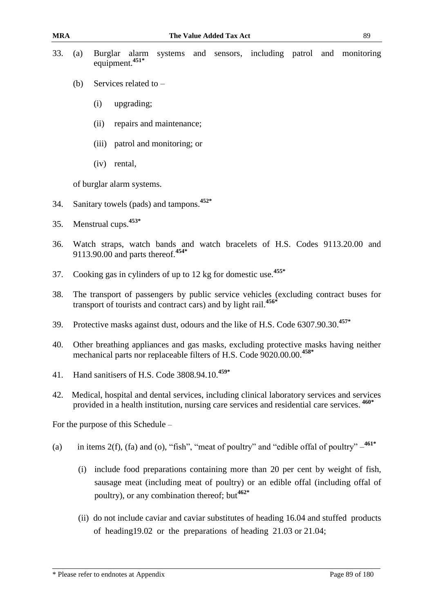| 33. | (a)                                                                                                                                                                                       | Burglar<br>systems and sensors, including patrol and monitoring<br>alarm<br>equipment. <sup>451*</sup>                                                                                                                        |  |  |  |  |  |  |
|-----|-------------------------------------------------------------------------------------------------------------------------------------------------------------------------------------------|-------------------------------------------------------------------------------------------------------------------------------------------------------------------------------------------------------------------------------|--|--|--|--|--|--|
|     | (b)                                                                                                                                                                                       | Services related to -                                                                                                                                                                                                         |  |  |  |  |  |  |
|     |                                                                                                                                                                                           | (i)<br>upgrading;                                                                                                                                                                                                             |  |  |  |  |  |  |
|     |                                                                                                                                                                                           | repairs and maintenance;<br>(ii)                                                                                                                                                                                              |  |  |  |  |  |  |
|     |                                                                                                                                                                                           | (iii) patrol and monitoring; or                                                                                                                                                                                               |  |  |  |  |  |  |
|     |                                                                                                                                                                                           | (iv)<br>rental,                                                                                                                                                                                                               |  |  |  |  |  |  |
|     |                                                                                                                                                                                           | of burglar alarm systems.                                                                                                                                                                                                     |  |  |  |  |  |  |
| 34. |                                                                                                                                                                                           | Sanitary towels (pads) and tampons. <sup>452*</sup>                                                                                                                                                                           |  |  |  |  |  |  |
| 35. |                                                                                                                                                                                           | Menstrual cups. <sup>453*</sup>                                                                                                                                                                                               |  |  |  |  |  |  |
| 36. |                                                                                                                                                                                           | Watch straps, watch bands and watch bracelets of H.S. Codes 9113.20.00 and<br>9113.90.00 and parts thereof. <sup>454*</sup>                                                                                                   |  |  |  |  |  |  |
| 37. |                                                                                                                                                                                           | Cooking gas in cylinders of up to 12 kg for domestic use. <sup>455*</sup>                                                                                                                                                     |  |  |  |  |  |  |
| 38. | The transport of passengers by public service vehicles (excluding contract buses for<br>transport of tourists and contract cars) and by light rail. <sup>456*</sup>                       |                                                                                                                                                                                                                               |  |  |  |  |  |  |
| 39. | Protective masks against dust, odours and the like of H.S. Code 6307.90.30.457*                                                                                                           |                                                                                                                                                                                                                               |  |  |  |  |  |  |
| 40. | Other breathing appliances and gas masks, excluding protective masks having neither<br>mechanical parts nor replaceable filters of H.S. Code 9020.00.00. <sup>458*</sup>                  |                                                                                                                                                                                                                               |  |  |  |  |  |  |
| 41. | Hand sanitisers of H.S. Code 3808.94.10.459*                                                                                                                                              |                                                                                                                                                                                                                               |  |  |  |  |  |  |
| 42. | Medical, hospital and dental services, including clinical laboratory services and services<br>provided in a health institution, nursing care services and residential care services. 460* |                                                                                                                                                                                                                               |  |  |  |  |  |  |
|     | For the purpose of this Schedule –                                                                                                                                                        |                                                                                                                                                                                                                               |  |  |  |  |  |  |
| (a) |                                                                                                                                                                                           | in items 2(f), (fa) and (o), "fish", "meat of poultry" and "edible offal of poultry" $-$ <sup>461*</sup>                                                                                                                      |  |  |  |  |  |  |
|     | (i)                                                                                                                                                                                       | include food preparations containing more than 20 per cent by weight of fish,<br>sausage meat (including meat of poultry) or an edible offal (including offal of<br>poultry), or any combination thereof; but <sup>462*</sup> |  |  |  |  |  |  |
|     |                                                                                                                                                                                           | (ii) do not include caviar and caviar substitutes of heading 16.04 and stuffed products                                                                                                                                       |  |  |  |  |  |  |

(ii) do not include caviar and caviar substitutes of heading 16.04 and stuffed products of heading19.02 or the preparations of heading 21.03 or 21.04;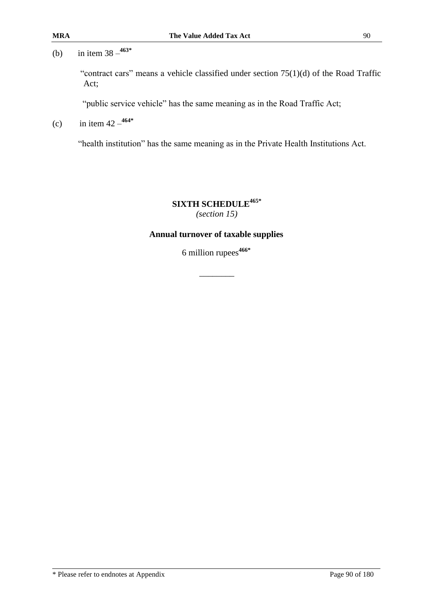"contract cars" means a vehicle classified under section 75(1)(d) of the Road Traffic Act;

"public service vehicle" has the same meaning as in the Road Traffic Act;

(c) in item  $42 - \frac{464*}{4}$ 

"health institution" has the same meaning as in the Private Health Institutions Act.

**SIXTH SCHEDULE465\*** *(section 15)*

#### **Annual turnover of taxable supplies**

6 million rupees**466\***

 $\overline{\phantom{a}}$  ,  $\overline{\phantom{a}}$  ,  $\overline{\phantom{a}}$  ,  $\overline{\phantom{a}}$  ,  $\overline{\phantom{a}}$  ,  $\overline{\phantom{a}}$  ,  $\overline{\phantom{a}}$  ,  $\overline{\phantom{a}}$  ,  $\overline{\phantom{a}}$  ,  $\overline{\phantom{a}}$  ,  $\overline{\phantom{a}}$  ,  $\overline{\phantom{a}}$  ,  $\overline{\phantom{a}}$  ,  $\overline{\phantom{a}}$  ,  $\overline{\phantom{a}}$  ,  $\overline{\phantom{a}}$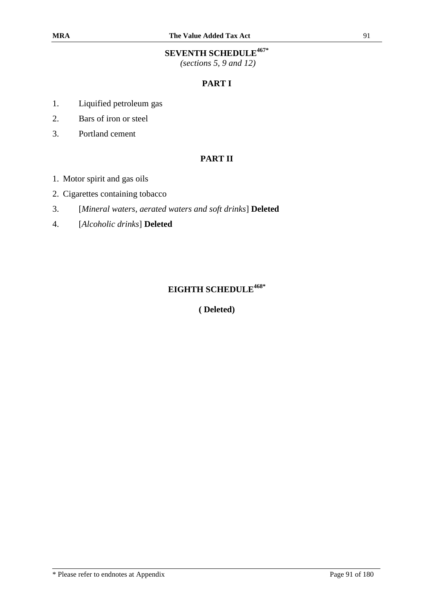# **SEVENTH SCHEDULE467\***

*(sections 5, 9 and 12)*

## **PART I**

- 1. Liquified petroleum gas
- 2. Bars of iron or steel
- 3. Portland cement

### **PART II**

- 1. Motor spirit and gas oils
- 2. Cigarettes containing tobacco
- 3. [*Mineral waters, aerated waters and soft drinks*] **Deleted**
- 4. [*Alcoholic drinks*] **Deleted**

# **EIGHTH SCHEDULE468\***

**( Deleted)**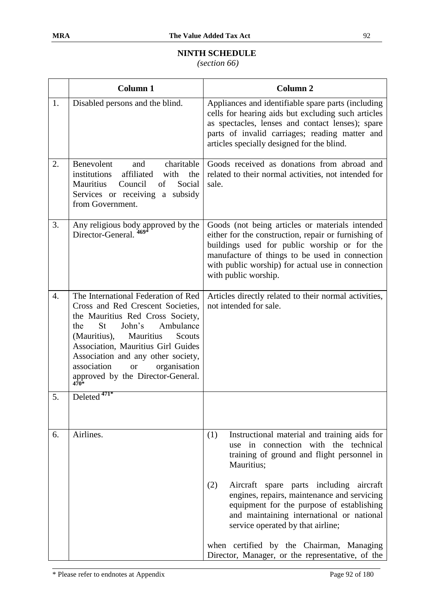# **NINTH SCHEDULE**

*(section 66)*

|                  | <b>Column 1</b>                                                                                                                                                                                                                                                                                                                                             | <b>Column 2</b>                                                                                                                                                                                                                                                                        |
|------------------|-------------------------------------------------------------------------------------------------------------------------------------------------------------------------------------------------------------------------------------------------------------------------------------------------------------------------------------------------------------|----------------------------------------------------------------------------------------------------------------------------------------------------------------------------------------------------------------------------------------------------------------------------------------|
| 1.               | Disabled persons and the blind.                                                                                                                                                                                                                                                                                                                             | Appliances and identifiable spare parts (including<br>cells for hearing aids but excluding such articles<br>as spectacles, lenses and contact lenses); spare<br>parts of invalid carriages; reading matter and<br>articles specially designed for the blind.                           |
| 2.               | Benevolent<br>charitable<br>and<br>institutions<br>affiliated<br>with<br>the<br><b>Mauritius</b><br>Council<br>of<br>Social<br>Services or receiving a subsidy<br>from Government.                                                                                                                                                                          | Goods received as donations from abroad and<br>related to their normal activities, not intended for<br>sale.                                                                                                                                                                           |
| 3.               | Any religious body approved by the<br>Director Conoral $\frac{469^*}{2}$<br>Director-General.                                                                                                                                                                                                                                                               | Goods (not being articles or materials intended<br>either for the construction, repair or furnishing of<br>buildings used for public worship or for the<br>manufacture of things to be used in connection<br>with public worship) for actual use in connection<br>with public worship. |
| $\overline{4}$ . | The International Federation of Red<br>Cross and Red Crescent Societies,<br>the Mauritius Red Cross Society,<br>Ambulance<br><b>St</b><br>John's<br>the<br>(Mauritius),<br>Mauritius<br>Scouts<br>Association, Mauritius Girl Guides<br>Association and any other society,<br>association<br>organisation<br><b>or</b><br>approved by the Director-General. | Articles directly related to their normal activities,<br>not intended for sale.                                                                                                                                                                                                        |
| 5.               | Deleted <sup>471*</sup>                                                                                                                                                                                                                                                                                                                                     |                                                                                                                                                                                                                                                                                        |
| 6.               | Airlines.                                                                                                                                                                                                                                                                                                                                                   | Instructional material and training aids for<br>(1)<br>use in connection with the technical<br>training of ground and flight personnel in<br>Mauritius;                                                                                                                                |
|                  |                                                                                                                                                                                                                                                                                                                                                             | (2)<br>Aircraft spare parts including<br>aircraft<br>engines, repairs, maintenance and servicing<br>equipment for the purpose of establishing<br>and maintaining international or national<br>service operated by that airline;                                                        |
|                  |                                                                                                                                                                                                                                                                                                                                                             | when certified by the Chairman, Managing<br>Director, Manager, or the representative, of the                                                                                                                                                                                           |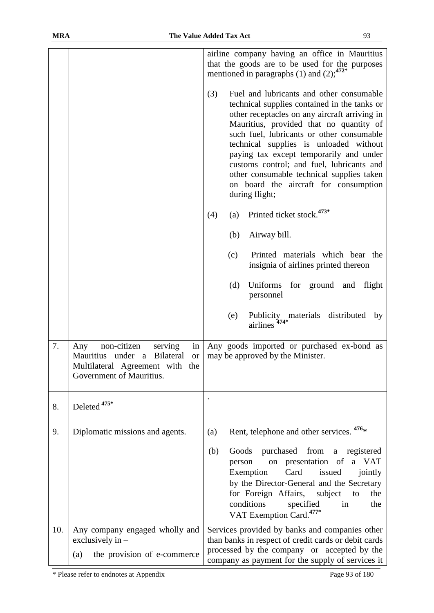|     |                                                                                                                                                   | airline company having an office in Mauritius<br>that the goods are to be used for the purposes<br>mentioned in paragraphs (1) and (2); $472*$                                                                                                                                                                                                                                                                                                                                     |  |  |  |  |
|-----|---------------------------------------------------------------------------------------------------------------------------------------------------|------------------------------------------------------------------------------------------------------------------------------------------------------------------------------------------------------------------------------------------------------------------------------------------------------------------------------------------------------------------------------------------------------------------------------------------------------------------------------------|--|--|--|--|
|     |                                                                                                                                                   | (3)<br>Fuel and lubricants and other consumable<br>technical supplies contained in the tanks or<br>other receptacles on any aircraft arriving in<br>Mauritius, provided that no quantity of<br>such fuel, lubricants or other consumable<br>technical supplies is unloaded without<br>paying tax except temporarily and under<br>customs control; and fuel, lubricants and<br>other consumable technical supplies taken<br>on board the aircraft for consumption<br>during flight; |  |  |  |  |
|     |                                                                                                                                                   | Printed ticket stock. <sup>473*</sup><br>(4)<br>(a)                                                                                                                                                                                                                                                                                                                                                                                                                                |  |  |  |  |
|     |                                                                                                                                                   | Airway bill.<br>(b)                                                                                                                                                                                                                                                                                                                                                                                                                                                                |  |  |  |  |
|     |                                                                                                                                                   | Printed materials which bear the<br>(c)<br>insignia of airlines printed thereon                                                                                                                                                                                                                                                                                                                                                                                                    |  |  |  |  |
|     |                                                                                                                                                   | (d)<br>Uniforms for ground and<br>flight<br>personnel                                                                                                                                                                                                                                                                                                                                                                                                                              |  |  |  |  |
|     |                                                                                                                                                   | distributed<br>(e)<br>Publicity materials<br>by<br>airlines <sup>474*</sup>                                                                                                                                                                                                                                                                                                                                                                                                        |  |  |  |  |
| 7.  | non-citizen<br>in<br>Any<br>serving<br>Mauritius under a Bilateral<br><b>or</b><br>Multilateral Agreement with<br>the<br>Government of Mauritius. | Any goods imported or purchased ex-bond as<br>may be approved by the Minister.                                                                                                                                                                                                                                                                                                                                                                                                     |  |  |  |  |
| 8.  | Deleted <sup>475*</sup>                                                                                                                           |                                                                                                                                                                                                                                                                                                                                                                                                                                                                                    |  |  |  |  |
| 9.  | Diplomatic missions and agents.                                                                                                                   | Rent, telephone and other services. <sup>476</sup> *<br>(a)                                                                                                                                                                                                                                                                                                                                                                                                                        |  |  |  |  |
|     |                                                                                                                                                   | purchased from<br>Goods<br>(b)<br>registered<br>a<br>on presentation of a VAT<br>person<br>Card<br>issued<br>Exemption<br>jointly<br>by the Director-General and the Secretary<br>for Foreign Affairs,<br>subject<br>the<br>to<br>conditions<br>specified<br>in<br>the<br>VAT Exemption Card. <sup>477*</sup>                                                                                                                                                                      |  |  |  |  |
| 10. | Any company engaged wholly and<br>exclusively in -<br>the provision of e-commerce<br>(a)                                                          | Services provided by banks and companies other<br>than banks in respect of credit cards or debit cards<br>processed by the company or accepted by the<br>company as payment for the supply of services it                                                                                                                                                                                                                                                                          |  |  |  |  |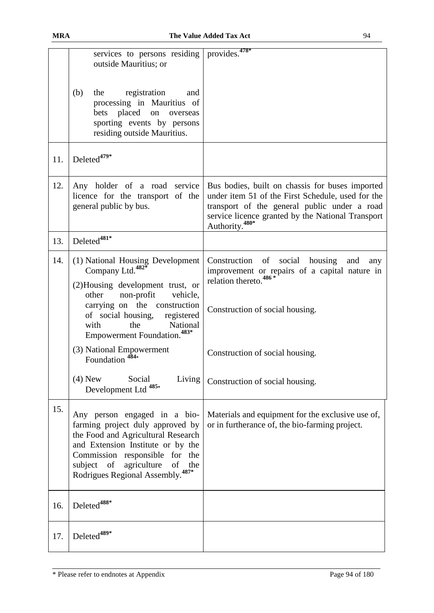|     | services to persons residing provides. <sup>478*</sup><br>outside Mauritius; or                                                                                                                                                                                                                                                                                      |                                                                                                                                                                                                                                         |
|-----|----------------------------------------------------------------------------------------------------------------------------------------------------------------------------------------------------------------------------------------------------------------------------------------------------------------------------------------------------------------------|-----------------------------------------------------------------------------------------------------------------------------------------------------------------------------------------------------------------------------------------|
|     | (b)<br>the<br>registration<br>and<br>processing in Mauritius of<br>bets placed on overseas<br>sporting events by persons<br>residing outside Mauritius.                                                                                                                                                                                                              |                                                                                                                                                                                                                                         |
| 11. | Deleted <sup>479*</sup>                                                                                                                                                                                                                                                                                                                                              |                                                                                                                                                                                                                                         |
| 12. | Any holder of a road service<br>licence for the transport of the<br>general public by bus.                                                                                                                                                                                                                                                                           | Bus bodies, built on chassis for buses imported<br>under item 51 of the First Schedule, used for the<br>transport of the general public under a road<br>service licence granted by the National Transport<br>Authority. <sup>480*</sup> |
| 13. | Deleted <sup>481*</sup>                                                                                                                                                                                                                                                                                                                                              |                                                                                                                                                                                                                                         |
| 14. | (1) National Housing Development<br>Company Ltd. <sup>482*</sup><br>(2) Housing development trust, or<br>non-profit<br>other<br>vehicle,<br>carrying on the construction<br>of social housing,<br>registered<br>the<br>National<br>with<br>Empowerment Foundation. <sup>483*</sup><br>(3) National Empowerment<br>Foundation $484*$<br>$(4)$ New<br>Social<br>Living | social housing<br>Construction of<br>and<br>any<br>improvement or repairs of a capital nature in relation thereto. <sup>486*</sup><br>Construction of social housing.<br>Construction of social housing.                                |
|     | Development Ltd <sup>485*</sup>                                                                                                                                                                                                                                                                                                                                      | Construction of social housing.                                                                                                                                                                                                         |
| 15. | Any person engaged in a bio-<br>farming project duly approved by<br>the Food and Agricultural Research<br>and Extension Institute or by the<br>Commission responsible for the<br>subject<br>of<br>agriculture<br>of<br>the<br>Rodrigues Regional Assembly. <sup>487*</sup>                                                                                           | Materials and equipment for the exclusive use of,<br>or in furtherance of, the bio-farming project.                                                                                                                                     |
| 16. | Deleted <sup>488*</sup>                                                                                                                                                                                                                                                                                                                                              |                                                                                                                                                                                                                                         |
| 17. | Deleted <sup>489*</sup>                                                                                                                                                                                                                                                                                                                                              |                                                                                                                                                                                                                                         |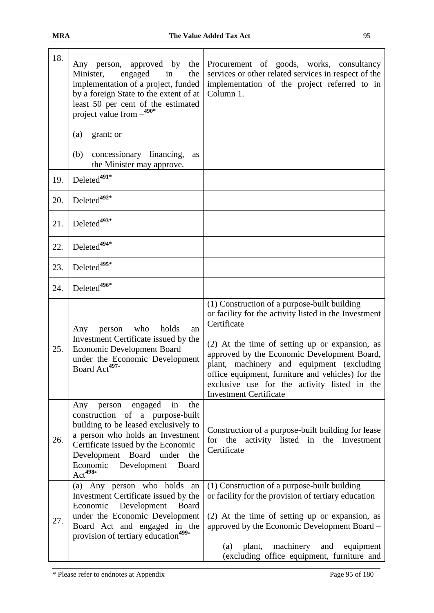| 18. | Any person, approved by the<br>engaged<br>Minister,<br>the<br>in<br>implementation of a project, funded<br>by a foreign State to the extent of at<br>least 50 per cent of the estimated<br>project value from $-$ <sup>490*</sup>                                                              | Procurement of goods, works, consultancy<br>services or other related services in respect of the<br>implementation of the project referred to in<br>Column 1.                                                                                                                                                                                                                                            |
|-----|------------------------------------------------------------------------------------------------------------------------------------------------------------------------------------------------------------------------------------------------------------------------------------------------|----------------------------------------------------------------------------------------------------------------------------------------------------------------------------------------------------------------------------------------------------------------------------------------------------------------------------------------------------------------------------------------------------------|
|     | grant; or<br>(a)                                                                                                                                                                                                                                                                               |                                                                                                                                                                                                                                                                                                                                                                                                          |
|     | concessionary financing,<br>(b)<br>as<br>the Minister may approve.                                                                                                                                                                                                                             |                                                                                                                                                                                                                                                                                                                                                                                                          |
| 19. | Deleted <sup>491*</sup>                                                                                                                                                                                                                                                                        |                                                                                                                                                                                                                                                                                                                                                                                                          |
| 20. | Deleted <sup>492*</sup>                                                                                                                                                                                                                                                                        |                                                                                                                                                                                                                                                                                                                                                                                                          |
| 21. | Deleted <sup>493*</sup>                                                                                                                                                                                                                                                                        |                                                                                                                                                                                                                                                                                                                                                                                                          |
| 22. | Deleted <sup>494*</sup>                                                                                                                                                                                                                                                                        |                                                                                                                                                                                                                                                                                                                                                                                                          |
| 23. | Deleted <sup>495*</sup>                                                                                                                                                                                                                                                                        |                                                                                                                                                                                                                                                                                                                                                                                                          |
| 24. | Deleted <sup>496*</sup>                                                                                                                                                                                                                                                                        |                                                                                                                                                                                                                                                                                                                                                                                                          |
| 25. | holds<br>who<br>Any<br>person<br>an<br>Investment Certificate issued by the<br><b>Economic Development Board</b><br>under the Economic Development<br>Board Act <sup>497*</sup>                                                                                                                | (1) Construction of a purpose-built building<br>or facility for the activity listed in the Investment<br>Certificate<br>(2) At the time of setting up or expansion, as<br>approved by the Economic Development Board,<br>plant, machinery and equipment (excluding<br>office equipment, furniture and vehicles) for the<br>exclusive use for the activity listed in the<br><b>Investment Certificate</b> |
| 26. | engaged<br>in<br>the<br>Any<br>person<br>construction of a purpose-built<br>building to be leased exclusively to<br>a person who holds an Investment<br>Certificate issued by the Economic<br>Development Board<br>under<br>the<br>Economic Development<br><b>Board</b><br>$\text{Act}^{498*}$ | Construction of a purpose-built building for lease<br>for the activity listed in the Investment<br>Certificate                                                                                                                                                                                                                                                                                           |
| 27. | (a) Any person who holds an<br>Investment Certificate issued by the<br>Economic Development<br>Board<br>under the Economic Development<br>Board Act and engaged in the<br>provision of tertiary education <sup>499*</sup>                                                                      | (1) Construction of a purpose-built building<br>or facility for the provision of tertiary education<br>(2) At the time of setting up or expansion, as<br>approved by the Economic Development Board -<br>machinery<br>plant,<br>and<br>(a)<br>equipment<br>(excluding office equipment, furniture and                                                                                                    |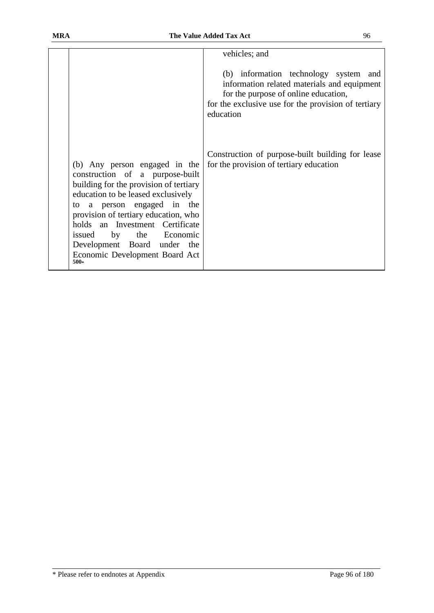|                      |                                                                                                                                                                                                                                                                                                                                               | vehicles; and                                                                                                                                                                                    |
|----------------------|-----------------------------------------------------------------------------------------------------------------------------------------------------------------------------------------------------------------------------------------------------------------------------------------------------------------------------------------------|--------------------------------------------------------------------------------------------------------------------------------------------------------------------------------------------------|
|                      |                                                                                                                                                                                                                                                                                                                                               | (b) information technology system and<br>information related materials and equipment<br>for the purpose of online education,<br>for the exclusive use for the provision of tertiary<br>education |
| to<br>issued<br>500* | (b) Any person engaged in the<br>construction of a purpose-built<br>building for the provision of tertiary<br>education to be leased exclusively<br>a person engaged in the<br>provision of tertiary education, who<br>holds an Investment Certificate<br>by<br>the Economic<br>Development Board under the<br>Economic Development Board Act | Construction of purpose-built building for lease<br>for the provision of tertiary education                                                                                                      |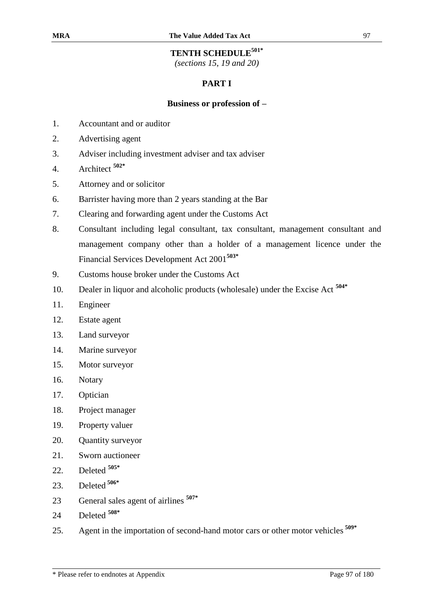# **TENTH SCHEDULE501\***

*(sections 15, 19 and 20)*

### **PART I**

#### **Business or profession of –**

- 1. Accountant and or auditor
- 2. Advertising agent
- 3. Adviser including investment adviser and tax adviser
- 4. Architect **502\***
- 5. Attorney and or solicitor
- 6. Barrister having more than 2 years standing at the Bar
- 7. Clearing and forwarding agent under the Customs Act
- 8. Consultant including legal consultant, tax consultant, management consultant and management company other than a holder of a management licence under the Financial Services Development Act 2001**503\***
- 9. Customs house broker under the Customs Act
- 10. Dealer in liquor and alcoholic products (wholesale) under the Excise Act **504\***
- 11. Engineer
- 12. Estate agent
- 13. Land surveyor
- 14. Marine surveyor
- 15. Motor surveyor
- 16. Notary
- 17. Optician
- 18. Project manager
- 19. Property valuer
- 20. Quantity surveyor
- 21. Sworn auctioneer
- 22. Deleted **505\***
- 23. Deleted **506\***
- 23 General sales agent of airlines **507\***
- 24 Deleted **508\***
- 25. Agent in the importation of second-hand motor cars or other motor vehicles **509\***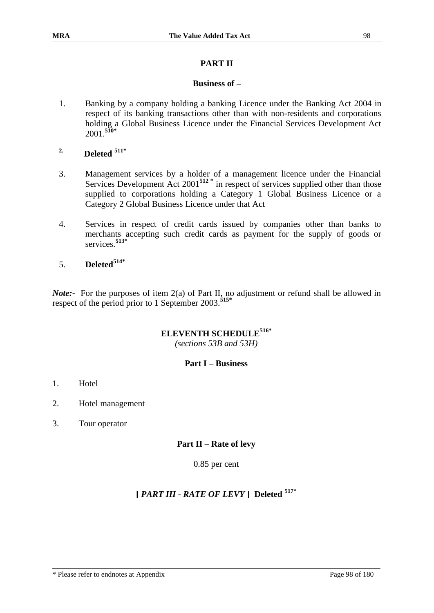#### **PART II**

#### **Business of –**

- 1. Banking by a company holding a banking Licence under the Banking Act 2004 in respect of its banking transactions other than with non-residents and corporations holding a Global Business Licence under the Financial Services Development Act 2001.**510\***
- **2. Deleted 511\***
- 3. Management services by a holder of a management licence under the Financial Services Development Act 2001<sup>512</sup><sup>\*</sup> in respect of services supplied other than those supplied to corporations holding a Category 1 Global Business Licence or a Category 2 Global Business Licence under that Act
- 4. Services in respect of credit cards issued by companies other than banks to merchants accepting such credit cards as payment for the supply of goods or services.**513\***
- 5. **Deleted514\***

*Note*:- For the purposes of item 2(a) of Part II, no adjustment or refund shall be allowed in respect of the period prior to 1 September 2003.**515\***

### **ELEVENTH SCHEDULE516\***

*(sections 53B and 53H)*

#### **Part I – Business**

- 1. Hotel
- 2. Hotel management
- 3. Tour operator

#### **Part II – Rate of levy**

0.85 per cent

# **[** *PART III - RATE OF LEVY* **] Deleted 517\***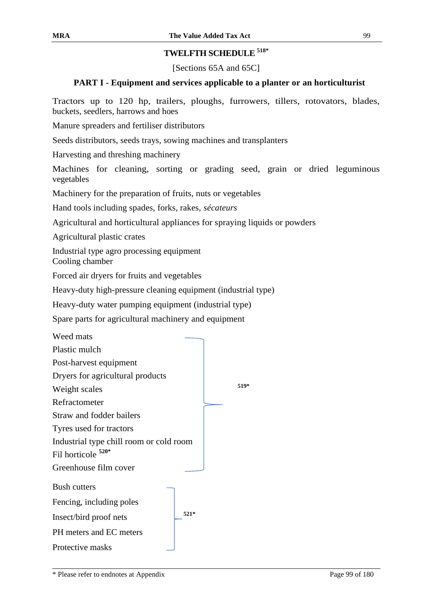# **TWELFTH SCHEDULE 518\***

[Sections 65A and 65C]

### **PART I - Equipment and services applicable to a planter or an horticulturist**

Tractors up to 120 hp, trailers, ploughs, furrowers, tillers, rotovators, blades, buckets, seedlers, harrows and hoes

Manure spreaders and fertiliser distributors

Seeds distributors, seeds trays, sowing machines and transplanters

Harvesting and threshing machinery

Machines for cleaning, sorting or grading seed, grain or dried leguminous vegetables

Machinery for the preparation of fruits, nuts or vegetables

Hand tools including spades, forks, rakes, *sécateurs*

Agricultural and horticultural appliances for spraying liquids or powders

Agricultural plastic crates

Industrial type agro processing equipment Cooling chamber

Forced air dryers for fruits and vegetables

Heavy-duty high-pressure cleaning equipment (industrial type)

Heavy-duty water pumping equipment (industrial type)

Spare parts for agricultural machinery and equipment

| Weed mats                               |        |
|-----------------------------------------|--------|
| Plastic mulch                           |        |
| Post-harvest equipment                  |        |
| Dryers for agricultural products        |        |
| Weight scales                           | $519*$ |
| Refractometer                           |        |
| Straw and fodder bailers                |        |
| Tyres used for tractors                 |        |
| Industrial type chill room or cold room |        |
| Fil horticole 520*                      |        |
| Greenhouse film cover                   |        |
| <b>Bush cutters</b>                     |        |
| Fencing, including poles                |        |
| Insect/bird proof nets                  | $521*$ |
| PH meters and EC meters                 |        |
| Protective masks                        |        |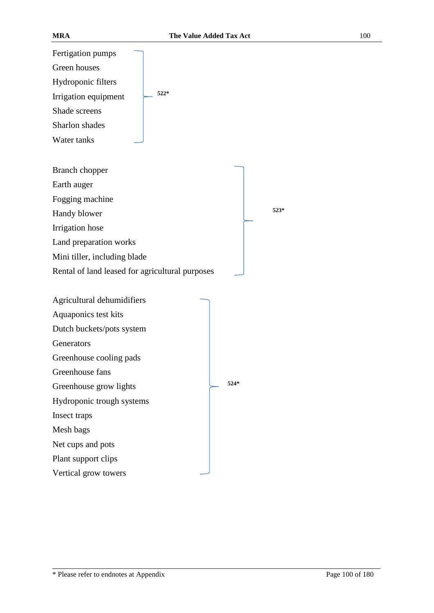Fertigation pumps Green houses Hydroponic filters Irrigation equipment **522\*** Shade screens Sharlon shades Water tanks

Branch chopper

Earth auger

Fogging machine

Handy blower **523\*** 

Irrigation hose

Land preparation works

Mini tiller, including blade

Rental of land leased for agricultural purposes

| Agricultural dehumidifiers |        |
|----------------------------|--------|
| Aquaponics test kits       |        |
| Dutch buckets/pots system  |        |
| Generators                 |        |
| Greenhouse cooling pads    |        |
| Greenhouse fans            |        |
| Greenhouse grow lights     | $524*$ |
| Hydroponic trough systems  |        |
| Insect traps               |        |
| Mesh bags                  |        |
| Net cups and pots          |        |
| Plant support clips        |        |
| Vertical grow towers       |        |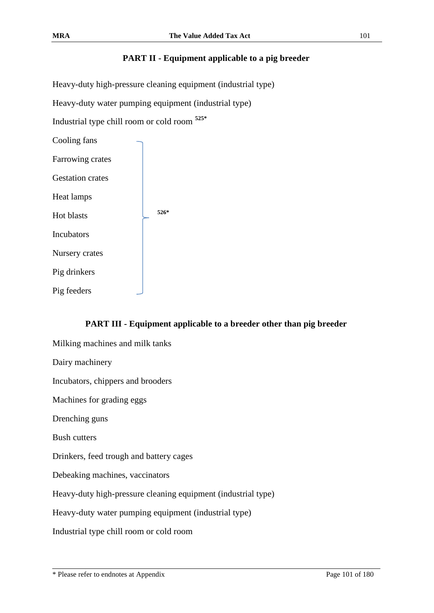# **PART II - Equipment applicable to a pig breeder**

Heavy-duty high-pressure cleaning equipment (industrial type)

Heavy-duty water pumping equipment (industrial type)

Industrial type chill room or cold room **525\***

Cooling fans Farrowing crates Gestation crates Heat lamps Hot blasts **526\*** Incubators Nursery crates Pig drinkers Pig feeders

# **PART III - Equipment applicable to a breeder other than pig breeder**

Milking machines and milk tanks Dairy machinery Incubators, chippers and brooders Machines for grading eggs Drenching guns Bush cutters Drinkers, feed trough and battery cages Debeaking machines, vaccinators Heavy-duty high-pressure cleaning equipment (industrial type) Heavy-duty water pumping equipment (industrial type) Industrial type chill room or cold room

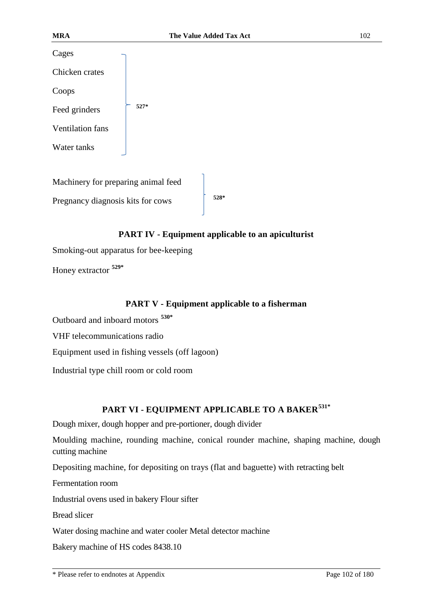| Cages                   |        |
|-------------------------|--------|
| Chicken crates          |        |
| Coops                   |        |
| Feed grinders           | $527*$ |
| <b>Ventilation fans</b> |        |
| Water tanks             |        |
|                         |        |

Machinery for preparing animal feed Pregnancy diagnosis kits for cows **528\***

#### **PART IV - Equipment applicable to an apiculturist**

Smoking-out apparatus for bee-keeping

Honey extractor **529\***

#### **PART V - Equipment applicable to a fisherman**

Outboard and inboard motors **530\***

VHF telecommunications radio

Equipment used in fishing vessels (off lagoon)

Industrial type chill room or cold room

# **PART VI - EQUIPMENT APPLICABLE TO A BAKER531\***

Dough mixer, dough hopper and pre-portioner, dough divider

Moulding machine, rounding machine, conical rounder machine, shaping machine, dough cutting machine

Depositing machine, for depositing on trays (flat and baguette) with retracting belt

Fermentation room

Industrial ovens used in bakery Flour sifter

Bread slicer

Water dosing machine and water cooler Metal detector machine

Bakery machine of HS codes 8438.10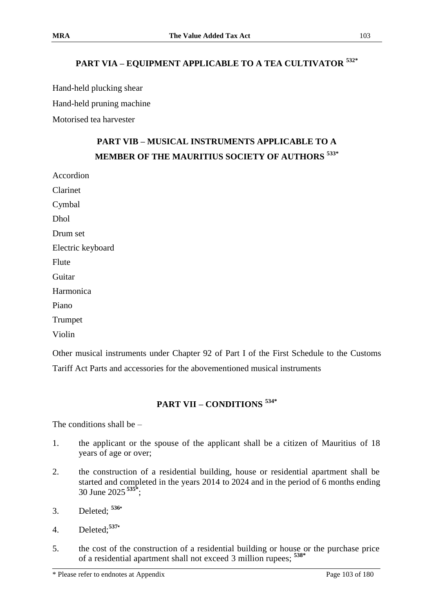# **PART VIA – EQUIPMENT APPLICABLE TO A TEA CULTIVATOR 532\***

Hand-held plucking shear

Hand-held pruning machine

Motorised tea harvester

# **PART VIB – MUSICAL INSTRUMENTS APPLICABLE TO A MEMBER OF THE MAURITIUS SOCIETY OF AUTHORS 533\***

Accordion Clarinet Cymbal Dhol Drum set Electric keyboard Flute Guitar Harmonica Piano

Trumpet

Violin

Other musical instruments under Chapter 92 of Part I of the First Schedule to the Customs Tariff Act Parts and accessories for the abovementioned musical instruments

# **PART VII – CONDITIONS 534\***

The conditions shall be  $-$ 

- 1. the applicant or the spouse of the applicant shall be a citizen of Mauritius of 18 years of age or over;
- 2. the construction of a residential building, house or residential apartment shall be started and completed in the years 2014 to 2024 and in the period of 6 months ending 30 June 2025 **535\*** ;
- 3. Deleted; **<sup>536</sup>\***
- 4. Deleted;**<sup>537</sup>\***
- 5. the cost of the construction of a residential building or house or the purchase price of a residential apartment shall not exceed 3 million rupees; **538\***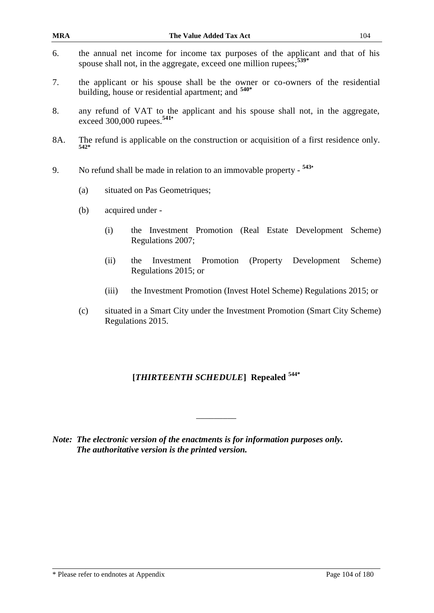| <b>MRA</b> |                                                                                                                                                 |                                                                                                                                                                  | The Value Added Tax Act                                                             | 104     |  |
|------------|-------------------------------------------------------------------------------------------------------------------------------------------------|------------------------------------------------------------------------------------------------------------------------------------------------------------------|-------------------------------------------------------------------------------------|---------|--|
| 6.         |                                                                                                                                                 | the annual net income for income tax purposes of the applicant and that of his<br>spouse shall not, in the aggregate, exceed one million rupees; <sup>539*</sup> |                                                                                     |         |  |
| 7.         | the applicant or his spouse shall be the owner or co-owners of the residential<br>building, house or residential apartment; and <sup>540*</sup> |                                                                                                                                                                  |                                                                                     |         |  |
| 8.         | any refund of VAT to the applicant and his spouse shall not, in the aggregate,<br>exceed 300,000 rupees. <sup>541*</sup>                        |                                                                                                                                                                  |                                                                                     |         |  |
| 8A.        | The refund is applicable on the construction or acquisition of a first residence only.<br>542*                                                  |                                                                                                                                                                  |                                                                                     |         |  |
| 9.         |                                                                                                                                                 | No refund shall be made in relation to an immovable property - $543*$                                                                                            |                                                                                     |         |  |
|            | (a)<br>situated on Pas Geometriques;                                                                                                            |                                                                                                                                                                  |                                                                                     |         |  |
|            | acquired under -<br>(b)                                                                                                                         |                                                                                                                                                                  |                                                                                     |         |  |
|            |                                                                                                                                                 | (i)                                                                                                                                                              | the Investment Promotion (Real Estate Development<br>Regulations 2007;              | Scheme) |  |
|            |                                                                                                                                                 | (ii)                                                                                                                                                             | Promotion<br>(Property)<br>Development<br>the<br>Investment<br>Regulations 2015; or | Scheme) |  |
|            |                                                                                                                                                 | (iii)                                                                                                                                                            | the Investment Promotion (Invest Hotel Scheme) Regulations 2015; or                 |         |  |
|            | (c)                                                                                                                                             |                                                                                                                                                                  | situated in a Smart City under the Investment Promotion (Smart City Scheme)         |         |  |

(c) situated in a Smart City under the Investment Promotion (Smart City Scheme) Regulations 2015.

# **[***THIRTEENTH SCHEDULE***] Repealed 544\***

\_\_\_\_\_\_\_\_\_

*Note: The electronic version of the enactments is for information purposes only. The authoritative version is the printed version.*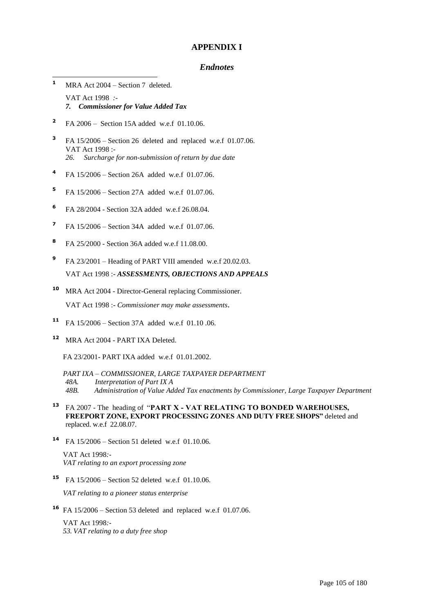#### **APPENDIX I**

#### *Endnotes*

- $\blacksquare$ **<sup>1</sup>** MRA Act 2004 – Section 7 deleted. VAT Act 1998 *:- 7. Commissioner for Value Added Tax*
- **2** FA 2006 – Section 15A added w.e.f 01.10.06.
- **3** FA 15/2006 – Section 26 deleted and replaced w.e.f 01.07.06. VAT Act 1998 :- *26. Surcharge for non-submission of return by due date*
- **4** FA 15/2006 – Section 26A added w.e.f 01.07.06.
- **5** FA 15/2006 – Section 27A added w.e.f 01.07.06.
- **6** FA 28/2004 - Section 32A added w.e.f 26.08.04.
- **7** FA 15/2006 – Section 34A added w.e.f 01.07.06.
- **8** FA 25/2000 - Section 36A added w.e.f 11.08.00.
- **9** FA 23/2001 – Heading of PART VIII amended w.e.f 20.02.03. VAT Act 1998 :- *ASSESSMENTS, OBJECTIONS AND APPEALS*
- **<sup>10</sup>** MRA Act 2004 Director-General replacing Commissioner. VAT Act 1998 :- *Commissioner may make assessments*.
- **<sup>11</sup>** FA 15/2006 Section 37A added w.e.f 01.10 .06.
- **<sup>12</sup>** MRA Act 2004 PART IXA Deleted.

FA 23/2001- PART IXA added w.e.f 01.01.2002.

- *PART IXA – COMMISSIONER, LARGE TAXPAYER DEPARTMENT 48A. Interpretation of Part IX A*
- *48B. Administration of Value Added Tax enactments by Commissioner, Large Taxpayer Department*
- **<sup>13</sup>** FA 2007 The heading of "**PART X - VAT RELATING TO BONDED WAREHOUSES, FREEPORT ZONE, EXPORT PROCESSING ZONES AND DUTY FREE SHOPS"** deleted and replaced. w.e.f 22.08.07.
- **<sup>14</sup>** FA 15/2006 Section 51 deleted w.e.f 01.10.06.

VAT Act 1998*:- VAT relating to an export processing zone* 

**<sup>15</sup>** FA 15/2006 – Section 52 deleted w.e.f 01.10.06.

*VAT relating to a pioneer status enterprise*

**<sup>16</sup>** FA 15/2006 – Section 53 deleted and replaced w.e.f 01.07.06.

VAT Act 1998*:- 53. VAT relating to a duty free shop*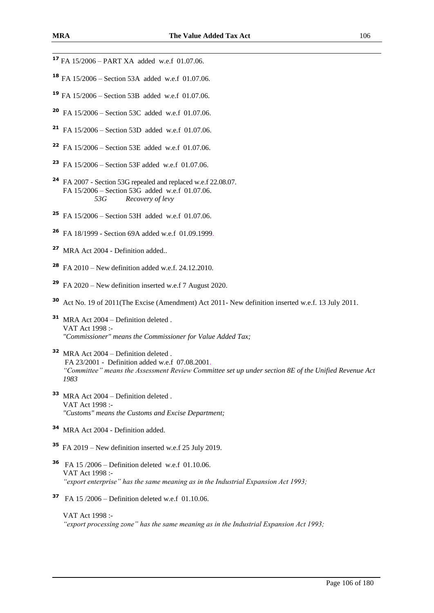- FA 15/2006 Section 53A added w.e.f 01.07.06.
- FA 15/2006 Section 53B added w.e.f 01.07.06.
- FA 15/2006 Section 53C added w.e.f 01.07.06.
- FA 15/2006 Section 53D added w.e.f 01.07.06.
- FA 15/2006 Section 53E added w.e.f 01.07.06.
- FA 15/2006 Section 53F added w.e.f 01.07.06.
- FA 2007 Section 53G repealed and replaced w.e.f 22.08.07. FA 15/2006 – Section 53G added w.e.f 01.07.06. *53G Recovery of levy*
- FA 15/2006 Section 53H added w.e.f 01.07.06.
- FA 18/1999 Section 69A added w.e.f 01.09.1999.
- MRA Act 2004 Definition added..
- FA 2010 New definition added w.e.f. 24.12.2010.
- FA 2020 New definition inserted w.e.f 7 August 2020.
- Act No. 19 of 2011(The Excise (Amendment) Act 2011- New definition inserted w.e.f. 13 July 2011.
- MRA Act 2004 Definition deleted . VAT Act 1998 :- *"Commissioner" means the Commissioner for Value Added Tax;*
- MRA Act 2004 Definition deleted . FA 23/2001 - Definition added w.e.f 07.08.2001. *"Committee" means the Assessment Review Committee set up under section 8E of the Unified Revenue Act*
- MRA Act 2004 Definition deleted . VAT Act 1998 :- *"Customs" means the Customs and Excise Department;*
- MRA Act 2004 Definition added.
- FA 2019 New definition inserted w.e.f 25 July 2019.
- FA 15 /2006 Definition deleted w.e.f 01.10.06. VAT Act 1998 :- *"export enterprise" has the same meaning as in the Industrial Expansion Act 1993;*
- FA 15 /2006 Definition deleted w.e.f 01.10.06.

VAT Act 1998 :- *"export processing zone" has the same meaning as in the Industrial Expansion Act 1993;*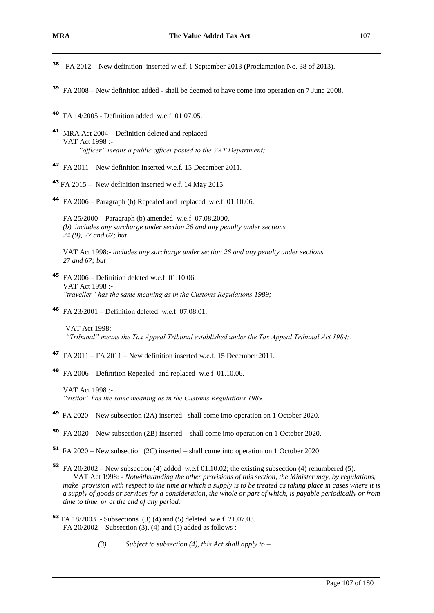1

- **<sup>38</sup>** FA 2012 New definition inserted w.e.f. 1 September 2013 (Proclamation No. 38 of 2013).
- **<sup>39</sup>** FA 2008 New definition added shall be deemed to have come into operation on 7 June 2008.
- **<sup>40</sup>** FA 14/2005 Definition added w.e.f 01.07.05.
- **<sup>41</sup>** MRA Act 2004 Definition deleted and replaced. VAT Act 1998 :- *"officer" means a public officer posted to the VAT Department;*
- **<sup>42</sup>** FA 2011 New definition inserted w.e.f. 15 December 2011.
- **<sup>43</sup>** FA 2015 New definition inserted w.e.f. 14 May 2015.
- **<sup>44</sup>** FA 2006 Paragraph (b) Repealed and replaced w.e.f. 01.10.06.
	- FA 25/2000 Paragraph (b) amended w.e.f 07.08.2000. *(b) includes any surcharge under section 26 and any penalty under sections 24 (9), 27 and 67; but*

VAT Act 1998:- *includes any surcharge under section 26 and any penalty under sections 27 and 67; but*

- **<sup>45</sup>** FA 2006 Definition deleted w.e.f 01.10.06. VAT Act 1998 :- *"traveller" has the same meaning as in the Customs Regulations 1989;*
- **<sup>46</sup>** FA 23/2001 Definition deleted w.e.f 07.08.01.

VAT Act 1998:- *"Tribunal" means the Tax Appeal Tribunal established under the Tax Appeal Tribunal Act 1984;.*

- **<sup>47</sup>** FA 2011 FA 2011 New definition inserted w.e.f. 15 December 2011.
- **<sup>48</sup>** FA 2006 Definition Repealed and replaced w.e.f 01.10.06.

VAT Act 1998 :- *"visitor" has the same meaning as in the Customs Regulations 1989.*

- **<sup>49</sup>** FA 2020 New subsection (2A) inserted –shall come into operation on 1 October 2020.
- **<sup>50</sup>** FA 2020 New subsection (2B) inserted shall come into operation on 1 October 2020.
- **<sup>51</sup>** FA 2020 New subsection (2C) inserted shall come into operation on 1 October 2020.
- **<sup>52</sup>** FA 20/2002 New subsection (4) added w.e.f 01.10.02; the existing subsection (4) renumbered (5). VAT Act 1998: *- Notwithstanding the other provisions of this section, the Minister may, by regulations, make provision with respect to the time at which a supply is to be treated as taking place in cases where it is a supply of goods or services for a consideration, the whole or part of which, is payable periodically or from time to time, or at the end of any period.*
- **<sup>53</sup>** FA 18/2003 Subsections (3) (4) and (5) deleted w.e.f 21.07.03. FA  $20/2002$  – Subsection (3), (4) and (5) added as follows :
	- *(3) Subject to subsection (4), this Act shall apply to –*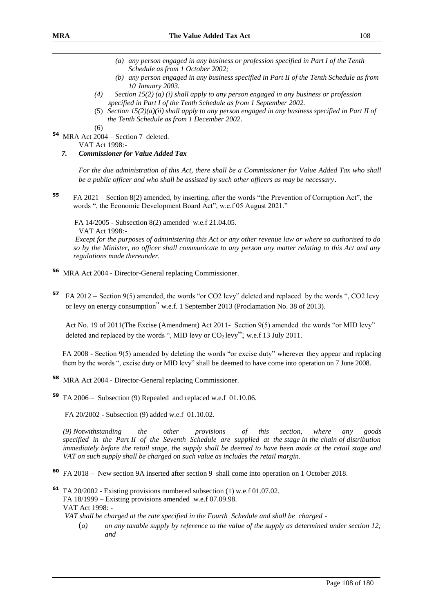1

- *(a) any person engaged in any business or profession specified in Part I of the Tenth Schedule as from 1 October 2002;*
- *(b) any person engaged in any business specified in Part II of the Tenth Schedule as from 10 January 2003.*
- *(4) Section 15(2) (a) (i) shall apply to any person engaged in any business or profession specified in Part I of the Tenth Schedule as from 1 September 2002.*
- (5) *Section 15(2)(a)(ii) shall apply to any person engaged in any business specified in Part II of the Tenth Schedule as from 1 December 2002*.
- **54** MRA Act 2004 Section 7 deleted.

VAT Act 1998*:-*

 $(6)$ 

 *7. Commissioner for Value Added Tax*

*For the due administration of this Act, there shall be a Commissioner for Value Added Tax who shall be a public officer and who shall be assisted by such other officers as may be necessary*.

**<sup>55</sup>** FA 2021 – Section 8(2) amended, by inserting, after the words "the Prevention of Corruption Act", the words ", the Economic Development Board Act", w.e.f 05 August 2021."

FA 14/2005 - Subsection 8(2) amended w.e.f 21.04.05.

VAT Act 1998*:-*

*Except for the purposes of administering this Act or any other revenue law or where so authorised to do so by the Minister, no officer shall communicate to any person any matter relating to this Act and any regulations made thereunder.*

- **<sup>56</sup>** MRA Act 2004 Director-General replacing Commissioner.
- **<sup>57</sup>** FA 2012 Section 9(5) amended, the words "or CO2 levy" deleted and replaced by the words ", CO2 levy or levy on energy consumption" w.e.f. 1 September 2013 (Proclamation No. 38 of 2013).

Act No. 19 of 2011(The Excise (Amendment) Act 2011- Section 9(5) amended the words "or MID levy" deleted and replaced by the words ", MID levy or  $CO<sub>2</sub>$  levy"; w.e.f 13 July 2011.

FA 2008 - Section 9(5) amended by deleting the words "or excise duty" wherever they appear and replacing them by the words ", excise duty or MID levy" shall be deemed to have come into operation on 7 June 2008.

**<sup>58</sup>** MRA Act 2004 - Director-General replacing Commissioner.

**<sup>59</sup>** FA 2006 – Subsection (9) Repealed and replaced w.e.f 01.10.06.

FA 20/2002 - Subsection (9) added w.e.f 01.10.02.

*(9) Notwithstanding the other provisions of this section, where any goods specified in the Part II of the Seventh Schedule are supplied at the stage in the chain of distribution immediately before the retail stage, the supply shall be deemed to have been made at the retail stage and VAT on such supply shall be charged on such value as includes the retail margin.*

**<sup>60</sup>** FA 2018 – New section 9A inserted after section 9 shall come into operation on 1 October 2018.

**<sup>61</sup>** FA 20/2002 - Existing provisions numbered subsection (1) w.e.f 01.07.02. FA 18/1999 – Existing provisions amended w.e.f 07.09.98. VAT Act 1998: -

*VAT shall be charged at the rate specified in the Fourth Schedule and shall be charged -*

(*a) on any taxable supply by reference to the value of the supply as determined under section 12; and*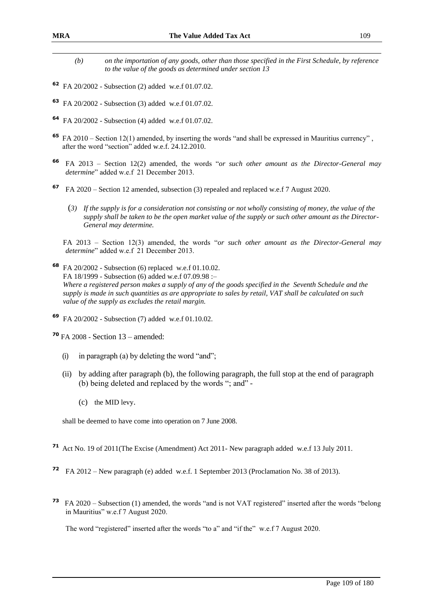- *(b) on the importation of any goods, other than those specified in the First Schedule, by reference to the value of the goods as determined under section 13*
- **<sup>62</sup>** FA 20/2002 Subsection (2) added w.e.f 01.07.02.
- **<sup>63</sup>** FA 20/2002 Subsection (3) added w.e.f 01.07.02.
- **<sup>64</sup>** FA 20/2002 Subsection (4) added w.e.f 01.07.02.
- **<sup>65</sup>** FA 2010 Section 12(1) amended, by inserting the words "and shall be expressed in Mauritius currency" , after the word "section" added w.e.f. 24.12.2010.
- **<sup>66</sup>** FA 2013 Section 12(2) amended, the words "*or such other amount as the Director-General may determine*" added w.e.f 21 December 2013.
- **<sup>67</sup>** FA 2020 Section 12 amended, subsection (3) repealed and replaced w.e.f 7 August 2020.
	- (*3) If the supply is for a consideration not consisting or not wholly consisting of money, the value of the supply shall be taken to be the open market value of the supply or such other amount as the Director-General may determine.*

FA 2013 – Section 12(3) amended, the words "*or such other amount as the Director-General may determine*" added w.e.f 21 December 2013.

**<sup>68</sup>** FA 20/2002 - Subsection (6) replaced w.e.f 01.10.02. FA 18/1999 - Subsection (6) added w.e.f 07.09.98 :– *Where a registered person makes a supply of any of the goods specified in the Seventh Schedule and the supply is made in such quantities as are appropriate to sales by retail, VAT shall be calculated on such value of the supply as excludes the retail margin.*

**<sup>69</sup>** FA 20/2002 - Subsection (7) added w.e.f 01.10.02.

**<sup>70</sup>** FA 2008 - Section 13 – amended:

- (i) in paragraph (a) by deleting the word "and";
- (ii) by adding after paragraph (b), the following paragraph, the full stop at the end of paragraph (b) being deleted and replaced by the words "; and" -
	- (c) the MID levy.

shall be deemed to have come into operation on 7 June 2008.

- **<sup>71</sup>** Act No. 19 of 2011(The Excise (Amendment) Act 2011- New paragraph added w.e.f 13 July 2011.
- **<sup>72</sup>** FA 2012 New paragraph (e) added w.e.f. 1 September 2013 (Proclamation No. 38 of 2013).
- **73** FA 2020 Subsection (1) amended, the words "and is not VAT registered" inserted after the words "belong in Mauritius" w.e.f 7 August 2020.

The word "registered" inserted after the words "to a" and "if the" w.e.f 7 August 2020.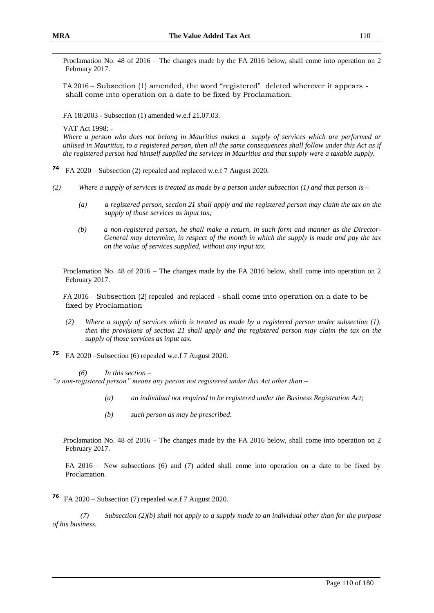Proclamation No. 48 of 2016 – The changes made by the FA 2016 below, shall come into operation on 2 February 2017.

FA 2016 – Subsection (1) amended, the word "registered" deleted wherever it appears shall come into operation on a date to be fixed by Proclamation.

FA 18/2003 - Subsection (1) amended w.e.f 21.07.03.

VAT Act 1998: -

*Where a person who does not belong in Mauritius makes a supply of services which are performed or utilised in Mauritius, to a registered person, then all the same consequences shall follow under this Act as if the registered person had himself supplied the services in Mauritius and that supply were a taxable supply.*

**<sup>74</sup>** FA 2020 – Subsection (2) repealed and replaced w.e.f 7 August 2020.

- *(2) Where a supply of services is treated as made by a person under subsection (1) and that person is –*
	- *(a) a registered person, section 21 shall apply and the registered person may claim the tax on the supply of those services as input tax;*
	- *(b) a non-registered person, he shall make a return, in such form and manner as the Director-General may determine, in respect of the month in which the supply is made and pay the tax on the value of services supplied, without any input tax.*

Proclamation No. 48 of 2016 – The changes made by the FA 2016 below, shall come into operation on 2 February 2017.

FA 2016 – Subsection (2) repealed and replaced - shall come into operation on a date to be fixed by Proclamation

- *(2) Where a supply of services which is treated as made by a registered person under subsection (1), then the provisions of section 21 shall apply and the registered person may claim the tax on the supply of those services as input tax.*
- **<sup>75</sup>** FA 2020 –Subsection (6) repealed w.e.f 7 August 2020.

*(6) In this section –*

*"a non-registered person" means any person not registered under this Act other than –*

- *(a) an individual not required to be registered under the Business Registration Act;*
- *(b) such person as may be prescribed.*

Proclamation No. 48 of 2016 – The changes made by the FA 2016 below, shall come into operation on 2 February 2017.

 FA 2016 – New subsections (6) and (7) added shall come into operation on a date to be fixed by Proclamation.

**76** FA 2020 – Subsection (7) repealed w.e.f 7 August 2020.

*(7) Subsection (2)(b) shall not apply to a supply made to an individual other than for the purpose of his business.*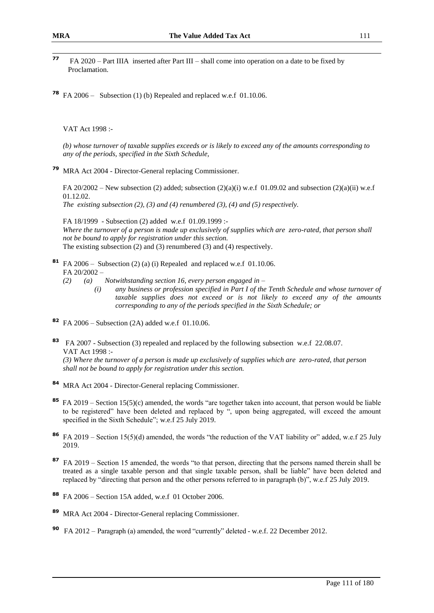- $77$ **<sup>77</sup>** FA 2020 – Part IIIA inserted after Part III – shall come into operation on a date to be fixed by Proclamation.
- **<sup>78</sup>** FA 2006 Subsection (1) (b) Repealed and replaced w.e.f 01.10.06.

VAT Act 1998 :-

*(b) whose turnover of taxable supplies exceeds or is likely to exceed any of the amounts corresponding to any of the periods, specified in the Sixth Schedule,* 

**<sup>79</sup>** MRA Act 2004 - Director-General replacing Commissioner.

FA 20/2002 – New subsection (2) added; subsection (2)(a)(i) w.e.f 01.09.02 and subsection (2)(a)(ii) w.e.f 01.12.02.

*The existing subsection (2), (3) and (4) renumbered (3), (4) and (5) respectively.*

FA 18/1999 - Subsection (2) added w.e.f 01.09.1999 :- *Where the turnover of a person is made up exclusively of supplies which are zero-rated, that person shall not be bound to apply for registration under this section.* The existing subsection (2) and (3) renumbered (3) and (4) respectively*.*

- **<sup>81</sup>** FA 2006 Subsection (2) (a) (i) Repealed and replaced w.e.f 01.10.06. FA 20/2002 –
	- *(2) (a) Notwithstanding section 16, every person engaged in –*
		- *(i) any business or profession specified in Part I of the Tenth Schedule and whose turnover of taxable supplies does not exceed or is not likely to exceed any of the amounts corresponding to any of the periods specified in the Sixth Schedule; or*
- **<sup>82</sup>** FA 2006 Subsection (2A) added w.e.f 01.10.06.
- **<sup>83</sup>** FA 2007 Subsection (3) repealed and replaced by the following subsection w.e.f 22.08.07. VAT Act 1998 :-

*(3) Where the turnover of a person is made up exclusively of supplies which are zero-rated, that person shall not be bound to apply for registration under this section.*

- **<sup>84</sup>** MRA Act 2004 Director-General replacing Commissioner.
- **<sup>85</sup>** FA 2019 Section 15(5)(c) amended, the words "are together taken into account, that person would be liable to be registered" have been deleted and replaced by ", upon being aggregated, will exceed the amount specified in the Sixth Schedule"; w.e.f 25 July 2019.
- **86** FA 2019 Section 15(5)(d) amended, the words "the reduction of the VAT liability or" added, w.e.f 25 July 2019.
- **87** FA 2019 Section 15 amended, the words "to that person, directing that the persons named therein shall be treated as a single taxable person and that single taxable person, shall be liable" have been deleted and replaced by "directing that person and the other persons referred to in paragraph (b)", w.e.f 25 July 2019.
- **<sup>88</sup>** FA 2006 Section 15A added, w.e.f 01 October 2006.
- **<sup>89</sup>** MRA Act 2004 Director-General replacing Commissioner.
- **90** FA 2012 Paragraph (a) amended, the word "currently" deleted w.e.f. 22 December 2012.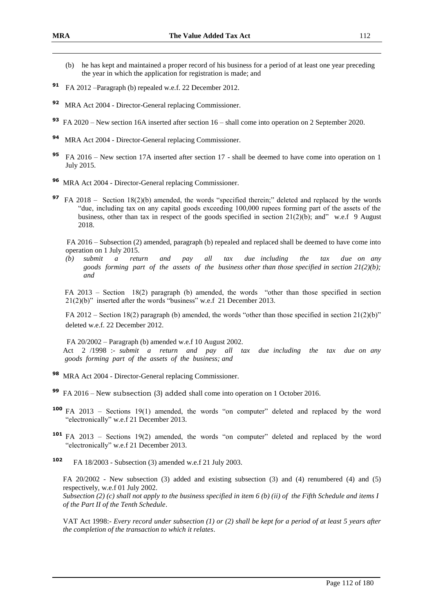- (b) he has kept and maintained a proper record of his business for a period of at least one year preceding the year in which the application for registration is made; and
- **<sup>91</sup>** FA 2012 –Paragraph (b) repealed w.e.f. 22 December 2012.
- **<sup>92</sup>** MRA Act 2004 Director-General replacing Commissioner.
- **<sup>93</sup>** FA 2020 New section 16A inserted after section 16 shall come into operation on 2 September 2020.
- **<sup>94</sup>** MRA Act 2004 Director-General replacing Commissioner.
- **<sup>95</sup>** FA 2016 New section 17A inserted after section 17 shall be deemed to have come into operation on 1 July 2015.
- **<sup>96</sup>** MRA Act 2004 Director-General replacing Commissioner.
- **97** FA 2018 Section 18(2)(b) amended, the words "specified therein;" deleted and replaced by the words "due, including tax on any capital goods exceeding 100,000 rupees forming part of the assets of the business, other than tax in respect of the goods specified in section  $21(2)(b)$ ; and" w.e.f 9 August 2018.

 FA 2016 – Subsection (2) amended, paragraph (b) repealed and replaced shall be deemed to have come into operation on 1 July 2015.

*(b) submit a return and pay all tax due including the tax due on any goods forming part of the assets of the business other than those specified in section 21(2)(b); and*

FA 2013 – Section 18(2) paragraph (b) amended, the words "other than those specified in section 21(2)(b)" inserted after the words "business" w.e.f 21 December 2013.

FA 2012 – Section 18(2) paragraph (b) amended, the words "other than those specified in section 21(2)(b)" deleted w.e.f. 22 December 2012.

 FA 20/2002 – Paragraph (b) amended w.e.f 10 August 2002. Act 2 /1998 :- *submit a return and pay all tax due including the tax due on any goods forming part of the assets of the business; and*

- **<sup>98</sup>** MRA Act 2004 Director-General replacing Commissioner.
- **<sup>99</sup>** FA 2016 New subsection (3) added shall come into operation on 1 October 2016.
- **<sup>100</sup>** FA 2013 Sections 19(1) amended, the words "on computer" deleted and replaced by the word "electronically" w.e.f 21 December 2013.
- **<sup>101</sup>** FA 2013 Sections 19(2) amended, the words "on computer" deleted and replaced by the word "electronically" w.e.f 21 December 2013.
- **<sup>102</sup>** FA 18/2003 Subsection (3) amended w.e.f 21 July 2003.

FA 20/2002 - New subsection (3) added and existing subsection (3) and (4) renumbered (4) and (5) respectively, w.e.f 01 July 2002.

*Subsection (2) (c) shall not apply to the business specified in item 6 (b) (ii) of the Fifth Schedule and items I of the Part II of the Tenth Schedule*.

VAT Act 1998:- *Every record under subsection (1) or (2) shall be kept for a period of at least 5 years after the completion of the transaction to which it relates*.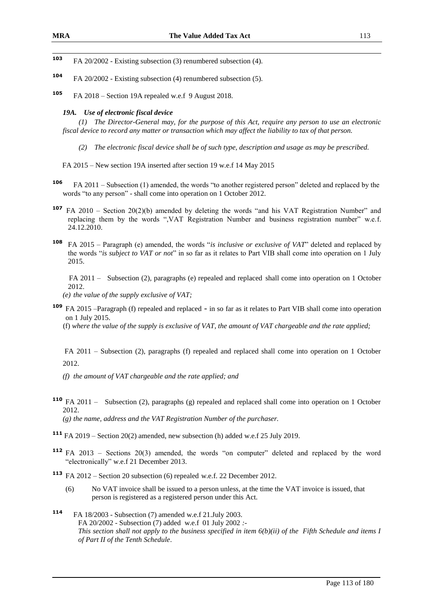103 FA 20/2002 - Existing subsection (3) renumbered subsection (4).

- **<sup>104</sup>** FA 20/2002 Existing subsection (4) renumbered subsection (5).
- **<sup>105</sup>** FA 2018 Section 19A repealed w.e.f 9 August 2018.

#### *19A. Use of electronic fiscal device*

*(1) The Director-General may, for the purpose of this Act, require any person to use an electronic fiscal device to record any matter or transaction which may affect the liability to tax of that person.*

- *(2) The electronic fiscal device shall be of such type, description and usage as may be prescribed.*
- FA 2015 New section 19A inserted after section 19 w.e.f 14 May 2015
- **<sup>106</sup>** FA 2011 Subsection (1) amended, the words "to another registered person" deleted and replaced by the words "to any person" - shall come into operation on 1 October 2012.
- **<sup>107</sup>** FA 2010 Section 20(2)(b) amended by deleting the words "and his VAT Registration Number" and replacing them by the words ",VAT Registration Number and business registration number" w.e.f. 24.12.2010.
- **<sup>108</sup>** FA 2015 Paragraph (e) amended, the words "*is inclusive or exclusive of VAT*" deleted and replaced by the words "*is subject to VAT or not*" in so far as it relates to Part VIB shall come into operation on 1 July 2015.

 FA 2011 – Subsection (2), paragraphs (e) repealed and replaced shall come into operation on 1 October 2012.

*(e) the value of the supply exclusive of VAT;*

**<sup>109</sup>** FA 2015 –Paragraph (f) repealed and replaced - in so far as it relates to Part VIB shall come into operation on 1 July 2015.

(f) *where the value of the supply is exclusive of VAT, the amount of VAT chargeable and the rate applied;*

FA 2011 – Subsection (2), paragraphs (f) repealed and replaced shall come into operation on 1 October 2012.

*(f) the amount of VAT chargeable and the rate applied; and*

- **<sup>110</sup>** FA 2011 Subsection (2), paragraphs (g) repealed and replaced shall come into operation on 1 October 2012. *(g) the name, address and the VAT Registration Number of the purchaser.*
- **<sup>111</sup>** FA 2019 Section 20(2) amended, new subsection (h) added w.e.f 25 July 2019.
- **<sup>112</sup>** FA 2013 Sections 20(3) amended, the words "on computer" deleted and replaced by the word "electronically" w.e.f 21 December 2013.

**<sup>113</sup>** FA 2012 – Section 20 subsection (6) repealed w.e.f. 22 December 2012.

- (6) No VAT invoice shall be issued to a person unless, at the time the VAT invoice is issued, that person is registered as a registered person under this Act.
- **<sup>114</sup>** FA 18/2003 Subsection (7) amended w.e.f 21.July 2003. FA 20/2002 - Subsection (7) added w.e.f 01 July 2002 *:- This section shall not apply to the business specified in item 6(b)(ii) of the Fifth Schedule and items I of Part II of the Tenth Schedule*.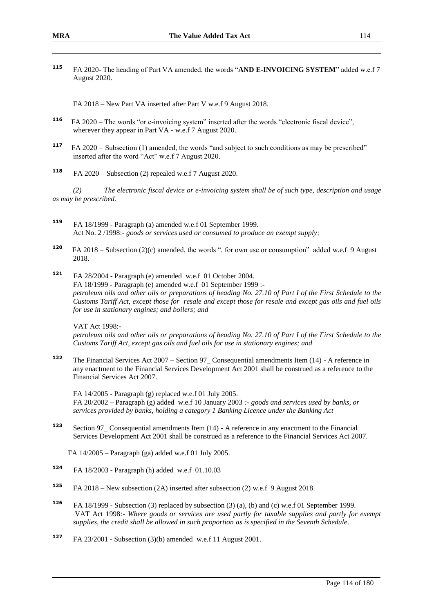**<sup>115</sup>** FA 2020- The heading of Part VA amended, the words "**AND E-INVOICING SYSTEM**" added w.e.f 7 August 2020.

FA 2018 – New Part VA inserted after Part V w.e.f 9 August 2018.

- **116** FA 2020 – The words "or e-invoicing system" inserted after the words "electronic fiscal device", wherever they appear in Part VA - w.e.f 7 August 2020.
- **117** FA 2020 – Subsection (1) amended, the words "and subject to such conditions as may be prescribed" inserted after the word "Act" w.e.f 7 August 2020.
- **<sup>118</sup>** FA 2020 Subsection (2) repealed w.e.f 7 August 2020.

*(2) The electronic fiscal device or e-invoicing system shall be of such type, description and usage as may be prescribed.*

- **<sup>119</sup>** FA 18/1999 Paragraph (a) amended w.e.f 01 September 1999. Act No. 2 /1998:- *goods or services used or consumed to produce an exempt supply;*
- **120** FA 2018 – Subsection (2)(c) amended, the words ", for own use or consumption" added w.e.f 9 August 2018.
- **<sup>121</sup>** FA 28/2004 Paragraph (e) amended w.e.f 01 October 2004. FA 18/1999 - Paragraph (e) amended w.e.f 01 September 1999 : *petroleum oils and other oils or preparations of heading No. 27.10 of Part I of the First Schedule to the Customs Tariff Act, except those for resale and except those for resale and except gas oils and fuel oils for use in stationary engines; and boilers; and*

VAT Act 1998:-

*petroleum oils and other oils or preparations of heading No. 27.10 of Part I of the First Schedule to the Customs Tariff Act, except gas oils and fuel oils for use in stationary engines; and*

**<sup>122</sup>** The Financial Services Act 2007 – Section 97\_ Consequential amendments Item (14) - A reference in any enactment to the Financial Services Development Act 2001 shall be construed as a reference to the Financial Services Act 2007.

FA 14/2005 - Paragraph (g) replaced w.e.f 01 July 2005. FA 20/2002 – Paragraph (g) added w.e.f 10 January 2003 *:- goods and services used by banks, or services provided by banks, holding a category 1 Banking Licence under the Banking Act*

**<sup>123</sup>** Section 97\_ Consequential amendments Item (14) - A reference in any enactment to the Financial Services Development Act 2001 shall be construed as a reference to the Financial Services Act 2007.

FA 14/2005 – Paragraph (ga) added w.e.f 01 July 2005.

- **<sup>124</sup>** FA 18/2003 Paragraph (h) added w.e.f 01.10.03
- **<sup>125</sup>** FA 2018 New subsection (2A) inserted after subsection (2) w.e.f 9 August 2018.
- **<sup>126</sup>** FA 18/1999 Subsection (3) replaced by subsection (3) (a), (b) and (c) w.e.f 01 September 1999. VAT Act 1998*:- Where goods or services are used partly for taxable supplies and partly for exempt supplies, the credit shall be allowed in such proportion as is specified in the Seventh Schedule*.
- **<sup>127</sup>** FA 23/2001 Subsection (3)(b) amended w.e.f 11 August 2001.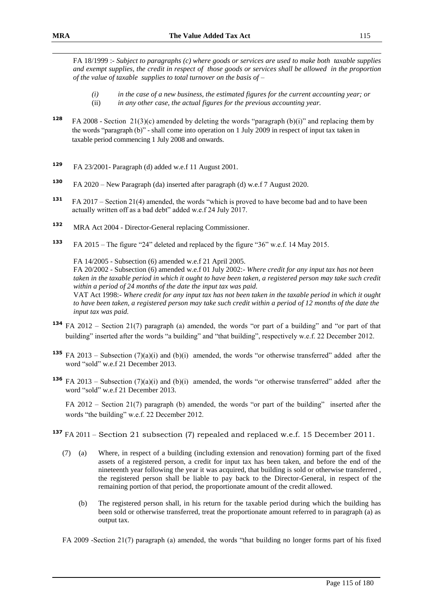FA 18/1999 :- *Subject to paragraphs (c) where goods or services are used to make both taxable supplies and exempt supplies, the credit in respect of those goods or services shall be allowed in the proportion of the value of taxable supplies to total turnover on the basis of –*

- *(i) in the case of a new business, the estimated figures for the current accounting year; or* (ii) *in any other case, the actual figures for the previous accounting year.*
- **<sup>128</sup>** FA 2008 Section 21(3)(c) amended by deleting the words "paragraph (b)(i)" and replacing them by the words "paragraph (b)" - shall come into operation on 1 July 2009 in respect of input tax taken in taxable period commencing 1 July 2008 and onwards.
- **<sup>129</sup>** FA 23/2001- Paragraph (d) added w.e.f 11 August 2001.
- **130** FA 2020 – New Paragraph (da) inserted after paragraph (d) w.e.f 7 August 2020.
- **<sup>131</sup>** FA 2017 Section 21(4) amended, the words "which is proved to have become bad and to have been actually written off as a bad debt" added w.e.f 24 July 2017.
- **<sup>132</sup>** MRA Act 2004 Director-General replacing Commissioner.
- **<sup>133</sup>** FA 2015 The figure "24" deleted and replaced by the figure "36" w.e.f. 14 May 2015.

FA 14/2005 - Subsection (6) amended w.e.f 21 April 2005.

FA 20/2002 - Subsection (6) amended w.e.f 01 July 2002:- *Where credit for any input tax has not been taken in the taxable period in which it ought to have been taken, a registered person may take such credit within a period of 24 months of the date the input tax was paid.*

VAT Act 1998:- *Where credit for any input tax has not been taken in the taxable period in which it ought to have been taken, a registered person may take such credit within a period of 12 months of the date the input tax was paid.*

- **<sup>134</sup>** FA 2012 Section 21(7) paragraph (a) amended, the words "or part of a building" and "or part of that building" inserted after the words "a building" and "that building", respectively w.e.f. 22 December 2012.
- **<sup>135</sup>** FA 2013 Subsection (7)(a)(i) and (b)(i) amended, the words "or otherwise transferred" added after the word "sold" w.e.f 21 December 2013.
- **<sup>136</sup>** FA 2013 Subsection (7)(a)(i) and (b)(i) amended, the words "or otherwise transferred" added after the word "sold" w.e.f 21 December 2013.

FA 2012 – Section 21(7) paragraph (b) amended, the words "or part of the building" inserted after the words "the building" w.e.f. 22 December 2012.

- **<sup>137</sup>** FA 2011 Section 21 subsection (7) repealed and replaced w.e.f. 15 December 2011.
	- (7) (a) Where, in respect of a building (including extension and renovation) forming part of the fixed assets of a registered person, a credit for input tax has been taken, and before the end of the nineteenth year following the year it was acquired, that building is sold or otherwise transferred , the registered person shall be liable to pay back to the Director-General, in respect of the remaining portion of that period, the proportionate amount of the credit allowed.
		- (b) The registered person shall, in his return for the taxable period during which the building has been sold or otherwise transferred, treat the proportionate amount referred to in paragraph (a) as output tax.

FA 2009 -Section 21(7) paragraph (a) amended, the words "that building no longer forms part of his fixed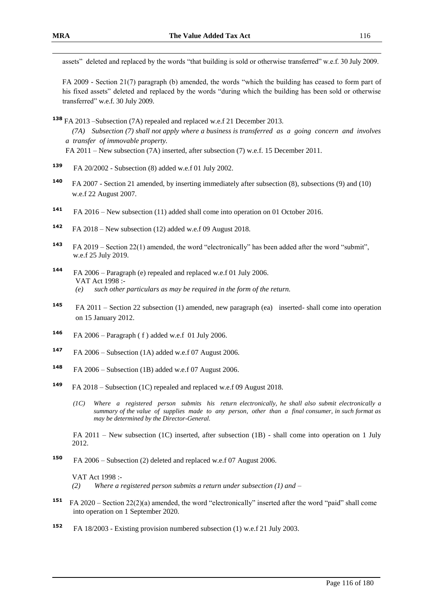FA 2009 - Section 21(7) paragraph (b) amended, the words "which the building has ceased to form part of his fixed assets" deleted and replaced by the words "during which the building has been sold or otherwise transferred" w.e.f. 30 July 2009.

**<sup>138</sup>** FA 2013 –Subsection (7A) repealed and replaced w.e.f 21 December 2013. *(7A) Subsection (7) shall not apply where a business is transferred as a going concern and involves a transfer of immovable property.* FA 2011 – New subsection (7A) inserted, after subsection (7) w.e.f. 15 December 2011.

- **<sup>139</sup>** FA 20/2002 Subsection (8) added w.e.f 01 July 2002.
- **<sup>140</sup>** FA 2007 Section 21 amended, by inserting immediately after subsection (8), subsections (9) and (10) w.e.f 22 August 2007.
- **<sup>141</sup>** FA 2016 New subsection (11) added shall come into operation on 01 October 2016.
- **142** FA 2018 – New subsection (12) added w.e.f 09 August 2018.
- **143**  FA 2019 – Section 22(1) amended, the word "electronically" has been added after the word "submit", w.e.f 25 July 2019.
- **<sup>144</sup>** FA 2006 Paragraph (e) repealed and replaced w.e.f 01 July 2006. VAT Act 1998 :- *(e) such other particulars as may be required in the form of the return.*
- **<sup>145</sup>** FA 2011 Section 22 subsection (1) amended, new paragraph (ea) inserted- shall come into operation on 15 January 2012.
- **<sup>146</sup>** FA 2006 Paragraph ( f ) added w.e.f 01 July 2006.
- **<sup>147</sup>** FA 2006 Subsection (1A) added w.e.f 07 August 2006.
- **<sup>148</sup>** FA 2006 Subsection (1B) added w.e.f 07 August 2006.
- **<sup>149</sup>** FA 2018 Subsection (1C) repealed and replaced w.e.f 09 August 2018.
	- *(1C) Where a registered person submits his return electronically, he shall also submit electronically a summary of the value of supplies made to any person, other than a final consumer, in such format as may be determined by the Director-General.*

FA 2011 – New subsection (1C) inserted, after subsection (1B) - shall come into operation on 1 July 2012.

**<sup>150</sup>** FA 2006 – Subsection (2) deleted and replaced w.e.f 07 August 2006.

VAT Act 1998 :- *(2) Where a registered person submits a return under subsection (1) and –*

- **151** FA 2020 – Section 22(2)(a) amended, the word "electronically" inserted after the word "paid" shall come into operation on 1 September 2020.
- **<sup>152</sup>** FA 18/2003 Existing provision numbered subsection (1) w.e.f 21 July 2003.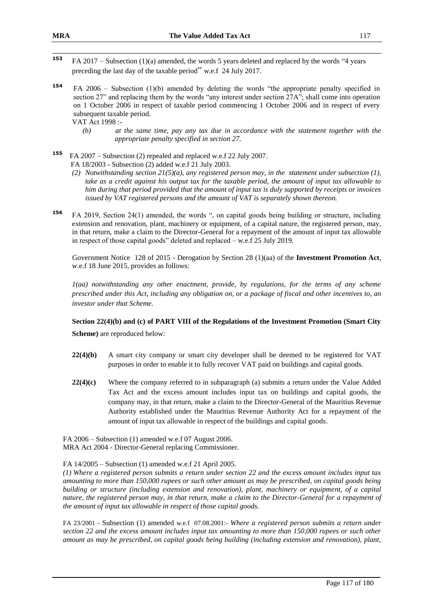- 153 **<sup>153</sup>** FA 2017 – Subsection (1)(a) amended, the words 5 years deleted and replaced by the words "4 years preceding the last day of the taxable period" w.e.f 24 July 2017.
- **<sup>154</sup>** FA 2006 Subsection (1)(b) amended by deleting the words "the appropriate penalty specified in section 27" and replacing them by the words "any interest under section 27A"; shall come into operation on 1 October 2006 in respect of taxable period commencing 1 October 2006 and in respect of every subsequent taxable period.

VAT Act 1998 :-

- *(b) at the same time, pay any tax due in accordance with the statement together with the appropriate penalty specified in section 27.*
- **155** FA 2007 – Subsection (2) repealed and replaced w.e.f 22 July 2007. FA 18/2003 - Subsection (2) added w.e.f 21 July 2003.
	- *(2) Notwithstanding section 21(5)(a), any registered person may, in the statement under subsection (1), take as a credit against his output tax for the taxable period, the amount of input tax allowable to him during that period provided that the amount of input tax is duly supported by receipts or invoices issued by VAT registered persons and the amount of VAT is separately shown thereon.*
- **<sup>156</sup>** FA 2019, Section 24(1) amended, the words ", on capital goods being building or structure, including extension and renovation, plant, machinery or equipment, of a capital nature, the registered person, may, in that return, make a claim to the Director-General for a repayment of the amount of input tax allowable in respect of those capital goods" deleted and replaced – w.e.f 25 July 2019.

Government Notice 128 of 2015 - Derogation by Section 28 (1)(aa) of the **Investment Promotion Act**, w.e.f 18 June 2015, provides as follows:

*1(aa) notwithstanding any other enactment, provide, by regulations, for the terms of any scheme prescribed under this Act, including any obligation on, or a package of fiscal and other incentives to, an investor under that Scheme.*

### **Section 22(4)(b) and (c) of PART VIII of the Regulations of the Investment Promotion (Smart City**

**Scheme)** are reproduced below:

- **22(4)(b)** A smart city company or smart city developer shall be deemed to be registered for VAT purposes in order to enable it to fully recover VAT paid on buildings and capital goods.
- **22(4)(c)** Where the company referred to in subparagraph (a) submits a return under the Value Added Tax Act and the excess amount includes input tax on buildings and capital goods, the company may, in that return, make a claim to the Director-General of the Mauritius Revenue Authority established under the Mauritius Revenue Authority Act for a repayment of the amount of input tax allowable in respect of the buildings and capital goods.

FA 2006 – Subsection (1) amended w.e.f 07 August 2006. MRA Act 2004 - Director-General replacing Commissioner.

FA 14/2005 – Subsection (1) amended w.e.f 21 April 2005.

*(1) Where a registered person submits a return under section 22 and the excess amount includes input tax amounting to more than 150,000 rupees or such other amount as may be prescribed, on capital goods being building or structure (including extension and renovation), plant, machinery or equipment, of a capital nature, the registered person may, in that return, make a claim to the Director-General for a repayment of the amount of input tax allowable in respect of those capital goods.*

FA 23/2001 - Subsection (1) amended w.e.f 07.08.2001:- *Where a registered person submits a return under section 22 and the excess amount includes input tax amounting to more than 150,000 rupees or such other amount as may be prescribed, on capital goods being building (including extension and renovation), plant,*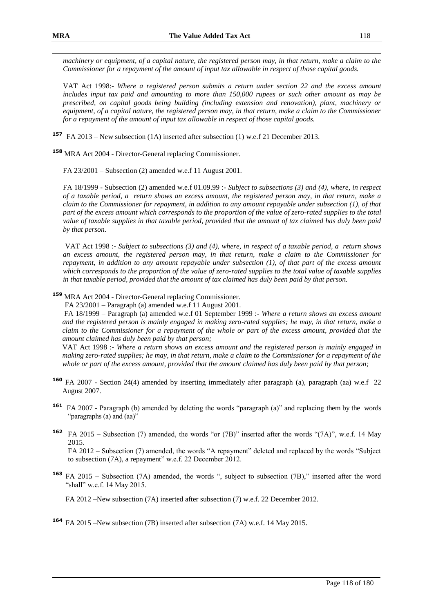*machinery or equipment, of a capital nature, the registered person may, in that return, make a claim to the Commissioner for a repayment of the amount of input tax allowable in respect of those capital goods.*

VAT Act 1998:- *Where a registered person submits a return under section 22 and the excess amount includes input tax paid and amounting to more than 150,000 rupees or such other amount as may be prescribed, on capital goods being building (including extension and renovation), plant, machinery or equipment, of a capital nature, the registered person may, in that return, make a claim to the Commissioner for a repayment of the amount of input tax allowable in respect of those capital goods.*

**<sup>157</sup>** FA 2013 – New subsection (1A) inserted after subsection (1) w.e.f 21 December 2013.

**<sup>158</sup>** MRA Act 2004 - Director-General replacing Commissioner.

FA 23/2001 – Subsection (2) amended w.e.f 11 August 2001.

FA 18/1999 - Subsection (2) amended w.e.f 01.09.99 :- *Subject to subsections (3) and (4), where, in respect of a taxable period, a return shows an excess amount, the registered person may, in that return, make a claim to the Commissioner for repayment, in addition to any amount repayable under subsection (1), of that part of the excess amount which corresponds to the proportion of the value of zero-rated supplies to the total value of taxable supplies in that taxable period, provided that the amount of tax claimed has duly been paid by that person.*

VAT Act 1998 :- *Subject to subsections (3) and (4), where, in respect of a taxable period, a return shows an excess amount, the registered person may, in that return, make a claim to the Commissioner for repayment, in addition to any amount repayable under subsection (1), of that part of the excess amount which corresponds to the proportion of the value of zero-rated supplies to the total value of taxable supplies in that taxable period, provided that the amount of tax claimed has duly been paid by that person.*

# **<sup>159</sup>** MRA Act 2004 - Director-General replacing Commissioner.

FA 23/2001 – Paragraph (a) amended w.e.f 11 August 2001.

 FA 18/1999 – Paragraph (a) amended w.e.f 01 September 1999 :- *Where a return shows an excess amount and the registered person is mainly engaged in making zero-rated supplies; he may, in that return, make a claim to the Commissioner for a repayment of the whole or part of the excess amount, provided that the amount claimed has duly been paid by that person;*

 VAT Act 1998 :- *Where a return shows an excess amount and the registered person is mainly engaged in making zero-rated supplies; he may, in that return, make a claim to the Commissioner for a repayment of the whole or part of the excess amount, provided that the amount claimed has duly been paid by that person;*

- **<sup>160</sup>** FA 2007 Section 24(4) amended by inserting immediately after paragraph (a), paragraph (aa) w.e.f 22 August 2007.
- **161** FA 2007 Paragraph (b) amended by deleting the words "paragraph (a)" and replacing them by the words "paragraphs (a) and (aa)"
- **<sup>162</sup>** FA 2015 Subsection (7) amended, the words "or (7B)" inserted after the words "(7A)", w.e.f. 14 May 2015. FA 2012 – Subsection (7) amended, the words "A repayment" deleted and replaced by the words "Subject

to subsection (7A), a repayment" w.e.f. 22 December 2012.

**<sup>163</sup>** FA 2015 – Subsection (7A) amended, the words ", subject to subsection (7B)," inserted after the word "shall" w.e.f. 14 May 2015.

FA 2012 –New subsection (7A) inserted after subsection (7) w.e.f. 22 December 2012.

**<sup>164</sup>** FA 2015 –New subsection (7B) inserted after subsection (7A) w.e.f. 14 May 2015.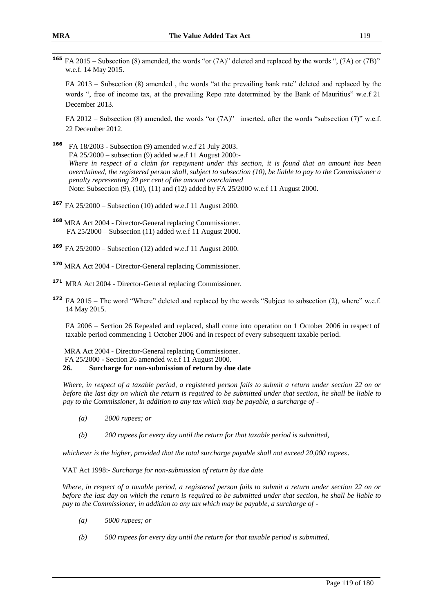**<sup>165</sup>** FA 2015 – Subsection (8) amended, the words "or (7A)" deleted and replaced by the words ", (7A) or (7B)" w.e.f. 14 May 2015.

FA 2013 – Subsection (8) amended , the words "at the prevailing bank rate" deleted and replaced by the words ", free of income tax, at the prevailing Repo rate determined by the Bank of Mauritius" w.e.f 21 December 2013.

FA 2012 – Subsection (8) amended, the words "or (7A)" inserted, after the words "subsection (7)" w.e.f. 22 December 2012.

- **<sup>166</sup>** FA 18/2003 Subsection (9) amended w.e.f 21 July 2003. FA 25/2000 – subsection (9) added w.e.f 11 August 2000:- *Where in respect of a claim for repayment under this section, it is found that an amount has been overclaimed, the registered person shall, subject to subsection (10), be liable to pay to the Commissioner a penalty representing 20 per cent of the amount overclaimed* Note: Subsection (9), (10), (11) and (12) added by FA 25/2000 w.e.f 11 August 2000.
- **<sup>167</sup>** FA 25/2000 Subsection (10) added w.e.f 11 August 2000.
- **<sup>168</sup>** MRA Act 2004 Director-General replacing Commissioner. FA 25/2000 – Subsection (11) added w.e.f 11 August 2000.
- **<sup>169</sup>** FA 25/2000 Subsection (12) added w.e.f 11 August 2000.
- **<sup>170</sup>** MRA Act 2004 Director-General replacing Commissioner.
- **<sup>171</sup>** MRA Act 2004 Director-General replacing Commissioner.
- **<sup>172</sup>** FA 2015 The word "Where" deleted and replaced by the words "Subject to subsection (2), where" w.e.f. 14 May 2015.

FA 2006 – Section 26 Repealed and replaced, shall come into operation on 1 October 2006 in respect of taxable period commencing 1 October 2006 and in respect of every subsequent taxable period.

MRA Act 2004 - Director-General replacing Commissioner.

FA 25/2000 - Section 26 amended w.e.f 11 August 2000.

#### **26. Surcharge for non-submission of return by due date**

*Where, in respect of a taxable period, a registered person fails to submit a return under section 22 on or before the last day on which the return is required to be submitted under that section, he shall be liable to pay to the Commissioner, in addition to any tax which may be payable, a surcharge of -*

- *(a) 2000 rupees; or*
- *(b) 200 rupees for every day until the return for that taxable period is submitted,*

*whichever is the higher, provided that the total surcharge payable shall not exceed 20,000 rupees*.

VAT Act 1998:- *Surcharge for non-submission of return by due date*

*Where, in respect of a taxable period, a registered person fails to submit a return under section 22 on or before the last day on which the return is required to be submitted under that section, he shall be liable to pay to the Commissioner, in addition to any tax which may be payable, a surcharge of -*

- *(a) 5000 rupees; or*
- *(b) 500 rupees for every day until the return for that taxable period is submitted,*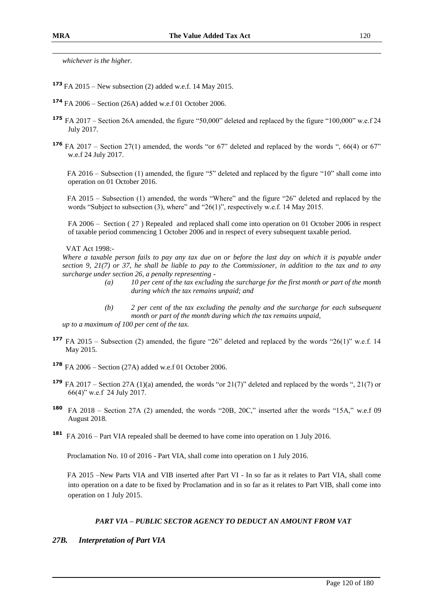*whichever is the higher.*

- **<sup>173</sup>** FA 2015 New subsection (2) added w.e.f. 14 May 2015.
- **<sup>174</sup>** FA 2006 Section (26A) added w.e.f 01 October 2006.
- **<sup>175</sup>** FA 2017 Section 26A amended, the figure "50,000" deleted and replaced by the figure "100,000" w.e.f 24 July 2017.
- **<sup>176</sup>** FA 2017 Section 27(1) amended, the words "or 67" deleted and replaced by the words ", 66(4) or 67" w.e.f 24 July 2017.

 FA 2016 – Subsection (1) amended, the figure "5" deleted and replaced by the figure "10" shall come into operation on 01 October 2016.

 FA 2015 – Subsection (1) amended, the words "Where" and the figure "26" deleted and replaced by the words "Subject to subsection (3), where" and "26(1)", respectively w.e.f. 14 May 2015.

FA 2006 – Section ( 27 ) Repealed and replaced shall come into operation on 01 October 2006 in respect of taxable period commencing 1 October 2006 and in respect of every subsequent taxable period.

VAT Act 1998:-

*Where a taxable person fails to pay any tax due on or before the last day on which it is payable under section 9, 21(7) or 37, he shall be liable to pay to the Commissioner, in addition to the tax and to any surcharge under section 26, a penalty representing -*

- *(a) 10 per cent of the tax excluding the surcharge for the first month or part of the month during which the tax remains unpaid; and*
- *(b) 2 per cent of the tax excluding the penalty and the surcharge for each subsequent month or part of the month during which the tax remains unpaid, up to a maximum of 100 per cent of the tax.*
- **<sup>177</sup>** FA 2015 Subsection (2) amended, the figure "26" deleted and replaced by the words "26(1)" w.e.f. 14 May 2015.
- **<sup>178</sup>** FA 2006 Section (27A) added w.e.f 01 October 2006.
- **<sup>179</sup>** FA 2017 Section 27A (1)(a) amended, the words "or 21(7)" deleted and replaced by the words ", 21(7) or 66(4)" w.e.f 24 July 2017.
- **<sup>180</sup>** FA 2018 Section 27A (2) amended, the words "20B, 20C," inserted after the words "15A," w.e.f 09 August 2018.
- **<sup>181</sup>** FA 2016 Part VIA repealed shall be deemed to have come into operation on 1 July 2016.

Proclamation No. 10 of 2016 - Part VIA, shall come into operation on 1 July 2016.

FA 2015 –New Parts VIA and VIB inserted after Part VI - In so far as it relates to Part VIA, shall come into operation on a date to be fixed by Proclamation and in so far as it relates to Part VIB, shall come into operation on 1 July 2015.

### *PART VIA – PUBLIC SECTOR AGENCY TO DEDUCT AN AMOUNT FROM VAT*

### *27B. Interpretation of Part VIA*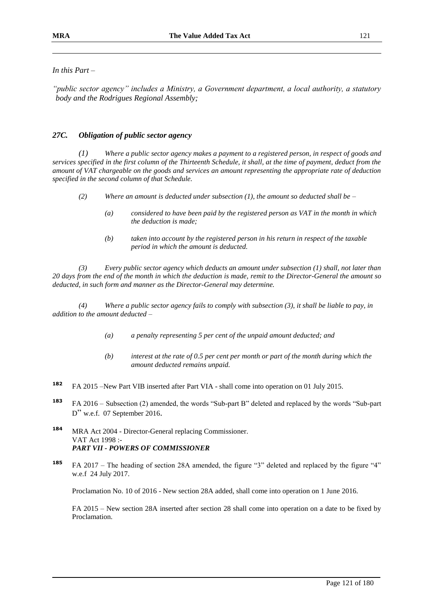### *In this Part –*

*"public sector agency" includes a Ministry, a Government department, a local authority, a statutory body and the Rodrigues Regional Assembly;*

### *27C. Obligation of public sector agency*

*(1) Where a public sector agency makes a payment to a registered person, in respect of goods and services specified in the first column of the Thirteenth Schedule, it shall, at the time of payment, deduct from the amount of VAT chargeable on the goods and services an amount representing the appropriate rate of deduction specified in the second column of that Schedule.*

- *(2) Where an amount is deducted under subsection (1), the amount so deducted shall be –*
	- *(a) considered to have been paid by the registered person as VAT in the month in which the deduction is made;*
	- *(b) taken into account by the registered person in his return in respect of the taxable period in which the amount is deducted.*

*(3) Every public sector agency which deducts an amount under subsection (1) shall, not later than 20 days from the end of the month in which the deduction is made, remit to the Director-General the amount so deducted, in such form and manner as the Director-General may determine.*

*(4) Where a public sector agency fails to comply with subsection (3), it shall be liable to pay, in addition to the amount deducted –*

- *(a) a penalty representing 5 per cent of the unpaid amount deducted; and*
- *(b) interest at the rate of 0.5 per cent per month or part of the month during which the amount deducted remains unpaid.*
- **<sup>182</sup>** FA 2015 –New Part VIB inserted after Part VIA shall come into operation on 01 July 2015.
- **<sup>183</sup>** FA 2016 Subsection (2) amended, the words "Sub-part B" deleted and replaced by the words "Sub-part D" w.e.f. 07 September 2016.
- **<sup>184</sup>** MRA Act 2004 Director-General replacing Commissioner. VAT Act 1998 :- *PART VII - POWERS OF COMMISSIONER*
- **<sup>185</sup>** FA 2017 The heading of section 28A amended, the figure "3" deleted and replaced by the figure "4" w.e.f 24 July 2017.

Proclamation No. 10 of 2016 - New section 28A added, shall come into operation on 1 June 2016.

FA 2015 – New section 28A inserted after section 28 shall come into operation on a date to be fixed by Proclamation.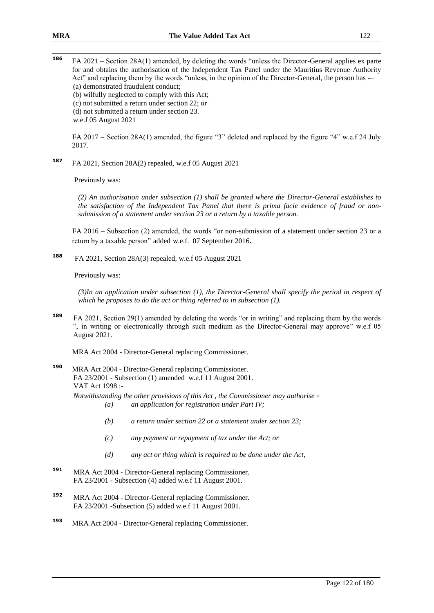**<sup>186</sup>** FA 2021 – Section 28A(1) amended, by deleting the words "unless the Director-General applies ex parte for and obtains the authorisation of the Independent Tax Panel under the Mauritius Revenue Authority Act" and replacing them by the words "unless, in the opinion of the Director-General, the person has -– (a) demonstrated fraudulent conduct; (b) wilfully neglected to comply with this Act; (c) not submitted a return under section 22; or (d) not submitted a return under section 23.

w.e.f 05 August 2021

FA 2017 – Section 28A(1) amended, the figure "3" deleted and replaced by the figure "4" w.e.f 24 July 2017.

**<sup>187</sup>** FA 2021, Section 28A(2) repealed, w.e.f 05 August 2021

Previously was:

*(2) An authorisation under subsection (1) shall be granted where the Director-General establishes to the satisfaction of the Independent Tax Panel that there is prima facie evidence of fraud or nonsubmission of a statement under section 23 or a return by a taxable person.*

FA 2016 – Subsection (2) amended, the words "or non-submission of a statement under section 23 or a return by a taxable person" added w.e.f. 07 September 2016.

**188**  FA 2021, Section 28A(3) repealed, w.e.f 05 August 2021

Previously was:

*(3)In an application under subsection (1), the Director-General shall specify the period in respect of which he proposes to do the act or thing referred to in subsection (1).*

**<sup>189</sup>** FA 2021, Section 29(1) amended by deleting the words "or in writing" and replacing them by the words ", in writing or electronically through such medium as the Director-General may approve" w.e.f 05 August 2021.

MRA Act 2004 - Director-General replacing Commissioner.

**<sup>190</sup>** MRA Act 2004 - Director-General replacing Commissioner. FA 23/2001 - Subsection (1) amended w.e.f 11 August 2001. VAT Act 1998 :- *Notwithstanding the other provisions of this Act , the Commissioner may authorise -*

*(a) an application for registration under Part IV;*

- *(b) a return under section 22 or a statement under section 23;*
- *(c) any payment or repayment of tax under the Act; or*
- *(d) any act or thing which is required to be done under the Act,*
- **<sup>191</sup>** MRA Act 2004 Director-General replacing Commissioner. FA 23/2001 - Subsection (4) added w.e.f 11 August 2001.
- **<sup>192</sup>** MRA Act 2004 Director-General replacing Commissioner. FA 23/2001 -Subsection (5) added w.e.f 11 August 2001.
- **<sup>193</sup>** MRA Act 2004 Director-General replacing Commissioner.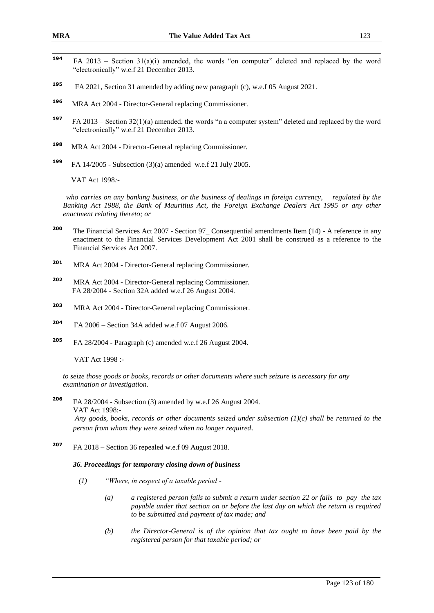- $194$ **<sup>194</sup>** FA 2013 – Section 31(a)(i) amended, the words "on computer" deleted and replaced by the word "electronically" w.e.f 21 December 2013.
- **195** FA 2021, Section 31 amended by adding new paragraph (c), w.e.f 05 August 2021.
- **<sup>196</sup>**MRA Act 2004 Director-General replacing Commissioner.
- **197** FA 2013 – Section 32(1)(a) amended, the words "n a computer system" deleted and replaced by the word "electronically" w.e.f 21 December 2013.
- **198** MRA Act 2004 - Director-General replacing Commissioner.
- **199** FA 14/2005 - Subsection (3)(a) amended w.e.f 21 July 2005.

VAT Act 1998*:-*

*who carries on any banking business, or the business of dealings in foreign currency, regulated by the Banking Act 1988, the Bank of Mauritius Act, the Foreign Exchange Dealers Act 1995 or any other enactment relating thereto; or*

- **<sup>200</sup>** The Financial Services Act 2007 Section 97\_ Consequential amendments Item (14) A reference in any enactment to the Financial Services Development Act 2001 shall be construed as a reference to the Financial Services Act 2007.
- **<sup>201</sup>** MRA Act 2004 Director-General replacing Commissioner.
- **<sup>202</sup>** MRA Act 2004 Director-General replacing Commissioner. FA 28/2004 - Section 32A added w.e.f 26 August 2004.
- **203** MRA Act 2004 - Director-General replacing Commissioner.
- **204** FA 2006 – Section 34A added w.e.f 07 August 2006.
- **205** FA 28/2004 - Paragraph (c) amended w.e.f 26 August 2004.

VAT Act 1998 :-

*to seize those goods or books, records or other documents where such seizure is necessary for any examination or investigation.*

**<sup>206</sup>** FA 28/2004 - Subsection (3) amended by w.e.f 26 August 2004. VAT Act 1998:- *Any goods, books, records or other documents seized under subsection (1)(c) shall be returned to the* 

*person from whom they were seized when no longer required.*

**<sup>207</sup>** FA 2018 – Section 36 repealed w.e.f 09 August 2018.

#### *36. Proceedings for temporary closing down of business*

- *(1) "Where, in respect of a taxable period -*
	- *(a) a registered person fails to submit a return under section 22 or fails to pay the tax payable under that section on or before the last day on which the return is required to be submitted and payment of tax made; and*
	- *(b) the Director-General is of the opinion that tax ought to have been paid by the registered person for that taxable period; or*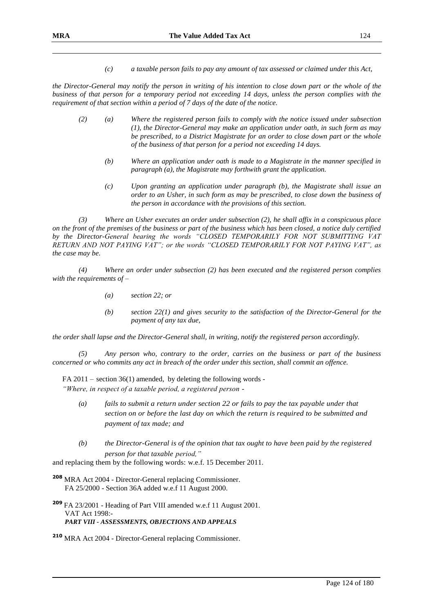*(c) a taxable person fails to pay any amount of tax assessed or claimed under this Act,*

*the Director-General may notify the person in writing of his intention to close down part or the whole of the business of that person for a temporary period not exceeding 14 days, unless the person complies with the requirement of that section within a period of 7 days of the date of the notice.*

- *(2) (a) Where the registered person fails to comply with the notice issued under subsection (1), the Director-General may make an application under oath, in such form as may be prescribed, to a District Magistrate for an order to close down part or the whole of the business of that person for a period not exceeding 14 days.*
	- *(b) Where an application under oath is made to a Magistrate in the manner specified in paragraph (a), the Magistrate may forthwith grant the application.*
	- *(c) Upon granting an application under paragraph (b), the Magistrate shall issue an order to an Usher, in such form as may be prescribed, to close down the business of the person in accordance with the provisions of this section.*

*(3) Where an Usher executes an order under subsection (2), he shall affix in a conspicuous place on the front of the premises of the business or part of the business which has been closed, a notice duly certified by the Director-General bearing the words "CLOSED TEMPORARILY FOR NOT SUBMITTING VAT RETURN AND NOT PAYING VAT"; or the words "CLOSED TEMPORARILY FOR NOT PAYING VAT", as the case may be.*

*(4) Where an order under subsection (2) has been executed and the registered person complies with the requirements of –*

- *(a) section 22; or*
- *(b) section 22(1) and gives security to the satisfaction of the Director-General for the payment of any tax due,*

*the order shall lapse and the Director-General shall, in writing, notify the registered person accordingly.*

*(5) Any person who, contrary to the order, carries on the business or part of the business concerned or who commits any act in breach of the order under this section, shall commit an offence.*

 $FA 2011 - section 36(1)$  amended, by deleting the following words -*"Where, in respect of a taxable period, a registered person -*

- *(a) fails to submit a return under section 22 or fails to pay the tax payable under that section on or before the last day on which the return is required to be submitted and payment of tax made; and*
- *(b) the Director-General is of the opinion that tax ought to have been paid by the registered person for that taxable period,"*

and replacing them by the following words: w.e.f. 15 December 2011.

**<sup>208</sup>** MRA Act 2004 - Director-General replacing Commissioner. FA 25/2000 - Section 36A added w.e.f 11 August 2000.

**<sup>209</sup>** FA 23/2001 - Heading of Part VIII amended w.e.f 11 August 2001. VAT Act 1998:- *PART VIII - ASSESSMENTS, OBJECTIONS AND APPEALS*

**<sup>210</sup>** MRA Act 2004 - Director-General replacing Commissioner.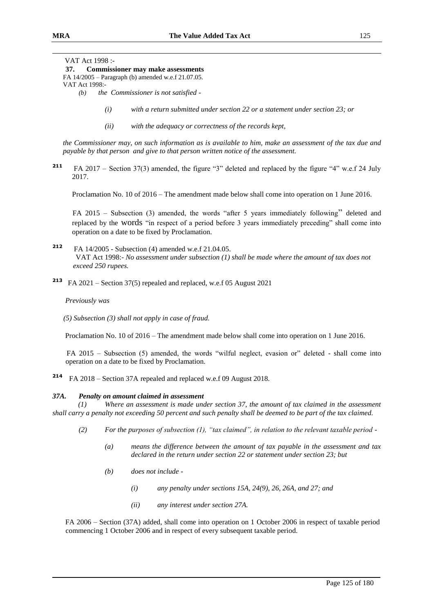VAT Act 1998 :-

### **37. Commissioner may make assessments**

FA 14/2005 – Paragraph (b) amended w.e.f 21.07.05. VAT Act 1998:-

- *(b) the Commissioner is not satisfied -*
	- *(i) with a return submitted under section 22 or a statement under section 23; or*
	- *(ii) with the adequacy or correctness of the records kept,*

*the Commissioner may, on such information as is available to him, make an assessment of the tax due and payable by that person and give to that person written notice of the assessment.*

**211** FA 2017 – Section 37(3) amended, the figure "3" deleted and replaced by the figure "4" w.e.f 24 July 2017.

Proclamation No. 10 of 2016 – The amendment made below shall come into operation on 1 June 2016.

 FA 2015 – Subsection (3) amended, the words "after 5 years immediately following" deleted and replaced by the words "in respect of a period before 3 years immediately preceding" shall come into operation on a date to be fixed by Proclamation.

- **212** FA 14/2005 - Subsection (4) amended w.e.f 21.04.05. VAT Act 1998:- *No assessment under subsection (1) shall be made where the amount of tax does not exceed 250 rupees.*
- **213** FA 2021 Section 37(5) repealed and replaced, w.e.f 05 August 2021

 *Previously was*

*(5) Subsection (3) shall not apply in case of fraud.*

Proclamation No. 10 of 2016 – The amendment made below shall come into operation on 1 June 2016.

 FA 2015 – Subsection (5) amended, the words "wilful neglect, evasion or" deleted - shall come into operation on a date to be fixed by Proclamation.

**214** FA 2018 – Section 37A repealed and replaced w.e.f 09 August 2018.

#### *37A. Penalty on amount claimed in assessment*

*(Where an assessment is made under section 37, the amount of tax claimed in the assessment shall carry a penalty not exceeding 50 percent and such penalty shall be deemed to be part of the tax claimed.*

- *(2) For the purposes of subsection (1), "tax claimed", in relation to the relevant taxable period -*
	- *(a) means the difference between the amount of tax payable in the assessment and tax declared in the return under section 22 or statement under section 23; but*
	- *(b) does not include -*
		- *(i) any penalty under sections 15A, 24(9), 26, 26A, and 27; and*
		- *(ii) any interest under section 27A.*

 FA 2006 – Section (37A) added, shall come into operation on 1 October 2006 in respect of taxable period commencing 1 October 2006 and in respect of every subsequent taxable period.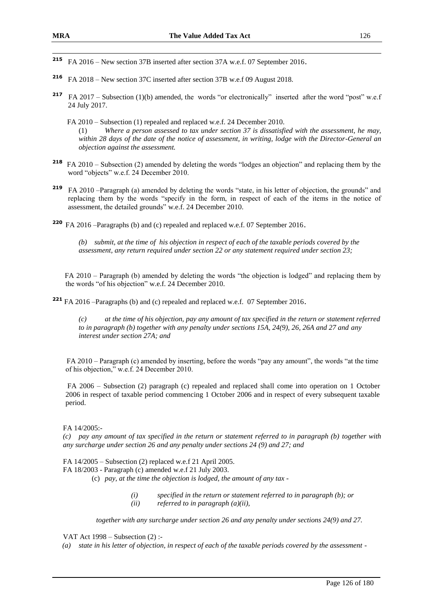- **<sup>215</sup>** FA 2016 New section 37B inserted after section 37A w.e.f. 07 September 2016.
- **<sup>216</sup>** FA 2018 New section 37C inserted after section 37B w.e.f 09 August 2018.
- **217** FA 2017 Subsection (1)(b) amended, the words "or electronically" inserted after the word "post" w.e.f 24 July 2017.
	- FA 2010 Subsection (1) repealed and replaced w.e.f. 24 December 2010. (1) *Where a person assessed to tax under section 37 is dissatisfied with the assessment, he may, within 28 days of the date of the notice of assessment, in writing, lodge with the Director-General an objection against the assessment.*
- **<sup>218</sup>** FA 2010 Subsection (2) amended by deleting the words "lodges an objection" and replacing them by the word "objects" w.e.f. 24 December 2010.
- **<sup>219</sup>**FA 2010 –Paragraph (a) amended by deleting the words "state, in his letter of objection, the grounds" and replacing them by the words "specify in the form, in respect of each of the items in the notice of assessment, the detailed grounds" w.e.f. 24 December 2010.
- **<sup>220</sup>** FA 2016 –Paragraphs (b) and (c) repealed and replaced w.e.f. 07 September 2016.

*(b) submit, at the time of his objection in respect of each of the taxable periods covered by the assessment, any return required under section 22 or any statement required under section 23;*

FA 2010 – Paragraph (b) amended by deleting the words "the objection is lodged" and replacing them by the words "of his objection" w.e.f. 24 December 2010.

**<sup>221</sup>** FA 2016 –Paragraphs (b) and (c) repealed and replaced w.e.f. 07 September 2016.

*(c) at the time of his objection, pay any amount of tax specified in the return or statement referred to in paragraph (b) together with any penalty under sections 15A, 24(9), 26, 26A and 27 and any interest under section 27A; and*

 FA 2010 – Paragraph (c) amended by inserting, before the words "pay any amount", the words "at the time of his objection," w.e.f. 24 December 2010.

FA 2006 – Subsection (2) paragraph (c) repealed and replaced shall come into operation on 1 October 2006 in respect of taxable period commencing 1 October 2006 and in respect of every subsequent taxable period.

FA 14/2005:-

*(c) pay any amount of tax specified in the return or statement referred to in paragraph (b) together with any surcharge under section 26 and any penalty under sections 24 (9) and 27; and* 

FA 14/2005 – Subsection (2) replaced w.e.f 21 April 2005.

FA 18/2003 - Paragraph (c) amended w.e.f 21 July 2003.

- (c) *pay, at the time the objection is lodged, the amount of any tax -*
	- *(i) specified in the return or statement referred to in paragraph (b); or (ii) referred to in paragraph (a)(ii),*

*together with any surcharge under section 26 and any penalty under sections 24(9) and 27.*

VAT Act 1998 – Subsection (2) :-

*(a) state in his letter of objection, in respect of each of the taxable periods covered by the assessment -*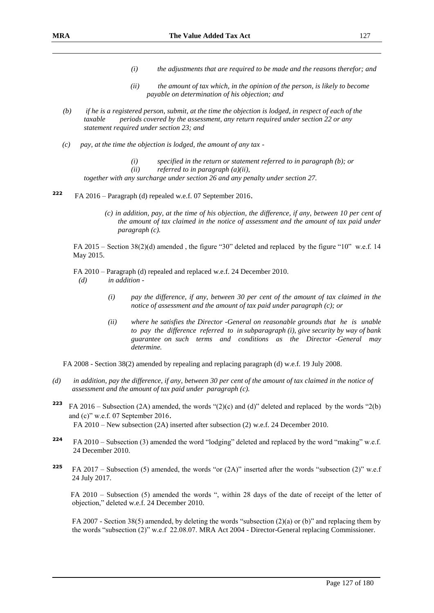- *(i) the adjustments that are required to be made and the reasons therefor; and*
- *(ii) the amount of tax which, in the opinion of the person, is likely to become payable on determination of his objection; and*
- *(b) if he is a registered person, submit, at the time the objection is lodged, in respect of each of the taxable periods covered by the assessment, any return required under section 22 or any statement required under section 23; and*
- *(c) pay, at the time the objection is lodged, the amount of any tax -*
	- *(i) specified in the return or statement referred to in paragraph (b); or*
	- *(ii) referred to in paragraph (a)(ii),*

*together with any surcharge under section 26 and any penalty under section 27.*

- **222** FA 2016 – Paragraph (d) repealed w.e.f. 07 September 2016.
	- *(c) in addition, pay, at the time of his objection, the difference, if any, between 10 per cent of the amount of tax claimed in the notice of assessment and the amount of tax paid under paragraph (c).*

 FA 2015 – Section 38(2)(d) amended , the figure "30" deleted and replaced by the figure "10" w.e.f. 14 May 2015.

FA 2010 – Paragraph (d) repealed and replaced w.e.f. 24 December 2010.

*(d) in addition -*

- *(i) pay the difference, if any, between 30 per cent of the amount of tax claimed in the notice of assessment and the amount of tax paid under paragraph (c); or*
- *(ii) where he satisfies the Director -General on reasonable grounds that he is unable to pay the difference referred to in subparagraph (i), give security by way of bank guarantee on such terms and conditions as the Director -General may determine.*

FA 2008 - Section 38(2) amended by repealing and replacing paragraph (d) w.e.f. 19 July 2008.

- *(d) in addition, pay the difference, if any, between 30 per cent of the amount of tax claimed in the notice of assessment and the amount of tax paid under paragraph (c).*
- **<sup>223</sup>** FA 2016 Subsection (2A) amended, the words "(2)(c) and (d)" deleted and replaced by the words "2(b) and (c)" w.e.f. 07 September 2016. FA 2010 – New subsection (2A) inserted after subsection (2) w.e.f. 24 December 2010.
- **<sup>224</sup>** FA 2010 Subsection (3) amended the word "lodging" deleted and replaced by the word "making" w.e.f. 24 December 2010.
- **<sup>225</sup>** FA 2017 Subsection (5) amended, the words "or (2A)" inserted after the words "subsection (2)" w.e.f 24 July 2017.

 FA 2010 – Subsection (5) amended the words ", within 28 days of the date of receipt of the letter of objection," deleted w.e.f. 24 December 2010.

FA 2007 - Section 38(5) amended, by deleting the words "subsection (2)(a) or (b)" and replacing them by the words "subsection (2)" w.e.f 22.08.07. MRA Act 2004 - Director-General replacing Commissioner.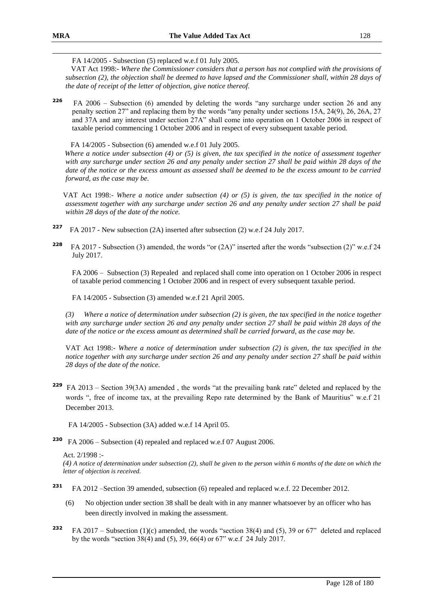FA 14/2005 - Subsection (5) replaced w.e.f 01 July 2005.

 VAT Act 1998:- *Where the Commissioner considers that a person has not complied with the provisions of subsection (2), the objection shall be deemed to have lapsed and the Commissioner shall, within 28 days of the date of receipt of the letter of objection, give notice thereof.*

**<sup>226</sup>** FA 2006 – Subsection (6) amended by deleting the words "any surcharge under section 26 and any penalty section 27" and replacing them by the words "any penalty under sections 15A, 24(9), 26, 26A, 27 and 37A and any interest under section 27A" shall come into operation on 1 October 2006 in respect of taxable period commencing 1 October 2006 and in respect of every subsequent taxable period.

FA 14/2005 - Subsection (6) amended w.e.f 01 July 2005.

*Where a notice under subsection (4) or (5) is given, the tax specified in the notice of assessment together with any surcharge under section 26 and any penalty under section 27 shall be paid within 28 days of the date of the notice or the excess amount as assessed shall be deemed to be the excess amount to be carried forward, as the case may be.*

VAT Act 1998:- *Where a notice under subsection (4) or (5) is given, the tax specified in the notice of assessment together with any surcharge under section 26 and any penalty under section 27 shall be paid within 28 days of the date of the notice.*

- **227** FA 2017 - New subsection (2A) inserted after subsection (2) w.e.f 24 July 2017.
- **228** FA 2017 - Subsection (3) amended, the words "or (2A)" inserted after the words "subsection (2)" w.e.f 24 July 2017.

FA 2006 – Subsection (3) Repealed and replaced shall come into operation on 1 October 2006 in respect of taxable period commencing 1 October 2006 and in respect of every subsequent taxable period.

FA 14/2005 - Subsection (3) amended w.e.f 21 April 2005.

*(3) Where a notice of determination under subsection (2) is given, the tax specified in the notice together with any surcharge under section 26 and any penalty under section 27 shall be paid within 28 days of the date of the notice or the excess amount as determined shall be carried forward, as the case may be.*

VAT Act 1998:- *Where a notice of determination under subsection (2) is given, the tax specified in the notice together with any surcharge under section 26 and any penalty under section 27 shall be paid within 28 days of the date of the notice.*

**<sup>229</sup>** FA 2013 – Section 39(3A) amended , the words "at the prevailing bank rate" deleted and replaced by the words ", free of income tax, at the prevailing Repo rate determined by the Bank of Mauritius" w.e.f 21 December 2013.

FA 14/2005 - Subsection (3A) added w.e.f 14 April 05.

**230** FA 2006 – Subsection (4) repealed and replaced w.e.f 07 August 2006.

Act. 2/1998 :-

*(4) A notice of determination under subsection (2), shall be given to the person within 6 months of the date on which the letter of objection is received.*

- **<sup>231</sup>** FA 2012 –Section 39 amended, subsection (6) repealed and replaced w.e.f. 22 December 2012.
	- (6) No objection under section 38 shall be dealt with in any manner whatsoever by an officer who has been directly involved in making the assessment.
- **<sup>232</sup>** FA 2017 Subsection (1)(c) amended, the words "section 38(4) and (5), 39 or 67" deleted and replaced by the words "section 38(4) and (5), 39, 66(4) or 67" w.e.f 24 July 2017.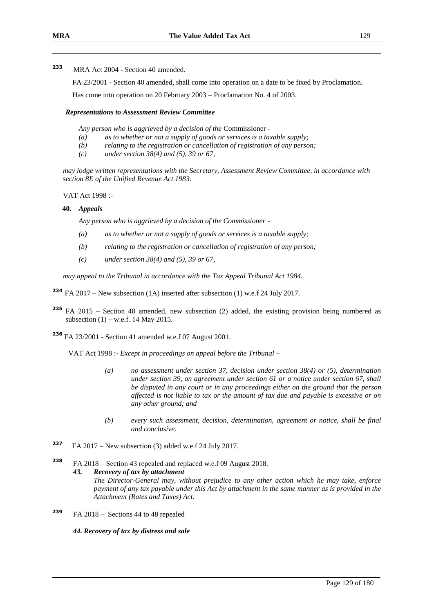FA 23/2001 - Section 40 amended, shall come into operation on a date to be fixed by Proclamation.

Has come into operation on 20 February 2003 – Proclamation No. 4 of 2003.

### *Representations to Assessment Review Committee*

*Any person who is aggrieved by a decision of the* Commissioner *-*

- *(a) as to whether or not a supply of goods or services is a taxable supply;*
- *(b) relating to the registration or cancellation of registration of any person;*
- *(c) under section 38(4) and (5), 39 or 67,*

*may lodge written representations with the Secretary, Assessment Review Committee, in accordance with section 8E of the Unified Revenue Act 1983.*

VAT Act 1998 :-

#### **40.** *Appeals*

*Any person who is aggrieved by a decision of the Commissioner -*

- *(a) as to whether or not a supply of goods or services is a taxable supply;*
- *(b) relating to the registration or cancellation of registration of any person;*
- *(c) under section 38(4) and (5), 39 or 67,*

*may appeal to the Tribunal in accordance with the Tax Appeal Tribunal Act 1984.*

- **<sup>234</sup>** FA 2017 New subsection (1A) inserted after subsection (1) w.e.f 24 July 2017.
- **<sup>235</sup>** FA 2015 Section 40 amended, new subsection (2) added, the existing provision being numbered as subsection  $(1)$  – w.e.f. 14 May 2015.
- **<sup>236</sup>** FA 23/2001 Section 41 amended w.e.f 07 August 2001.

VAT Act 1998 :- *Except in proceedings on appeal before the Tribunal* –

- *(a) no assessment under section 37, decision under section 38(4) or (5), determination under section 39, an agreement under section 61 or a notice under section 67, shall be disputed in any court or in any proceedings either on the ground that the person affected is not liable to tax or the amount of tax due and payable is excessive or on any other ground; and*
- *(b) every such assessment, decision, determination, agreement or notice, shall be final and conclusive.*
- **<sup>237</sup>** FA 2017 New subsection (3) added w.e.f 24 July 2017.
- **<sup>238</sup>** FA 2018 Section 43 repealed and replaced w.e.f 09 August 2018.

*43. Recovery of tax by attachment* 

*The Director-General may, without prejudice to any other action which he may take, enforce payment of any tax payable under this Act by attachment in the same manner as is provided in the Attachment (Rates and Taxes) Act.* 

**<sup>239</sup>** FA 2018 – Sections 44 to 48 repealed

*44. Recovery of tax by distress and sale*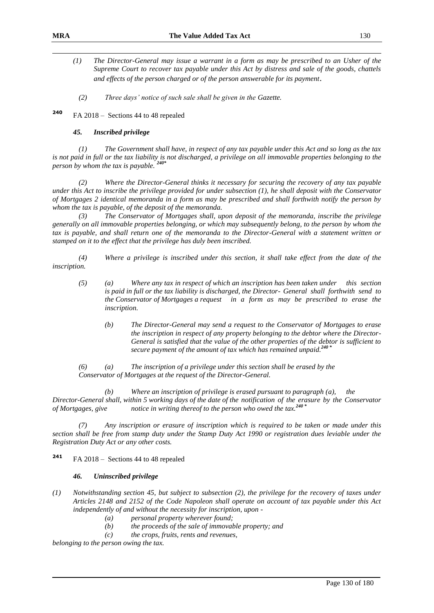- *(1) The Director-General may issue a warrant in a form as may be prescribed to an Usher of the Supreme Court to recover tax payable under this Act by distress and sale of the goods, chattels and effects of the person charged or of the person answerable for its payment*.
	- *(2) Three days' notice of such sale shall be given in the Gazette.*

**<sup>240</sup>** FA 2018 – Sections 44 to 48 repealed

#### *45. Inscribed privilege*

*(1) The Government shall have, in respect of any tax payable under this Act and so long as the tax is not paid in full or the tax liability is not discharged, a privilege on all immovable properties belonging to the person by whom the tax is payable. 240\**

*(2) Where the Director-General thinks it necessary for securing the recovery of any tax payable under this Act to inscribe the privilege provided for under subsection (1), he shall deposit with the Conservator of Mortgages 2 identical memoranda in a form as may be prescribed and shall forthwith notify the person by whom the tax is payable, of the deposit of the memoranda.*

*(3) The Conservator of Mortgages shall, upon deposit of the memoranda, inscribe the privilege generally on all immovable properties belonging, or which may subsequently belong, to the person by whom the tax is payable, and shall return one of the memoranda to the Director-General with a statement written or stamped on it to the effect that the privilege has duly been inscribed.* 

*(4) Where a privilege is inscribed under this section, it shall take effect from the date of the inscription.*

- *(5) (a) Where any tax in respect of which an inscription has been taken under this section is paid in full or the tax liability is discharged, the Director- General shall forthwith send to the Conservator of Mortgages a request in a form as may be prescribed to erase the inscription.*
	- *(b) The Director-General may send a request to the Conservator of Mortgages to erase the inscription in respect of any property belonging to the debtor where the Director-General is satisfied that the value of the other properties of the debtor is sufficient to secure payment of the amount of tax which has remained unpaid.<sup>240</sup> \**

*(6) (a) The inscription of a privilege under this section shall be erased by the Conservator of Mortgages at the request of the Director-General.*

*(b) Where an inscription of privilege is erased pursuant to paragraph (a), the Director-General shall, within 5 working days of the date of the notification of the erasure by the Conservator of Mortgages, give notice in writing thereof to the person who owed the tax.<sup>240</sup> \**

*(7) Any inscription or erasure of inscription which is required to be taken or made under this section shall be free from stamp duty under the Stamp Duty Act 1990 or registration dues leviable under the Registration Duty Act or any other costs.*

**<sup>241</sup>** FA 2018 – Sections 44 to 48 repealed

#### *46. Uninscribed privilege*

- *(1) Notwithstanding section 45, but subject to subsection (2), the privilege for the recovery of taxes under Articles 2148 and 2152 of the Code Napoleon shall operate on account of tax payable under this Act independently of and without the necessity for inscription, upon -*
	- *(a) personal property wherever found;*
	- *(b) the proceeds of the sale of immovable property; and*
	- *(c) the crops, fruits, rents and revenues,*

*belonging to the person owing the tax.*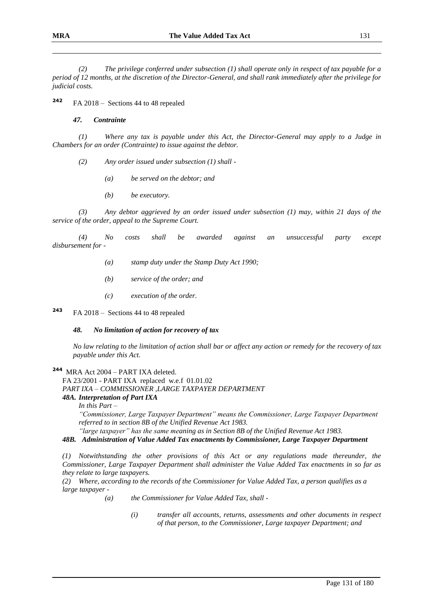*(2) The privilege conferred under subsection (1) shall operate only in respect of tax payable for a period of 12 months, at the discretion of the Director-General, and shall rank immediately after the privilege for judicial costs.* 

**<sup>242</sup>** FA 2018 – Sections 44 to 48 repealed

#### *47. Contrainte*

*(1) Where any tax is payable under this Act, the Director-General may apply to a Judge in Chambers for an order (Contrainte) to issue against the debtor.*

- *(2) Any order issued under subsection (1) shall -*
	- *(a) be served on the debtor; and*
	- *(b) be executory.*

*(3) Any debtor aggrieved by an order issued under subsection (1) may, within 21 days of the service of the order, appeal to the Supreme Court.*

*(4) No costs shall be awarded against an unsuccessful party except disbursement for -*

- *(a) stamp duty under the Stamp Duty Act 1990;*
- *(b) service of the order; and*
- *(c) execution of the order.*

**<sup>243</sup>** FA 2018 – Sections 44 to 48 repealed

### *48. No limitation of action for recovery of tax*

*No law relating to the limitation of action shall bar or affect any action or remedy for the recovery of tax payable under this Act.*

**244** MRA Act 2004 – PART IXA deleted.

FA 23/2001 - PART IXA replaced w.e.f 01.01.02 *PART IXA – COMMISSIONER ,LARGE TAXPAYER DEPARTMENT 48A. Interpretation of Part IXA* 

*In this Part –*

*"Commissioner, Large Taxpayer Department" means the Commissioner, Large Taxpayer Department referred to in section 8B of the Unified Revenue Act 1983.*

*"large taxpayer" has the same meaning as in Section 8B of the Unified Revenue Act 1983.*

#### *48B. Administration of Value Added Tax enactments by Commissioner, Large Taxpayer Department*

*(1) Notwithstanding the other provisions of this Act or any regulations made thereunder, the Commissioner, Large Taxpayer Department shall administer the Value Added Tax enactments in so far as they relate to large taxpayers.*

*(2) Where, according to the records of the Commissioner for Value Added Tax, a person qualifies as a large taxpayer -*

- *(a) the Commissioner for Value Added Tax, shall -*
	- *(i) transfer all accounts, returns, assessments and other documents in respect of that person, to the Commissioner, Large taxpayer Department; and*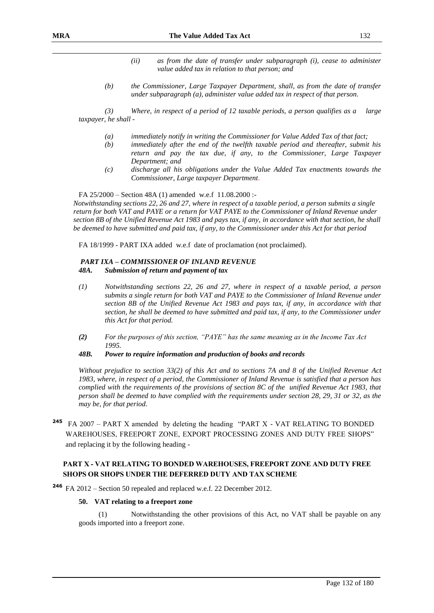- *(ii) as from the date of transfer under subparagraph (i), cease to administer value added tax in relation to that person; and*
- *(b) the Commissioner, Large Taxpayer Department, shall, as from the date of transfer under subparagraph (a), administer value added tax in respect of that person.*

*(3) Where, in respect of a period of 12 taxable periods, a person qualifies as a large taxpayer, he shall -*

- *(a) immediately notify in writing the Commissioner for Value Added Tax of that fact;*
- *(b) immediately after the end of the twelfth taxable period and thereafter, submit his return and pay the tax due, if any, to the Commissioner, Large Taxpayer Department; and*
- *(c) discharge all his obligations under the Value Added Tax enactments towards the Commissioner, Large taxpayer Department*.

FA 25/2000 – Section 48A (1) amended w.e.f 11.08.2000 :-

*Notwithstanding sections 22, 26 and 27, where in respect of a taxable period, a person submits a single return for both VAT and PAYE or a return for VAT PAYE to the Commissioner of Inland Revenue under section 8B of the Unified Revenue Act 1983 and pays tax, if any, in accordance with that section, he shall be deemed to have submitted and paid tax, if any, to the Commissioner under this Act for that period*

FA 18/1999 - PART IXA added w.e.f date of proclamation (not proclaimed).

### *PART IXA – COMMISSIONER OF INLAND REVENUE 48A. Submission of return and payment of tax*

- *(1) Notwithstanding sections 22, 26 and 27, where in respect of a taxable period, a person submits a single return for both VAT and PAYE to the Commissioner of Inland Revenue under section 8B of the Unified Revenue Act 1983 and pays tax, if any, in accordance with that section, he shall be deemed to have submitted and paid tax, if any, to the Commissioner under this Act for that period.*
- *(2) For the purposes of this section, "PAYE" has the same meaning as in the Income Tax Act 1995.*
- *48B. Power to require information and production of books and records*

*Without prejudice to section 33(2) of this Act and to sections 7A and 8 of the Unified Revenue Act 1983, where, in respect of a period, the Commissioner of Inland Revenue is satisfied that a person has complied with the requirements of the provisions of section 8C of the unified Revenue Act 1983, that person shall be deemed to have complied with the requirements under section 28, 29, 31 or 32, as the may be, for that period.*

**<sup>245</sup>** FA 2007 – PART X amended by deleting the heading "PART X - VAT RELATING TO BONDED WAREHOUSES, FREEPORT ZONE, EXPORT PROCESSING ZONES AND DUTY FREE SHOPS" and replacing it by the following heading -

### **PART X - VAT RELATING TO BONDED WAREHOUSES, FREEPORT ZONE AND DUTY FREE SHOPS OR SHOPS UNDER THE DEFERRED DUTY AND TAX SCHEME**

**<sup>246</sup>** FA 2012 – Section 50 repealed and replaced w.e.f. 22 December 2012.

#### **50. VAT relating to a freeport zone**

(1) Notwithstanding the other provisions of this Act, no VAT shall be payable on any goods imported into a freeport zone.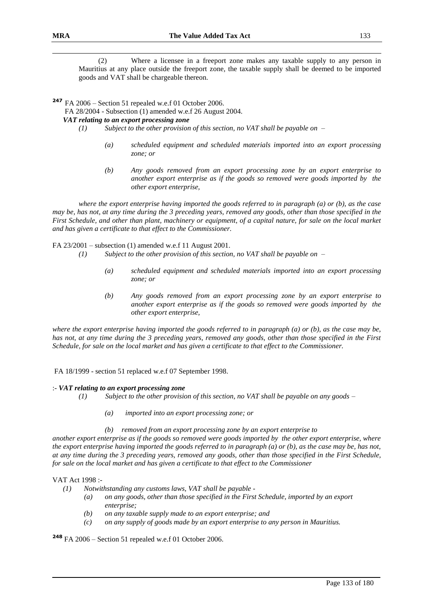(2) Where a licensee in a freeport zone makes any taxable supply to any person in Mauritius at any place outside the freeport zone, the taxable supply shall be deemed to be imported goods and VAT shall be chargeable thereon.

**<sup>247</sup>** FA 2006 – Section 51 repealed w.e.f 01 October 2006.

FA 28/2004 - Subsection (1) amended w.e.f 26 August 2004*.*

### *VAT relating to an export processing zone*

*(1) Subject to the other provision of this section, no VAT shall be payable on –*

- *(a) scheduled equipment and scheduled materials imported into an export processing zone; or*
- *(b) Any goods removed from an export processing zone by an export enterprise to another export enterprise as if the goods so removed were goods imported by the other export enterprise,*

*where the export enterprise having imported the goods referred to in paragraph (a) or (b), as the case may be, has not, at any time during the 3 preceding years, removed any goods, other than those specified in the First Schedule, and other than plant, machinery or equipment, of a capital nature, for sale on the local market and has given a certificate to that effect to the Commissioner.* 

FA 23/2001 – subsection (1) amended w.e.f 11 August 2001.

- *(1) Subject to the other provision of this section, no VAT shall be payable on –*
	- *(a) scheduled equipment and scheduled materials imported into an export processing zone; or*
	- *(b) Any goods removed from an export processing zone by an export enterprise to another export enterprise as if the goods so removed were goods imported by the other export enterprise,*

*where the export enterprise having imported the goods referred to in paragraph (a) or (b), as the case may be, has not, at any time during the 3 preceding years, removed any goods, other than those specified in the First Schedule, for sale on the local market and has given a certificate to that effect to the Commissioner.*

FA 18/1999 - section 51 replaced w.e.f 07 September 1998.

### :- *VAT relating to an export processing zone*

- *(1) Subject to the other provision of this section, no VAT shall be payable on any goods –*
	- *(a) imported into an export processing zone; or*
	- *(b) removed from an export processing zone by an export enterprise to*

*another export enterprise as if the goods so removed were goods imported by the other export enterprise, where the export enterprise having imported the goods referred to in paragraph (a) or (b), as the case may be, has not, at any time during the 3 preceding years, removed any goods, other than those specified in the First Schedule, for sale on the local market and has given a certificate to that effect to the Commissioner*

### VAT Act 1998 :-

- *(1) Notwithstanding any customs laws, VAT shall be payable -*
	- *(a) on any goods, other than those specified in the First Schedule, imported by an export enterprise;*
	- *(b) on any taxable supply made to an export enterprise; and*
	- *(c) on any supply of goods made by an export enterprise to any person in Mauritius.*

**<sup>248</sup>** FA 2006 – Section 51 repealed w.e.f 01 October 2006.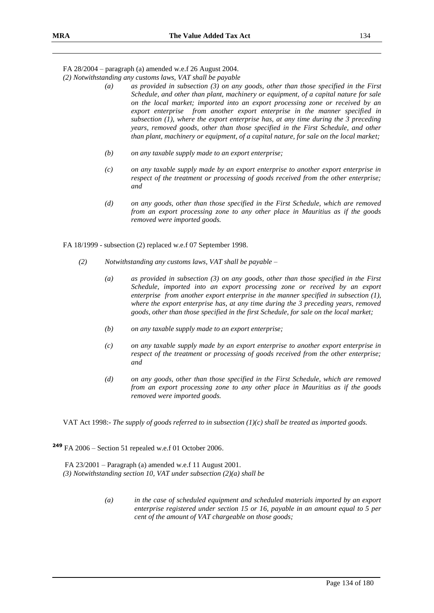FA 28/2004 – paragraph (a) amended w.e.f 26 August 2004.

*(2) Notwithstanding any customs laws, VAT shall be payable*

- *(a) as provided in subsection (3) on any goods, other than those specified in the First Schedule, and other than plant, machinery or equipment, of a capital nature for sale on the local market; imported into an export processing zone or received by an export enterprise from another export enterprise in the manner specified in subsection (1), where the export enterprise has, at any time during the 3 preceding years, removed goods, other than those specified in the First Schedule, and other than plant, machinery or equipment, of a capital nature, for sale on the local market;*
- *(b) on any taxable supply made to an export enterprise;*
- *(c) on any taxable supply made by an export enterprise to another export enterprise in respect of the treatment or processing of goods received from the other enterprise; and*
- *(d) on any goods, other than those specified in the First Schedule, which are removed from an export processing zone to any other place in Mauritius as if the goods removed were imported goods.*

FA 18/1999 - subsection (2) replaced w.e.f 07 September 1998.

- *(2) Notwithstanding any customs laws, VAT shall be payable –*
	- *(a) as provided in subsection (3) on any goods, other than those specified in the First Schedule, imported into an export processing zone or received by an export enterprise from another export enterprise in the manner specified in subsection (1), where the export enterprise has, at any time during the 3 preceding years, removed goods, other than those specified in the first Schedule, for sale on the local market;*
	- *(b) on any taxable supply made to an export enterprise;*
	- *(c) on any taxable supply made by an export enterprise to another export enterprise in respect of the treatment or processing of goods received from the other enterprise; and*
	- *(d) on any goods, other than those specified in the First Schedule, which are removed from an export processing zone to any other place in Mauritius as if the goods removed were imported goods.*

VAT Act 1998:- *The supply of goods referred to in subsection (1)(c) shall be treated as imported goods.*

**<sup>249</sup>** FA 2006 – Section 51 repealed w.e.f 01 October 2006.

FA 23/2001 – Paragraph (a) amended w.e.f 11 August 2001. *(3) Notwithstanding section 10, VAT under subsection (2)(a) shall be*

> *(a) in the case of scheduled equipment and scheduled materials imported by an export enterprise registered under section 15 or 16, payable in an amount equal to 5 per cent of the amount of VAT chargeable on those goods;*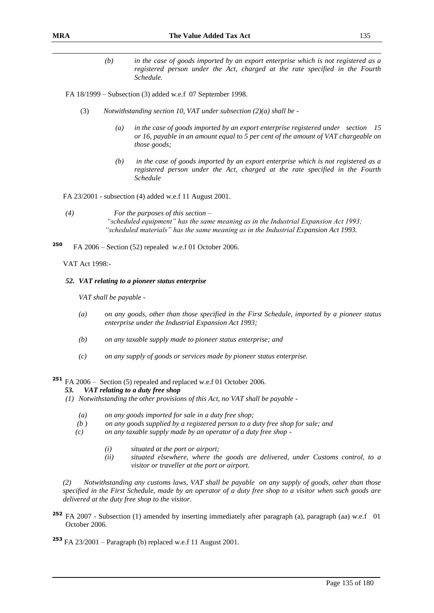- *(b) in the case of goods imported by an export enterprise which is not registered as a registered person under the Act, charged at the rate specified in the Fourth Schedule.*
- FA 18/1999 Subsection (3) added w.e.f 07 September 1998.
	- (3) *Notwithstanding section 10, VAT under subsection (2)(a) shall be -*
		- *(a) in the case of goods imported by an export enterprise registered under section 15 or 16, payable in an amount equal to 5 per cent of the amount of VAT chargeable on those goods;*
		- *(b) in the case of goods imported by an export enterprise which is not registered as a registered person under the Act, charged at the rate specified in the Fourth Schedule*

FA 23/2001 - subsection (4) added w.e.f 11 August 2001.

- *(4) For the purposes of this section – "scheduled equipment" has the same meaning as in the Industrial Expansion Act 1993; "scheduled materials" has the same meaning as in the Industrial Expansion Act 1993.*
- **<sup>250</sup>** FA 2006 Section (52) repealed w.e.f 01 October 2006.

VAT Act 1998:-

#### *52. VAT relating to a pioneer status enterprise*

*VAT shall be payable -*

- *(a) on any goods, other than those specified in the First Schedule, imported by a pioneer status enterprise under the Industrial Expansion Act 1993;*
- *(b) on any taxable supply made to pioneer status enterprise; and*
- *(c) on any supply of goods or services made by pioneer status enterprise.*

**<sup>251</sup>** FA 2006 – Section (5) repealed and replaced w.e.f 01 October 2006.

### *53. VAT relating to a duty free shop*

- *(1) Notwithstanding the other provisions of this Act, no VAT shall be payable -*
	- *(a) on any goods imported for sale in a duty free shop;*
	- *(b ) on any goods supplied by a registered person to a duty free shop for sale; and*
	- *(c) on any taxable supply made by an operator of a duty free shop -*
		- *(i) situated at the port or airport;*
		- *(ii) situated elsewhere, where the goods are delivered, under Customs control, to a visitor or traveller at the port or airport.*

*(2) Notwithstanding any customs laws, VAT shall be payable on any supply of goods, other than those specified in the First Schedule, made by an operator of a duty free shop to a visitor when such goods are delivered at the duty free shop to the visitor*.

**<sup>252</sup>** FA 2007 - Subsection (1) amended by inserting immediately after paragraph (a), paragraph (aa) w.e.f 01 October 2006.

**<sup>253</sup>** FA 23/2001 – Paragraph (b) replaced w.e.f 11 August 2001.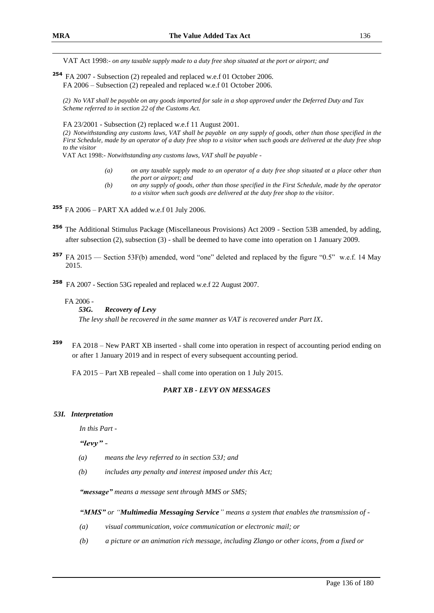VAT Act 1998:- *on any taxable supply made to a duty free shop situated at the port or airport; and*

**254** FA 2007 - Subsection (2) repealed and replaced w.e.f 01 October 2006. FA 2006 – Subsection (2) repealed and replaced w.e.f 01 October 2006.

*(2) No VAT shall be payable on any goods imported for sale in a shop approved under the Deferred Duty and Tax Scheme referred to in section 22 of the Customs Act.*

FA 23/2001 - Subsection (2) replaced w.e.f 11 August 2001.

*(2) Notwithstanding any customs laws, VAT shall be payable on any supply of goods, other than those specified in the First Schedule, made by an operator of a duty free shop to a visitor when such goods are delivered at the duty free shop to the visitor*

VAT Act 1998:- *Notwithstanding any customs laws, VAT shall be payable -*

- *(a) on any taxable supply made to an operator of a duty free shop situated at a place other than the port or airport; and*
- *(b) on any supply of goods, other than those specified in the First Schedule, made by the operator to a visitor when such goods are delivered at the duty free shop to the visitor*.

**<sup>255</sup>** FA 2006 – PART XA added w.e.f 01 July 2006.

- **<sup>256</sup>** The Additional Stimulus Package (Miscellaneous Provisions) Act 2009 Section 53B amended, by adding, after subsection (2), subsection (3) - shall be deemed to have come into operation on 1 January 2009.
- **257** FA 2015 –– Section 53F(b) amended, word "one" deleted and replaced by the figure "0.5" w.e.f. 14 May 2015.

**<sup>258</sup>** FA 2007 - Section 53G repealed and replaced w.e.f 22 August 2007.

#### FA 2006 -

### *53G. Recovery of Levy*

*The levy shall be recovered in the same manner as VAT is recovered under Part IX.*

**<sup>259</sup>** FA 2018 – New PART XB inserted - shall come into operation in respect of accounting period ending on or after 1 January 2019 and in respect of every subsequent accounting period.

FA 2015 – Part XB repealed – shall come into operation on 1 July 2015.

### *PART XB - LEVY ON MESSAGES*

#### *53I. Interpretation*

*In this Part -*

*"levy" -*

- *(a) means the levy referred to in section 53J; and*
- *(b) includes any penalty and interest imposed under this Act;*

*"message" means a message sent through MMS or SMS;*

*"MMS" or "Multimedia Messaging Service" means a system that enables the transmission of -*

- *(a) visual communication, voice communication or electronic mail; or*
- *(b) a picture or an animation rich message, including Zlango or other icons, from a fixed or*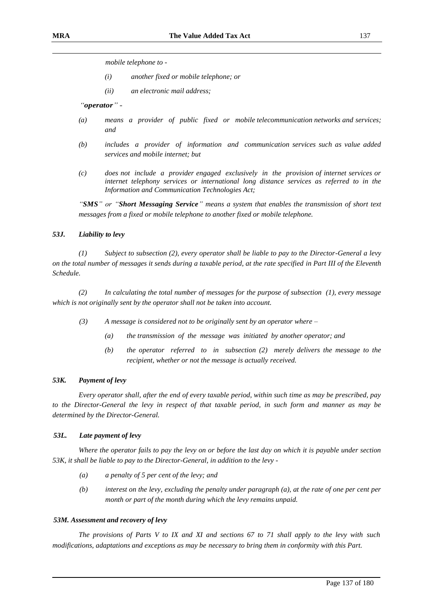*mobile telephone to -*

- *(i) another fixed or mobile telephone; or*
- *(ii) an electronic mail address;*

*"operator" -*

- *(a) means a provider of public fixed or mobile telecommunication networks and services; and*
- *(b) includes a provider of information and communication services such as value added services and mobile internet; but*
- *(c) does not include a provider engaged exclusively in the provision of internet services or internet telephony services or international long distance services as referred to in the Information and Communication Technologies Act;*

*"SMS" or "Short Messaging Service" means a system that enables the transmission of short text messages from a fixed or mobile telephone to another fixed or mobile telephone.* 

### *53J. Liability to levy*

*(1) Subject to subsection (2), every operator shall be liable to pay to the Director-General a levy on the total number of messages it sends during a taxable period, at the rate specified in Part III of the Eleventh Schedule.* 

*(2) In calculating the total number of messages for the purpose of subsection (1), every message which is not originally sent by the operator shall not be taken into account.* 

- *(3) A message is considered not to be originally sent by an operator where –*
	- *(a) the transmission of the message was initiated by another operator; and*
	- *(b) the operator referred to in subsection (2) merely delivers the message to the recipient, whether or not the message is actually received.*

#### *53K. Payment of levy*

*Every operator shall, after the end of every taxable period, within such time as may be prescribed, pay to the Director-General the levy in respect of that taxable period, in such form and manner as may be determined by the Director-General.* 

### *53L. Late payment of levy*

*Where the operator fails to pay the levy on or before the last day on which it is payable under section 53K, it shall be liable to pay to the Director-General, in addition to the levy -*

- *(a) a penalty of 5 per cent of the levy; and*
- *(b) interest on the levy, excluding the penalty under paragraph (a), at the rate of one per cent per month or part of the month during which the levy remains unpaid.*

#### *53M. Assessment and recovery of levy*

*The provisions of Parts V to IX and XI and sections 67 to 71 shall apply to the levy with such modifications, adaptations and exceptions as may be necessary to bring them in conformity with this Part.*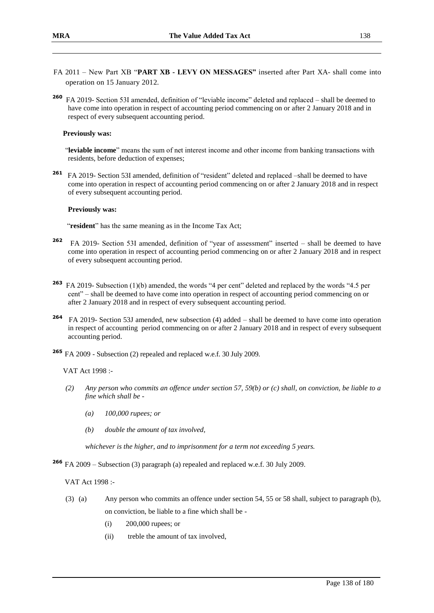- FA 2011 New Part XB "**PART XB - LEVY ON MESSAGES"** inserted after Part XA- shall come into operation on 15 January 2012.
- **260** FA 2019- Section 53I amended, definition of "leviable income" deleted and replaced – shall be deemed to have come into operation in respect of accounting period commencing on or after 2 January 2018 and in respect of every subsequent accounting period.

### **Previously was:**

 "**leviable income**" means the sum of net interest income and other income from banking transactions with residents, before deduction of expenses;

**261** FA 2019- Section 53I amended, definition of "resident" deleted and replaced –shall be deemed to have come into operation in respect of accounting period commencing on or after 2 January 2018 and in respect of every subsequent accounting period.

### **Previously was:**

"**resident**" has the same meaning as in the Income Tax Act;

- **262** FA 2019- Section 53I amended, definition of "year of assessment" inserted – shall be deemed to have come into operation in respect of accounting period commencing on or after 2 January 2018 and in respect of every subsequent accounting period.
- **263** FA 2019- Subsection (1)(b) amended, the words "4 per cent" deleted and replaced by the words "4.5 per cent" – shall be deemed to have come into operation in respect of accounting period commencing on or after 2 January 2018 and in respect of every subsequent accounting period.
- **264** FA 2019- Section 53J amended, new subsection (4) added – shall be deemed to have come into operation in respect of accounting period commencing on or after 2 January 2018 and in respect of every subsequent accounting period.
- **<sup>265</sup>** FA 2009 Subsection (2) repealed and replaced w.e.f. 30 July 2009.

VAT Act 1998 :-

- *(2) Any person who commits an offence under section 57, 59(b) or (c) shall, on conviction, be liable to a fine which shall be -*
	- *(a) 100,000 rupees; or*
	- *(b) double the amount of tax involved,*

*whichever is the higher, and to imprisonment for a term not exceeding 5 years.*

**<sup>266</sup>** FA 2009 – Subsection (3) paragraph (a) repealed and replaced w.e.f. 30 July 2009.

VAT Act 1998 :-

- (3) (a) Any person who commits an offence under section 54, 55 or 58 shall, subject to paragraph (b), on conviction, be liable to a fine which shall be -
	- (i) 200,000 rupees; or
	- (ii) treble the amount of tax involved,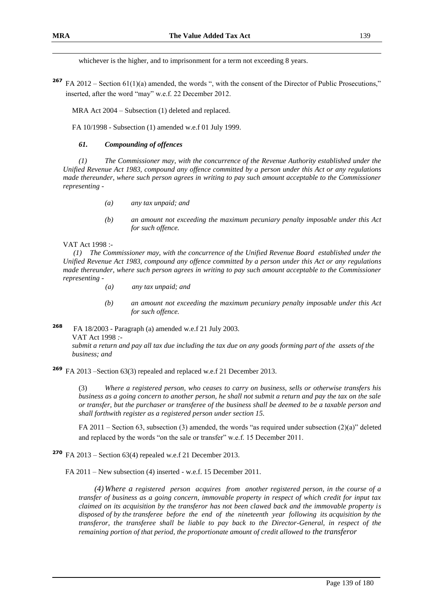whichever is the higher, and to imprisonment for a term not exceeding 8 years.

**267** FA 2012 – Section 61(1)(a) amended, the words ", with the consent of the Director of Public Prosecutions," inserted, after the word "may" w.e.f. 22 December 2012.

MRA Act 2004 – Subsection (1) deleted and replaced.

FA 10/1998 - Subsection (1) amended w.e.f 01 July 1999.

### *61. Compounding of offences*

*(1) The Commissioner may, with the concurrence of the Revenue Authority established under the Unified Revenue Act 1983, compound any offence committed by a person under this Act or any regulations made thereunder, where such person agrees in writing to pay such amount acceptable to the Commissioner representing -*

- *(a) any tax unpaid; and*
- *(b) an amount not exceeding the maximum pecuniary penalty imposable under this Act for such offence.*

VAT Act 1998 :-

*(1) The Commissioner may, with the concurrence of the Unified Revenue Board established under the Unified Revenue Act 1983, compound any offence committed by a person under this Act or any regulations made thereunder, where such person agrees in writing to pay such amount acceptable to the Commissioner representing -*

- *(a) any tax unpaid; and*
- *(b) an amount not exceeding the maximum pecuniary penalty imposable under this Act for such offence.*
- **<sup>268</sup>** FA 18/2003 Paragraph (a) amended w.e.f 21 July 2003. VAT Act 1998 *: submit a return and pay all tax due including the tax due on any goods forming part of the assets of the business; and*

**<sup>269</sup>** FA 2013 –Section 63(3) repealed and replaced w.e.f 21 December 2013.

(3) *Where a registered person, who ceases to carry on business, sells or otherwise transfers his business as a going concern to another person, he shall not submit a return and pay the tax on the sale or transfer, but the purchaser or transferee of the business shall be deemed to be a taxable person and shall forthwith register as a registered person under section 15.*

FA 2011 – Section 63, subsection (3) amended, the words "as required under subsection (2)(a)" deleted and replaced by the words "on the sale or transfer" w.e.f. 15 December 2011.

**<sup>270</sup>** FA 2013 – Section 63(4) repealed w.e.f 21 December 2013.

FA 2011 – New subsection (4) inserted - w.e.f. 15 December 2011.

*(4) Where a registered person acquires from another registered person, in the course of a transfer of business as a going concern, immovable property in respect of which credit for input tax claimed on its acquisition by the transferor has not been clawed back and the immovable property is disposed of by the transferee before the end of the nineteenth year following its acquisition by the transferor, the transferee shall be liable to pay back to the Director-General, in respect of the remaining portion of that period, the proportionate amount of credit allowed to the transferor*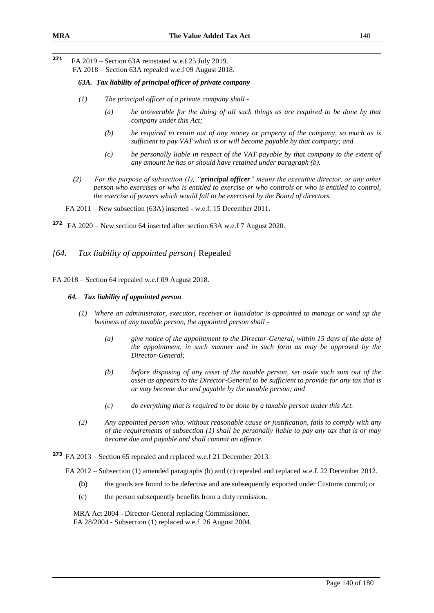**271** FA 2019 – Section 63A reinstated w.e.f 25 July 2019. FA 2018 – Section 63A repealed w.e.f 09 August 2018.

### *63A. Tax liability of principal officer of private company*

- *(1) The principal officer of a private company shall -*
	- *(a) be answerable for the doing of all such things as are required to be done by that company under this Act;*
	- *(b) be required to retain out of any money or property of the company, so much as is sufficient to pay VAT which is or will become payable by that company; and*
	- *(c) be personally liable in respect of the VAT payable by that company to the extent of any amount he has or should have retained under paragraph (b).*
- *(2) For the purpose of subsection (1), "principal officer" means the executive director, or any other person who exercises or who is entitled to exercise or who controls or who is entitled to control, the exercise of powers which would fall to be exercised by the Board of directors.*

FA 2011 – New subsection (63A) inserted - w.e.f. 15 December 2011.

**272** FA 2020 – New section 64 inserted after section 63A w.e.f 7 August 2020.

### *[64. Tax liability of appointed person]* Repealed

FA 2018 – Section 64 repealed w.e.f 09 August 2018.

#### *64. Tax liability of appointed person*

- *(1) Where an administrator, executor, receiver or liquidator is appointed to manage or wind up the business of any taxable person, the appointed person shall -*
	- *(a) give notice of the appointment to the Director-General, within 15 days of the date of the appointment, in such manner and in such form as may be approved by the Director-General;*
	- *(b) before disposing of any asset of the taxable person, set aside such sum out of the asset as appears to the Director-General to be sufficient to provide for any tax that is or may become due and payable by the taxable person; and*
	- *(c) do everything that is required to be done by a taxable person under this Act.*
- *(2) Any appointed person who, without reasonable cause or justification, fails to comply with any of the requirements of subsection (1) shall be personally liable to pay any tax that is or may become due and payable and shall commit an offence.*

**<sup>273</sup>** FA 2013 – Section 65 repealed and replaced w.e.f 21 December 2013.

FA 2012 – Subsection (1) amended paragraphs (b) and (c) repealed and replaced w.e.f. 22 December 2012.

- (b) the goods are found to be defective and are subsequently exported under Customs control; or
- (c) the person subsequently benefits from a duty remission.

MRA Act 2004 - Director-General replacing Commissioner. FA 28/2004 - Subsection (1) replaced w.e.f 26 August 2004.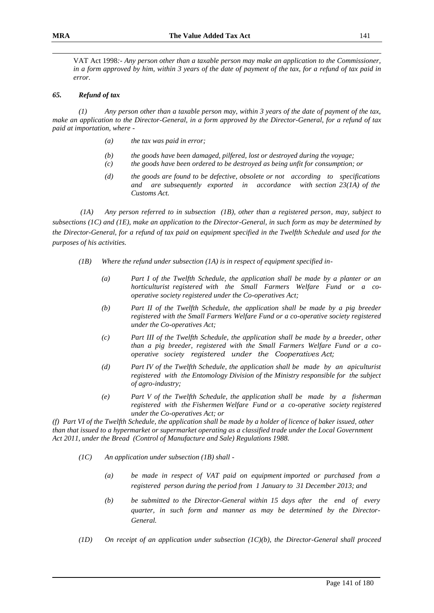VAT Act 1998*:- Any person other than a taxable person may make an application to the Commissioner, in a form approved by him, within 3 years of the date of payment of the tax, for a refund of tax paid in error.*

### *65. Refund of tax*

*(1) Any person other than a taxable person may, within 3 years of the date of payment of the tax, make an application to the Director-General, in a form approved by the Director-General, for a refund of tax paid at importation, where -*

- *(a) the tax was paid in error;*
- *(b) the goods have been damaged, pilfered, lost or destroyed during the voyage;*
- *(c) the goods have been ordered to be destroyed as being unfit for consumption; or*
- *(d) the goods are found to be defective, obsolete or not according to specifications and are subsequently exported in accordance with section 23(1A) of the Customs Act.*

*(1A) Any person referred to in subsection (1B), other than a registered person, may, subject to subsections (1C) and (1E), make an application to the Director-General, in such form as may be determined by the Director-General, for a refund of tax paid on equipment specified in the Twelfth Schedule and used for the purposes of his activities.* 

- *(1B) Where the refund under subsection (1A) is in respect of equipment specified in-*
	- *(a) Part I of the Twelfth Schedule, the application shall be made by a planter or an horticulturist registered with the Small Farmers Welfare Fund or a cooperative society registered under the Co-operatives Act;*
	- *(b) Part II of the Twelfth Schedule, the application shall be made by a pig breeder registered with the Small Farmers Welfare Fund or a co-operative society registered under the Co-operatives Act;*
	- *(c) Part III of the Twelfth Schedule, the application shall be made by a breeder, other than a pig breeder, registered with the Small Farmers Welfare Fund or a cooperative society registered under the Cooperatives Act;*
	- *(d) Part IV of the Twelfth Schedule, the application shall be made by an apiculturist registered with the Entomology Division of the Ministry responsible for the subject of agro-industry;*
	- *(e) Part V of the Twelfth Schedule, the application shall be made by a fisherman registered with the Fishermen Welfare Fund or a co-operative society registered under the Co-operatives Act; or*

*(f) Part VI of the Twelfth Schedule, the application shall be made by a holder of licence of baker issued, other than that issued to a hypermarket or supermarket operating as a classified trade under the Local Government Act 2011, under the Bread (Control of Manufacture and Sale) Regulations 1988.*

- *(1C) An application under subsection (1B) shall -*
	- *(a) be made in respect of VAT paid on equipment imported or purchased from a registered person during the period from 1 January to 31 December 2013; and*
	- *(b) be submitted to the Director-General within 15 days after the end of every quarter, in such form and manner as may be determined by the Director-General.*
- *(1D) On receipt of an application under subsection (1C)(b), the Director-General shall proceed*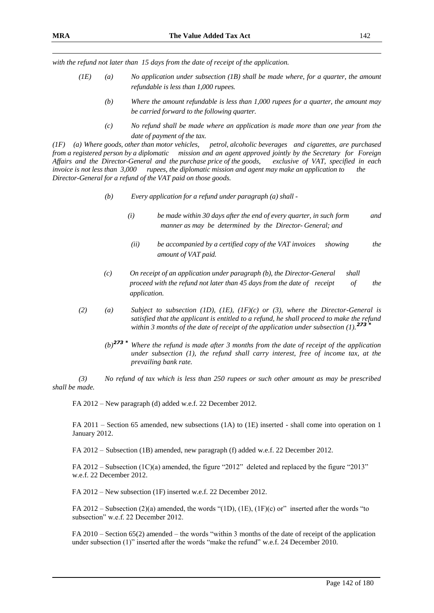*with the refund not later than 15 days from the date of receipt of the application.* 

- *(1E) (a) No application under subsection (1B) shall be made where, for a quarter, the amount refundable is less than 1,000 rupees.*
	- *(b) Where the amount refundable is less than 1,000 rupees for a quarter, the amount may be carried forward to the following quarter.*
	- *(c) No refund shall be made where an application is made more than one year from the date of payment of the tax.*

*(1F) (a) Where goods, other than motor vehicles, petrol, alcoholic beverages and cigarettes, are purchased from a registered person by a diplomatic mission and an agent approved jointly by the Secretary for Foreign Affairs and the Director-General and the purchase price of the goods, exclusive of VAT, specified in each invoice is not less than 3,000 rupees, the diplomatic mission and agent may make an application to the Director-General for a refund of the VAT paid on those goods.*

- *(b) Every application for a refund under paragraph (a) shall -*
	- *(i) be made within 30 days after the end of every quarter, in such form and manner as may be determined by the Director- General; and*
	- *(ii) be accompanied by a certified copy of the VAT invoices showing the amount of VAT paid.*
- *(c) On receipt of an application under paragraph (b), the Director-General shall proceed with the refund not later than 45 days from the date of receipt* of the *application.*
- *(2) (a) Subject to subsection (1D), (1E), (1F)(c) or (3), where the Director-General is satisfied that the applicant is entitled to a refund, he shall proceed to make the refund within 3 months of the date of receipt of the application under subsection (1).<sup>273</sup> \**
	- *(b)<sup>273</sup> \* Where the refund is made after 3 months from the date of receipt of the application under subsection (1), the refund shall carry interest, free of income tax, at the prevailing bank rate.*

*(3) No refund of tax which is less than 250 rupees or such other amount as may be prescribed shall be made.*

FA 2012 – New paragraph (d) added w.e.f. 22 December 2012.

FA 2011 – Section 65 amended, new subsections (1A) to (1E) inserted - shall come into operation on 1 January 2012.

FA 2012 – Subsection (1B) amended, new paragraph (f) added w.e.f. 22 December 2012.

FA 2012 – Subsection (1C)(a) amended, the figure "2012" deleted and replaced by the figure "2013" w.e.f. 22 December 2012.

FA 2012 – New subsection (1F) inserted w.e.f. 22 December 2012.

FA 2012 – Subsection (2)(a) amended, the words "(1D), (1E), (1F)(c) or" inserted after the words "to subsection" w.e.f. 22 December 2012.

FA 2010 – Section 65(2) amended – the words "within 3 months of the date of receipt of the application under subsection (1)" inserted after the words "make the refund" w.e.f. 24 December 2010.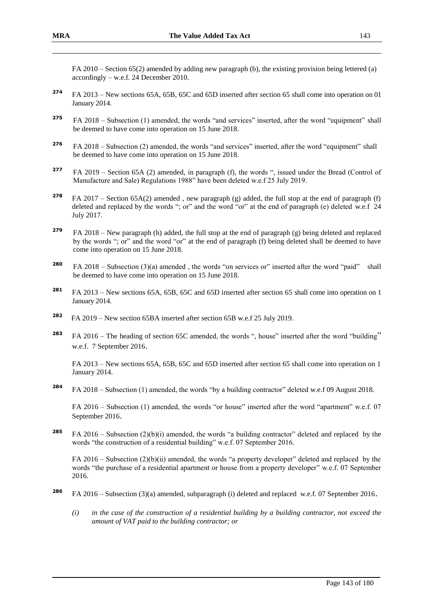FA 2010 – Section 65(2) amended by adding new paragraph (b), the existing provision being lettered (a) accordingly – w.e.f. 24 December 2010.

- **<sup>274</sup>** FA 2013 New sections 65A, 65B, 65C and 65D inserted after section 65 shall come into operation on 01 January 2014.
- **<sup>275</sup>** FA 2018 Subsection (1) amended, the words "and services" inserted, after the word "equipment" shall be deemed to have come into operation on 15 June 2018.
- **<sup>276</sup>** FA 2018 Subsection (2) amended, the words "and services" inserted, after the word "equipment" shall be deemed to have come into operation on 15 June 2018.
- **277** FA 2019 – Section 65A (2) amended, in paragraph (f), the words ", issued under the Bread (Control of Manufacture and Sale) Regulations 1988" have been deleted w.e.f 25 July 2019.
- **<sup>278</sup>** FA 2017 Section 65A(2) amended , new paragraph (g) added, the full stop at the end of paragraph (f) deleted and replaced by the words "; or" and the word "or" at the end of paragraph (e) deleted w.e.f 24 July 2017.
- **<sup>279</sup>** FA 2018 New paragraph (h) added, the full stop at the end of paragraph (g) being deleted and replaced by the words "; or" and the word "or" at the end of paragraph (f) being deleted shall be deemed to have come into operation on 15 June 2018.
- **280** FA 2018 Subsection (3)(a) amended, the words "on services or" inserted after the word "paid" shall be deemed to have come into operation on 15 June 2018.
- **<sup>281</sup>** FA 2013 New sections 65A, 65B, 65C and 65D inserted after section 65 shall come into operation on 1 January 2014.
- **282** FA 2019 – New section 65BA inserted after section 65B w.e.f 25 July 2019.
- **<sup>283</sup>** FA 2016 The heading of section 65C amended, the words ", house" inserted after the word "building" w.e.f. 7 September 2016.

FA 2013 – New sections 65A, 65B, 65C and 65D inserted after section 65 shall come into operation on 1 January 2014.

**<sup>284</sup>** FA 2018 – Subsection (1) amended, the words "by a building contractor" deleted w.e.f 09 August 2018.

FA 2016 – Subsection (1) amended, the words "or house" inserted after the word "apartment" w.e.f. 07 September 2016.

**<sup>285</sup>** FA 2016 – Subsection (2)(b)(i) amended, the words "a building contractor" deleted and replaced by the words "the construction of a residential building" w.e.f. 07 September 2016.

FA 2016 – Subsection (2)(b)(ii) amended, the words "a property developer" deleted and replaced by the words "the purchase of a residential apartment or house from a property developer" w.e.f. 07 September 2016.

- **<sup>286</sup>** FA 2016 Subsection (3)(a) amended, subparagraph (i) deleted and replaced w.e.f. 07 September 2016.
	- *(i) in the case of the construction of a residential building by a building contractor, not exceed the amount of VAT paid to the building contractor; or*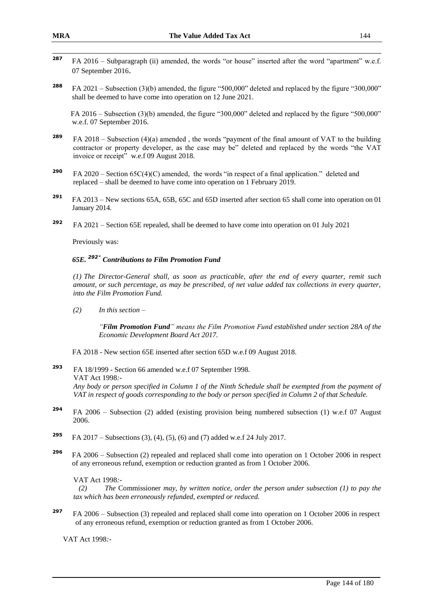- 287 **<sup>287</sup>** FA 2016 – Subparagraph (ii) amended, the words "or house" inserted after the word "apartment" w.e.f. 07 September 2016.
- **<sup>288</sup>** FA 2021 Subsection (3)(b) amended, the figure "500,000" deleted and replaced by the figure "300,000" shall be deemed to have come into operation on 12 June 2021.

 FA 2016 – Subsection (3)(b) amended, the figure "300,000" deleted and replaced by the figure "500,000" w.e.f. 07 September 2016.

- **<sup>289</sup>** FA 2018 Subsection (4)(a) amended , the words "payment of the final amount of VAT to the building contractor or property developer, as the case may be" deleted and replaced by the words "the VAT invoice or receipt" w.e.f 09 August 2018.
- **<sup>290</sup>** FA 2020 Section 65C(4)(C) amended, the words "in respect of a final application." deleted and replaced – shall be deemed to have come into operation on 1 February 2019.
- **<sup>291</sup>** FA 2013 New sections 65A, 65B, 65C and 65D inserted after section 65 shall come into operation on 01 January 2014.
- **<sup>292</sup>** FA 2021 Section 65E repealed, shall be deemed to have come into operation on 01 July 2021

Previously was:

## *65E. <sup>292</sup>\* Contributions to Film Promotion Fund*

*(1) The Director-General shall, as soon as practicable, after the end of every quarter, remit such amount, or such percentage, as may be prescribed, of net value added tax collections in every quarter, into the Film Promotion Fund.*

*(2) In this section –*

*"Film Promotion Fund" means the Film Promotion Fund established under section 28A of the Economic Development Board Act 2017.*

FA 2018 - New section 65E inserted after section 65D w.e.f 09 August 2018.

- **<sup>293</sup>** FA 18/1999 Section 66 amended w.e.f 07 September 1998. VAT Act 1998*:- Any body or person specified in Column 1 of the Ninth Schedule shall be exempted from the payment of VAT in respect of goods corresponding to the body or person specified in Column 2 of that Schedule.*
- **<sup>294</sup>** FA 2006 Subsection (2) added (existing provision being numbered subsection (1) w.e.f 07 August 2006.
- **<sup>295</sup>** FA 2017 Subsections (3), (4), (5), (6) and (7) added w.e.f 24 July 2017.
- **<sup>296</sup>** FA 2006 Subsection (2) repealed and replaced shall come into operation on 1 October 2006 in respect of any erroneous refund, exemption or reduction granted as from 1 October 2006.

VAT Act 1998*:-*

*(2) The* Commissioner *may, by written notice, order the person under subsection (1) to pay the tax which has been erroneously refunded, exempted or reduced.* 

**297** FA 2006 – Subsection (3) repealed and replaced shall come into operation on 1 October 2006 in respect of any erroneous refund, exemption or reduction granted as from 1 October 2006.

VAT Act 1998*:-*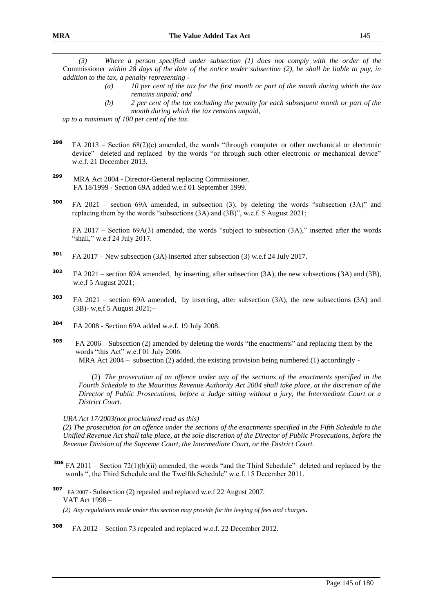*(3) Where a person specified under subsection (1) does not comply with the order of the*  Commissioner *within 28 days of the date of the notice under subsection (2), he shall be liable to pay, in addition to the tax, a penalty representing -*

- *(a) 10 per cent of the tax for the first month or part of the month during which the tax remains unpaid; and*
- *(b) 2 per cent of the tax excluding the penalty for each subsequent month or part of the month during which the tax remains unpaid,*

*up to a maximum of 100 per cent of the tax.*

- **<sup>298</sup>** FA 2013 Section 68(2)(c) amended, the words "through computer or other mechanical or electronic device" deleted and replaced by the words "or through such other electronic or mechanical device" w.e.f. 21 December 2013.
- **<sup>299</sup>** MRA Act 2004 Director-General replacing Commissioner. FA 18/1999 - Section 69A added w.e.f 01 September 1999.
- **<sup>300</sup>** FA 2021 section 69A amended, in subsection (3), by deleting the words "subsection (3A)" and replacing them by the words "subsections (3A) and (3B)", w.e.f. 5 August 2021;

FA 2017 – Section 69A(3) amended, the words "subject to subsection (3A)," inserted after the words "shall," w.e.f 24 July 2017.

- **<sup>301</sup>** FA 2017 New subsection (3A) inserted after subsection (3) w.e.f 24 July 2017.
- **<sup>302</sup>** FA 2021 section 69A amended, by inserting, after subsection (3A), the new subsections (3A) and (3B), w,e,f 5 August 2021;–
- **<sup>303</sup>** FA 2021 section 69A amended, by inserting, after subsection (3A), the new subsections (3A) and (3B)- w,e,f 5 August 2021;–
- **<sup>304</sup>** FA 2008 Section 69A added w.e.f. 19 July 2008.
- **<sup>305</sup>** FA 2006 Subsection (2) amended by deleting the words "the enactments" and replacing them by the words "this Act" w.e.f 01 July 2006. MRA Act  $2004 -$  subsection (2) added, the existing provision being numbered (1) accordingly -

(2) *The prosecution of an offence under any of the sections of the enactments specified in the Fourth Schedule to the Mauritius Revenue Authority Act 2004 shall take place, at the discretion of the Director of Public Prosecutions, before a Judge sitting without a jury, the Intermediate Court or a District Court.*

#### *URA Act 17/2003(not proclaimed read as this)*

*(2) The prosecution for an offence under the sections of the enactments specified in the Fifth Schedule to the Unified Revenue Act shall take place, at the sole discretion of the Director of Public Prosecutions, before the Revenue Division of the Supreme Court, the Intermediate Court, or the District Court.*

- **<sup>306</sup>** FA 2011 Section 72(1)(b)(ii) amended, the words "and the Third Schedule" deleted and replaced by the words ", the Third Schedule and the Twelfth Schedule" w.e.f. 15 December 2011.
- **<sup>307</sup>** FA 2007 Subsection (2) repealed and replaced w.e.f 22 August 2007. VAT Act 1998 –
	- *(2) Any regulations made under this section may provide for the levying of fees and charges*.
- **<sup>308</sup>** FA 2012 Section 73 repealed and replaced w.e.f. 22 December 2012.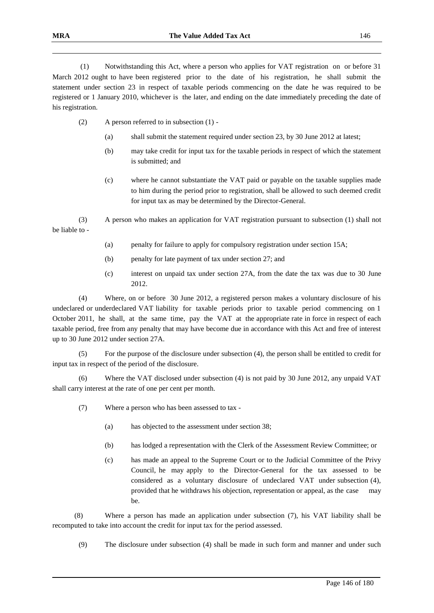(1) Notwithstanding this Act, where a person who applies for VAT registration on or before 31 March 2012 ought to have been registered prior to the date of his registration, he shall submit the statement under section 23 in respect of taxable periods commencing on the date he was required to be registered or 1 January 2010, whichever is the later, and ending on the date immediately preceding the date of his registration.

- (2) A person referred to in subsection (1)
	- (a) shall submit the statement required under section 23, by 30 June 2012 at latest;
	- (b) may take credit for input tax for the taxable periods in respect of which the statement is submitted; and
	- (c) where he cannot substantiate the VAT paid or payable on the taxable supplies made to him during the period prior to registration, shall be allowed to such deemed credit for input tax as may be determined by the Director-General.

(3) A person who makes an application for VAT registration pursuant to subsection (1) shall not be liable to -

- (a) penalty for failure to apply for compulsory registration under section 15A;
- (b) penalty for late payment of tax under section 27; and
- (c) interest on unpaid tax under section 27A, from the date the tax was due to 30 June 2012.

(4) Where, on or before 30 June 2012, a registered person makes a voluntary disclosure of his undeclared or underdeclared VAT liability for taxable periods prior to taxable period commencing on 1 October 2011, he shall, at the same time, pay the VAT at the appropriate rate in force in respect of each taxable period, free from any penalty that may have become due in accordance with this Act and free of interest up to 30 June 2012 under section 27A.

(5) For the purpose of the disclosure under subsection (4), the person shall be entitled to credit for input tax in respect of the period of the disclosure.

(6) Where the VAT disclosed under subsection (4) is not paid by 30 June 2012, any unpaid VAT shall carry interest at the rate of one per cent per month.

- (7) Where a person who has been assessed to tax
	- (a) has objected to the assessment under section 38;
	- (b) has lodged a representation with the Clerk of the Assessment Review Committee; or
	- (c) has made an appeal to the Supreme Court or to the Judicial Committee of the Privy Council, he may apply to the Director-General for the tax assessed to be considered as a voluntary disclosure of undeclared VAT under subsection (4), provided that he withdraws his objection, representation or appeal, as the case may be.

(8) Where a person has made an application under subsection (7), his VAT liability shall be recomputed to take into account the credit for input tax for the period assessed.

(9) The disclosure under subsection (4) shall be made in such form and manner and under such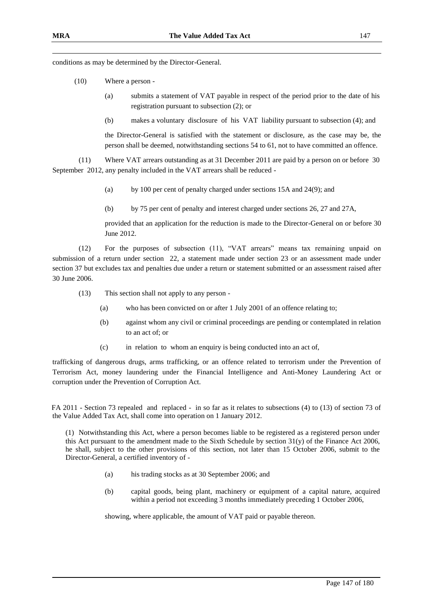conditions as may be determined by the Director-General.

- (10) Where a person
	- (a) submits a statement of VAT payable in respect of the period prior to the date of his registration pursuant to subsection (2); or
	- (b) makes a voluntary disclosure of his VAT liability pursuant to subsection (4); and

the Director-General is satisfied with the statement or disclosure, as the case may be, the person shall be deemed, notwithstanding sections 54 to 61, not to have committed an offence.

(11) Where VAT arrears outstanding as at 31 December 2011 are paid by a person on or before 30 September 2012, any penalty included in the VAT arrears shall be reduced -

- (a) by 100 per cent of penalty charged under sections 15A and 24(9); and
- (b) by 75 per cent of penalty and interest charged under sections 26, 27 and 27A,

provided that an application for the reduction is made to the Director-General on or before 30 June 2012.

(12) For the purposes of subsection (11), "VAT arrears" means tax remaining unpaid on submission of a return under section 22, a statement made under section 23 or an assessment made under section 37 but excludes tax and penalties due under a return or statement submitted or an assessment raised after 30 June 2006.

(13) This section shall not apply to any person -

- (a) who has been convicted on or after 1 July 2001 of an offence relating to;
- (b) against whom any civil or criminal proceedings are pending or contemplated in relation to an act of; or
- (c) in relation to whom an enquiry is being conducted into an act of,

trafficking of dangerous drugs, arms trafficking, or an offence related to terrorism under the Prevention of Terrorism Act, money laundering under the Financial Intelligence and Anti-Money Laundering Act or corruption under the Prevention of Corruption Act.

 FA 2011 - Section 73 repealed and replaced - in so far as it relates to subsections (4) to (13) of section 73 of the Value Added Tax Act, shall come into operation on 1 January 2012.

(1) Notwithstanding this Act, where a person becomes liable to be registered as a registered person under this Act pursuant to the amendment made to the Sixth Schedule by section  $31(y)$  of the Finance Act 2006, he shall, subject to the other provisions of this section, not later than 15 October 2006, submit to the Director-General, a certified inventory of -

- (a) his trading stocks as at 30 September 2006; and
- (b) capital goods, being plant, machinery or equipment of a capital nature, acquired within a period not exceeding 3 months immediately preceding 1 October 2006,

showing, where applicable, the amount of VAT paid or payable thereon.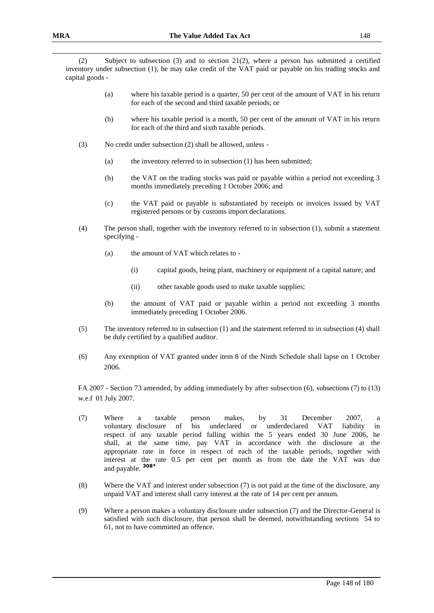(2) Subject to subsection (3) and to section 21(2), where a person has submitted a certified inventory under subsection (1), he may take credit of the VAT paid or payable on his trading stocks and capital goods -

- (a) where his taxable period is a quarter, 50 per cent of the amount of VAT in his return for each of the second and third taxable periods; or
- (b) where his taxable period is a month, 50 per cent of the amount of VAT in his return for each of the third and sixth taxable periods.
- (3) No credit under subsection (2) shall be allowed, unless
	- (a) the inventory referred to in subsection (1) has been submitted;
	- (b) the VAT on the trading stocks was paid or payable within a period not exceeding 3 months immediately preceding 1 October 2006; and
	- (c) the VAT paid or payable is substantiated by receipts or invoices issued by VAT registered persons or by customs import declarations.
- (4) The person shall, together with the inventory referred to in subsection (1), submit a statement specifying -
	- (a) the amount of VAT which relates to
		- (i) capital goods, being plant, machinery or equipment of a capital nature; and
		- (ii) other taxable goods used to make taxable supplies;
	- (b) the amount of VAT paid or payable within a period not exceeding 3 months immediately preceding 1 October 2006.
- (5) The inventory referred to in subsection (1) and the statement referred to in subsection (4) shall be duly certified by a qualified auditor.
- (6) Any exemption of VAT granted under item 8 of the Ninth Schedule shall lapse on 1 October 2006.

FA 2007 - Section 73 amended, by adding immediately by after subsection (6), subsections (7) to (13) w.e.f 01 July 2007.

- (7) Where a taxable person makes, by 31 December 2007, a voluntary disclosure of his undeclared or underdeclared VAT liability in respect of any taxable period falling within the 5 years ended 30 June 2006, he shall, at the same time, pay VAT in accordance with the disclosure at the appropriate rate in force in respect of each of the taxable periods, together with interest at the rate 0.5 per cent per month as from the date the VAT was due and payable. **308\***
- (8) Where the VAT and interest under subsection (7) is not paid at the time of the disclosure, any unpaid VAT and interest shall carry interest at the rate of 14 per cent per annum.
- (9) Where a person makes a voluntary disclosure under subsection (7) and the Director-General is satisfied with such disclosure, that person shall be deemed, notwithstanding sections 54 to 61, not to have committed an offence.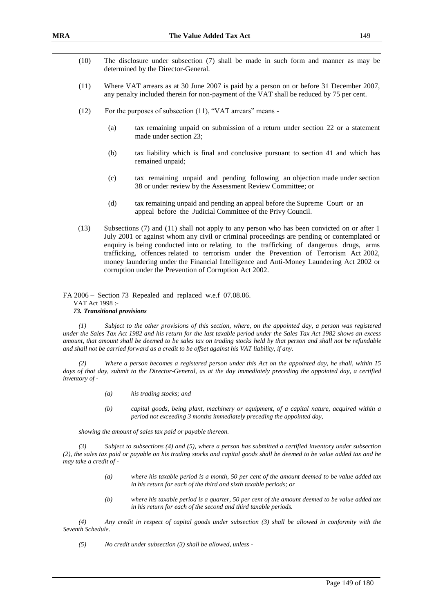- (10) The disclosure under subsection (7) shall be made in such form and manner as may be determined by the Director-General.
- (11) Where VAT arrears as at 30 June 2007 is paid by a person on or before 31 December 2007, any penalty included therein for non-payment of the VAT shall be reduced by 75 per cent.
- (12) For the purposes of subsection (11), "VAT arrears" means
	- (a) tax remaining unpaid on submission of a return under section 22 or a statement made under section 23;
	- (b) tax liability which is final and conclusive pursuant to section 41 and which has remained unpaid;
	- (c) tax remaining unpaid and pending following an objection made under section 38 or under review by the Assessment Review Committee; or
	- (d) tax remaining unpaid and pending an appeal before the Supreme Court or an appeal before the Judicial Committee of the Privy Council.
- (13) Subsections (7) and (11) shall not apply to any person who has been convicted on or after 1 July 2001 or against whom any civil or criminal proceedings are pending or contemplated or enquiry is being conducted into or relating to the trafficking of dangerous drugs, arms trafficking, offences related to terrorism under the Prevention of Terrorism Act 2002, money laundering under the Financial Intelligence and Anti-Money Laundering Act 2002 or corruption under the Prevention of Corruption Act 2002.

FA 2006 – Section 73 Repealed and replaced w.e.f 07.08.06. VAT Act 1998 :- *73. Transitional provisions* 

*(1) Subject to the other provisions of this section, where, on the appointed day, a person was registered under the Sales Tax Act 1982 and his return for the last taxable period under the Sales Tax Act 1982 shows an excess amount, that amount shall be deemed to be sales tax on trading stocks held by that person and shall not be refundable and shall not be carried forward as a credit to be offset against his VAT liability, if any.*

*(2) Where a person becomes a registered person under this Act on the appointed day, he shall, within 15*  days of that day, submit to the Director-General, as at the day immediately preceding the appointed day, a certified *inventory of -*

- *(a) his trading stocks; and*
- *(b) capital goods, being plant, machinery or equipment, of a capital nature, acquired within a period not exceeding 3 months immediately preceding the appointed day,*

*showing the amount of sales tax paid or payable thereon.*

*(3) Subject to subsections (4) and (5), where a person has submitted a certified inventory under subsection (2), the sales tax paid or payable on his trading stocks and capital goods shall be deemed to be value added tax and he may take a credit of -*

- *(a) where his taxable period is a month, 50 per cent of the amount deemed to be value added tax in his return for each of the third and sixth taxable periods; or*
- *(b) where his taxable period is a quarter, 50 per cent of the amount deemed to be value added tax in his return for each of the second and third taxable periods.*

*(4) Any credit in respect of capital goods under subsection (3) shall be allowed in conformity with the Seventh Schedule.*

*(5) No credit under subsection (3) shall be allowed, unless -*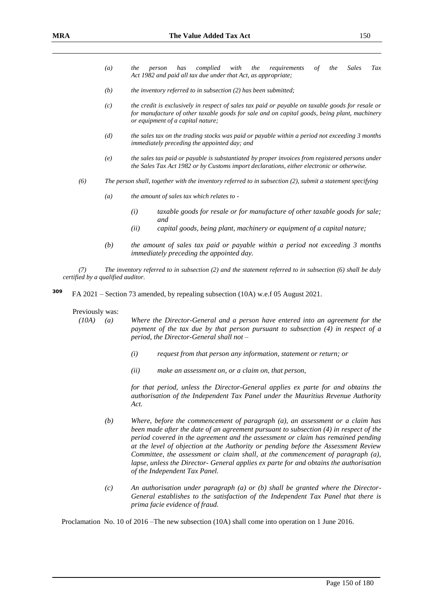- *(a) the person has complied with the requirements of the Sales Tax Act 1982 and paid all tax due under that Act, as appropriate;*
- *(b) the inventory referred to in subsection (2) has been submitted;*
- *(c) the credit is exclusively in respect of sales tax paid or payable on taxable goods for resale or for manufacture of other taxable goods for sale and on capital goods, being plant, machinery or equipment of a capital nature;*
- *(d) the sales tax on the trading stocks was paid or payable within a period not exceeding 3 months immediately preceding the appointed day; and*
- *(e) the sales tax paid or payable is substantiated by proper invoices from registered persons under the Sales Tax Act 1982 or by Customs import declarations, either electronic or otherwise.*
- *(6) The person shall, together with the inventory referred to in subsection (2), submit a statement specifying* 
	- *(a) the amount of sales tax which relates to -*
		- *(i) taxable goods for resale or for manufacture of other taxable goods for sale; and*
		- *(ii) capital goods, being plant, machinery or equipment of a capital nature;*
	- *(b) the amount of sales tax paid or payable within a period not exceeding 3 months immediately preceding the appointed day.*

*(7) The inventory referred to in subsection (2) and the statement referred to in subsection (6) shall be duly certified by a qualified auditor.*

**<sup>309</sup>** FA 2021 – Section 73 amended, by repealing subsection (10A) w.e.f 05 August 2021.

#### Previously was:

*(10A) (a) Where the Director-General and a person have entered into an agreement for the payment of the tax due by that person pursuant to subsection (4) in respect of a period, the Director-General shall not –*

- *(i) request from that person any information, statement or return; or*
- *(ii) make an assessment on, or a claim on, that person,*

*for that period, unless the Director-General applies ex parte for and obtains the authorisation of the Independent Tax Panel under the Mauritius Revenue Authority Act.*

- *(b) Where, before the commencement of paragraph (a), an assessment or a claim has been made after the date of an agreement pursuant to subsection (4) in respect of the period covered in the agreement and the assessment or claim has remained pending at the level of objection at the Authority or pending before the Assessment Review Committee, the assessment or claim shall, at the commencement of paragraph (a), lapse, unless the Director- General applies ex parte for and obtains the authorisation of the Independent Tax Panel.*
- *(c) An authorisation under paragraph (a) or (b) shall be granted where the Director-General establishes to the satisfaction of the Independent Tax Panel that there is prima facie evidence of fraud.*

Proclamation No. 10 of 2016 –The new subsection (10A) shall come into operation on 1 June 2016.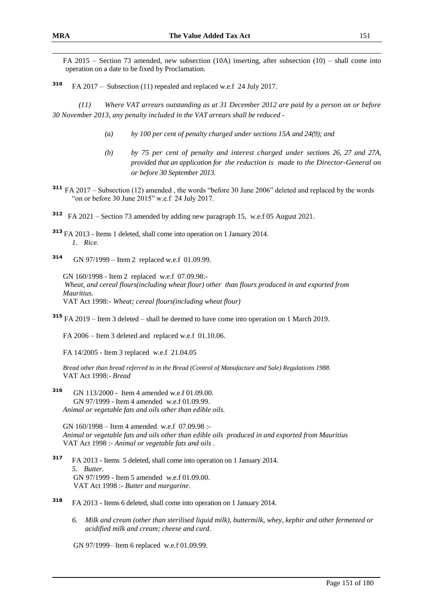FA 2015 – Section 73 amended, new subsection (10A) inserting, after subsection (10) – shall come into operation on a date to be fixed by Proclamation.

**<sup>310</sup>** FA 2017 – Subsection (11) repealed and replaced w.e.f 24 July 2017.

*(11) Where VAT arrears outstanding as at 31 December 2012 are paid by a person on or before 30 November 2013, any penalty included in the VAT arrears shall be reduced -*

- *(a) by 100 per cent of penalty charged under sections 15A and 24(9); and*
- *(b) by 75 per cent of penalty and interest charged under sections 26, 27 and 27A, provided that an application for the reduction is made to the Director-General on or before 30 September 2013.*
- **<sup>311</sup>** FA 2017 Subsection (12) amended , the words "before 30 June 2006" deleted and replaced by the words "on or before 30 June 2015" w.e.f 24 July 2017.
- **312** FA 2021 Section 73 amended by adding new paragraph 15, w.e.f 05 August 2021.
- **<sup>313</sup>** FA 2013 Items 1 deleted, shall come into operation on 1 January 2014. *1. Rice.*
- **<sup>314</sup>** GN 97/1999 Item 2 replaced w.e.f 01.09.99.

GN 160/1998 - Item 2 replaced w.e.f 07.09.98:- *Wheat, and cereal flours(including wheat flour) other than flours produced in and exported from Mauritius*. VAT Act 1998:- *Wheat; cereal flours(including wheat flour)*

**<sup>315</sup>** FA 2019 – Item 3 deleted – shall be deemed to have come into operation on 1 March 2019.

FA 2006 – Item 3 deleted and replaced w.e.f 01.10.06.

FA 14/2005 - Item 3 replaced w.e.f 21.04.05

*Bread other than bread referred to in the Bread (Control of Manufacture and Sale) Regulations 1988.* VAT Act 1998:- *Bread*

**<sup>316</sup>** GN 113/2000 - Item 4 amended w.e.f 01.09.00. GN 97/1999 - Item 4 amended w.e.f 01.09.99. *Animal or vegetable fats and oils other than edible oils.*

GN 160/1998 – Item 4 amended w.e.f 07.09.98 :- *Animal or vegetable fats and oils other than edible oils produced in and exported from Mauritius* VAT Act 1998 :- *Animal or vegetable fats and oils* .

- **<sup>317</sup>** FA 2013 Items 5 deleted, shall come into operation on 1 January 2014. *5. Butter.* GN 97/1999 - Item 5 amended w.e.f 01.09.00. VAT Act 1998 :- *Butter and margarine*.
- **<sup>318</sup>** FA 2013 Items 6 deleted, shall come into operation on 1 January 2014.
	- *6. Milk and cream (other than sterilised liquid milk), buttermilk, whey, kephir and other fermented or acidified milk and cream; cheese and curd.*

GN 97/1999– Item 6 replaced w.e.f 01.09.99.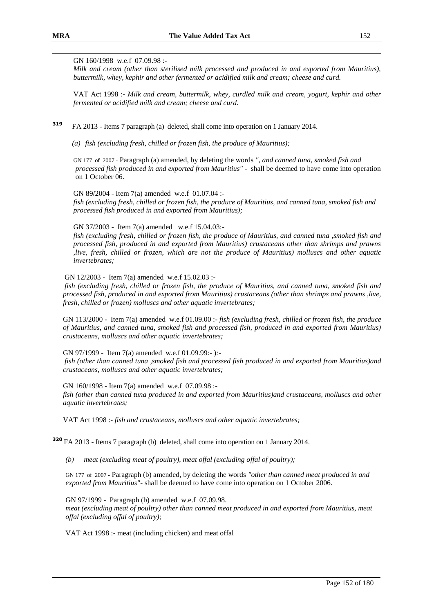### GN 160/1998 w.e.f 07.09.98 :-

*Milk and cream (other than sterilised milk processed and produced in and exported from Mauritius), buttermilk, whey, kephir and other fermented or acidified milk and cream; cheese and curd.*

VAT Act 1998 :- *Milk and cream, buttermilk, whey, curdled milk and cream, yogurt, kephir and other fermented or acidified milk and cream; cheese and curd.*

- **<sup>319</sup>** FA 2013 Items 7 paragraph (a) deleted, shall come into operation on 1 January 2014.
	- *(a) fish (excluding fresh, chilled or frozen fish, the produce of Mauritius);*

GN 177 of 2007 - Paragraph (a) amended, by deleting the words *", and canned tuna, smoked fish and processed fish produced in and exported from Mauritius"* - shall be deemed to have come into operation on 1 October 06.

GN 89/2004 - Item 7(a) amended w.e.f 01.07.04 : *fish (excluding fresh, chilled or frozen fish, the produce of Mauritius, and canned tuna, smoked fish and processed fish produced in and exported from Mauritius);*

#### GN 37/2003 - Item 7(a) amended w.e.f 15.04.03:-

*fish (excluding fresh, chilled or frozen fish, the produce of Mauritius, and canned tuna ,smoked fish and processed fish, produced in and exported from Mauritius) crustaceans other than shrimps and prawns ,live, fresh, chilled or frozen, which are not the produce of Mauritius) molluscs and other aquatic invertebrates;*

#### GN 12/2003 - Item 7(a) amended w.e.f 15.02.03 :-

*fish (excluding fresh, chilled or frozen fish, the produce of Mauritius, and canned tuna, smoked fish and processed fish, produced in and exported from Mauritius) crustaceans (other than shrimps and prawns ,live, fresh, chilled or frozen) molluscs and other aquatic invertebrates;*

GN 113/2000 - Item 7(a) amended w.e.f 01.09.00 :- *fish (excluding fresh, chilled or frozen fish, the produce of Mauritius, and canned tuna, smoked fish and processed fish, produced in and exported from Mauritius) crustaceans, molluscs and other aquatic invertebrates;*

GN 97/1999 - Item 7(a) amended w.e.f 01.09.99:- )*: fish (other than canned tuna ,smoked fish and processed fish produced in and exported from Mauritius)and* 

*crustaceans, molluscs and other aquatic invertebrates;*

GN 160/1998 - Item 7(a) amended w.e.f 07.09.98 : *fish (other than canned tuna produced in and exported from Mauritius)and crustaceans, molluscs and other aquatic invertebrates;*

VAT Act 1998 :- *fish and crustaceans, molluscs and other aquatic invertebrates;*

**<sup>320</sup>** FA 2013 - Items 7 paragraph (b) deleted, shall come into operation on 1 January 2014.

*(b) meat (excluding meat of poultry), meat offal (excluding offal of poultry);*

GN 177 of 2007 - Paragraph (b) amended, by deleting the words *"other than canned meat produced in and exported from Mauritius"-* shall be deemed to have come into operation on 1 October 2006.

GN 97/1999 - Paragraph (b) amended w.e.f 07.09.98.

*meat (excluding meat of poultry) other than canned meat produced in and exported from Mauritius, meat offal (excluding offal of poultry);*

VAT Act 1998 :- meat (including chicken) and meat offal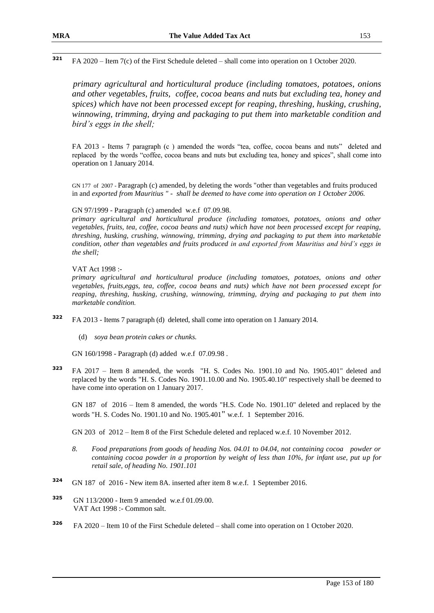*primary agricultural and horticultural produce (including tomatoes, potatoes, onions and other vegetables, fruits, coffee, cocoa beans and nuts but excluding tea, honey and spices) which have not been processed except for reaping, threshing, husking, crushing, winnowing, trimming, drying and packaging to put them into marketable condition and bird's eggs in the shell;*

FA 2013 - Items 7 paragraph (c ) amended the words "tea, coffee, cocoa beans and nuts" deleted and replaced by the words "coffee, cocoa beans and nuts but excluding tea, honey and spices", shall come into operation on 1 January 2014.

GN 177 of 2007 - Paragraph (c) amended, by deleting the words "other than vegetables and fruits produced in and *exported from Mauritius " - shall be deemed to have come into operation on 1 October 2006.*

#### GN 97/1999 - Paragraph (c) amended w.e.f 07.09.98.

*primary agricultural and horticultural produce (including tomatoes, potatoes, onions and other vegetables, fruits, tea, coffee, cocoa beans and nuts) which have not been processed except for reaping, threshing, husking, crushing, winnowing, trimming, drying and packaging to put them into marketable condition, other than vegetables and fruits produced in and exported from Mauritius and bird's eggs in the shell;*

### VAT Act 1998 :-

*primary agricultural and horticultural produce (including tomatoes, potatoes, onions and other vegetables, fruits,eggs, tea, coffee, cocoa beans and nuts) which have not been processed except for reaping, threshing, husking, crushing, winnowing, trimming, drying and packaging to put them into marketable condition.*

- **<sup>322</sup>** FA 2013 Items 7 paragraph (d) deleted, shall come into operation on 1 January 2014.
	- (d) *soya bean protein cakes or chunks.*

GN 160/1998 - Paragraph (d) added w.e.f 07.09.98 .

**<sup>323</sup>** FA 2017 – Item 8 amended, the words "H. S. Codes No. 1901.10 and No. 1905.401" deleted and replaced by the words "H. S. Codes No. 1901.10.00 and No. 1905.40.10" respectively shall be deemed to have come into operation on 1 January 2017.

GN 187 of 2016 – Item 8 amended, the words "H.S. Code No. 1901.10" deleted and replaced by the words "H. S. Codes No. 1901.10 and No. 1905.401" w.e.f. 1 September 2016.

GN 203 of 2012 – Item 8 of the First Schedule deleted and replaced w.e.f. 10 November 2012.

- *8. Food preparations from goods of heading Nos. 04.01 to 04.04, not containing cocoa powder or containing cocoa powder in a proportion by weight of less than 10%, for infant use, put up for retail sale, of heading No. 1901.101*
- **<sup>324</sup>** GN 187 of 2016 New item 8A. inserted after item 8 w.e.f. 1 September 2016.
- **<sup>325</sup>** GN 113/2000 Item 9 amended w.e.f 01.09.00. VAT Act 1998 :- Common salt.
- **<sup>326</sup>** FA 2020 Item 10 of the First Schedule deleted shall come into operation on 1 October 2020.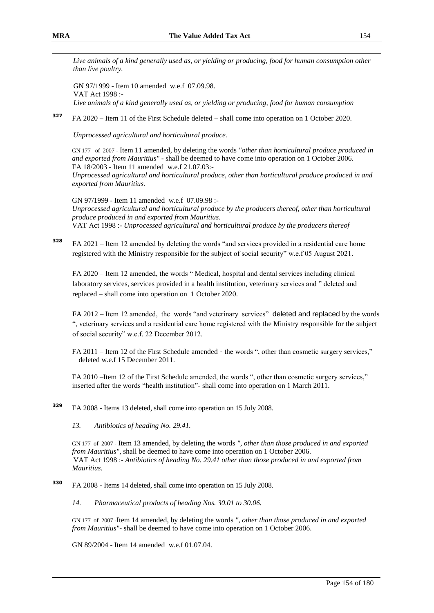*Live animals of a kind generally used as, or yielding or producing, food for human consumption other than live poultry.*

GN 97/1999 - Item 10 amended w.e.f 07.09.98. VAT Act 1998 :- *Live animals of a kind generally used as, or yielding or producing, food for human consumption* 

**<sup>327</sup>** FA 2020 – Item 11 of the First Schedule deleted – shall come into operation on 1 October 2020.

*Unprocessed agricultural and horticultural produce.*

GN 177 of 2007 - Item 11 amended, by deleting the words *"other than horticultural produce produced in and exported from Mauritius"* - shall be deemed to have come into operation on 1 October 2006. FA 18/2003 - Item 11 amended w.e.f 21.07.03:-

*Unprocessed agricultural and horticultural produce, other than horticultural produce produced in and exported from Mauritius.*

GN 97/1999 - Item 11 amended w.e.f 07.09.98 :- *Unprocessed agricultural and horticultural produce by the producers thereof, other than horticultural produce produced in and exported from Mauritius.* VAT Act 1998 :- *Unprocessed agricultural and horticultural produce by the producers thereof*

**<sup>328</sup>** FA 2021 – Item 12 amended by deleting the words "and services provided in a residential care home registered with the Ministry responsible for the subject of social security" w.e.f 05 August 2021.

FA 2020 – Item 12 amended, the words " Medical, hospital and dental services including clinical laboratory services, services provided in a health institution, veterinary services and " deleted and replaced – shall come into operation on 1 October 2020.

FA 2012 – Item 12 amended, the words "and veterinary services" deleted and replaced by the words ", veterinary services and a residential care home registered with the Ministry responsible for the subject of social security" w.e.f. 22 December 2012.

FA 2011 – Item 12 of the First Schedule amended - the words ", other than cosmetic surgery services," deleted w.e.f 15 December 2011.

FA 2010 –Item 12 of the First Schedule amended, the words ", other than cosmetic surgery services," inserted after the words "health institution"- shall come into operation on 1 March 2011.

**<sup>329</sup>** FA 2008 - Items 13 deleted, shall come into operation on 15 July 2008.

*13. Antibiotics of heading No. 29.41.*

GN 177 of 2007 - Item 13 amended, by deleting the words *", other than those produced in and exported from Mauritius"*, shall be deemed to have come into operation on 1 October 2006. VAT Act 1998 :- *Antibiotics of heading No. 29.41 other than those produced in and exported from Mauritius.*

**<sup>330</sup>** FA 2008 - Items 14 deleted, shall come into operation on 15 July 2008.

*14. Pharmaceutical products of heading Nos. 30.01 to 30.06.*

GN 177 of 2007 -Item 14 amended, by deleting the words *", other than those produced in and exported from Mauritius"*- shall be deemed to have come into operation on 1 October 2006.

GN 89/2004 - Item 14 amended w.e.f 01.07.04.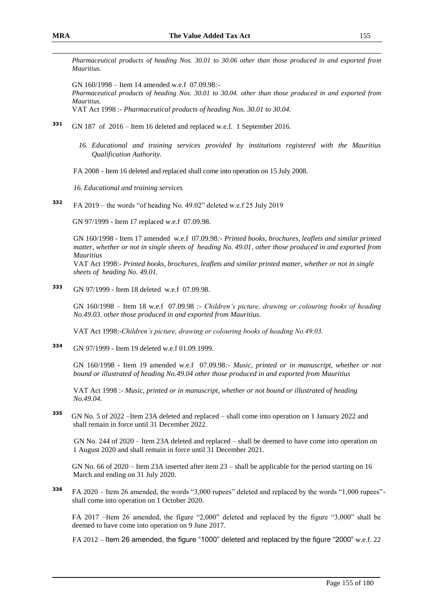*Pharmaceutical products of heading Nos. 30.01 to 30.06 other than those produced in and exported from Mauritius.*

GN 160/1998 – Item 14 amended w.e.f 07.09.98*:-*

*Pharmaceutical products of heading Nos. 30.01 to 30.04. other than those produced in and exported from Mauritius.*

VAT Act 1998 :- *Pharmaceutical products of heading Nos. 30.01 to 30.04.*

- **<sup>331</sup>** GN 187 of 2016 Item 16 deleted and replaced w.e.f. 1 September 2016.
	- *16. Educational and training services provided by institutions registered with the Mauritius Qualification Authority.*
	- FA 2008 Item 16 deleted and replaced shall come into operation on 15 July 2008.

*16. Educational and training services*

**<sup>332</sup>** FA 2019 – the words "of heading No. 49.02" deleted w.e.f 25 July 2019

GN 97/1999 - Item 17 replaced w.e.f 07.09.98.

GN 160/1998 - Item 17 amended w.e.f 07.09.98*:- Printed books, brochures, leaflets and similar printed matter, whether or not in single sheets of heading No. 49.01*, *other those produced in and exported from Mauritius*

VAT Act 1998:- *Printed books, brochures, leaflets and similar printed matter, whether or not in single sheets of heading No. 49.01.*

**<sup>333</sup>** GN 97/1999 - Item 18 deleted w.e.f 07.09.98.

GN 160/1998 – Item 18 w.e.f 07.09.98 *:- Children's picture, drawing or colouring books of heading No.49.03. other those produced in and exported from Mauritius.*

VAT Act 1998:-*Children's picture, drawing or colouring books of heading No.49.03.*

**<sup>334</sup>** GN 97/1999 - Item 19 deleted w.e.f 01.09.1999.

GN 160/1998 - Item 19 amended w.e.f 07.09.98*:- Music, printed or in manuscript, whether or not bound or illustrated of heading No.49.04 other those produced in and exported from Mauritius*

VAT Act 1998 :- *Music, printed or in manuscript, whether or not bound or illustrated of heading No.49.04.*

**335** GN No. 5 of 2022 –Item 23A deleted and replaced – shall come into operation on 1 January 2022 and shall remain in force until 31 December 2022.

GN No. 244 of 2020 – Item 23A deleted and replaced – shall be deemed to have come into operation on 1 August 2020 and shall remain in force until 31 December 2021.

GN No. 66 of 2020 – Item 23A inserted after item 23 – shall be applicable for the period starting on 16 March and ending on 31 July 2020.

**<sup>336</sup>** FA 2020 – Item 26 amended, the words "3,000 rupees" deleted and replaced by the words "1,000 rupees" shall come into operation on 1 October 2020.

FA 2017 –Item 26 amended, the figure "2,000" deleted and replaced by the figure "3,000" shall be deemed to have come into operation on 9 June 2017.

FA 2012 – Item 26 amended, the figure "1000" deleted and replaced by the figure "2000" w.e.f. 22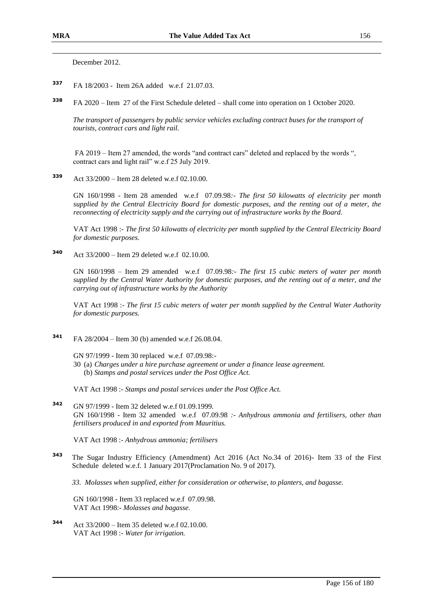December 2012.

- **<sup>337</sup>** FA 18/2003 Item 26A added w.e.f 21.07.03.
- **338** FA 2020 – Item 27 of the First Schedule deleted – shall come into operation on 1 October 2020.

*The transport of passengers by public service vehicles excluding contract buses for the transport of tourists, contract cars and light rail.*

FA 2019 – Item 27 amended, the words "and contract cars" deleted and replaced by the words ", contract cars and light rail" w.e.f 25 July 2019.

**<sup>339</sup>** Act 33/2000 – Item 28 deleted w.e.f 02.10.00.

GN 160/1998 - Item 28 amended w.e.f 07.09.98*:- The first 50 kilowatts of electricity per month supplied by the Central Electricity Board for domestic purposes, and the renting out of a meter, the reconnecting of electricity supply and the carrying out of infrastructure works by the Board.*

VAT Act 1998 :- *The first 50 kilowatts of electricity per month supplied by the Central Electricity Board for domestic purposes.*

**<sup>340</sup>** Act 33/2000 – Item 29 deleted w.e.f 02.10.00.

GN 160/1998 – Item 29 amended w.e.f 07.09.98*:- The first 15 cubic meters of water per month supplied by the Central Water Authority for domestic purposes, and the renting out of a meter, and the carrying out of infrastructure works by the Authority*

VAT Act 1998 :- *The first 15 cubic meters of water per month supplied by the Central Water Authority for domestic purposes.*

- **<sup>341</sup>** FA 28/2004 Item 30 (b) amended w.e.f 26.08.04.
	- GN 97/1999 Item 30 replaced w.e.f 07.09.98:-
	- 30 (a) *Charges under a hire purchase agreement or under a finance lease agreement.* (b) *Stamps and postal services under the Post Office Act.*

VAT Act 1998 :- *Stamps and postal services under the Post Office Act.*

**<sup>342</sup>** GN 97/1999 - Item 32 deleted w.e.f 01.09.1999. GN 160/1998 - Item 32 amended w.e.f 07.09.98 *:- Anhydrous ammonia and fertilisers, other than fertilisers produced in and exported from Mauritius.*

VAT Act 1998 :- *Anhydrous ammonia; fertilisers*

**<sup>343</sup>** The Sugar Industry Efficiency (Amendment) Act 2016 (Act No.34 of 2016)- Item 33 of the First Schedule deleted w.e.f. 1 January 2017(Proclamation No. 9 of 2017).

*33. Molasses when supplied, either for consideration or otherwise, to planters, and bagasse.*

GN 160/1998 - Item 33 replaced w.e.f 07.09.98. VAT Act 1998:- *Molasses and bagasse*.

**<sup>344</sup>** Act 33/2000 – Item 35 deleted w.e.f 02.10.00. VAT Act 1998 :- *Water for irrigation.*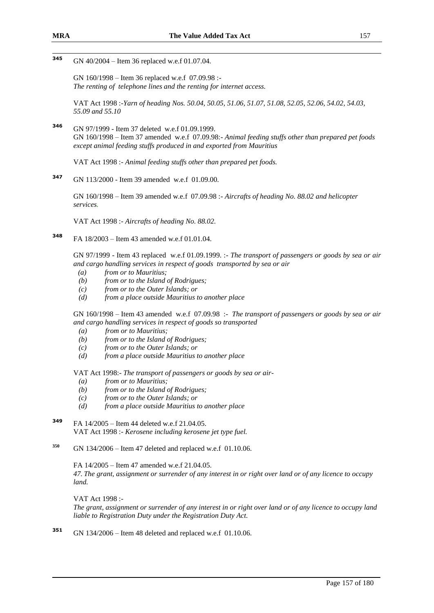#### 345 **<sup>345</sup>** GN 40/2004 – Item 36 replaced w.e.f 01.07.04.

GN 160/1998 – Item 36 replaced w.e.f 07.09.98 :- *The renting of telephone lines and the renting for internet access.*

VAT Act 1998 :-*Yarn of heading Nos. 50.04, 50.05, 51.06, 51.07, 51.08, 52.05, 52.06, 54.02, 54.03, 55.09 and 55.10*

**<sup>346</sup>** GN 97/1999 - Item 37 deleted w.e.f 01.09.1999. GN 160/1998 – Item 37 amended w.e.f 07.09.98:- *Animal feeding stuffs other than prepared pet foods except animal feeding stuffs produced in and exported from Mauritius*

VAT Act 1998 :- *Animal feeding stuffs other than prepared pet foods.*

**<sup>347</sup>** GN 113/2000 - Item 39 amended w.e.f 01.09.00.

GN 160/1998 – Item 39 amended w.e.f 07.09.98 :- *Aircrafts of heading No. 88.02 and helicopter services.*

VAT Act 1998 :- *Aircrafts of heading No. 88.02.*

**<sup>348</sup>** FA 18/2003 – Item 43 amended w.e.f 01.01.04.

GN 97/1999 - Item 43 replaced w.e.f 01.09.1999. :- *The transport of passengers or goods by sea or air and cargo handling services in respect of goods transported by sea or air*

- *(a) from or to Mauritius;*
- *(b) from or to the Island of Rodrigues;*
- *(c) from or to the Outer Islands; or*
- *(d) from a place outside Mauritius to another place*

GN 160/1998 – Item 43 amended w.e.f 07.09.98 :- *The transport of passengers or goods by sea or air and cargo handling services in respect of goods so transported*

- *(a) from or to Mauritius;*
- *(b) from or to the Island of Rodrigues;*
- *(c) from or to the Outer Islands; or*
- *(d) from a place outside Mauritius to another place*

VAT Act 1998:- *The transport of passengers or goods by sea or air-*

- *(a) from or to Mauritius;*
- *(b) from or to the Island of Rodrigues;*
- *(c) from or to the Outer Islands; or*
- *(d) from a place outside Mauritius to another place*
- **<sup>349</sup>** FA 14/2005 Item 44 deleted w.e.f 21.04.05. VAT Act 1998 :- *Kerosene including kerosene jet type fuel.*
- **<sup>350</sup>** GN 134/2006 Item 47 deleted and replaced w.e.f 01.10.06.

FA 14/2005 – Item 47 amended w.e.f 21.04.05.

*47. The grant, assignment or surrender of any interest in or right over land or of any licence to occupy land.*

VAT Act 1998 :-

*The grant, assignment or surrender of any interest in or right over land or of any licence to occupy land liable to Registration Duty under the Registration Duty Act.*

**<sup>351</sup>** GN 134/2006 – Item 48 deleted and replaced w.e.f 01.10.06.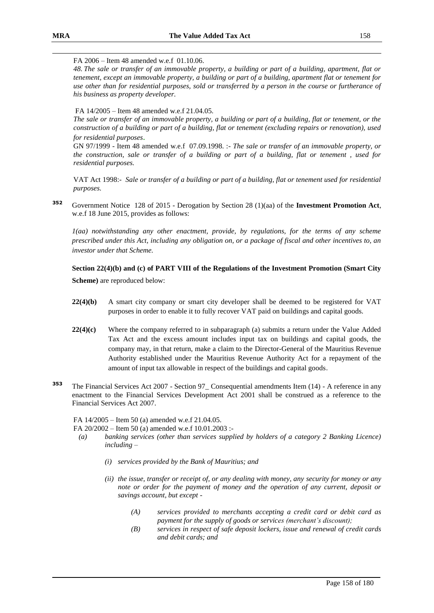#### FA 2006 – Item 48 amended w.e.f 01.10.06.

*48. The sale or transfer of an immovable property, a building or part of a building, apartment, flat or tenement, except an immovable property, a building or part of a building, apartment flat or tenement for use other than for residential purposes, sold or transferred by a person in the course or furtherance of his business as property developer.*

#### FA 14/2005 – Item 48 amended w.e.f 21.04.05.

*The sale or transfer of an immovable property, a building or part of a building, flat or tenement, or the construction of a building or part of a building, flat or tenement (excluding repairs or renovation), used for residential purposes*.

GN 97/1999 - Item 48 amended w.e.f 07.09.1998. :- *The sale or transfer of an immovable property, or the construction, sale or transfer of a building or part of a building, flat or tenement , used for residential purposes.*

VAT Act 1998:- *Sale or transfer of a building or part of a building, flat or tenement used for residential purposes.*

**<sup>352</sup>** Government Notice 128 of 2015 - Derogation by Section 28 (1)(aa) of the **Investment Promotion Act**, w.e.f 18 June 2015, provides as follows:

*1(aa) notwithstanding any other enactment, provide, by regulations, for the terms of any scheme prescribed under this Act, including any obligation on, or a package of fiscal and other incentives to, an investor under that Scheme.*

### **Section 22(4)(b) and (c) of PART VIII of the Regulations of the Investment Promotion (Smart City**

**Scheme)** are reproduced below:

- **22(4)(b)** A smart city company or smart city developer shall be deemed to be registered for VAT purposes in order to enable it to fully recover VAT paid on buildings and capital goods.
- **22(4)(c)** Where the company referred to in subparagraph (a) submits a return under the Value Added Tax Act and the excess amount includes input tax on buildings and capital goods, the company may, in that return, make a claim to the Director-General of the Mauritius Revenue Authority established under the Mauritius Revenue Authority Act for a repayment of the amount of input tax allowable in respect of the buildings and capital goods.
- **<sup>353</sup>** The Financial Services Act 2007 Section 97\_ Consequential amendments Item (14) A reference in any enactment to the Financial Services Development Act 2001 shall be construed as a reference to the Financial Services Act 2007.

FA 14/2005 – Item 50 (a) amended w.e.f 21.04.05.

FA 20/2002 – Item 50 (a) amended w.e.f 10.01.2003 :-

- *(a) banking services (other than services supplied by holders of a category 2 Banking Licence) including –*
	- *(i) services provided by the Bank of Mauritius; and*
	- *(ii) the issue, transfer or receipt of, or any dealing with money, any security for money or any note or order for the payment of money and the operation of any current, deposit or savings account, but except -*
		- *(A) services provided to merchants accepting a credit card or debit card as payment for the supply of goods or services (merchant's discount);*
		- *(B) services in respect of safe deposit lockers, issue and renewal of credit cards and debit cards; and*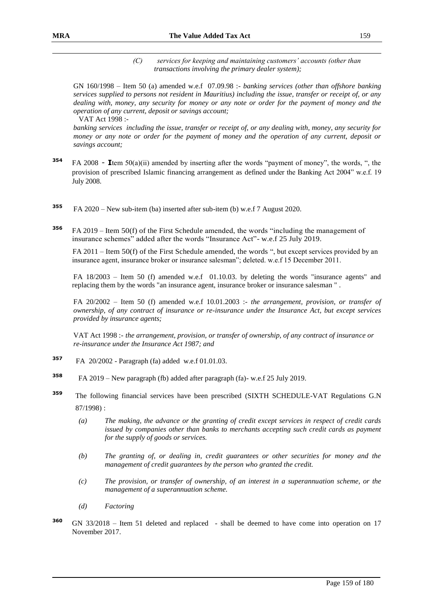*(C) services for keeping and maintaining customers' accounts (other than transactions involving the primary dealer system);*

GN 160/1998 – Item 50 (a) amended w.e.f 07.09.98 :- *banking services (other than offshore banking services supplied to persons not resident in Mauritius) including the issue, transfer or receipt of, or any dealing with, money, any security for money or any note or order for the payment of money and the operation of any current, deposit or savings account;* VAT Act 1998 :-

*banking services including the issue, transfer or receipt of, or any dealing with, money, any security for money or any note or order for the payment of money and the operation of any current, deposit or savings account;* 

- **<sup>354</sup>** FA 2008 **I**tem 50(a)(ii) amended by inserting after the words "payment of money", the words, ", the provision of prescribed Islamic financing arrangement as defined under the Banking Act 2004" w.e.f. 19 July 2008.
- **<sup>355</sup>** FA 2020 New sub-item (ba) inserted after sub-item (b) w.e.f 7 August 2020.
- **<sup>356</sup>** FA 2019 Item 50(f) of the First Schedule amended, the words "including the management of insurance schemes" added after the words "Insurance Act"- w.e.f 25 July 2019.

 FA 2011 – Item 50(f) of the First Schedule amended, the words ", but except services provided by an insurance agent, insurance broker or insurance salesman"; deleted. w.e.f 15 December 2011.

FA 18/2003 – Item 50 (f) amended w.e.f 01.10.03. by deleting the words "insurance agents" and replacing them by the words "an insurance agent, insurance broker or insurance salesman " .

FA 20/2002 – Item 50 (f) amended w.e.f 10.01.2003 :- *the arrangement, provision, or transfer of ownership, of any contract of insurance or re-insurance under the Insurance Act, but except services provided by insurance agents;*

VAT Act 1998 :- *the arrangement, provision, or transfer of ownership, of any contract of insurance or re-insurance under the Insurance Act 1987; and*

- **<sup>357</sup>** FA 20/2002 Paragraph (fa) added w.e.f 01.01.03.
- **358**  FA 2019 – New paragraph (fb) added after paragraph (fa)- w.e.f 25 July 2019.
- **<sup>359</sup>** The following financial services have been prescribed (SIXTH SCHEDULE-VAT Regulations G.N 87/1998) :
	- *(a) The making, the advance or the granting of credit except services in respect of credit cards issued by companies other than banks to merchants accepting such credit cards as payment for the supply of goods or services.*
	- *(b) The granting of, or dealing in, credit guarantees or other securities for money and the management of credit guarantees by the person who granted the credit.*
	- *(c) The provision, or transfer of ownership, of an interest in a superannuation scheme, or the management of a superannuation scheme.*
	- *(d) Factoring*
- **<sup>360</sup>** GN 33/2018 Item 51 deleted and replaced shall be deemed to have come into operation on 17 November 2017.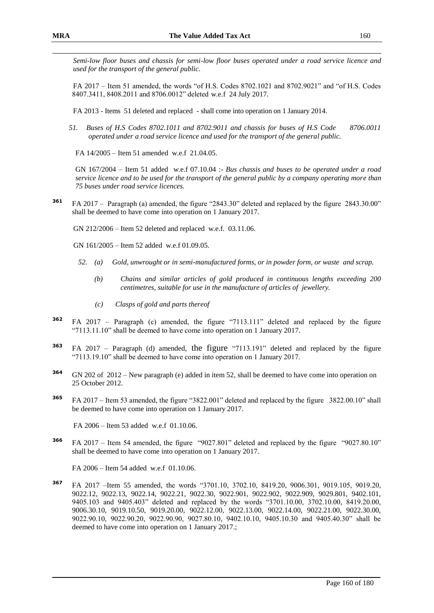*Semi-low floor buses and chassis for semi-low floor buses operated under a road service licence and used for the transport of the general public.*

FA 2017 – Item 51 amended, the words "of H.S. Codes 8702.1021 and 8702.9021" and "of H.S. Codes 8407.3411, 8408.2011 and 8706.0012" deleted w.e.f 24 July 2017.

FA 2013 - Items 51 deleted and replaced - shall come into operation on 1 January 2014.

*51. Buses of H.S Codes 8702.1011 and 8702.9011 and chassis for buses of H.S Code 8706.0011 operated under a road service licence and used for the transport of the general public.*

FA 14/2005 – Item 51 amended w.e.f 21.04.05.

GN 167/2004 – Item 51 added w.e.f 07.10.04 :- *Bus chassis and buses to be operated under a road service licence and to be used for the transport of the general public by a company operating more than 75 buses under road service licences.*

**<sup>361</sup>** FA 2017 – Paragraph (a) amended, the figure "2843.30" deleted and replaced by the figure 2843.30.00" shall be deemed to have come into operation on 1 January 2017.

GN 212/2006 – Item 52 deleted and replaced w.e.f. 03.11.06.

GN 161/2005 – Item 52 added w.e.f 01.09.05.

- *52. (a) Gold, unwrought or in semi-manufactured forms, or in powder form, or waste and scrap.*
	- *(b) Chains and similar articles of gold produced in continuous lengths exceeding 200 centimetres, suitable for use in the manufacture of articles of jewellery.*
	- *(c) Clasps of gold and parts thereof*
- **<sup>362</sup>** FA 2017 Paragraph (c) amended, the figure "7113.111" deleted and replaced by the figure "7113.11.10" shall be deemed to have come into operation on 1 January 2017.
- **<sup>363</sup>** FA 2017 Paragraph (d) amended, the figure "7113.191" deleted and replaced by the figure "7113.19.10" shall be deemed to have come into operation on 1 January 2017.
- **<sup>364</sup>** GN 202 of 2012 New paragraph (e) added in item 52, shall be deemed to have come into operation on 25 October 2012.
- **<sup>365</sup>** FA 2017 Item 53 amended, the figure "3822.001" deleted and replaced by the figure 3822.00.10" shall be deemed to have come into operation on 1 January 2017.

FA 2006 – Item 53 added w.e.f 01.10.06.

**<sup>366</sup>** FA 2017 – Item 54 amended, the figure "9027.801" deleted and replaced by the figure "9027.80.10" shall be deemed to have come into operation on 1 January 2017.

FA 2006 – Item 54 added w.e.f 01.10.06.

**<sup>367</sup>** FA 2017 –Item 55 amended, the words "3701.10, 3702.10, 8419.20, 9006.301, 9019.105, 9019.20, 9022.12, 9022.13, 9022.14, 9022.21, 9022.30, 9022.901, 9022.902, 9022.909, 9029.801, 9402.101, 9405.103 and 9405.403" deleted and replaced by the words "3701.10.00, 3702.10.00, 8419.20.00, 9006.30.10, 9019.10.50, 9019.20.00, 9022.12.00, 9022.13.00, 9022.14.00, 9022.21.00, 9022.30.00, 9022.90.10, 9022.90.20, 9022.90.90, 9027.80.10, 9402.10.10, 9405.10.30 and 9405.40.30" shall be deemed to have come into operation on 1 January 2017.;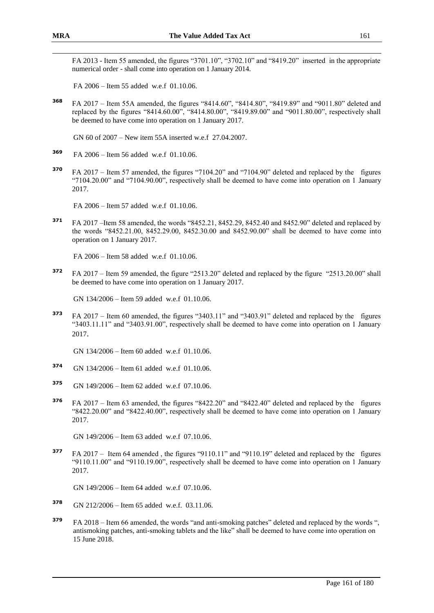FA 2013 - Item 55 amended, the figures "3701.10", "3702.10" and "8419.20" inserted in the appropriate numerical order - shall come into operation on 1 January 2014.

FA 2006 – Item 55 added w.e.f 01.10.06.

**<sup>368</sup>** FA 2017 – Item 55A amended, the figures "8414.60", "8414.80", "8419.89" and "9011.80" deleted and replaced by the figures "8414.60.00", "8414.80.00", "8419.89.00" and "9011.80.00", respectively shall be deemed to have come into operation on 1 January 2017.

GN 60 of 2007 – New item 55A inserted w.e.f 27.04.2007.

- **<sup>369</sup>** FA 2006 Item 56 added w.e.f 01.10.06.
- **<sup>370</sup>** FA 2017 Item 57 amended, the figures "7104.20" and "7104.90" deleted and replaced by the figures "7104.20.00" and "7104.90.00", respectively shall be deemed to have come into operation on 1 January 2017.

FA 2006 – Item 57 added w.e.f 01.10.06.

**<sup>371</sup>** FA 2017 –Item 58 amended, the words "8452.21, 8452.29, 8452.40 and 8452.90" deleted and replaced by the words "8452.21.00, 8452.29.00, 8452.30.00 and 8452.90.00" shall be deemed to have come into operation on 1 January 2017.

FA 2006 – Item 58 added w.e.f 01.10.06.

**<sup>372</sup>** FA 2017 – Item 59 amended, the figure "2513.20" deleted and replaced by the figure "2513.20.00" shall be deemed to have come into operation on 1 January 2017.

GN 134/2006 – Item 59 added w.e.f 01.10.06.

**<sup>373</sup>** FA 2017 – Item 60 amended, the figures "3403.11" and "3403.91" deleted and replaced by the figures "3403.11.11" and "3403.91.00", respectively shall be deemed to have come into operation on 1 January 2017.

GN 134/2006 – Item 60 added w.e.f 01.10.06.

- **<sup>374</sup>** GN 134/2006 Item 61 added w.e.f 01.10.06.
- **<sup>375</sup>** GN 149/2006 Item 62 added w.e.f 07.10.06.
- **<sup>376</sup>** FA 2017 Item 63 amended, the figures "8422.20" and "8422.40" deleted and replaced by the figures "8422.20.00" and "8422.40.00", respectively shall be deemed to have come into operation on 1 January 2017.

GN 149/2006 – Item 63 added w.e.f 07.10.06.

**<sup>377</sup>** FA 2017 – Item 64 amended , the figures "9110.11" and "9110.19" deleted and replaced by the figures "9110.11.00" and "9110.19.00", respectively shall be deemed to have come into operation on 1 January 2017.

GN 149/2006 – Item 64 added w.e.f 07.10.06.

- **<sup>378</sup>** GN 212/2006 Item 65 added w.e.f. 03.11.06.
- **<sup>379</sup>** FA 2018 Item 66 amended, the words "and anti-smoking patches" deleted and replaced by the words ", antismoking patches, anti-smoking tablets and the like" shall be deemed to have come into operation on 15 June 2018.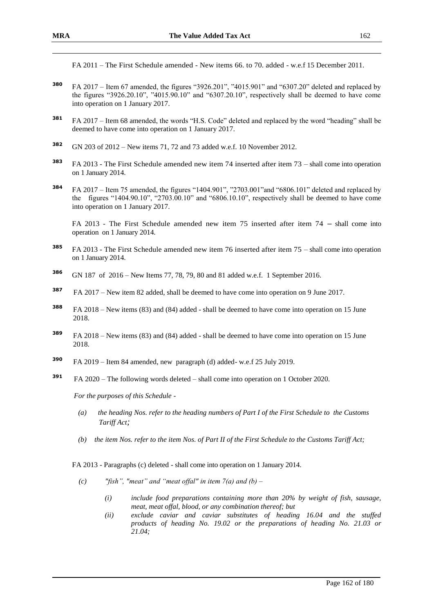FA 2011 – The First Schedule amended - New items 66. to 70. added - w.e.f 15 December 2011.

- **<sup>380</sup>** FA 2017 Item 67 amended, the figures "3926.201", "4015.901" and "6307.20" deleted and replaced by the figures "3926.20.10", "4015.90.10" and "6307.20.10", respectively shall be deemed to have come into operation on 1 January 2017.
- **<sup>381</sup>** FA 2017 Item 68 amended, the words "H.S. Code" deleted and replaced by the word "heading" shall be deemed to have come into operation on 1 January 2017.
- **<sup>382</sup>** GN 203 of 2012 New items 71, 72 and 73 added w.e.f. 10 November 2012.
- **<sup>383</sup>** FA 2013 The First Schedule amended new item 74 inserted after item 73 shall come into operation on 1 January 2014.
- **<sup>384</sup>** FA 2017 Item 75 amended, the figures "1404.901", "2703.001"and "6806.101" deleted and replaced by the figures "1404.90.10", "2703.00.10" and "6806.10.10", respectively shall be deemed to have come into operation on 1 January 2017.

FA 2013 - The First Schedule amended new item 75 inserted after item 74 – shall come into operation on 1 January 2014.

- **<sup>385</sup>** FA 2013 The First Schedule amended new item 76 inserted after item 75 shall come into operation on 1 January 2014.
- **<sup>386</sup>** GN 187 of 2016 New Items 77, 78, 79, 80 and 81 added w.e.f. 1 September 2016.
- **<sup>387</sup>** FA 2017 New item 82 added, shall be deemed to have come into operation on 9 June 2017.
- **<sup>388</sup>** FA 2018 New items (83) and (84) added shall be deemed to have come into operation on 15 June 2018.
- **<sup>389</sup>** FA 2018 New items (83) and (84) added shall be deemed to have come into operation on 15 June 2018.
- **390** FA 2019 – Item 84 amended, new paragraph (d) added- w.e.f 25 July 2019.
- **391** FA 2020 – The following words deleted – shall come into operation on 1 October 2020.

*For the purposes of this Schedule -*

- *(a) the heading Nos. refer to the heading numbers of Part I of the First Schedule to the Customs Tariff Act;*
- *(b) the item Nos. refer to the item Nos. of Part II of the First Schedule to the Customs Tariff Act;*

FA 2013 - Paragraphs (c) deleted - shall come into operation on 1 January 2014.

- *(c) "fish", "meat" and "meat offal" in item 7(a) and (b) –*
	- *(i) include food preparations containing more than 20% by weight of fish, sausage, meat, meat offal, blood, or any combination thereof; but*
	- *(ii) exclude caviar and caviar substitutes of heading 16.04 and the stuffed products of heading No. 19.02 or the preparations of heading No. 21.03 or 21.04;*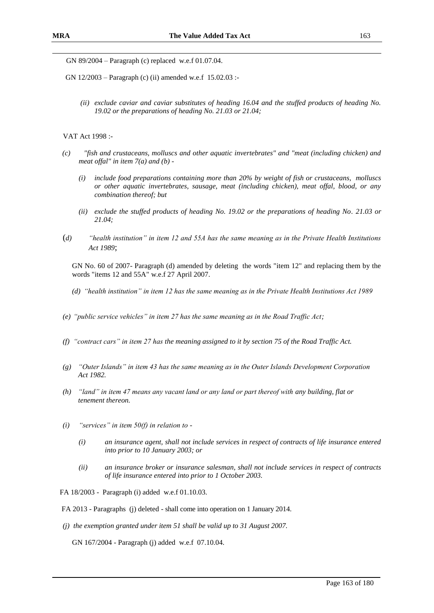GN 89/2004 – Paragraph (c) replaced w.e.f 01.07.04.

GN 12/2003 – Paragraph (c) (ii) amended w.e.f 15.02.03 :-

*(ii) exclude caviar and caviar substitutes of heading 16.04 and the stuffed products of heading No. 19.02 or the preparations of heading No. 21.03 or 21.04;*

VAT Act 1998 :-

- *(c) "fish and crustaceans, molluscs and other aquatic invertebrates" and "meat (including chicken) and meat offal" in item 7(a) and (b) -*
	- *(i) include food preparations containing more than 20% by weight of fish or crustaceans, molluscs or other aquatic invertebrates, sausage, meat (including chicken), meat offal, blood, or any combination thereof; but*
	- *(ii) exclude the stuffed products of heading No. 19.02 or the preparations of heading No. 21.03 or 21.04;*
- (*d) "health institution" in item 12 and 55A has the same meaning as in the Private Health Institutions Act 1989*;

GN No. 60 of 2007- Paragraph (d) amended by deleting the words "item 12" and replacing them by the words "items 12 and 55A" w.e.f 27 April 2007.

- *(d) "health institution" in item 12 has the same meaning as in the Private Health Institutions Act 1989*
- *(e) "public service vehicles" in item 27 has the same meaning as in the Road Traffic Act;*
- *(f) "contract cars" in item 27 has the meaning assigned to it by section 75 of the Road Traffic Act.*
- *(g) "Outer Islands" in item 43 has the same meaning as in the Outer Islands Development Corporation Act 1982.*
- *(h) "land" in item 47 means any vacant land or any land or part thereof with any building, flat or tenement thereon.*
- *(i) "services" in item 50(f) in relation to -*
	- *(i) an insurance agent, shall not include services in respect of contracts of life insurance entered into prior to 10 January 2003; or*
	- *(ii) an insurance broker or insurance salesman, shall not include services in respect of contracts of life insurance entered into prior to 1 October 2003.*

FA 18/2003 - Paragraph (i) added w.e.f 01.10.03.

FA 2013 - Paragraphs (j) deleted - shall come into operation on 1 January 2014.

*(j) the exemption granted under item 51 shall be valid up to 31 August 2007.*

GN 167/2004 - Paragraph (j) added w.e.f 07.10.04.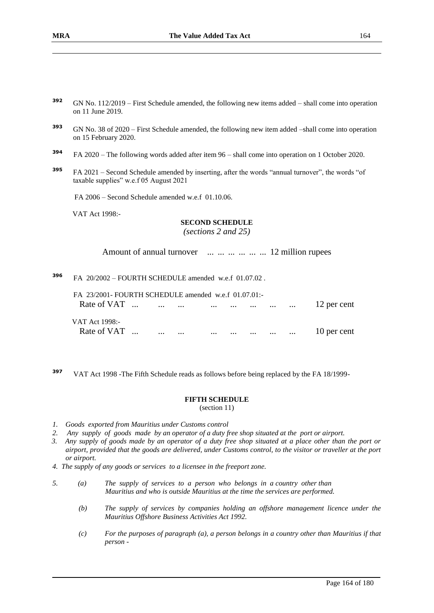| 392 | GN No. 112/2019 – First Schedule amended, the following new items added – shall come into operation |
|-----|-----------------------------------------------------------------------------------------------------|
|     | on 11 June 2019.                                                                                    |

- **<sup>393</sup>** GN No. 38 of 2020 First Schedule amended, the following new item added –shall come into operation on 15 February 2020.
- **<sup>394</sup>** FA 2020 The following words added after item 96 shall come into operation on 1 October 2020.
- **<sup>395</sup>** FA 2021 Second Schedule amended by inserting, after the words "annual turnover", the words "of taxable supplies" w.e.f 05 August 2021

FA 2006 – Second Schedule amended w.e.f 01.10.06.

VAT Act 1998:-

#### **SECOND SCHEDULE**

*(sections 2 and 25)*

Amount of annual turnover ... ... ... ... ... ... 12 million rupees

**<sup>396</sup>** FA 20/2002 – FOURTH SCHEDULE amended w.e.f 01.07.02 .

| FA 23/2001- FOURTH SCHEDULE amended w.e.f 01.07.01:- |                                |          |          |          |          |                   |                               |             |
|------------------------------------------------------|--------------------------------|----------|----------|----------|----------|-------------------|-------------------------------|-------------|
| Rate of VAT                                          | and the company of the company |          |          |          |          | $\cdots$ $\cdots$ |                               | 12 per cent |
| VAT Act 1998:-                                       |                                |          |          |          |          |                   |                               |             |
| Rate of VAT                                          | $\cdots$                       | $\cdots$ | $\cdots$ | $\cdots$ | $\cdots$ | $\cdots$          | $\mathbf{r}$ and $\mathbf{r}$ | 10 per cent |

**<sup>397</sup>** VAT Act 1998 -The Fifth Schedule reads as follows before being replaced by the FA 18/1999-

#### **FIFTH SCHEDULE**

(section 11)

- *1. Goods exported from Mauritius under Customs control*
- *2. Any supply of goods made by an operator of a duty free shop situated at the port or airport.*
- *3. Any supply of goods made by an operator of a duty free shop situated at a place other than the port or airport, provided that the goods are delivered, under Customs control, to the visitor or traveller at the port or airport.*
- *4. The supply of any goods or services to a licensee in the freeport zone.*
- *5. (a) The supply of services to a person who belongs in a country other than Mauritius and who is outside Mauritius at the time the services are performed.*
	- *(b) The supply of services by companies holding an offshore management licence under the Mauritius Offshore Business Activities Act 1992.*
	- *(c) For the purposes of paragraph (a), a person belongs in a country other than Mauritius if that person -*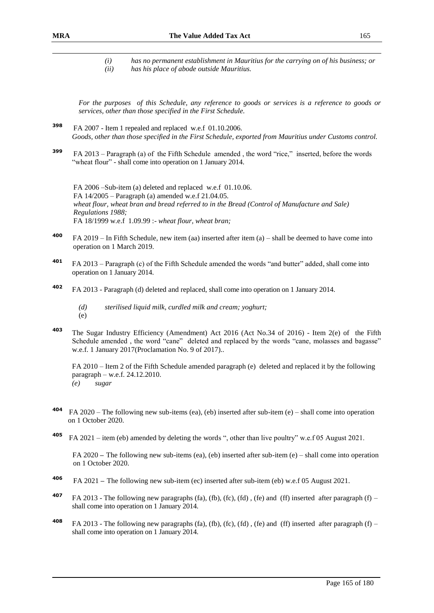*(i) has no permanent establishment in Mauritius for the carrying on of his business; or (ii) has his place of abode outside Mauritius.*

*For the purposes of this Schedule, any reference to goods or services is a reference to goods or services, other than those specified in the First Schedule.*

- **<sup>398</sup>** FA 2007 Item 1 repealed and replaced w.e.f 01.10.2006. *Goods, other than those specified in the First Schedule, exported from Mauritius under Customs control.*
- **<sup>399</sup>** FA 2013 Paragraph (a) of the Fifth Schedule amended , the word "rice," inserted, before the words "wheat flour" - shall come into operation on 1 January 2014.

FA 2006 –Sub-item (a) deleted and replaced w.e.f 01.10.06. FA 14/2005 – Paragraph (a) amended w.e.f 21.04.05. *wheat flour, wheat bran and bread referred to in the Bread (Control of Manufacture and Sale) Regulations 1988;* FA 18/1999 w.e.f 1.09.99 :- *wheat flour, wheat bran;*

- **400**  FA 2019 – In Fifth Schedule, new item (aa) inserted after item (a) – shall be deemed to have come into operation on 1 March 2019.
- **<sup>401</sup>** FA 2013 Paragraph (c) of the Fifth Schedule amended the words "and butter" added, shall come into operation on 1 January 2014.
- **<sup>402</sup>** FA 2013 Paragraph (d) deleted and replaced, shall come into operation on 1 January 2014.
	- *(d) sterilised liquid milk, curdled milk and cream; yoghurt;* (e)
- **<sup>403</sup>** The Sugar Industry Efficiency (Amendment) Act 2016 (Act No.34 of 2016) Item 2(e) of the Fifth Schedule amended, the word "cane" deleted and replaced by the words "cane, molasses and bagasse" w.e.f. 1 January 2017(Proclamation No. 9 of 2017)..

FA 2010 – Item 2 of the Fifth Schedule amended paragraph (e) deleted and replaced it by the following paragraph – w.e.f. 24.12.2010. *(e) sugar*

- **404** FA 2020 – The following new sub-items (ea), (eb) inserted after sub-item (e) – shall come into operation on 1 October 2020.
- **405** FA 2021 – item (eb) amended by deleting the words ", other than live poultry" w.e.f 05 August 2021.

FA 2020 **–** The following new sub-items (ea), (eb) inserted after sub-item (e) – shall come into operation on 1 October 2020.

- **406** FA 2021 **–** The following new sub-item (ec) inserted after sub-item (eb) w.e.f 05 August 2021.
- **407** FA 2013 The following new paragraphs (fa), (fb), (fc), (fd), (fe) and (ff) inserted after paragraph (f) shall come into operation on 1 January 2014.
- **408** FA 2013 The following new paragraphs (fa), (fb), (fc), (fd), (fe) and (ff) inserted after paragraph (f) shall come into operation on 1 January 2014.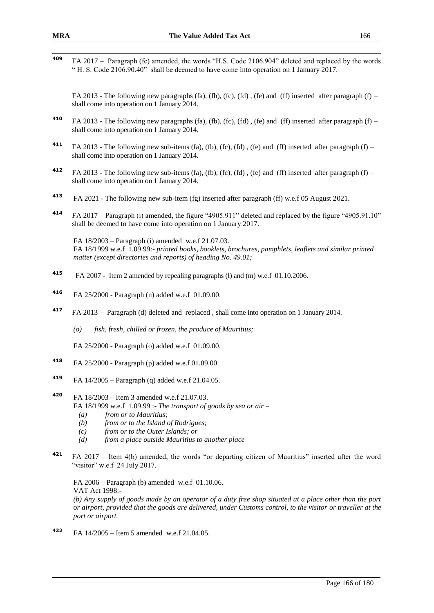409 **<sup>409</sup>** FA 2017 – Paragraph (fc) amended, the words "H.S. Code 2106.904" deleted and replaced by the words " H. S. Code 2106.90.40" shall be deemed to have come into operation on 1 January 2017.

FA 2013 - The following new paragraphs (fa), (fb), (fc), (fd), (fe) and (ff) inserted after paragraph (f) – shall come into operation on 1 January 2014.

- **410** FA 2013 The following new paragraphs (fa), (fb), (fc), (fd), (fe) and (ff) inserted after paragraph (f) shall come into operation on 1 January 2014.
- **<sup>411</sup>** FA 2013 The following new sub-items (fa), (fb), (fc), (fd) , (fe) and (ff) inserted after paragraph (f) shall come into operation on 1 January 2014.
- **<sup>412</sup>** FA 2013 The following new sub-items (fa), (fb), (fc), (fd) , (fe) and (ff) inserted after paragraph (f) shall come into operation on 1 January 2014.
- **413** FA 2021 - The following new sub-item (fg) inserted after paragraph (ff) w.e.f 05 August 2021.
- **<sup>414</sup>** FA 2017 Paragraph (i) amended, the figure "4905.911" deleted and replaced by the figure "4905.91.10" shall be deemed to have come into operation on 1 January 2017.

FA 18/2003 – Paragraph (i) amended w.e.f 21.07.03. FA 18/1999 w.e.f 1.09.99:- *printed books, booklets, brochures, pamphlets, leaflets and similar printed matter (except directories and reports) of heading No. 49.01;*

- **<sup>415</sup>** FA 2007 Item 2 amended by repealing paragraphs (l) and (m) w.e.f 01.10.2006.
- **<sup>416</sup>** FA 25/2000 Paragraph (n) added w.e.f 01.09.00.
- **<sup>417</sup>** FA 2013 Paragraph (d) deleted and replaced , shall come into operation on 1 January 2014.
	- *(o) fish, fresh, chilled or frozen, the produce of Mauritius;*

FA 25/2000 - Paragraph (o) added w.e.f 01.09.00.

- **<sup>418</sup>** FA 25/2000 Paragraph (p) added w.e.f 01.09.00.
- **<sup>419</sup>** FA 14/2005 Paragraph (q) added w.e.f 21.04.05.
- **<sup>420</sup>** FA 18/2003 Item 3 amended w.e.f 21.07.03.
	- FA 18/1999 w.e.f 1.09.99 :- *The transport of goods by sea or air –*
		- *(a) from or to Mauritius;*
		- *(b) from or to the Island of Rodrigues;*
		- *(c) from or to the Outer Islands; or*
		- *(d) from a place outside Mauritius to another place*
- **<sup>421</sup>** FA 2017 Item 4(b) amended, the words "or departing citizen of Mauritius" inserted after the word "visitor" w.e.f 24 July 2017.

FA 2006 – Paragraph (b) amended w.e.f 01.10.06. VAT Act 1998:-

*(b) Any supply of goods made by an operator of a duty free shop situated at a place other than the port or airport, provided that the goods are delivered, under Customs control, to the visitor or traveller at the port or airport.*

**<sup>422</sup>** FA 14/2005 – Item 5 amended w.e.f 21.04.05.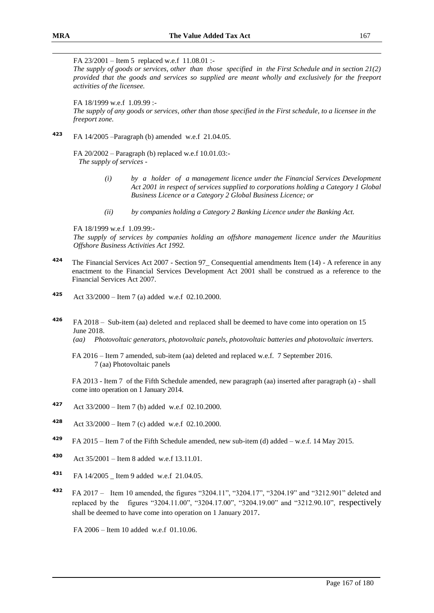FA 23/2001 – Item 5 replaced w.e.f 11.08.01 :-

*The supply of goods or services, other than those specified in the First Schedule and in section 21(2) provided that the goods and services so supplied are meant wholly and exclusively for the freeport activities of the licensee.*

FA 18/1999 w.e.f 1.09.99 :-

*The supply of any goods or services, other than those specified in the First schedule, to a licensee in the freeport zone.*

**<sup>423</sup>** FA 14/2005 –Paragraph (b) amended w.e.f 21.04.05.

FA 20/2002 – Paragraph (b) replaced w.e.f 10.01.03:- *The supply of services -*

- *(i) by a holder of a management licence under the Financial Services Development Act 2001 in respect of services supplied to corporations holding a Category 1 Global Business Licence or a Category 2 Global Business Licence; or*
- *(ii) by companies holding a Category 2 Banking Licence under the Banking Act.*

FA 18/1999 w.e.f 1.09.99:-

*The supply of services by companies holding an offshore management licence under the Mauritius Offshore Business Activities Act 1992.*

- **<sup>424</sup>** The Financial Services Act 2007 Section 97\_ Consequential amendments Item (14) A reference in any enactment to the Financial Services Development Act 2001 shall be construed as a reference to the Financial Services Act 2007.
- **<sup>425</sup>** Act 33/2000 Item 7 (a) added w.e.f 02.10.2000.
- **<sup>426</sup>** FA 2018 Sub-item (aa) deleted and replaced shall be deemed to have come into operation on 15 June 2018.

*(aa) Photovoltaic generators, photovoltaic panels, photovoltaic batteries and photovoltaic inverters.*

FA 2016 – Item 7 amended, sub-item (aa) deleted and replaced w.e.f. 7 September 2016. 7 (aa) Photovoltaic panels

FA 2013 - Item 7 of the Fifth Schedule amended, new paragraph (aa) inserted after paragraph (a) - shall come into operation on 1 January 2014.

- **<sup>427</sup>** Act 33/2000 Item 7 (b) added w.e.f 02.10.2000.
- **<sup>428</sup>** Act 33/2000 Item 7 (c) added w.e.f 02.10.2000.
- **<sup>429</sup>** FA 2015 Item 7 of the Fifth Schedule amended, new sub-item (d) added w.e.f. 14 May 2015.
- **<sup>430</sup>** Act 35/2001 Item 8 added w.e.f 13.11.01.
- **431** FA 14/2005 Item 9 added w.e.f 21.04.05.
- **<sup>432</sup>** FA 2017 Item 10 amended, the figures "3204.11", "3204.17", "3204.19" and "3212.901" deleted and replaced by the figures "3204.11.00", "3204.17.00", "3204.19.00" and "3212.90.10", respectively shall be deemed to have come into operation on 1 January 2017.

FA 2006 – Item 10 added w.e.f 01.10.06.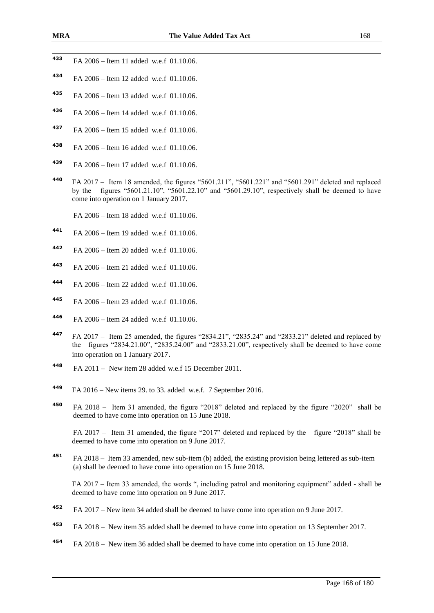- FA 2006 – Item 11 added w.e.f 01.10.06.
- FA 2006 Item 12 added w.e.f 01.10.06.
- FA 2006 Item 13 added w.e.f 01.10.06.
- FA 2006 Item 14 added w.e.f 01.10.06.
- FA 2006 Item 15 added w.e.f 01.10.06.
- FA 2006 Item 16 added w.e.f 01.10.06.
- FA 2006 Item 17 added w.e.f 01.10.06.
- FA 2017 Item 18 amended, the figures "5601.211", "5601.221" and "5601.291" deleted and replaced by the figures "5601.21.10", "5601.22.10" and "5601.29.10", respectively shall be deemed to have come into operation on 1 January 2017.
	- FA 2006 Item 18 added w.e.f 01.10.06.
- FA 2006 Item 19 added w.e.f 01.10.06.
- FA 2006 Item 20 added w.e.f 01.10.06.
- FA 2006 Item 21 added w.e.f 01.10.06.
- FA 2006 Item 22 added w.e.f 01.10.06.
- FA 2006 Item 23 added w.e.f 01.10.06.
- FA 2006 Item 24 added w.e.f 01.10.06.
- FA 2017 Item 25 amended, the figures "2834.21", "2835.24" and "2833.21" deleted and replaced by the figures "2834.21.00", "2835.24.00" and "2833.21.00", respectively shall be deemed to have come into operation on 1 January 2017.
- FA 2011 New item 28 added w.e.f 15 December 2011.
- FA 2016 New items 29. to 33. added w.e.f. 7 September 2016.
- FA 2018 Item 31 amended, the figure "2018" deleted and replaced by the figure "2020" shall be deemed to have come into operation on 15 June 2018.

FA 2017 – Item 31 amended, the figure "2017" deleted and replaced by the figure "2018" shall be deemed to have come into operation on 9 June 2017.

 FA 2018 – Item 33 amended, new sub-item (b) added, the existing provision being lettered as sub-item (a) shall be deemed to have come into operation on 15 June 2018.

FA 2017 – Item 33 amended, the words ", including patrol and monitoring equipment" added - shall be deemed to have come into operation on 9 June 2017.

- FA 2017 New item 34 added shall be deemed to have come into operation on 9 June 2017.
- FA 2018 New item 35 added shall be deemed to have come into operation on 13 September 2017.
- FA 2018 New item 36 added shall be deemed to have come into operation on 15 June 2018.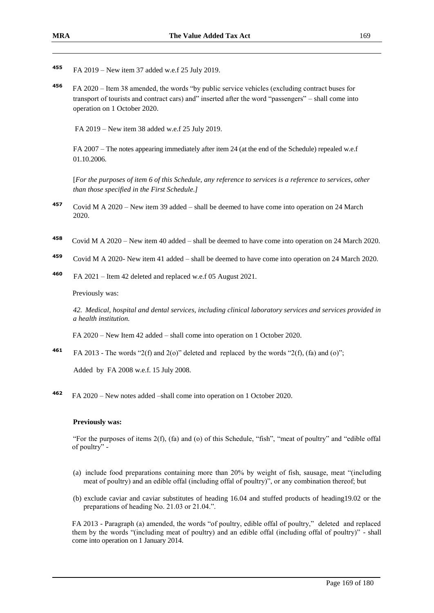- **455** FA 2019 – New item 37 added w.e.f 25 July 2019.
- **456**  FA 2020 – Item 38 amended, the words "by public service vehicles (excluding contract buses for transport of tourists and contract cars) and" inserted after the word "passengers" – shall come into operation on 1 October 2020.

FA 2019 – New item 38 added w.e.f 25 July 2019.

FA 2007 – The notes appearing immediately after item 24 (at the end of the Schedule) repealed w.e.f 01.10.2006.

[*For the purposes of item 6 of this Schedule, any reference to services is a reference to services, other than those specified in the First Schedule.]* 

- **<sup>457</sup>** Covid M A 2020 New item 39 added shall be deemed to have come into operation on 24 March 2020.
- **458** Covid M A 2020 – New item 40 added – shall be deemed to have come into operation on 24 March 2020.
- **<sup>459</sup>** Covid M A 2020- New item 41 added shall be deemed to have come into operation on 24 March 2020.
- **<sup>460</sup>** FA 2021 Item 42 deleted and replaced w.e.f 05 August 2021.

Previously was:

*42. Medical, hospital and dental services, including clinical laboratory services and services provided in a health institution.*

FA 2020 – New Item 42 added – shall come into operation on 1 October 2020.

**461** FA 2013 - The words "2(f) and 2(o)" deleted and replaced by the words "2(f), (fa) and (o)";

Added by FA 2008 w.e.f. 15 July 2008.

**<sup>462</sup>** FA 2020 – New notes added –shall come into operation on 1 October 2020.

#### **Previously was:**

"For the purposes of items 2(f), (fa) and (o) of this Schedule, "fish", "meat of poultry" and "edible offal of poultry" -

- (a) include food preparations containing more than 20% by weight of fish, sausage, meat "(including meat of poultry) and an edible offal (including offal of poultry)", or any combination thereof; but
- (b) exclude caviar and caviar substitutes of heading 16.04 and stuffed products of heading19.02 or the preparations of heading No. 21.03 or 21.04.".

FA 2013 - Paragraph (a) amended, the words "of poultry, edible offal of poultry," deleted and replaced them by the words "(including meat of poultry) and an edible offal (including offal of poultry)" - shall come into operation on 1 January 2014.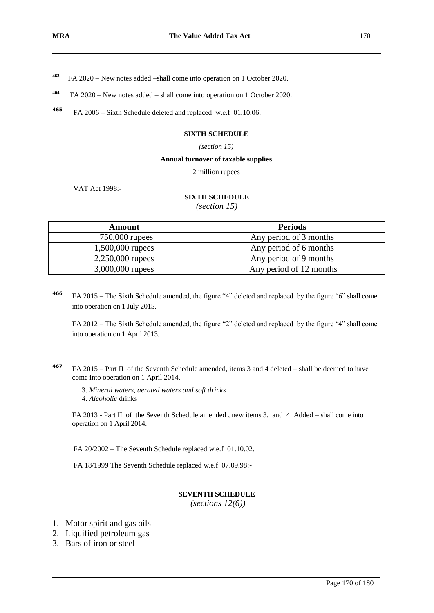- **463** FA 2020 – New notes added –shall come into operation on 1 October 2020.
- **464** FA 2020 – New notes added – shall come into operation on 1 October 2020.
- **<sup>465</sup>** FA 2006 Sixth Schedule deleted and replaced w.e.f 01.10.06.

#### **SIXTH SCHEDULE**

#### *(section 15)*

#### **Annual turnover of taxable supplies**

2 million rupees

VAT Act 1998:-

## **SIXTH SCHEDULE**

*(section 15)*

| Amount             | <b>Periods</b>          |
|--------------------|-------------------------|
| 750,000 rupees     | Any period of 3 months  |
| 1,500,000 rupees   | Any period of 6 months  |
| $2,250,000$ rupees | Any period of 9 months  |
| 3,000,000 rupees   | Any period of 12 months |

**<sup>466</sup>** FA 2015 – The Sixth Schedule amended, the figure "4" deleted and replaced by the figure "6" shall come into operation on 1 July 2015.

FA 2012 – The Sixth Schedule amended, the figure "2" deleted and replaced by the figure "4" shall come into operation on 1 April 2013.

**<sup>467</sup>** FA 2015 – Part II of the Seventh Schedule amended, items 3 and 4 deleted – shall be deemed to have come into operation on 1 April 2014.

3. *Mineral waters, aerated waters and soft drinks 4. Alcoholic* drinks

FA 2013 - Part II of the Seventh Schedule amended , new items 3. and 4. Added – shall come into operation on 1 April 2014.

FA 20/2002 – The Seventh Schedule replaced w.e.f 01.10.02.

FA 18/1999 The Seventh Schedule replaced w.e.f 07.09.98:-

#### **SEVENTH SCHEDULE**

*(sections 12(6))*

- 1. Motor spirit and gas oils
- 2. Liquified petroleum gas
- 3. Bars of iron or steel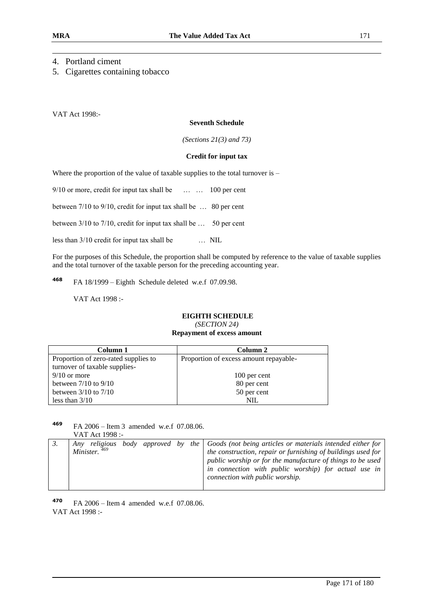## 4. Portland ciment

5. Cigarettes containing tobacco

VAT Act 1998:-

#### **Seventh Schedule**

*(Sections 21(3) and 73)*

#### **Credit for input tax**

Where the proportion of the value of taxable supplies to the total turnover is –

9/10 or more, credit for input tax shall be ... ... 100 per cent

between 7/10 to 9/10, credit for input tax shall be … 80 per cent

between 3/10 to 7/10, credit for input tax shall be … 50 per cent

less than 3/10 credit for input tax shall be … NIL

For the purposes of this Schedule, the proportion shall be computed by reference to the value of taxable supplies and the total turnover of the taxable person for the preceding accounting year.

**468** FA 18/1999 – Eighth Schedule deleted w.e.f 07.09.98.

VAT Act 1998 :-

### **EIGHTH SCHEDULE**

*(SECTION 24)*

#### **Repayment of excess amount**

| Column 1                             | Column 2                               |
|--------------------------------------|----------------------------------------|
| Proportion of zero-rated supplies to | Proportion of excess amount repayable- |
| turnover of taxable supplies-        |                                        |
| $9/10$ or more                       | 100 per cent                           |
| between $7/10$ to $9/10$             | 80 per cent                            |
| between $3/10$ to $7/10$             | 50 per cent                            |
| less than $3/10$                     | NIL                                    |

#### **<sup>469</sup>** FA 2006 – Item 3 amended w.e.f 07.08.06. VAT Act 1998 :-

|  | Minister. <sup>469</sup> |  |  |  |  | Any religious body approved by the $\int$ Goods (not being articles or materials intended either for<br>the construction, repair or furnishing of buildings used for<br>public worship or for the manufacture of things to be used<br>in connection with public worship) for actual use in<br>connection with public worship. |
|--|--------------------------|--|--|--|--|-------------------------------------------------------------------------------------------------------------------------------------------------------------------------------------------------------------------------------------------------------------------------------------------------------------------------------|
|--|--------------------------|--|--|--|--|-------------------------------------------------------------------------------------------------------------------------------------------------------------------------------------------------------------------------------------------------------------------------------------------------------------------------------|

**<sup>470</sup>** FA 2006 – Item 4 amended w.e.f 07.08.06. VAT Act 1998 :-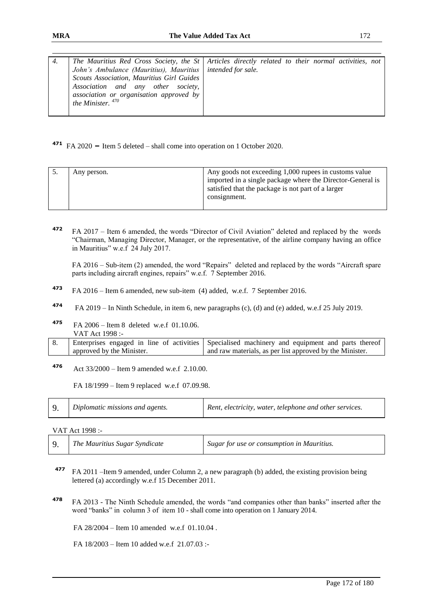| The Mauritius Red Cross Society, the St   Articles directly related to their normal activities, not<br>4.                                                                                                         |  |
|-------------------------------------------------------------------------------------------------------------------------------------------------------------------------------------------------------------------|--|
| John's Ambulance (Mauritius), Mauritius   intended for sale.<br>Scouts Association, Mauritius Girl Guides<br>Association and any other society,<br>association or organisation approved by<br>the Minister. $470$ |  |

**<sup>471</sup>** FA 2020 **–** Item 5 deleted – shall come into operation on 1 October 2020.

|  | Any person. | Any goods not exceeding 1,000 rupees in customs value<br>imported in a single package where the Director-General is<br>satisfied that the package is not part of a larger<br>consignment. |
|--|-------------|-------------------------------------------------------------------------------------------------------------------------------------------------------------------------------------------|
|--|-------------|-------------------------------------------------------------------------------------------------------------------------------------------------------------------------------------------|

**<sup>472</sup>** FA 2017 – Item 6 amended, the words "Director of Civil Aviation" deleted and replaced by the words "Chairman, Managing Director, Manager, or the representative, of the airline company having an office in Mauritius" w.e.f 24 July 2017.

FA 2016 – Sub-item (2) amended, the word "Repairs" deleted and replaced by the words "Aircraft spare parts including aircraft engines, repairs" w.e.f. 7 September 2016.

- **<sup>473</sup>** FA 2016 Item 6 amended, new sub-item (4) added, w.e.f. 7 September 2016.
- **474** FA 2019 – In Ninth Schedule, in item 6, new paragraphs (c), (d) and (e) added, w.e.f 25 July 2019.
- **<sup>475</sup>** FA 2006 Item 8 deleted w.e.f 01.10.06. VAT Act 1998 :-

|                           | Enterprises engaged in line of activities Specialised machinery and equipment and parts thereof |
|---------------------------|-------------------------------------------------------------------------------------------------|
| approved by the Minister. | and raw materials, as per list approved by the Minister.                                        |

**<sup>476</sup>** Act 33/2000 – Item 9 amended w.e.f 2.10.00.

FA 18/1999 – Item 9 replaced w.e.f 07.09.98.

|  | Diplomatic missions and agents. | Rent, electricity, water, telephone and other services. |
|--|---------------------------------|---------------------------------------------------------|
|--|---------------------------------|---------------------------------------------------------|

VAT Act 1998 :-

|  | The Mauritius Sugar Syndicate | Sugar for use or consumption in Mauritius. |
|--|-------------------------------|--------------------------------------------|
|--|-------------------------------|--------------------------------------------|

- **<sup>477</sup>** FA 2011 –Item 9 amended, under Column 2, a new paragraph (b) added, the existing provision being lettered (a) accordingly w.e.f 15 December 2011.
- **<sup>478</sup>** FA 2013 The Ninth Schedule amended, the words "and companies other than banks" inserted after the word "banks" in column 3 of item 10 - shall come into operation on 1 January 2014.

FA 28/2004 – Item 10 amended w.e.f 01.10.04 .

FA 18/2003 – Item 10 added w.e.f 21.07.03 :-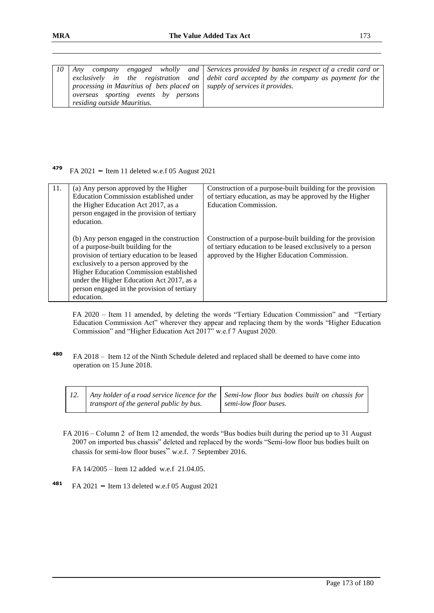| 10 | company<br>Anv                                                                    | engaged wholly and Services provided by banks in respect of a credit card or              |
|----|-----------------------------------------------------------------------------------|-------------------------------------------------------------------------------------------|
|    |                                                                                   | exclusively in the registration and debit card accepted by the company as payment for the |
|    | processing in Mauritius of bets placed on $\vert$ supply of services it provides. |                                                                                           |
|    | overseas sporting events by persons                                               |                                                                                           |
|    | residing outside Mauritius.                                                       |                                                                                           |

#### **479** FA 2021 **–** Item 11 deleted w.e.f 05 August 2021

| 11. | (a) Any person approved by the Higher<br>Education Commission established under<br>the Higher Education Act 2017, as a<br>person engaged in the provision of tertiary<br>education.                                                                                                                                               | Construction of a purpose-built building for the provision<br>of tertiary education, as may be approved by the Higher<br><b>Education Commission.</b>                    |
|-----|-----------------------------------------------------------------------------------------------------------------------------------------------------------------------------------------------------------------------------------------------------------------------------------------------------------------------------------|--------------------------------------------------------------------------------------------------------------------------------------------------------------------------|
|     | (b) Any person engaged in the construction<br>of a purpose-built building for the<br>provision of tertiary education to be leased<br>exclusively to a person approved by the<br>Higher Education Commission established<br>under the Higher Education Act 2017, as a<br>person engaged in the provision of tertiary<br>education. | Construction of a purpose-built building for the provision<br>of tertiary education to be leased exclusively to a person<br>approved by the Higher Education Commission. |

 FA 2020 – Item 11 amended, by deleting the words "Tertiary Education Commission" and "Tertiary Education Commission Act" wherever they appear and replacing them by the words "Higher Education Commission" and "Higher Education Act 2017" w.e.f 7 August 2020.

**<sup>480</sup>** FA 2018 – Item 12 of the Ninth Schedule deleted and replaced shall be deemed to have come into operation on 15 June 2018.

|                                         | Any holder of a road service licence for the $\vert$ Semi-low floor bus bodies built on chassis for |
|-----------------------------------------|-----------------------------------------------------------------------------------------------------|
| transport of the general public by bus. | semi-low floor buses.                                                                               |

FA 2016 – Column 2 of Item 12 amended, the words "Bus bodies built during the period up to 31 August 2007 on imported bus chassis" deleted and replaced by the words "Semi-low floor bus bodies built on chassis for semi-low floor buses" w.e.f. 7 September 2016.

FA 14/2005 – Item 12 added w.e.f 21.04.05.

**<sup>481</sup>** FA 2021 **–** Item 13 deleted w.e.f 05 August 2021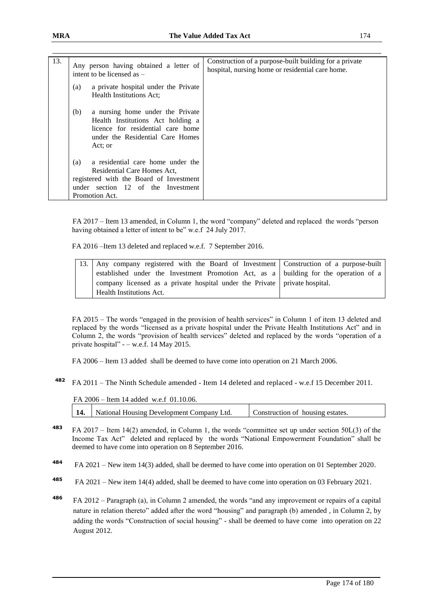| 13. | Any person having obtained a letter of<br>intent to be licensed as $-$                                                                                                     | Construction of a purpose-built building for a private<br>hospital, nursing home or residential care home. |
|-----|----------------------------------------------------------------------------------------------------------------------------------------------------------------------------|------------------------------------------------------------------------------------------------------------|
|     | a private hospital under the Private<br>(a)<br>Health Institutions Act:                                                                                                    |                                                                                                            |
|     | a nursing home under the Private<br>(b)<br>Health Institutions Act holding a<br>licence for residential care home<br>under the Residential Care Homes<br>Act: or           |                                                                                                            |
|     | a residential care home under the<br>(a)<br>Residential Care Homes Act,<br>registered with the Board of Investment<br>under section 12 of the Investment<br>Promotion Act. |                                                                                                            |

 FA 2017 – Item 13 amended, in Column 1, the word "company" deleted and replaced the words "person having obtained a letter of intent to be" w.e.f 24 July 2017.

FA 2016 –Item 13 deleted and replaced w.e.f. 7 September 2016.

| 13. Any company registered with the Board of Investment Construction of a purpose-built   |  |
|-------------------------------------------------------------------------------------------|--|
| established under the Investment Promotion Act, as a unil building for the operation of a |  |
| company licensed as a private hospital under the Private   private hospital.              |  |
| Health Institutions Act.                                                                  |  |

FA 2015 – The words "engaged in the provision of health services" in Column 1 of item 13 deleted and replaced by the words "licensed as a private hospital under the Private Health Institutions Act" and in Column 2, the words "provision of health services" deleted and replaced by the words "operation of a private hospital" - – w.e.f. 14 May 2015.

FA 2006 – Item 13 added shall be deemed to have come into operation on 21 March 2006.

**<sup>482</sup>** FA 2011 – The Ninth Schedule amended - Item 14 deleted and replaced - w.e.f 15 December 2011.

| FA $2006 -$ Item 14 added w.e.f 01.10.06. |                                  |
|-------------------------------------------|----------------------------------|
| National Housing Development Company Ltd. | Construction of housing estates. |

- **<sup>483</sup>** FA 2017 Item 14(2) amended, in Column 1, the words "committee set up under section 50L(3) of the Income Tax Act" deleted and replaced by the words "National Empowerment Foundation" shall be deemed to have come into operation on 8 September 2016.
- **484**  FA 2021 – New item 14(3) added, shall be deemed to have come into operation on 01 September 2020.
- **485** FA 2021 – New item 14(4) added, shall be deemed to have come into operation on 03 February 2021.
- **<sup>486</sup>** FA 2012 Paragraph (a), in Column 2 amended, the words "and any improvement or repairs of a capital nature in relation thereto" added after the word "housing" and paragraph (b) amended , in Column 2, by adding the words "Construction of social housing" - shall be deemed to have come into operation on 22 August 2012.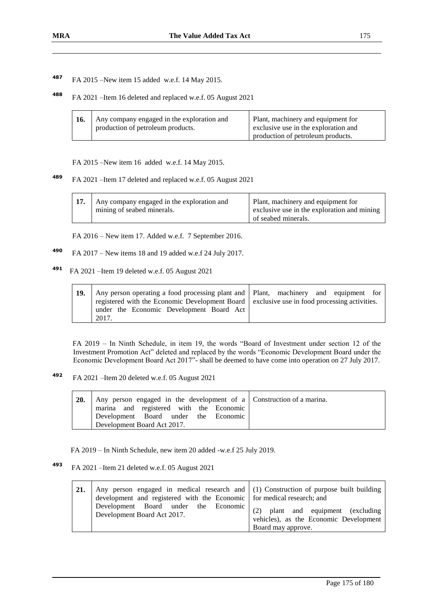**<sup>487</sup>** FA 2015 –New item 15 added w.e.f. 14 May 2015.

**<sup>488</sup>** FA 2021 –Item 16 deleted and replaced w.e.f. 05 August 2021

| 16. | Any company engaged in the exploration and<br>production of petroleum products. | Plant, machinery and equipment for<br>exclusive use in the exploration and |
|-----|---------------------------------------------------------------------------------|----------------------------------------------------------------------------|
|     |                                                                                 | production of petroleum products.                                          |
|     |                                                                                 |                                                                            |

FA 2015 –New item 16 added w.e.f. 14 May 2015.

**<sup>489</sup>** FA 2021 –Item 17 deleted and replaced w.e.f. 05 August 2021

| Any company engaged in the exploration and<br>mining of seabed minerals. | Plant, machinery and equipment for<br>exclusive use in the exploration and mining |
|--------------------------------------------------------------------------|-----------------------------------------------------------------------------------|
|                                                                          | of seabed minerals.                                                               |

FA 2016 – New item 17. Added w.e.f. 7 September 2016.

- **<sup>490</sup>** FA 2017 New items 18 and 19 added w.e.f 24 July 2017.
- **491** FA 2021 –Item 19 deleted w.e.f. 05 August 2021

| 19. | Any person operating a food processing plant and   Plant, machinery and equipment for       |  |
|-----|---------------------------------------------------------------------------------------------|--|
|     | registered with the Economic Development Board exclusive use in food processing activities. |  |
|     | under the Economic Development Board Act                                                    |  |
|     | 2017.                                                                                       |  |

 FA 2019 – In Ninth Schedule, in item 19, the words "Board of Investment under section 12 of the Investment Promotion Act" deleted and replaced by the words "Economic Development Board under the Economic Development Board Act 2017"- shall be deemed to have come into operation on 27 July 2017.

**492**  FA 2021 –Item 20 deleted w.e.f. 05 August 2021

| <b>20.</b> | Any person engaged in the development of a Construction of a marina. |
|------------|----------------------------------------------------------------------|
|            | marina and registered with the Economic                              |
|            | Development Board under the Economic                                 |
|            | Development Board Act 2017.                                          |

FA 2019 – In Ninth Schedule, new item 20 added -w.e.f 25 July 2019.

**493** FA 2021 –Item 21 deleted w.e.f. 05 August 2021

| 21. | Any person engaged in medical research and $(1)$ Construction of purpose built building<br>development and registered with the Economic for medical research; and |                                                              |
|-----|-------------------------------------------------------------------------------------------------------------------------------------------------------------------|--------------------------------------------------------------|
|     | Development Board under the Economic $(2)$ plant and equipment (excluding<br>Development Board Act 2017.                                                          | vehicles), as the Economic Development<br>Board may approve. |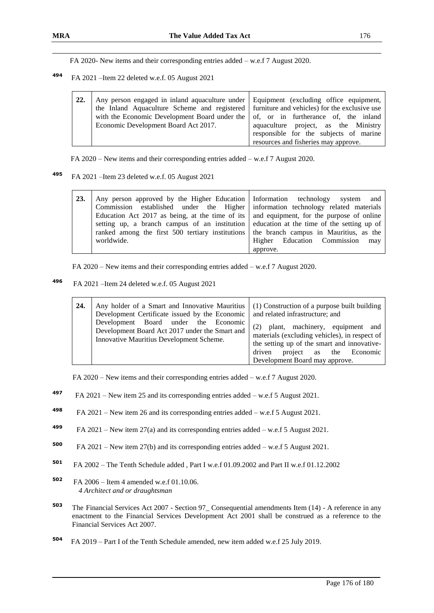FA 2020- New items and their corresponding entries added – w.e.f 7 August 2020.

**494** FA 2021 –Item 22 deleted w.e.f. 05 August 2021

| 22. | Any person engaged in inland aquaculture under Equipment (excluding office equipment,      |                                        |
|-----|--------------------------------------------------------------------------------------------|----------------------------------------|
|     |                                                                                            |                                        |
|     | the Inland Aquaculture Scheme and registered furniture and vehicles) for the exclusive use |                                        |
|     | with the Economic Development Board under the of, or in furtherance of, the inland         |                                        |
|     | Economic Development Board Act 2017.                                                       | aquaculture project, as the Ministry   |
|     |                                                                                            | responsible for the subjects of marine |
|     |                                                                                            | resources and fisheries may approve.   |

FA 2020 – New items and their corresponding entries added – w.e.f 7 August 2020.

**495** FA 2021 –Item 23 deleted w.e.f. 05 August 2021

| 23. | Any person approved by the Higher Education   Information technology system and<br>Commission established under the Higher information technology related materials |                                 |
|-----|---------------------------------------------------------------------------------------------------------------------------------------------------------------------|---------------------------------|
|     | Education Act 2017 as being, at the time of its $\vert$ and equipment, for the purpose of online                                                                    |                                 |
|     | setting up, a branch campus of an institution deducation at the time of the setting up of                                                                           |                                 |
|     | ranked among the first 500 tertiary institutions the branch campus in Mauritius, as the                                                                             |                                 |
|     | worldwide.                                                                                                                                                          | Higher Education Commission may |
|     |                                                                                                                                                                     | approve.                        |

FA 2020 – New items and their corresponding entries added – w.e.f 7 August 2020.

**496** FA 2021 –Item 24 deleted w.e.f. 05 August 2021

| 24. | Any holder of a Smart and Innovative Mauritius<br>Development Certificate issued by the Economic                                   | (1) Construction of a purpose built building<br>and related infrastructure; and                                                                                                                               |
|-----|------------------------------------------------------------------------------------------------------------------------------------|---------------------------------------------------------------------------------------------------------------------------------------------------------------------------------------------------------------|
|     | Development Board under the Economic<br>Development Board Act 2017 under the Smart and<br>Innovative Mauritius Development Scheme. | (2)<br>plant, machinery, equipment and<br>materials (excluding vehicles), in respect of<br>the setting up of the smart and innovative-<br>project as the Economic<br>driven<br>Development Board may approve. |

FA 2020 – New items and their corresponding entries added – w.e.f 7 August 2020.

- **497** FA 2021 – New item 25 and its corresponding entries added – w.e.f 5 August 2021.
- **498**  FA 2021 – New item 26 and its corresponding entries added – w.e.f 5 August 2021.
- **499**  FA 2021 – New item 27(a) and its corresponding entries added – w.e.f 5 August 2021.
- **500**  FA 2021 – New item 27(b) and its corresponding entries added – w.e.f 5 August 2021.
- **<sup>501</sup>** FA 2002 The Tenth Schedule added , Part I w.e.f 01.09.2002 and Part II w.e.f 01.12.2002
- **<sup>502</sup>** FA 2006 Item 4 amended w.e.f 01.10.06. *4 Architect and or draughtsman*
- **<sup>503</sup>** The Financial Services Act 2007 Section 97\_ Consequential amendments Item (14) A reference in any enactment to the Financial Services Development Act 2001 shall be construed as a reference to the Financial Services Act 2007.
- **504**  FA 2019 – Part I of the Tenth Schedule amended, new item added w.e.f 25 July 2019.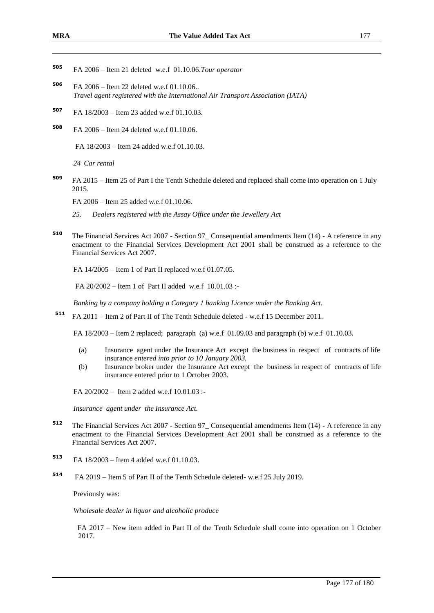- **<sup>505</sup>** FA 2006 Item 21 deleted w.e.f 01.10.06.*Tour operator*
- **<sup>506</sup>** FA 2006 Item 22 deleted w.e.f 01.10.06.. *Travel agent registered with the International Air Transport Association (IATA)*
- **<sup>507</sup>** FA 18/2003 Item 23 added w.e.f 01.10.03.
- **<sup>508</sup>** FA 2006 Item 24 deleted w.e.f 01.10.06.

FA 18/2003 – Item 24 added w.e.f 01.10.03.

*24 Car rental*

**<sup>509</sup>** FA 2015 – Item 25 of Part I the Tenth Schedule deleted and replaced shall come into operation on 1 July 2015.

FA 2006 – Item 25 added w.e.f 01.10.06.

- *25. Dealers registered with the Assay Office under the Jewellery Act*
- **<sup>510</sup>** The Financial Services Act 2007 Section 97\_ Consequential amendments Item (14) A reference in any enactment to the Financial Services Development Act 2001 shall be construed as a reference to the Financial Services Act 2007.

FA 14/2005 – Item 1 of Part II replaced w.e.f 01.07.05.

FA 20/2002 – Item 1 of Part II added w.e.f 10.01.03 :-

*Banking by a company holding a Category 1 banking Licence under the Banking Act.* 

**<sup>511</sup>** FA 2011 – Item 2 of Part II of The Tenth Schedule deleted - w.e.f 15 December 2011.

FA 18/2003 – Item 2 replaced; paragraph (a) w.e.f 01.09.03 and paragraph (b) w.e.f 01.10.03.

- (a) Insurance agent under the Insurance Act except the business in respect of contracts of life insurance *entered into prior to 10 January 2003.*
- (b) Insurance broker under the Insurance Act except the business in respect of contracts of life insurance entered prior to 1 October 2003.

FA 20/2002 – Item 2 added w.e.f 10.01.03 :-

*Insurance agent under the Insurance Act.* 

- **<sup>512</sup>** The Financial Services Act 2007 Section 97\_ Consequential amendments Item (14) A reference in any enactment to the Financial Services Development Act 2001 shall be construed as a reference to the Financial Services Act 2007.
- **<sup>513</sup>** FA 18/2003 Item 4 added w.e.f 01.10.03.
- **514** FA 2019 – Item 5 of Part II of the Tenth Schedule deleted- w.e.f 25 July 2019.

Previously was:

*Wholesale dealer in liquor and alcoholic produce*

FA 2017 – New item added in Part II of the Tenth Schedule shall come into operation on 1 October 2017.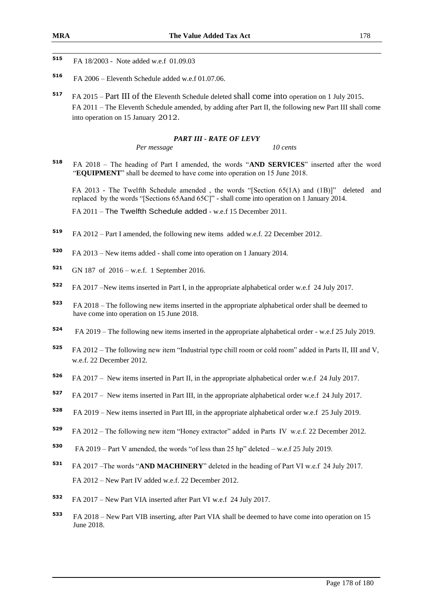- 515 **<sup>515</sup>** FA 18/2003 - Note added w.e.f 01.09.03
- **<sup>516</sup>** FA 2006 Eleventh Schedule added w.e.f 01.07.06.
- **<sup>517</sup>** FA 2015 Part III of the Eleventh Schedule deleted shall come into operation on 1 July 2015. FA 2011 – The Eleventh Schedule amended, by adding after Part II, the following new Part III shall come into operation on 15 January 2012.

#### *PART III - RATE OF LEVY*

*Per message 10 cents*

**<sup>518</sup>** FA 2018 – The heading of Part I amended, the words "**AND SERVICES**" inserted after the word "**EQUIPMENT**" shall be deemed to have come into operation on 15 June 2018.

FA 2013 - The Twelfth Schedule amended , the words "[Section 65(1A) and (1B)]" deleted and replaced by the words "[Sections 65Aand 65C]" - shall come into operation on 1 January 2014.

FA 2011 – The Twelfth Schedule added - w.e.f 15 December 2011.

- **<sup>519</sup>** FA 2012 Part I amended, the following new items added w.e.f. 22 December 2012.
- **<sup>520</sup>** FA 2013 New items added shall come into operation on 1 January 2014.
- **<sup>521</sup>** GN 187 of 2016 w.e.f. 1 September 2016.
- **<sup>522</sup>** FA 2017 –New items inserted in Part I, in the appropriate alphabetical order w.e.f 24 July 2017.
- **<sup>523</sup>** FA 2018 The following new items inserted in the appropriate alphabetical order shall be deemed to have come into operation on 15 June 2018.
- **524** FA 2019 – The following new items inserted in the appropriate alphabetical order - w.e.f 25 July 2019.
- **<sup>525</sup>** FA 2012 The following new item "Industrial type chill room or cold room" added in Parts II, III and V, w.e.f. 22 December 2012.
- **<sup>526</sup>** FA 2017 New items inserted in Part II, in the appropriate alphabetical order w.e.f 24 July 2017.
- **<sup>527</sup>** FA 2017 New items inserted in Part III, in the appropriate alphabetical order w.e.f 24 July 2017.
- **528** FA 2019 – New items inserted in Part III, in the appropriate alphabetical order w.e.f 25 July 2019.
- **<sup>529</sup>** FA 2012 The following new item "Honey extractor" added in Parts IV w.e.f. 22 December 2012.
- **530** FA 2019 – Part V amended, the words "of less than 25 hp" deleted – w.e.f 25 July 2019.
- **<sup>531</sup>** FA 2017 –The words "**AND MACHINERY**" deleted in the heading of Part VI w.e.f 24 July 2017. FA 2012 – New Part IV added w.e.f. 22 December 2012.
- **<sup>532</sup>** FA 2017 New Part VIA inserted after Part VI w.e.f 24 July 2017.
- **<sup>533</sup>** FA 2018 New Part VIB inserting, after Part VIA shall be deemed to have come into operation on 15 June 2018.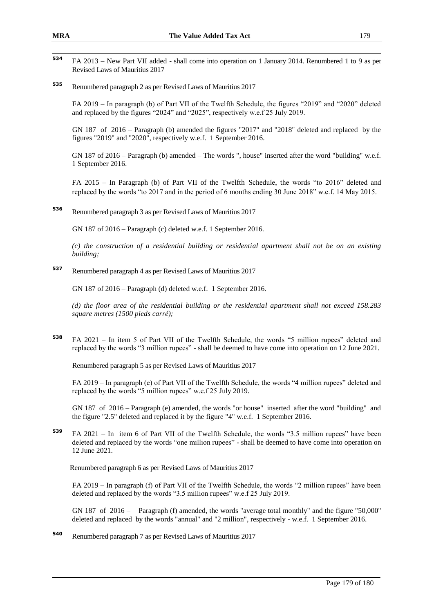- 534 **<sup>534</sup>** FA 2013 – New Part VII added - shall come into operation on 1 January 2014. Renumbered 1 to 9 as per Revised Laws of Mauritius 2017
- **<sup>535</sup>** Renumbered paragraph 2 as per Revised Laws of Mauritius 2017

FA 2019 – In paragraph (b) of Part VII of the Twelfth Schedule, the figures "2019" and "2020" deleted and replaced by the figures "2024" and "2025", respectively w.e.f 25 July 2019.

GN 187 of 2016 – Paragraph (b) amended the figures "2017" and "2018" deleted and replaced by the figures "2019" and "2020", respectively w.e.f. 1 September 2016.

GN 187 of 2016 – Paragraph (b) amended – The words ", house" inserted after the word "building" w.e.f. 1 September 2016.

FA 2015 – In Paragraph (b) of Part VII of the Twelfth Schedule, the words "to 2016" deleted and replaced by the words "to 2017 and in the period of 6 months ending 30 June 2018" w.e.f. 14 May 2015.

**<sup>536</sup>** Renumbered paragraph 3 as per Revised Laws of Mauritius 2017

GN 187 of 2016 – Paragraph (c) deleted w.e.f. 1 September 2016.

*(c) the construction of a residential building or residential apartment shall not be on an existing building;*

**<sup>537</sup>** Renumbered paragraph 4 as per Revised Laws of Mauritius 2017

GN 187 of 2016 – Paragraph (d) deleted w.e.f. 1 September 2016.

*(d) the floor area of the residential building or the residential apartment shall not exceed 158.283 square metres (1500 pieds carré);*

**<sup>538</sup>** FA 2021 – In item 5 of Part VII of the Twelfth Schedule, the words "5 million rupees" deleted and replaced by the words "3 million rupees" - shall be deemed to have come into operation on 12 June 2021.

Renumbered paragraph 5 as per Revised Laws of Mauritius 2017

FA 2019 – In paragraph (e) of Part VII of the Twelfth Schedule, the words "4 million rupees" deleted and replaced by the words "5 million rupees" w.e.f 25 July 2019.

GN 187 of 2016 – Paragraph (e) amended, the words "or house" inserted after the word "building" and the figure "2.5" deleted and replaced it by the figure "4" w.e.f. 1 September 2016.

**<sup>539</sup>** FA 2021 – In item 6 of Part VII of the Twelfth Schedule, the words "3.5 million rupees" have been deleted and replaced by the words "one million rupees" - shall be deemed to have come into operation on 12 June 2021.

Renumbered paragraph 6 as per Revised Laws of Mauritius 2017

FA 2019 – In paragraph (f) of Part VII of the Twelfth Schedule, the words "2 million rupees" have been deleted and replaced by the words "3.5 million rupees" w.e.f 25 July 2019.

GN 187 of 2016 – Paragraph (f) amended, the words "average total monthly" and the figure "50,000" deleted and replaced by the words "annual" and "2 million", respectively - w.e.f. 1 September 2016.

**<sup>540</sup>** Renumbered paragraph 7 as per Revised Laws of Mauritius 2017